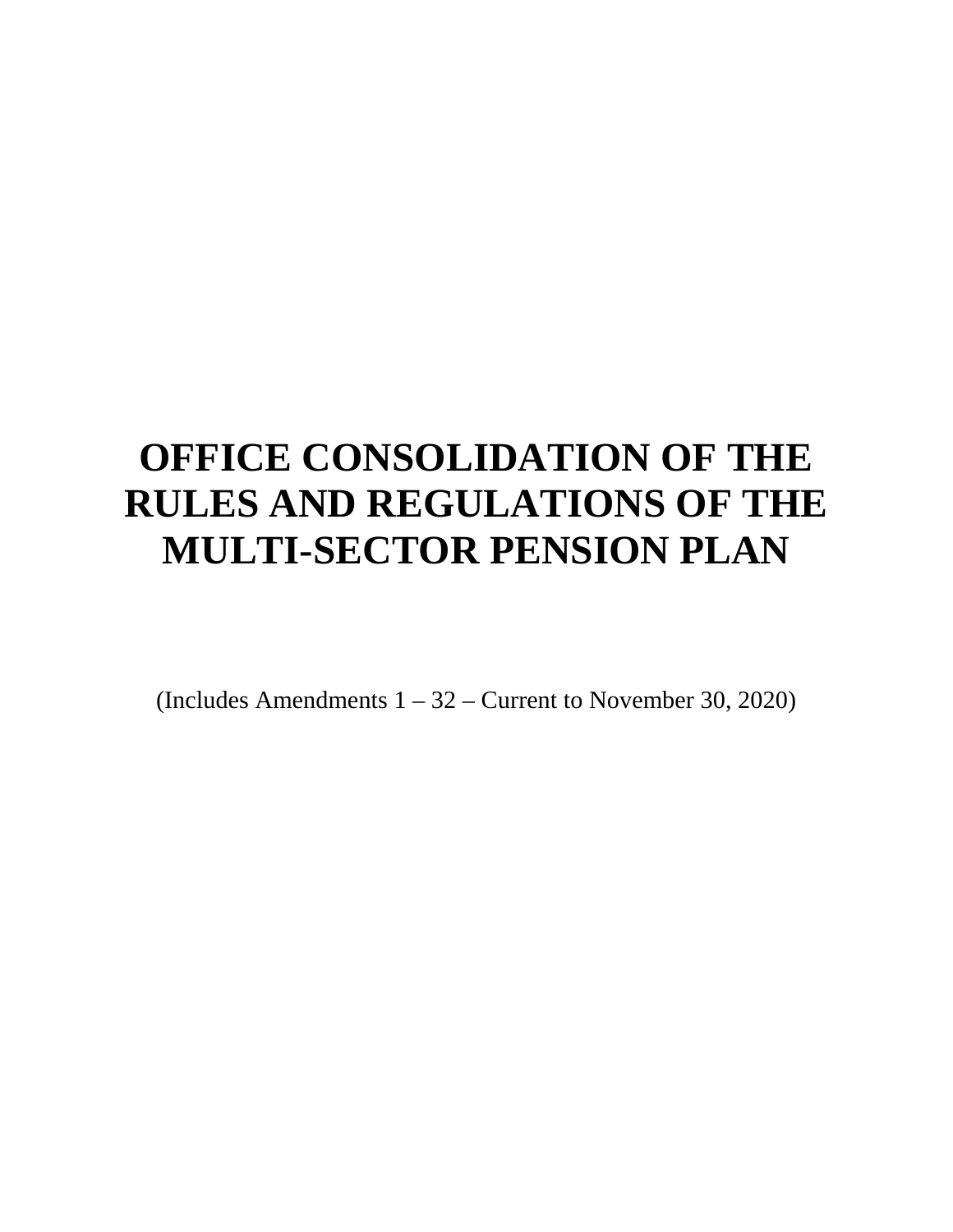# **OFFICE CONSOLIDATION OF THE RULES AND REGULATIONS OF THE MULTI-SECTOR PENSION PLAN**

(Includes Amendments 1 – 32 – Current to November 30, 2020)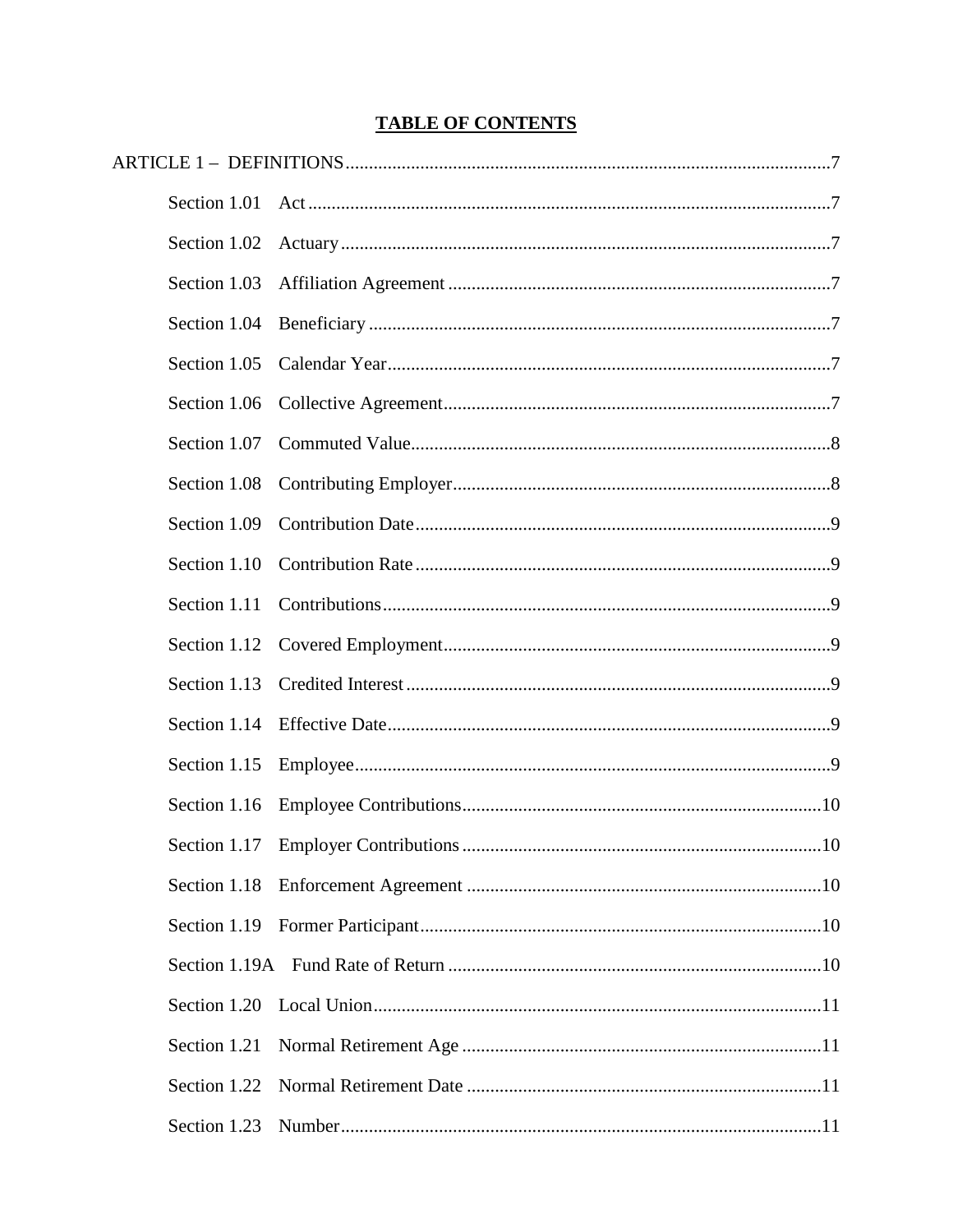# **TABLE OF CONTENTS**

| Section 1.02 |                                     |     |
|--------------|-------------------------------------|-----|
| Section 1.03 |                                     |     |
| Section 1.04 |                                     |     |
| Section 1.05 |                                     |     |
|              |                                     |     |
| Section 1.07 |                                     |     |
| Section 1.08 |                                     |     |
| Section 1.09 |                                     |     |
| Section 1.10 |                                     |     |
| Section 1.11 |                                     |     |
|              |                                     |     |
| Section 1.13 |                                     |     |
| Section 1.14 |                                     |     |
| Section 1.15 |                                     |     |
| Section 1.16 |                                     |     |
|              | Section 1.17 Employer Contributions | .10 |
| Section 1.18 |                                     |     |
|              |                                     |     |
|              |                                     |     |
| Section 1.20 |                                     |     |
| Section 1.21 |                                     |     |
| Section 1.22 |                                     |     |
| Section 1.23 |                                     |     |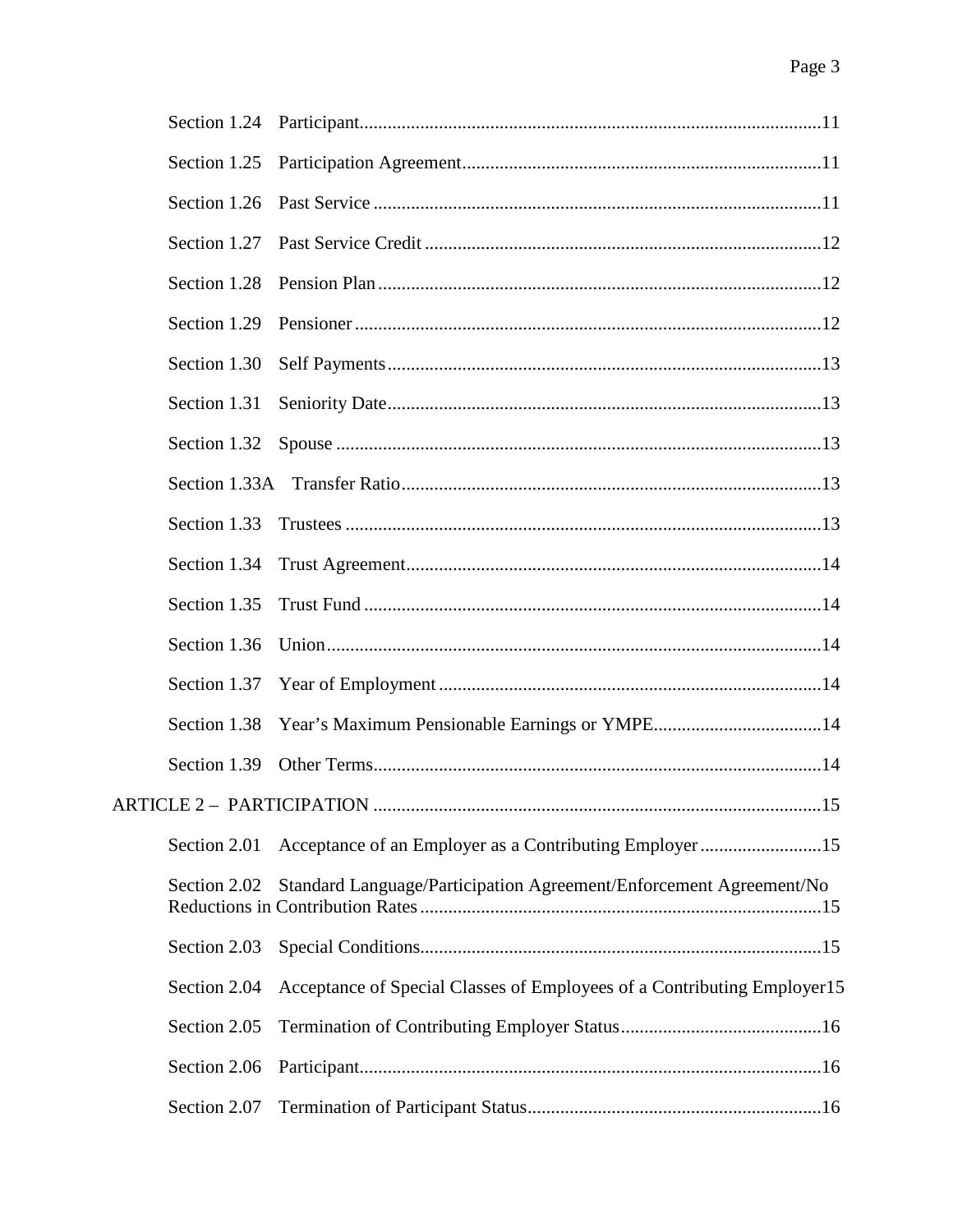| Section 1.25 |                                                                         |
|--------------|-------------------------------------------------------------------------|
| Section 1.26 |                                                                         |
| Section 1.27 |                                                                         |
| Section 1.28 |                                                                         |
|              |                                                                         |
| Section 1.30 |                                                                         |
| Section 1.31 |                                                                         |
| Section 1.32 |                                                                         |
|              |                                                                         |
| Section 1.33 |                                                                         |
| Section 1.34 |                                                                         |
| Section 1.35 |                                                                         |
| Section 1.36 |                                                                         |
| Section 1.37 |                                                                         |
| Section 1.38 |                                                                         |
| Section 1.39 |                                                                         |
|              |                                                                         |
| Section 2.01 |                                                                         |
| Section 2.02 | Standard Language/Participation Agreement/Enforcement Agreement/No      |
| Section 2.03 |                                                                         |
| Section 2.04 | Acceptance of Special Classes of Employees of a Contributing Employer15 |
| Section 2.05 |                                                                         |
| Section 2.06 |                                                                         |
| Section 2.07 |                                                                         |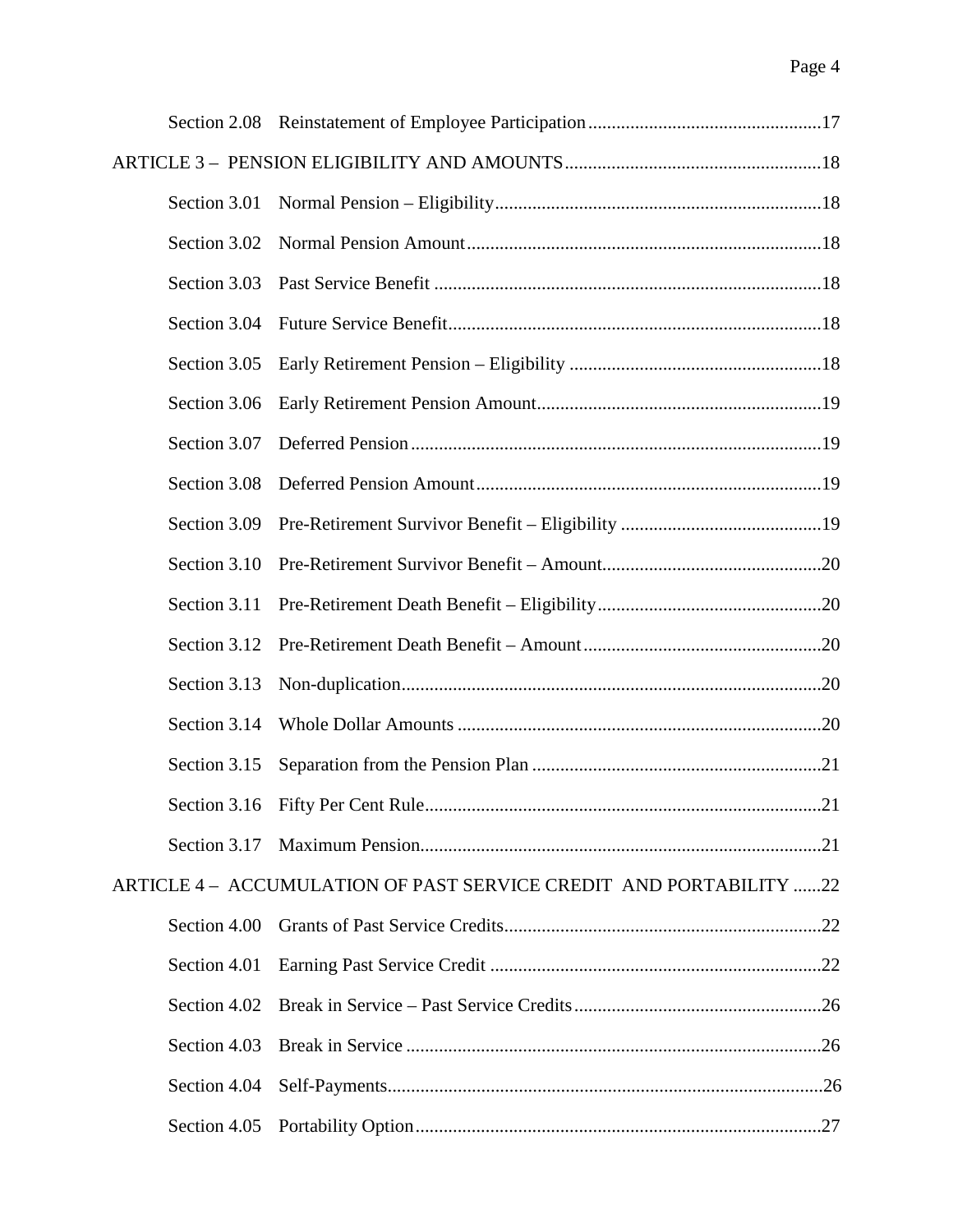| Section 3.01 |                                                                    |  |
|--------------|--------------------------------------------------------------------|--|
| Section 3.02 |                                                                    |  |
| Section 3.03 |                                                                    |  |
| Section 3.04 |                                                                    |  |
| Section 3.05 |                                                                    |  |
| Section 3.06 |                                                                    |  |
| Section 3.07 |                                                                    |  |
| Section 3.08 |                                                                    |  |
| Section 3.09 |                                                                    |  |
| Section 3.10 |                                                                    |  |
| Section 3.11 |                                                                    |  |
| Section 3.12 |                                                                    |  |
| Section 3.13 |                                                                    |  |
| Section 3.14 |                                                                    |  |
| Section 3.15 |                                                                    |  |
|              |                                                                    |  |
|              |                                                                    |  |
|              | ARTICLE 4 - ACCUMULATION OF PAST SERVICE CREDIT AND PORTABILITY 22 |  |
| Section 4.00 |                                                                    |  |
| Section 4.01 |                                                                    |  |
| Section 4.02 |                                                                    |  |
| Section 4.03 |                                                                    |  |
| Section 4.04 |                                                                    |  |
| Section 4.05 |                                                                    |  |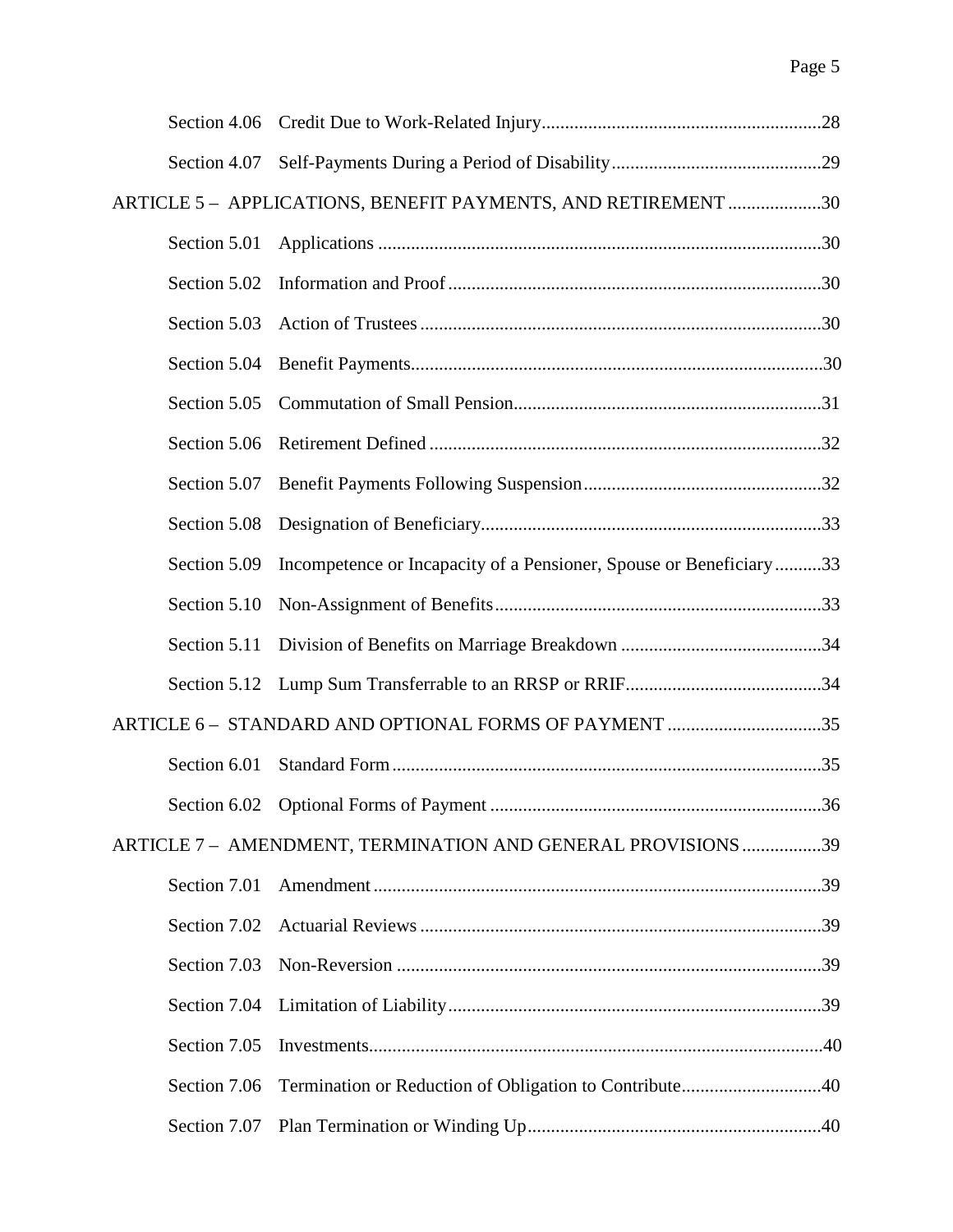| Section 4.06 |                                                                    |     |
|--------------|--------------------------------------------------------------------|-----|
| Section 4.07 |                                                                    |     |
|              | ARTICLE 5 - APPLICATIONS, BENEFIT PAYMENTS, AND RETIREMENT 30      |     |
| Section 5.01 |                                                                    |     |
| Section 5.02 |                                                                    |     |
| Section 5.03 |                                                                    |     |
| Section 5.04 |                                                                    |     |
| Section 5.05 |                                                                    |     |
| Section 5.06 |                                                                    |     |
| Section 5.07 |                                                                    |     |
| Section 5.08 |                                                                    |     |
| Section 5.09 | Incompetence or Incapacity of a Pensioner, Spouse or Beneficiary33 |     |
| Section 5.10 |                                                                    |     |
| Section 5.11 |                                                                    |     |
| Section 5.12 |                                                                    |     |
|              | ARTICLE 6 - STANDARD AND OPTIONAL FORMS OF PAYMENT 35              |     |
| Section 6.01 |                                                                    |     |
|              |                                                                    | .36 |
|              | ARTICLE 7 - AMENDMENT, TERMINATION AND GENERAL PROVISIONS 39       |     |
| Section 7.01 |                                                                    |     |
| Section 7.02 |                                                                    |     |
| Section 7.03 |                                                                    |     |
| Section 7.04 |                                                                    |     |
| Section 7.05 |                                                                    |     |
| Section 7.06 | Termination or Reduction of Obligation to Contribute40             |     |
| Section 7.07 |                                                                    |     |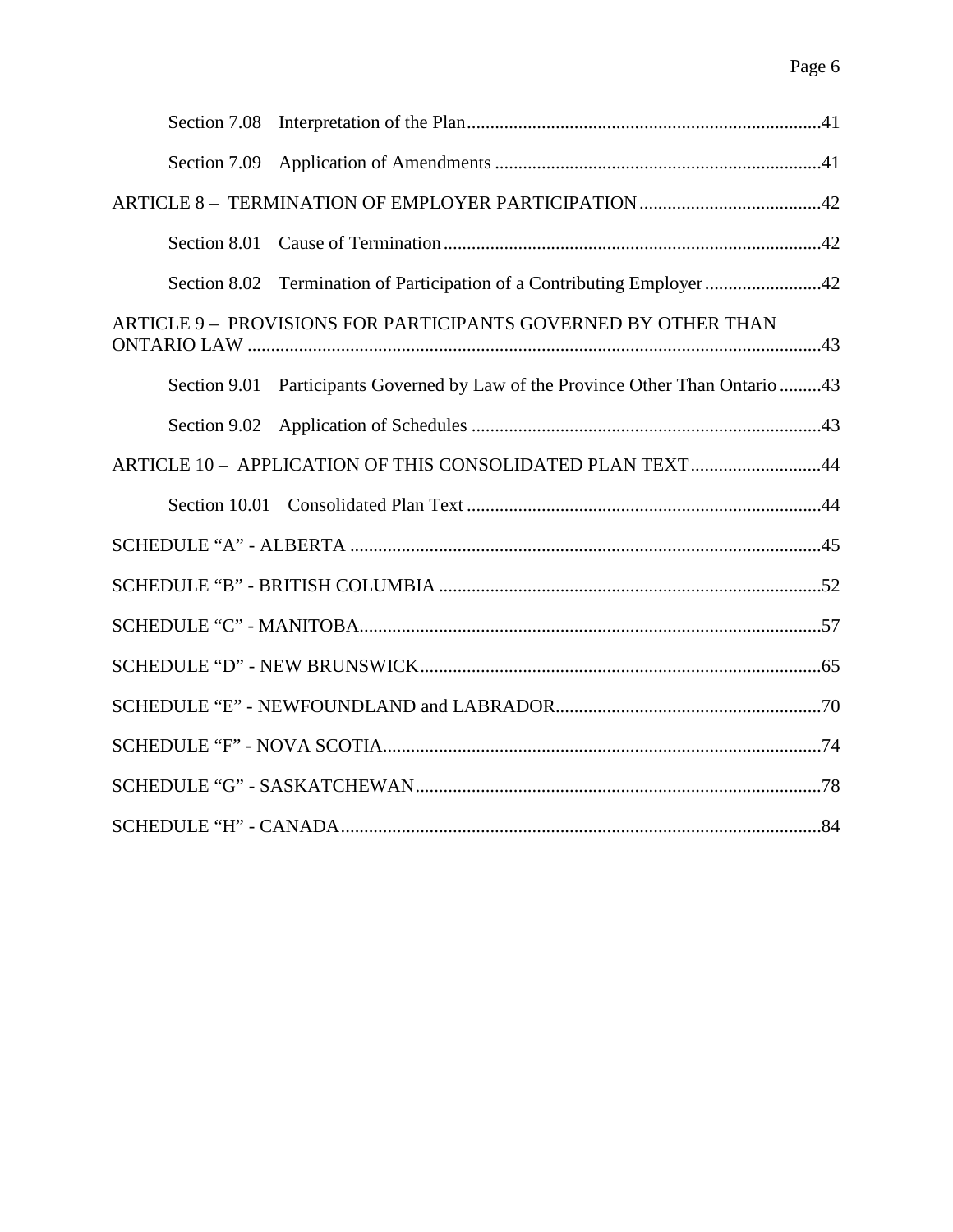| Section 8.02 Termination of Participation of a Contributing Employer 42         |  |
|---------------------------------------------------------------------------------|--|
| ARTICLE 9 - PROVISIONS FOR PARTICIPANTS GOVERNED BY OTHER THAN                  |  |
| Section 9.01 Participants Governed by Law of the Province Other Than Ontario 43 |  |
|                                                                                 |  |
| ARTICLE 10 - APPLICATION OF THIS CONSOLIDATED PLAN TEXT44                       |  |
|                                                                                 |  |
|                                                                                 |  |
|                                                                                 |  |
|                                                                                 |  |
|                                                                                 |  |
|                                                                                 |  |
|                                                                                 |  |
|                                                                                 |  |
|                                                                                 |  |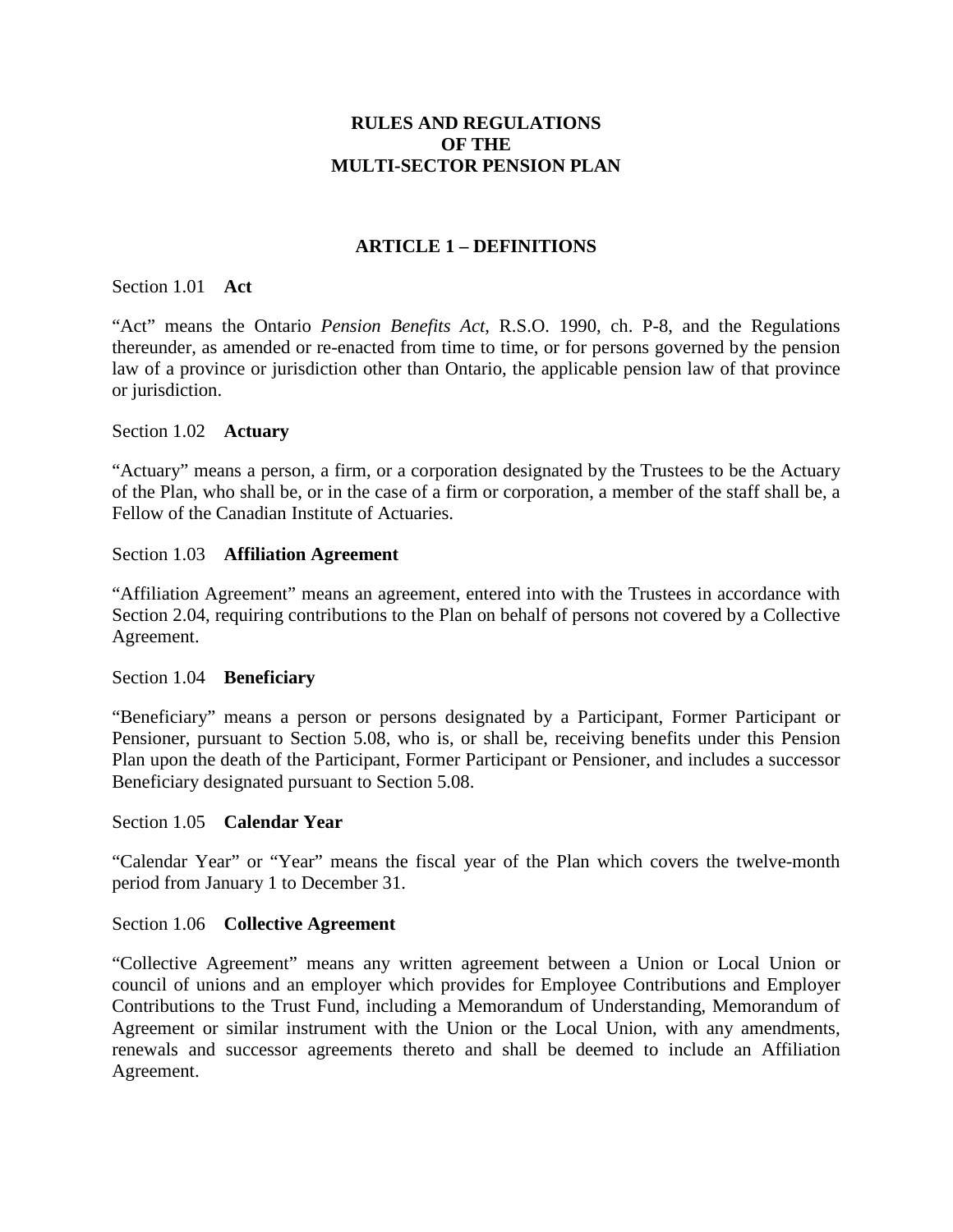# **RULES AND REGULATIONS OF THE MULTI-SECTOR PENSION PLAN**

# **ARTICLE 1 – DEFINITIONS**

### <span id="page-6-1"></span><span id="page-6-0"></span>Section 1.01 **Act**

"Act" means the Ontario *Pension Benefits Act*, R.S.O. 1990, ch. P-8, and the Regulations thereunder, as amended or re-enacted from time to time, or for persons governed by the pension law of a province or jurisdiction other than Ontario, the applicable pension law of that province or jurisdiction.

### <span id="page-6-2"></span>Section 1.02 **Actuary**

"Actuary" means a person, a firm, or a corporation designated by the Trustees to be the Actuary of the Plan, who shall be, or in the case of a firm or corporation, a member of the staff shall be, a Fellow of the Canadian Institute of Actuaries.

### <span id="page-6-3"></span>Section 1.03 **Affiliation Agreement**

"Affiliation Agreement" means an agreement, entered into with the Trustees in accordance with Section 2.04, requiring contributions to the Plan on behalf of persons not covered by a Collective Agreement.

### <span id="page-6-4"></span>Section 1.04 **Beneficiary**

"Beneficiary" means a person or persons designated by a Participant, Former Participant or Pensioner, pursuant to Section 5.08, who is, or shall be, receiving benefits under this Pension Plan upon the death of the Participant, Former Participant or Pensioner, and includes a successor Beneficiary designated pursuant to Section 5.08.

### <span id="page-6-5"></span>Section 1.05 **Calendar Year**

"Calendar Year" or "Year" means the fiscal year of the Plan which covers the twelve-month period from January 1 to December 31.

### <span id="page-6-6"></span>Section 1.06 **Collective Agreement**

"Collective Agreement" means any written agreement between a Union or Local Union or council of unions and an employer which provides for Employee Contributions and Employer Contributions to the Trust Fund, including a Memorandum of Understanding, Memorandum of Agreement or similar instrument with the Union or the Local Union, with any amendments, renewals and successor agreements thereto and shall be deemed to include an Affiliation Agreement.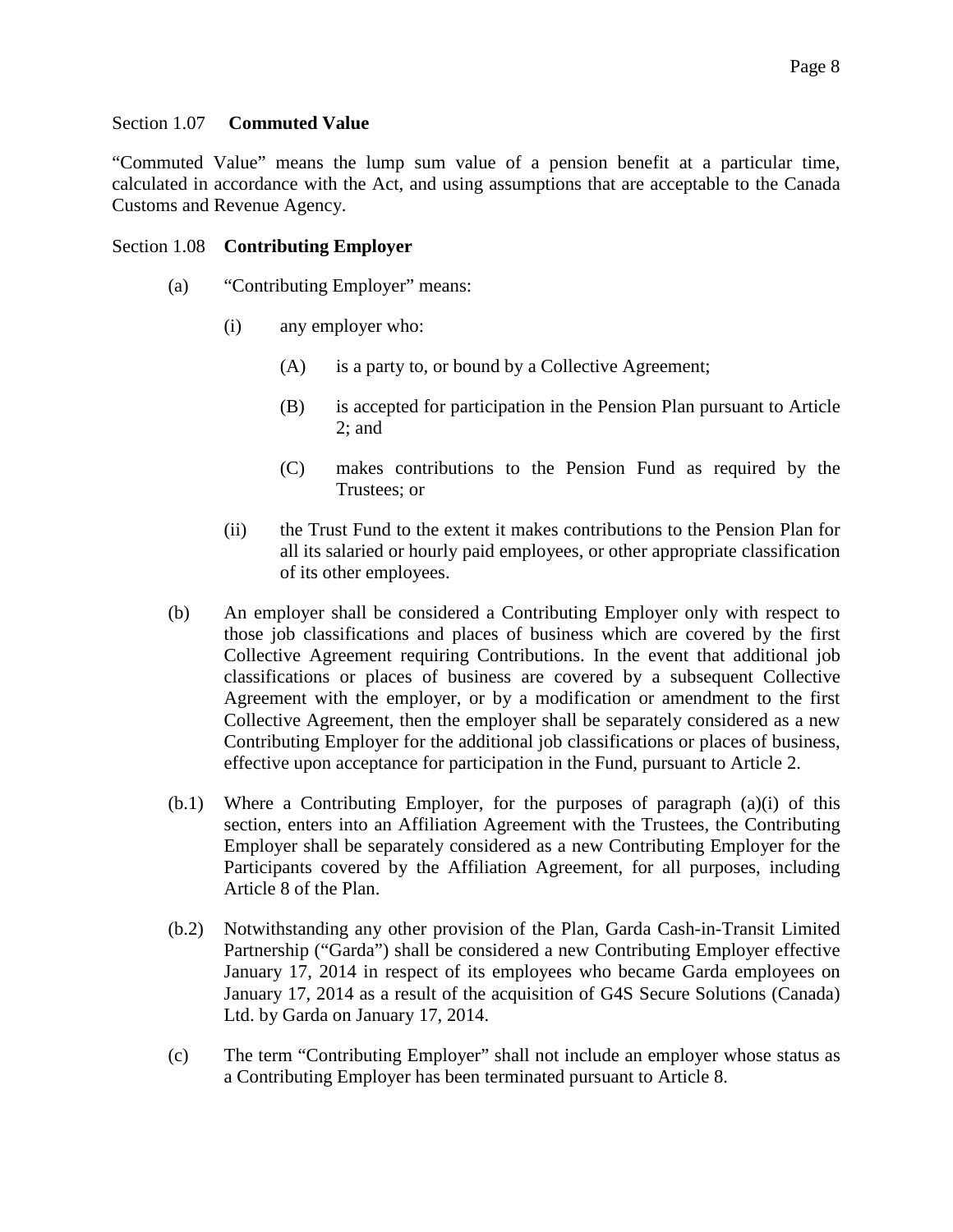### <span id="page-7-0"></span>Section 1.07 **Commuted Value**

"Commuted Value" means the lump sum value of a pension benefit at a particular time, calculated in accordance with the Act, and using assumptions that are acceptable to the Canada Customs and Revenue Agency.

### <span id="page-7-1"></span>Section 1.08 **Contributing Employer**

- (a) "Contributing Employer" means:
	- (i) any employer who:
		- (A) is a party to, or bound by a Collective Agreement;
		- (B) is accepted for participation in the Pension Plan pursuant to Article 2; and
		- (C) makes contributions to the Pension Fund as required by the Trustees; or
	- (ii) the Trust Fund to the extent it makes contributions to the Pension Plan for all its salaried or hourly paid employees, or other appropriate classification of its other employees.
- (b) An employer shall be considered a Contributing Employer only with respect to those job classifications and places of business which are covered by the first Collective Agreement requiring Contributions. In the event that additional job classifications or places of business are covered by a subsequent Collective Agreement with the employer, or by a modification or amendment to the first Collective Agreement, then the employer shall be separately considered as a new Contributing Employer for the additional job classifications or places of business, effective upon acceptance for participation in the Fund, pursuant to Article 2.
- (b.1) Where a Contributing Employer, for the purposes of paragraph (a)(i) of this section, enters into an Affiliation Agreement with the Trustees, the Contributing Employer shall be separately considered as a new Contributing Employer for the Participants covered by the Affiliation Agreement, for all purposes, including Article 8 of the Plan.
- (b.2) Notwithstanding any other provision of the Plan, Garda Cash-in-Transit Limited Partnership ("Garda") shall be considered a new Contributing Employer effective January 17, 2014 in respect of its employees who became Garda employees on January 17, 2014 as a result of the acquisition of G4S Secure Solutions (Canada) Ltd. by Garda on January 17, 2014.
- (c) The term "Contributing Employer" shall not include an employer whose status as a Contributing Employer has been terminated pursuant to Article 8.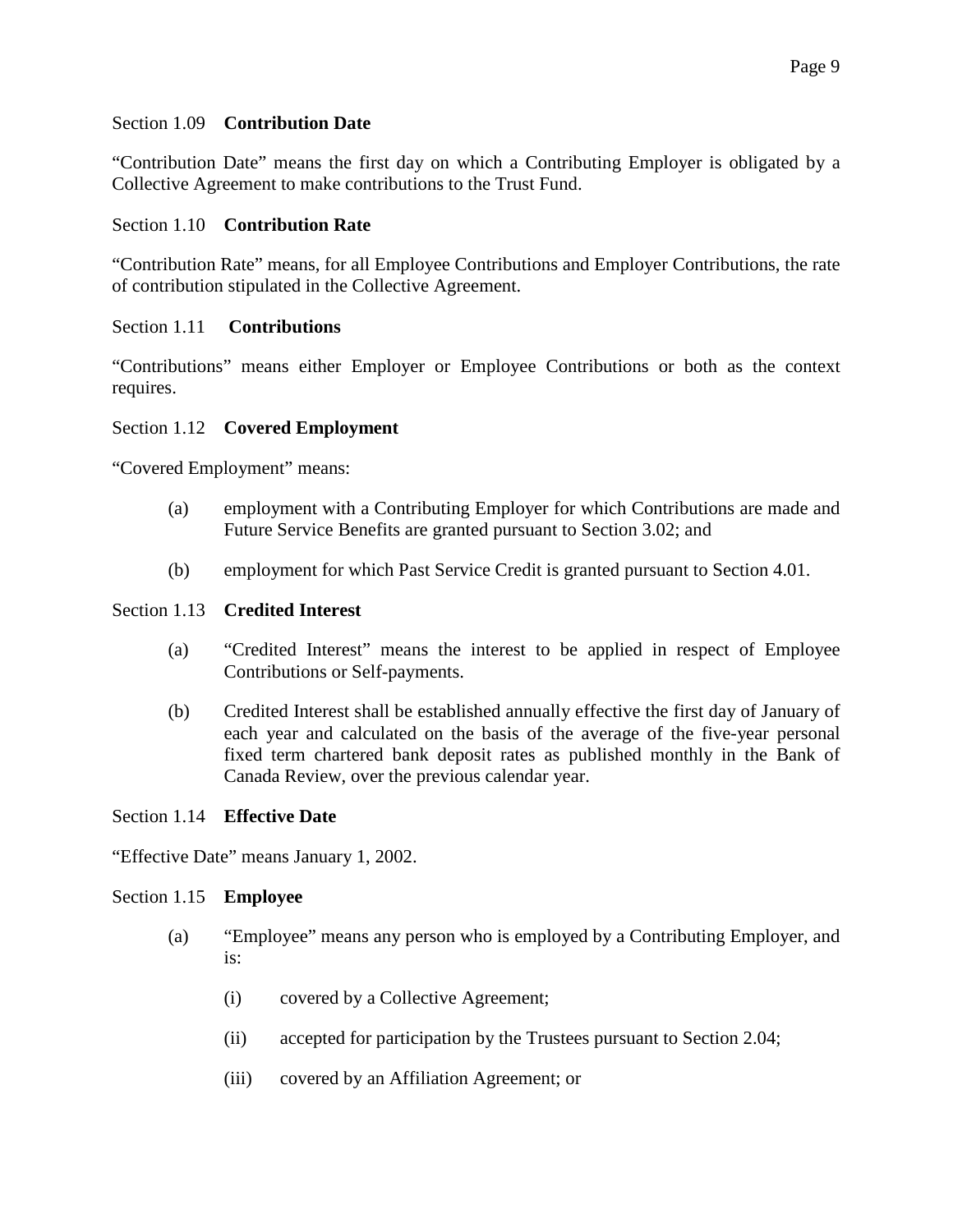### <span id="page-8-0"></span>Section 1.09 **Contribution Date**

"Contribution Date" means the first day on which a Contributing Employer is obligated by a Collective Agreement to make contributions to the Trust Fund.

### <span id="page-8-1"></span>Section 1.10 **Contribution Rate**

"Contribution Rate" means, for all Employee Contributions and Employer Contributions, the rate of contribution stipulated in the Collective Agreement.

### <span id="page-8-2"></span>Section 1.11 **Contributions**

"Contributions" means either Employer or Employee Contributions or both as the context requires.

### <span id="page-8-3"></span>Section 1.12 **Covered Employment**

"Covered Employment" means:

- (a) employment with a Contributing Employer for which Contributions are made and Future Service Benefits are granted pursuant to Section 3.02; and
- (b) employment for which Past Service Credit is granted pursuant to Section 4.01.

### <span id="page-8-4"></span>Section 1.13 **Credited Interest**

- (a) "Credited Interest" means the interest to be applied in respect of Employee Contributions or Self-payments.
- (b) Credited Interest shall be established annually effective the first day of January of each year and calculated on the basis of the average of the five-year personal fixed term chartered bank deposit rates as published monthly in the Bank of Canada Review, over the previous calendar year.

### <span id="page-8-5"></span>Section 1.14 **Effective Date**

"Effective Date" means January 1, 2002.

### <span id="page-8-6"></span>Section 1.15 **Employee**

- (a) "Employee" means any person who is employed by a Contributing Employer, and is:
	- (i) covered by a Collective Agreement;
	- (ii) accepted for participation by the Trustees pursuant to Section 2.04;
	- (iii) covered by an Affiliation Agreement; or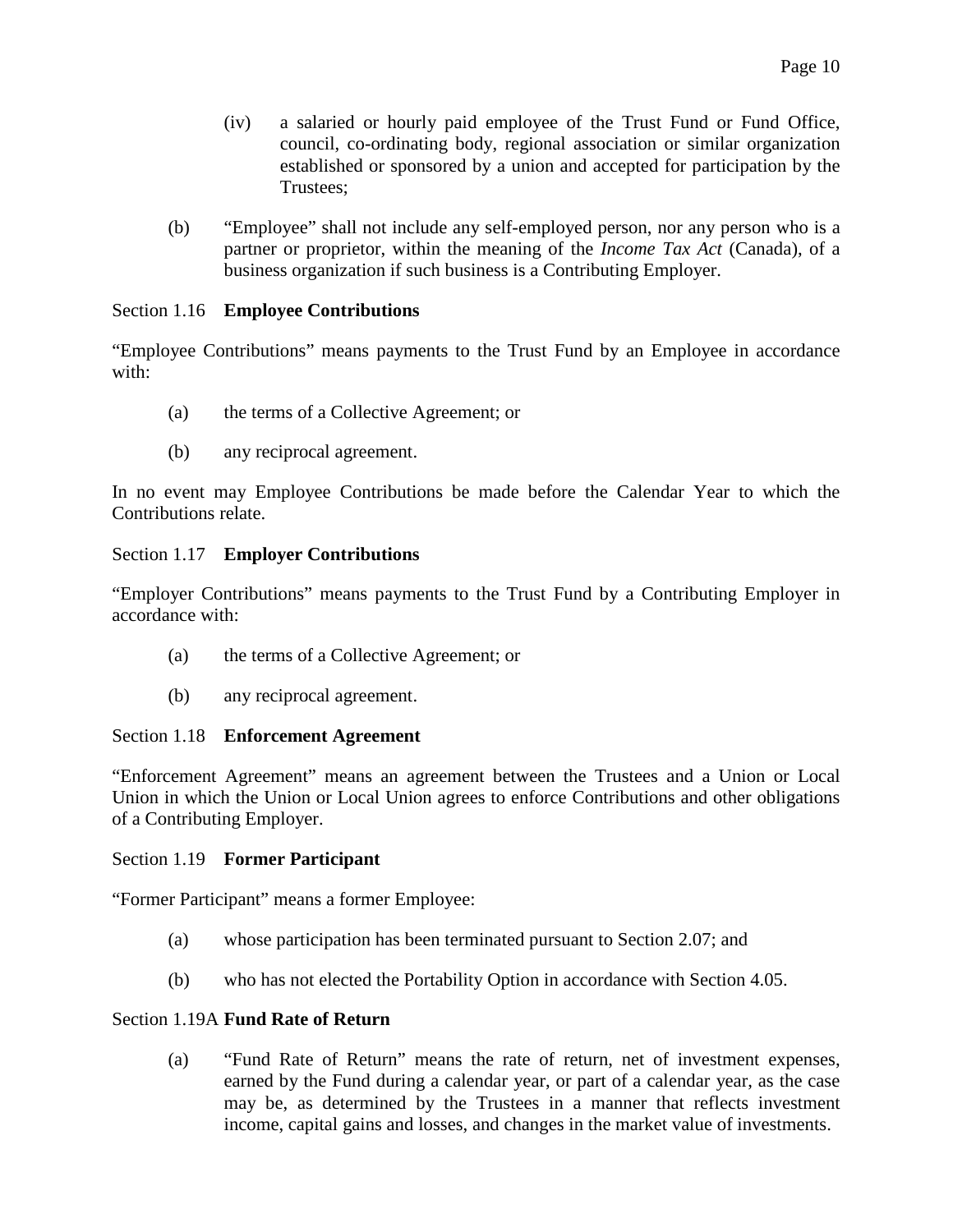- (iv) a salaried or hourly paid employee of the Trust Fund or Fund Office, council, co-ordinating body, regional association or similar organization established or sponsored by a union and accepted for participation by the Trustees;
- (b) "Employee" shall not include any self-employed person, nor any person who is a partner or proprietor, within the meaning of the *Income Tax Act* (Canada), of a business organization if such business is a Contributing Employer.

# <span id="page-9-0"></span>Section 1.16 **Employee Contributions**

"Employee Contributions" means payments to the Trust Fund by an Employee in accordance with:

- (a) the terms of a Collective Agreement; or
- (b) any reciprocal agreement.

In no event may Employee Contributions be made before the Calendar Year to which the Contributions relate.

# <span id="page-9-1"></span>Section 1.17 **Employer Contributions**

"Employer Contributions" means payments to the Trust Fund by a Contributing Employer in accordance with:

- (a) the terms of a Collective Agreement; or
- (b) any reciprocal agreement.

### <span id="page-9-2"></span>Section 1.18 **Enforcement Agreement**

"Enforcement Agreement" means an agreement between the Trustees and a Union or Local Union in which the Union or Local Union agrees to enforce Contributions and other obligations of a Contributing Employer.

### <span id="page-9-3"></span>Section 1.19 **Former Participant**

"Former Participant" means a former Employee:

- (a) whose participation has been terminated pursuant to Section 2.07; and
- (b) who has not elected the Portability Option in accordance with Section 4.05.

### <span id="page-9-4"></span>Section 1.19A **Fund Rate of Return**

(a) "Fund Rate of Return" means the rate of return, net of investment expenses, earned by the Fund during a calendar year, or part of a calendar year, as the case may be, as determined by the Trustees in a manner that reflects investment income, capital gains and losses, and changes in the market value of investments.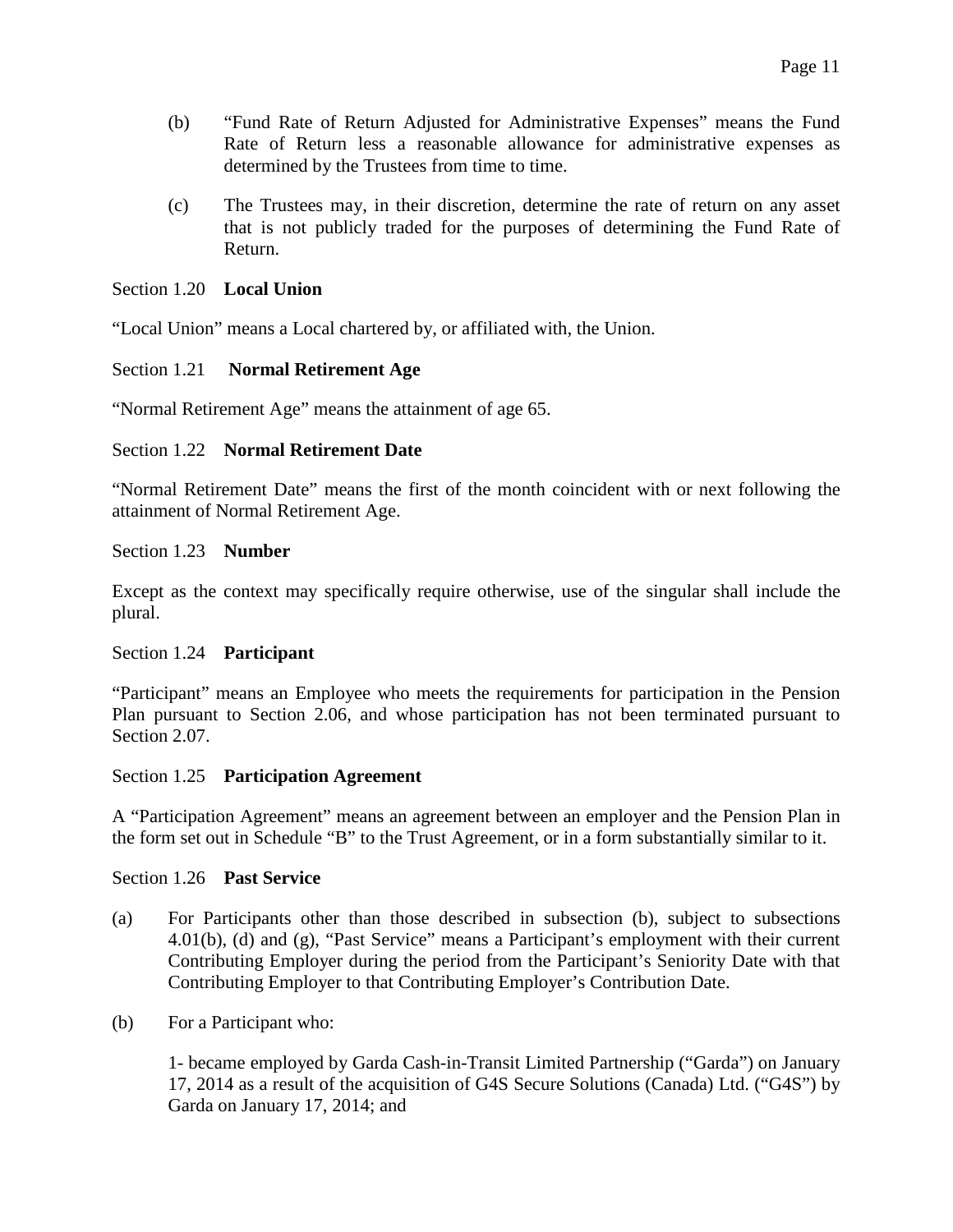- (b) "Fund Rate of Return Adjusted for Administrative Expenses" means the Fund Rate of Return less a reasonable allowance for administrative expenses as determined by the Trustees from time to time.
- (c) The Trustees may, in their discretion, determine the rate of return on any asset that is not publicly traded for the purposes of determining the Fund Rate of Return.

### <span id="page-10-0"></span>Section 1.20 **Local Union**

"Local Union" means a Local chartered by, or affiliated with, the Union.

### <span id="page-10-1"></span>Section 1.21 **Normal Retirement Age**

"Normal Retirement Age" means the attainment of age 65.

### <span id="page-10-2"></span>Section 1.22 **Normal Retirement Date**

"Normal Retirement Date" means the first of the month coincident with or next following the attainment of Normal Retirement Age.

### <span id="page-10-3"></span>Section 1.23 **Number**

Except as the context may specifically require otherwise, use of the singular shall include the plural.

### <span id="page-10-4"></span>Section 1.24 **Participant**

"Participant" means an Employee who meets the requirements for participation in the Pension Plan pursuant to Section 2.06, and whose participation has not been terminated pursuant to Section 2.07.

### <span id="page-10-5"></span>Section 1.25 **Participation Agreement**

A "Participation Agreement" means an agreement between an employer and the Pension Plan in the form set out in Schedule "B" to the Trust Agreement, or in a form substantially similar to it.

### <span id="page-10-6"></span>Section 1.26 **Past Service**

- (a) For Participants other than those described in subsection (b), subject to subsections 4.01(b), (d) and (g), "Past Service" means a Participant's employment with their current Contributing Employer during the period from the Participant's Seniority Date with that Contributing Employer to that Contributing Employer's Contribution Date.
- (b) For a Participant who:

1- became employed by Garda Cash-in-Transit Limited Partnership ("Garda") on January 17, 2014 as a result of the acquisition of G4S Secure Solutions (Canada) Ltd. ("G4S") by Garda on January 17, 2014; and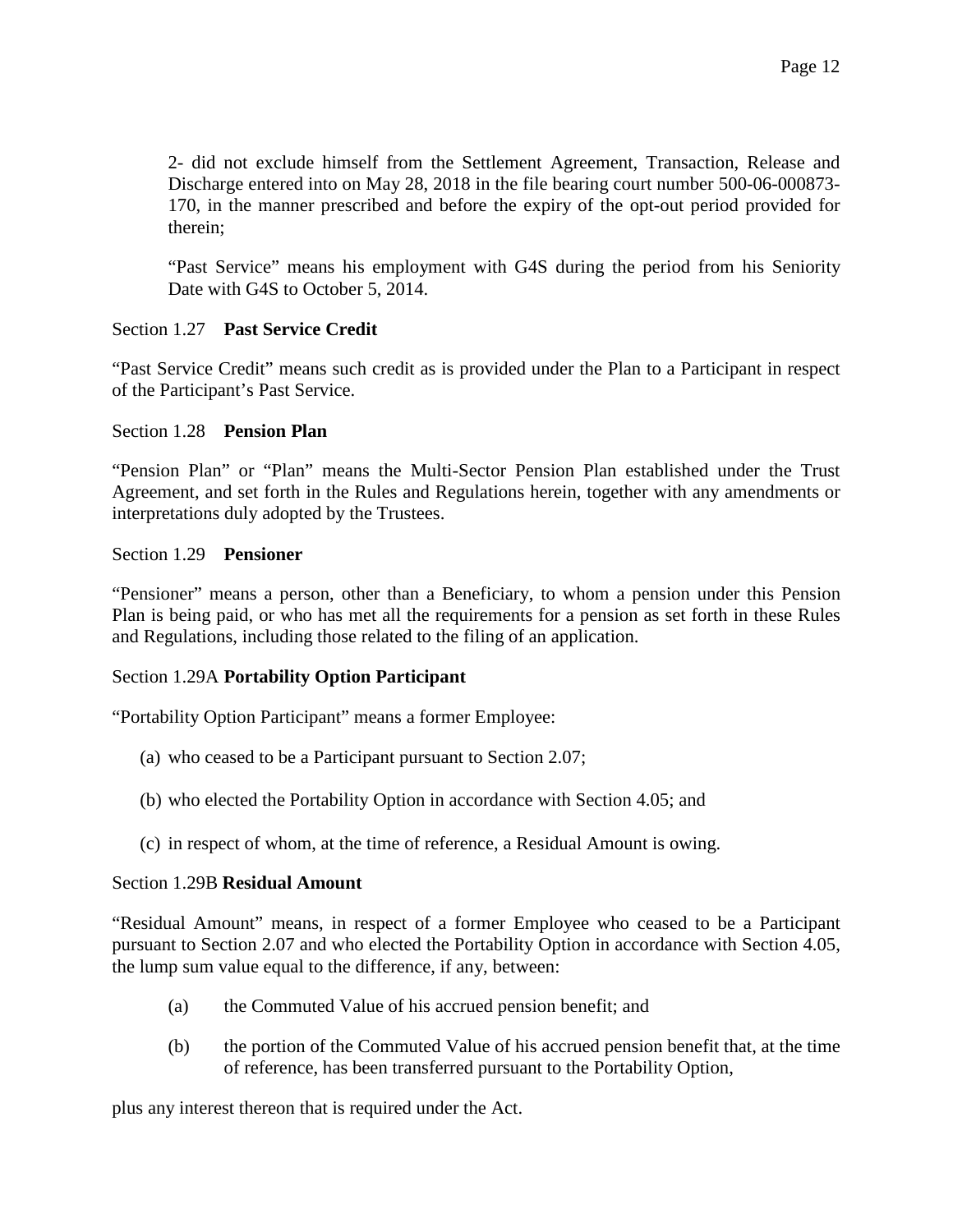2- did not exclude himself from the Settlement Agreement, Transaction, Release and Discharge entered into on May 28, 2018 in the file bearing court number 500-06-000873- 170, in the manner prescribed and before the expiry of the opt-out period provided for therein;

"Past Service" means his employment with G4S during the period from his Seniority Date with G4S to October 5, 2014.

# <span id="page-11-0"></span>Section 1.27 **Past Service Credit**

"Past Service Credit" means such credit as is provided under the Plan to a Participant in respect of the Participant's Past Service.

### <span id="page-11-1"></span>Section 1.28 **Pension Plan**

"Pension Plan" or "Plan" means the Multi-Sector Pension Plan established under the Trust Agreement, and set forth in the Rules and Regulations herein, together with any amendments or interpretations duly adopted by the Trustees.

### <span id="page-11-2"></span>Section 1.29 **Pensioner**

"Pensioner" means a person, other than a Beneficiary, to whom a pension under this Pension Plan is being paid, or who has met all the requirements for a pension as set forth in these Rules and Regulations, including those related to the filing of an application.

### Section 1.29A **Portability Option Participant**

"Portability Option Participant" means a former Employee:

- (a) who ceased to be a Participant pursuant to Section 2.07;
- (b) who elected the Portability Option in accordance with Section 4.05; and
- (c) in respect of whom, at the time of reference, a Residual Amount is owing.

### Section 1.29B **Residual Amount**

"Residual Amount" means, in respect of a former Employee who ceased to be a Participant pursuant to Section 2.07 and who elected the Portability Option in accordance with Section 4.05, the lump sum value equal to the difference, if any, between:

- (a) the Commuted Value of his accrued pension benefit; and
- (b) the portion of the Commuted Value of his accrued pension benefit that, at the time of reference, has been transferred pursuant to the Portability Option,

plus any interest thereon that is required under the Act.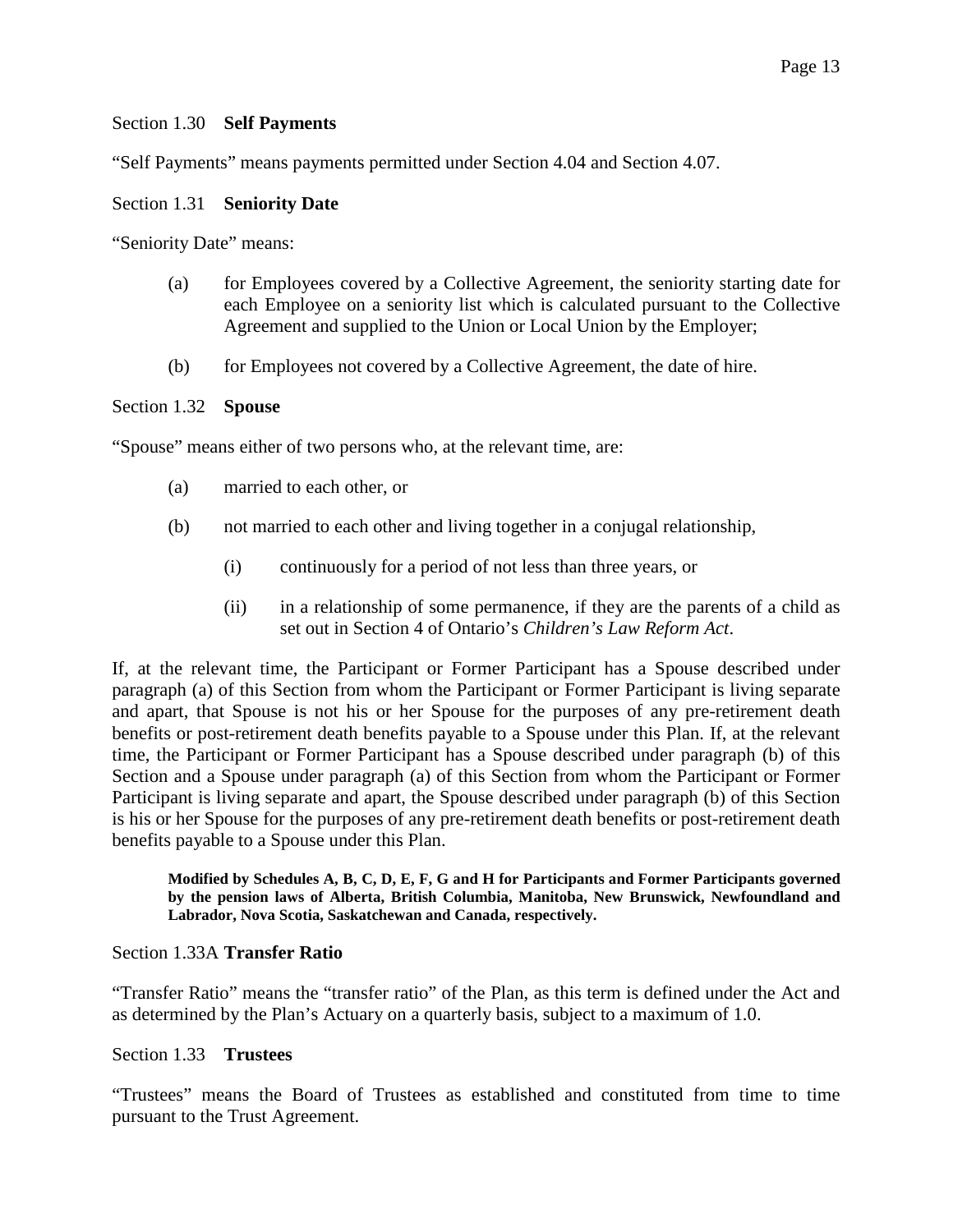### <span id="page-12-0"></span>Section 1.30 **Self Payments**

"Self Payments" means payments permitted under Section 4.04 and Section 4.07.

### <span id="page-12-1"></span>Section 1.31 **Seniority Date**

"Seniority Date" means:

- (a) for Employees covered by a Collective Agreement, the seniority starting date for each Employee on a seniority list which is calculated pursuant to the Collective Agreement and supplied to the Union or Local Union by the Employer;
- (b) for Employees not covered by a Collective Agreement, the date of hire.

### <span id="page-12-2"></span>Section 1.32 **Spouse**

"Spouse" means either of two persons who, at the relevant time, are:

- (a) married to each other, or
- (b) not married to each other and living together in a conjugal relationship,
	- (i) continuously for a period of not less than three years, or
	- (ii) in a relationship of some permanence, if they are the parents of a child as set out in Section 4 of Ontario's *Children's Law Reform Act*.

If, at the relevant time, the Participant or Former Participant has a Spouse described under paragraph (a) of this Section from whom the Participant or Former Participant is living separate and apart, that Spouse is not his or her Spouse for the purposes of any pre-retirement death benefits or post-retirement death benefits payable to a Spouse under this Plan. If, at the relevant time, the Participant or Former Participant has a Spouse described under paragraph (b) of this Section and a Spouse under paragraph (a) of this Section from whom the Participant or Former Participant is living separate and apart, the Spouse described under paragraph (b) of this Section is his or her Spouse for the purposes of any pre-retirement death benefits or post-retirement death benefits payable to a Spouse under this Plan.

**Modified by Schedules A, B, C, D, E, F, G and H for Participants and Former Participants governed by the pension laws of Alberta, British Columbia, Manitoba, New Brunswick, Newfoundland and Labrador, Nova Scotia, Saskatchewan and Canada, respectively.** 

### <span id="page-12-3"></span>Section 1.33A **Transfer Ratio**

"Transfer Ratio" means the "transfer ratio" of the Plan, as this term is defined under the Act and as determined by the Plan's Actuary on a quarterly basis, subject to a maximum of 1.0.

### <span id="page-12-4"></span>Section 1.33 **Trustees**

"Trustees" means the Board of Trustees as established and constituted from time to time pursuant to the Trust Agreement.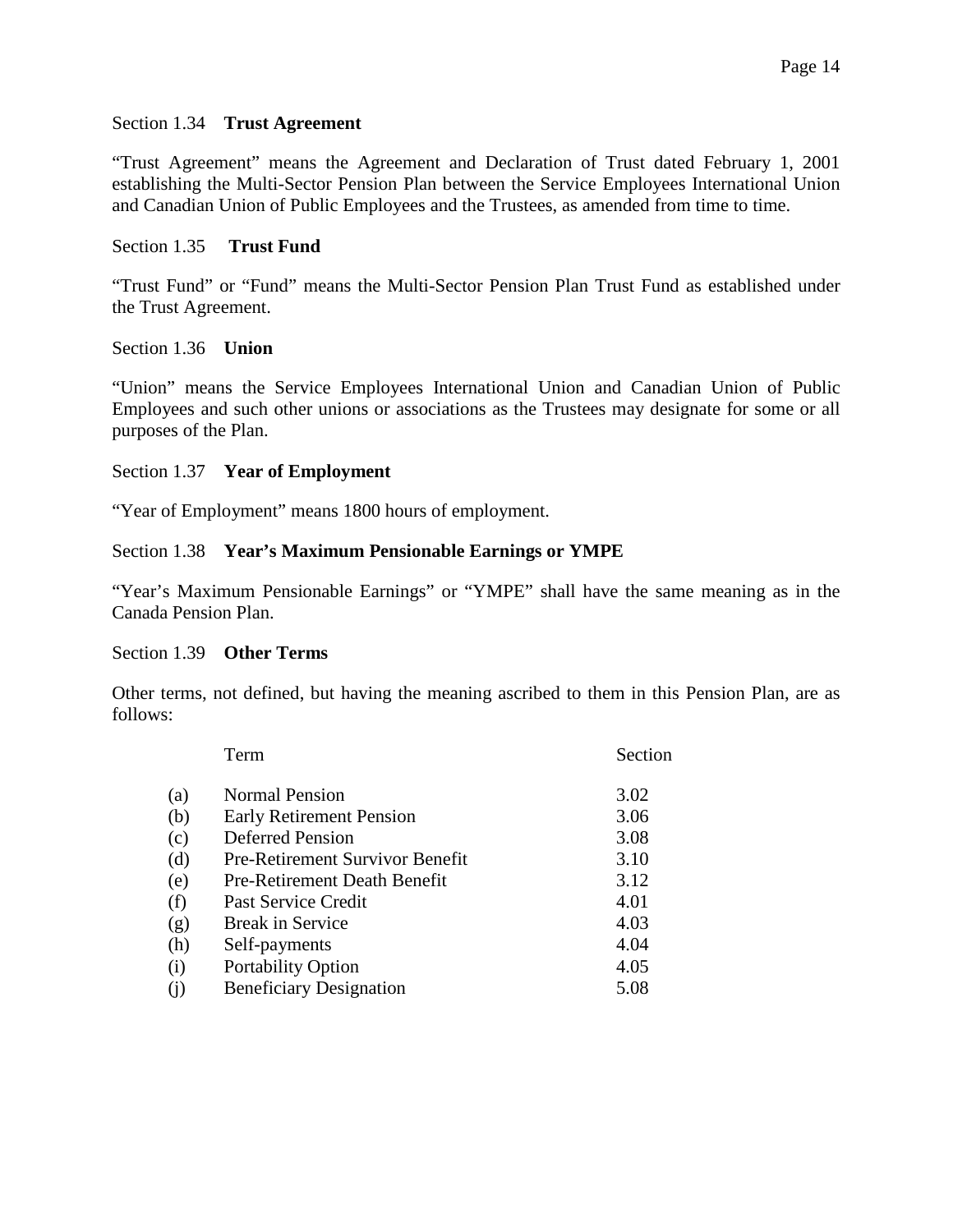### <span id="page-13-0"></span>Section 1.34 **Trust Agreement**

"Trust Agreement" means the Agreement and Declaration of Trust dated February 1, 2001 establishing the Multi-Sector Pension Plan between the Service Employees International Union and Canadian Union of Public Employees and the Trustees, as amended from time to time.

### <span id="page-13-1"></span>Section 1.35 **Trust Fund**

"Trust Fund" or "Fund" means the Multi-Sector Pension Plan Trust Fund as established under the Trust Agreement.

### <span id="page-13-2"></span>Section 1.36 **Union**

"Union" means the Service Employees International Union and Canadian Union of Public Employees and such other unions or associations as the Trustees may designate for some or all purposes of the Plan.

# <span id="page-13-3"></span>Section 1.37 **Year of Employment**

"Year of Employment" means 1800 hours of employment.

### <span id="page-13-4"></span>Section 1.38 **Year's Maximum Pensionable Earnings or YMPE**

"Year's Maximum Pensionable Earnings" or "YMPE" shall have the same meaning as in the Canada Pension Plan.

### <span id="page-13-5"></span>Section 1.39 **Other Terms**

Other terms, not defined, but having the meaning ascribed to them in this Pension Plan, are as follows:

|     | Term                                | Section |
|-----|-------------------------------------|---------|
| (a) | <b>Normal Pension</b>               | 3.02    |
| (b) | <b>Early Retirement Pension</b>     | 3.06    |
| (c) | <b>Deferred Pension</b>             | 3.08    |
| (d) | Pre-Retirement Survivor Benefit     | 3.10    |
| (e) | <b>Pre-Retirement Death Benefit</b> | 3.12    |
| (f) | Past Service Credit                 | 4.01    |
| (g) | <b>Break in Service</b>             | 4.03    |
| (h) | Self-payments                       | 4.04    |
| (i) | <b>Portability Option</b>           | 4.05    |
| (i) | <b>Beneficiary Designation</b>      | 5.08    |
|     |                                     |         |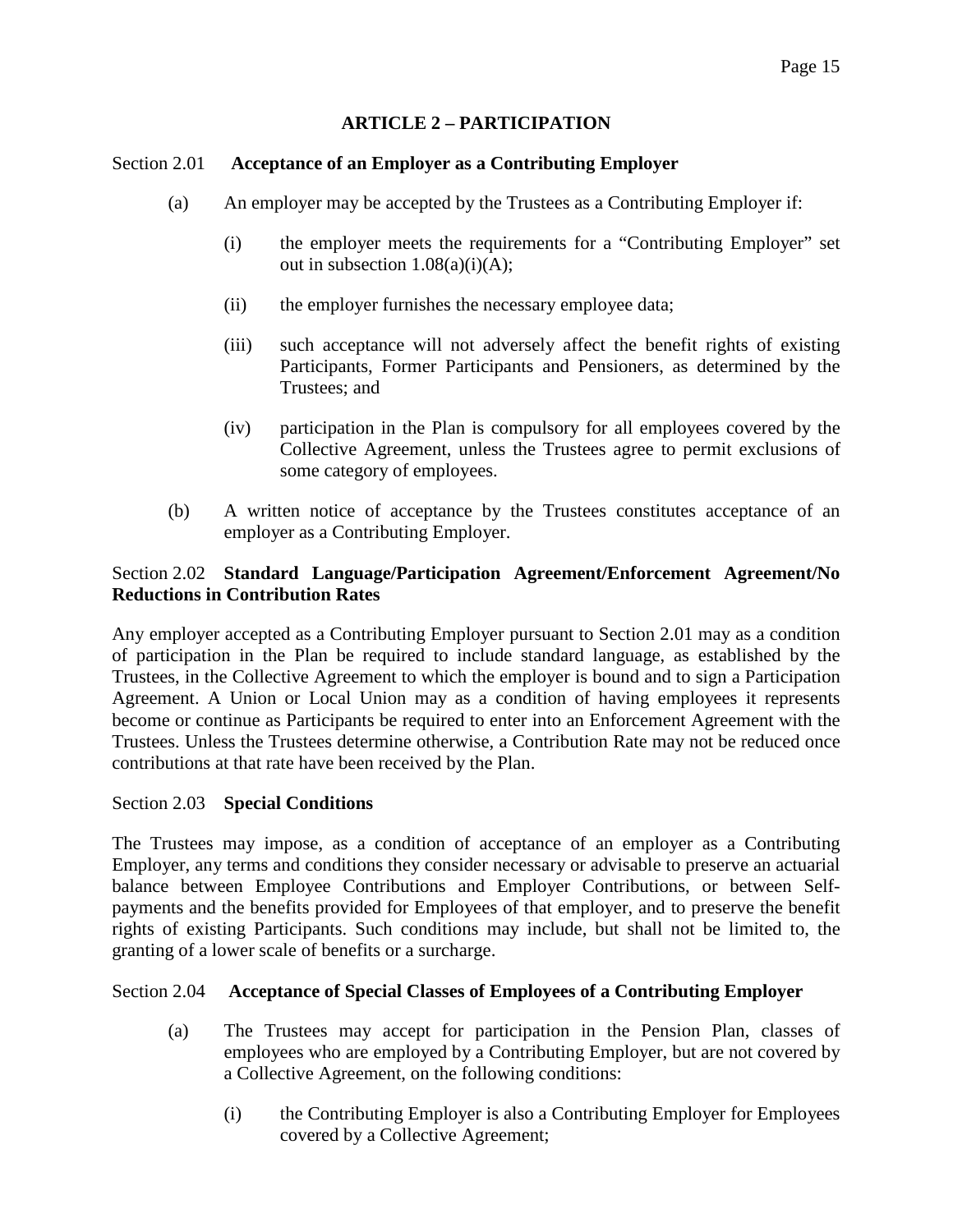# **ARTICLE 2 – PARTICIPATION**

### <span id="page-14-1"></span><span id="page-14-0"></span>Section 2.01 **Acceptance of an Employer as a Contributing Employer**

- (a) An employer may be accepted by the Trustees as a Contributing Employer if:
	- (i) the employer meets the requirements for a "Contributing Employer" set out in subsection  $1.08(a)(i)(A);$
	- (ii) the employer furnishes the necessary employee data;
	- (iii) such acceptance will not adversely affect the benefit rights of existing Participants, Former Participants and Pensioners, as determined by the Trustees; and
	- (iv) participation in the Plan is compulsory for all employees covered by the Collective Agreement, unless the Trustees agree to permit exclusions of some category of employees.
- (b) A written notice of acceptance by the Trustees constitutes acceptance of an employer as a Contributing Employer.

# <span id="page-14-2"></span>Section 2.02 **Standard Language/Participation Agreement/Enforcement Agreement/No Reductions in Contribution Rates**

Any employer accepted as a Contributing Employer pursuant to Section 2.01 may as a condition of participation in the Plan be required to include standard language, as established by the Trustees, in the Collective Agreement to which the employer is bound and to sign a Participation Agreement. A Union or Local Union may as a condition of having employees it represents become or continue as Participants be required to enter into an Enforcement Agreement with the Trustees. Unless the Trustees determine otherwise, a Contribution Rate may not be reduced once contributions at that rate have been received by the Plan.

### <span id="page-14-3"></span>Section 2.03 **Special Conditions**

The Trustees may impose, as a condition of acceptance of an employer as a Contributing Employer, any terms and conditions they consider necessary or advisable to preserve an actuarial balance between Employee Contributions and Employer Contributions, or between Selfpayments and the benefits provided for Employees of that employer, and to preserve the benefit rights of existing Participants. Such conditions may include, but shall not be limited to, the granting of a lower scale of benefits or a surcharge.

### Section 2.04 **Acceptance of Special Classes of Employees of a Contributing Employer**

- <span id="page-14-4"></span>(a) The Trustees may accept for participation in the Pension Plan, classes of employees who are employed by a Contributing Employer, but are not covered by a Collective Agreement, on the following conditions:
	- (i) the Contributing Employer is also a Contributing Employer for Employees covered by a Collective Agreement;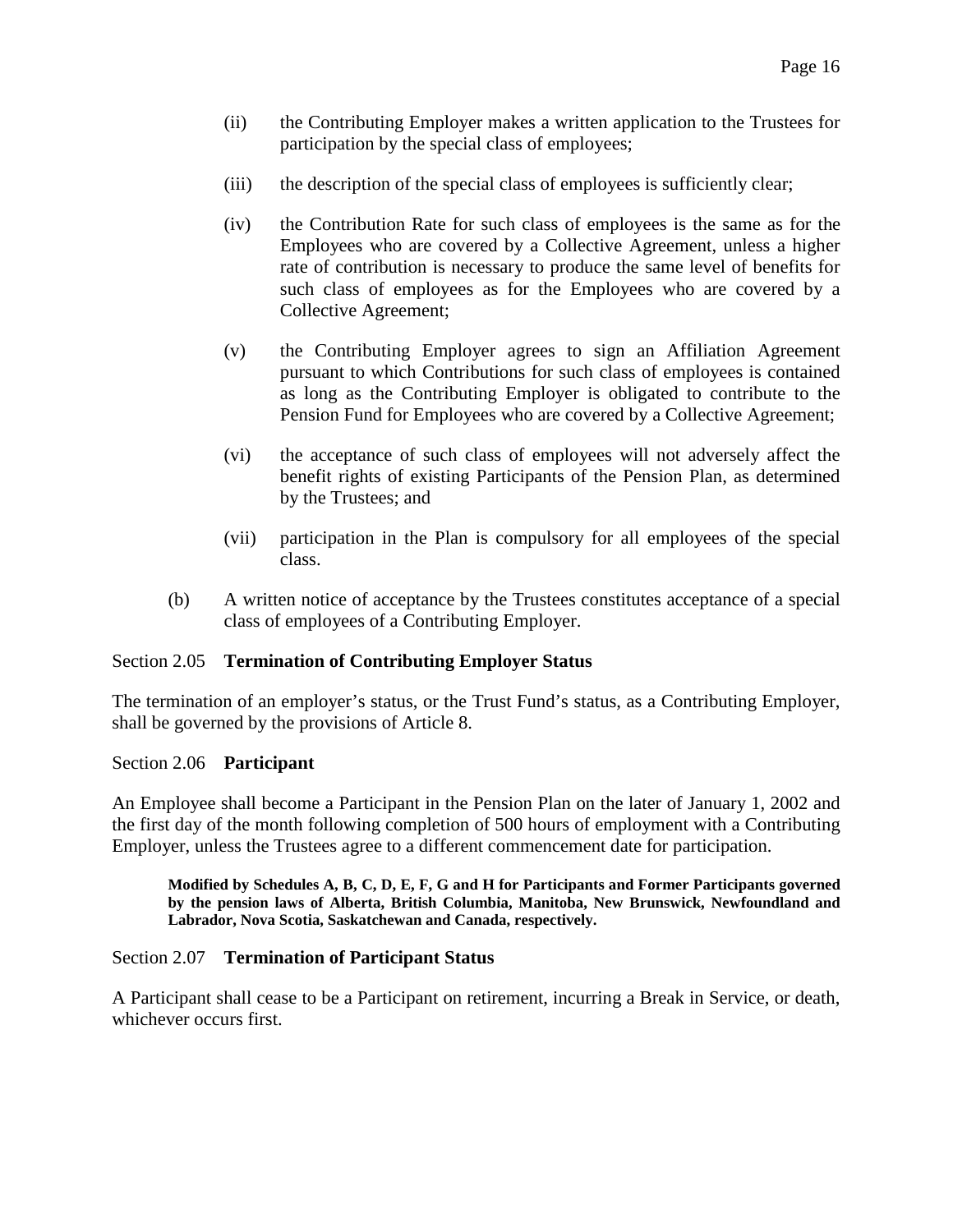- (ii) the Contributing Employer makes a written application to the Trustees for participation by the special class of employees;
- (iii) the description of the special class of employees is sufficiently clear;
- (iv) the Contribution Rate for such class of employees is the same as for the Employees who are covered by a Collective Agreement, unless a higher rate of contribution is necessary to produce the same level of benefits for such class of employees as for the Employees who are covered by a Collective Agreement;
- (v) the Contributing Employer agrees to sign an Affiliation Agreement pursuant to which Contributions for such class of employees is contained as long as the Contributing Employer is obligated to contribute to the Pension Fund for Employees who are covered by a Collective Agreement;
- (vi) the acceptance of such class of employees will not adversely affect the benefit rights of existing Participants of the Pension Plan, as determined by the Trustees; and
- (vii) participation in the Plan is compulsory for all employees of the special class.
- (b) A written notice of acceptance by the Trustees constitutes acceptance of a special class of employees of a Contributing Employer.

### <span id="page-15-0"></span>Section 2.05 **Termination of Contributing Employer Status**

The termination of an employer's status, or the Trust Fund's status, as a Contributing Employer, shall be governed by the provisions of Article 8.

### <span id="page-15-1"></span>Section 2.06 **Participant**

An Employee shall become a Participant in the Pension Plan on the later of January 1, 2002 and the first day of the month following completion of 500 hours of employment with a Contributing Employer, unless the Trustees agree to a different commencement date for participation.

**Modified by Schedules A, B, C, D, E, F, G and H for Participants and Former Participants governed by the pension laws of Alberta, British Columbia, Manitoba, New Brunswick, Newfoundland and Labrador, Nova Scotia, Saskatchewan and Canada, respectively.** 

### <span id="page-15-2"></span>Section 2.07 **Termination of Participant Status**

A Participant shall cease to be a Participant on retirement, incurring a Break in Service, or death, whichever occurs first.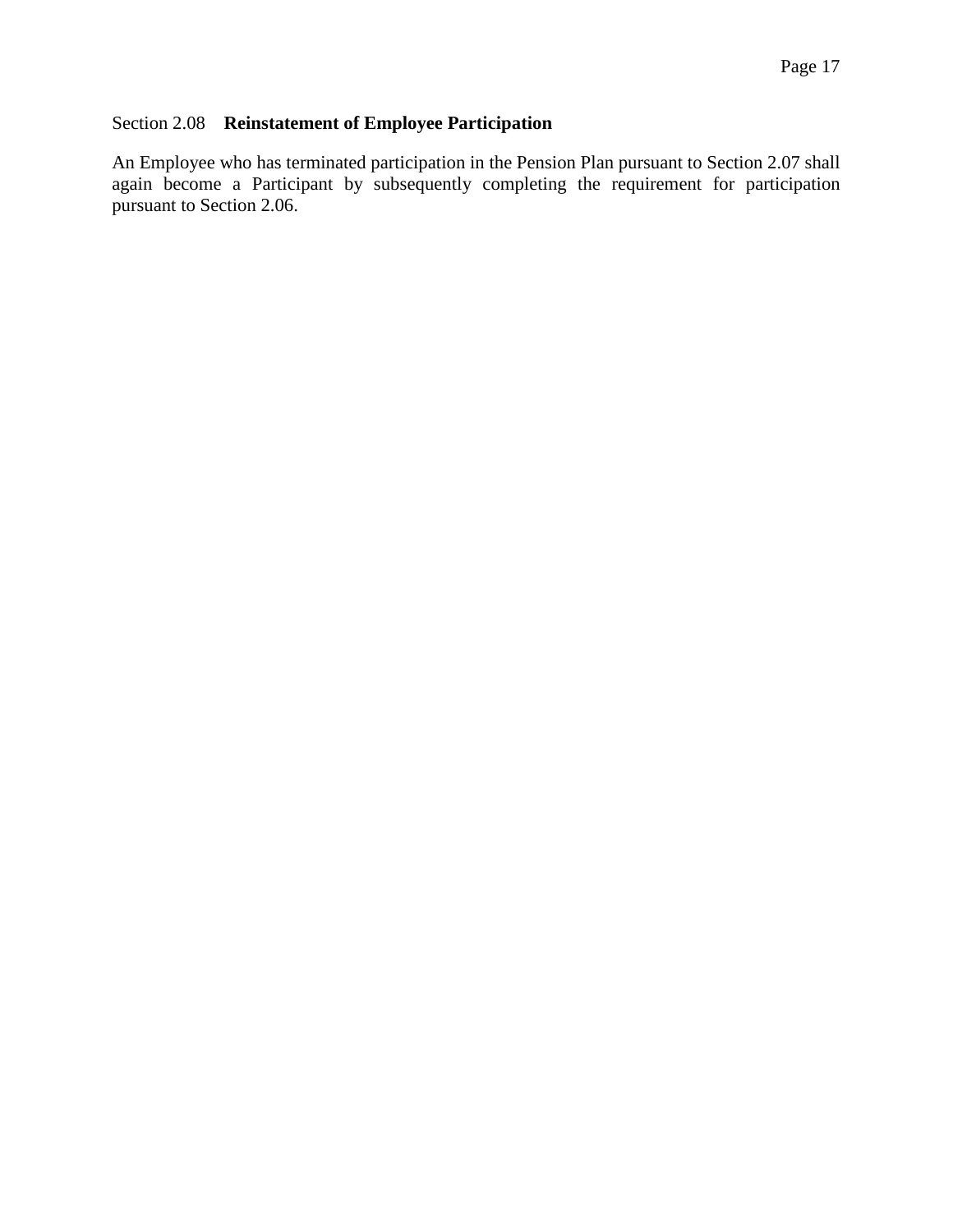# <span id="page-16-0"></span>Section 2.08 **Reinstatement of Employee Participation**

An Employee who has terminated participation in the Pension Plan pursuant to Section 2.07 shall again become a Participant by subsequently completing the requirement for participation pursuant to Section 2.06.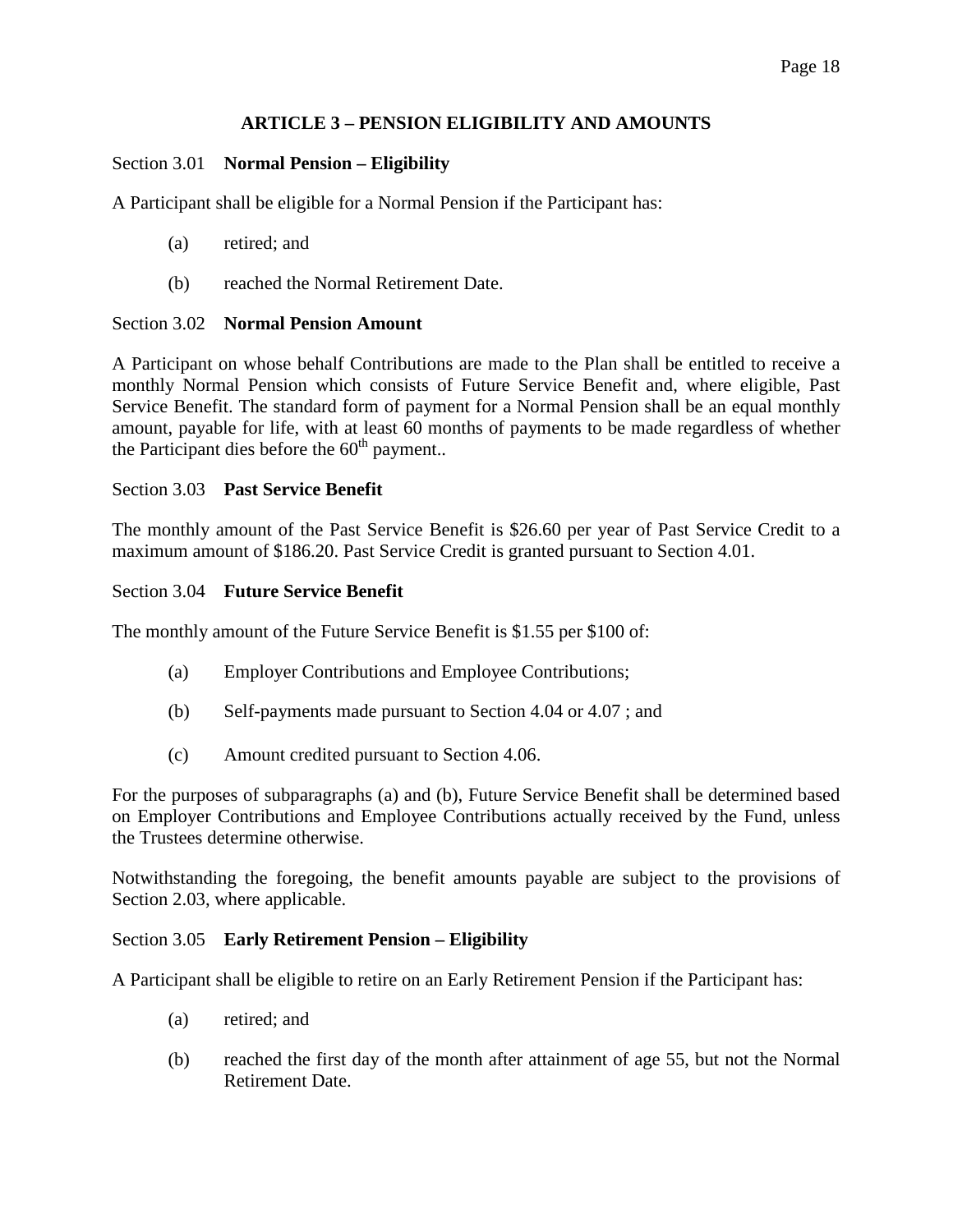# **ARTICLE 3 – PENSION ELIGIBILITY AND AMOUNTS**

# <span id="page-17-1"></span><span id="page-17-0"></span>Section 3.01 **Normal Pension – Eligibility**

A Participant shall be eligible for a Normal Pension if the Participant has:

- (a) retired; and
- (b) reached the Normal Retirement Date.

# <span id="page-17-2"></span>Section 3.02 **Normal Pension Amount**

A Participant on whose behalf Contributions are made to the Plan shall be entitled to receive a monthly Normal Pension which consists of Future Service Benefit and, where eligible, Past Service Benefit. The standard form of payment for a Normal Pension shall be an equal monthly amount, payable for life, with at least 60 months of payments to be made regardless of whether the Participant dies before the  $60<sup>th</sup>$  payment..

# <span id="page-17-3"></span>Section 3.03 **Past Service Benefit**

The monthly amount of the Past Service Benefit is \$26.60 per year of Past Service Credit to a maximum amount of \$186.20. Past Service Credit is granted pursuant to Section 4.01.

# <span id="page-17-4"></span>Section 3.04 **Future Service Benefit**

The monthly amount of the Future Service Benefit is \$1.55 per \$100 of:

- (a) Employer Contributions and Employee Contributions;
- (b) Self-payments made pursuant to Section 4.04 or 4.07 ; and
- (c) Amount credited pursuant to Section 4.06.

For the purposes of subparagraphs (a) and (b), Future Service Benefit shall be determined based on Employer Contributions and Employee Contributions actually received by the Fund, unless the Trustees determine otherwise.

Notwithstanding the foregoing, the benefit amounts payable are subject to the provisions of Section 2.03, where applicable.

### <span id="page-17-5"></span>Section 3.05 **Early Retirement Pension – Eligibility**

A Participant shall be eligible to retire on an Early Retirement Pension if the Participant has:

- (a) retired; and
- (b) reached the first day of the month after attainment of age 55, but not the Normal Retirement Date.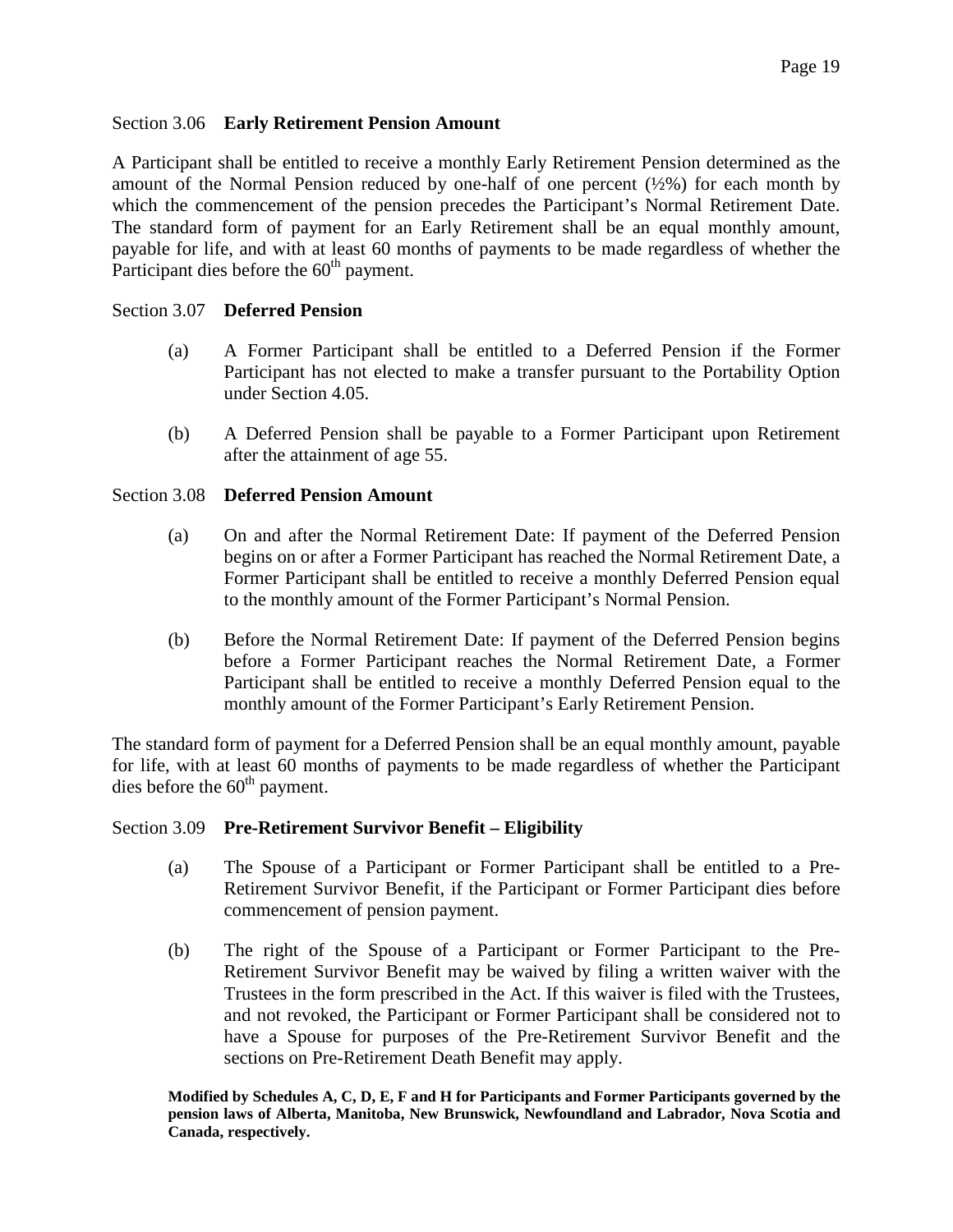### <span id="page-18-0"></span>Section 3.06 **Early Retirement Pension Amount**

A Participant shall be entitled to receive a monthly Early Retirement Pension determined as the amount of the Normal Pension reduced by one-half of one percent  $(\frac{1}{2})$  for each month by which the commencement of the pension precedes the Participant's Normal Retirement Date. The standard form of payment for an Early Retirement shall be an equal monthly amount, payable for life, and with at least 60 months of payments to be made regardless of whether the Participant dies before the  $60<sup>th</sup>$  payment.

### <span id="page-18-1"></span>Section 3.07 **Deferred Pension**

- (a) A Former Participant shall be entitled to a Deferred Pension if the Former Participant has not elected to make a transfer pursuant to the Portability Option under Section 4.05.
- (b) A Deferred Pension shall be payable to a Former Participant upon Retirement after the attainment of age 55.

### <span id="page-18-2"></span>Section 3.08 **Deferred Pension Amount**

- (a) On and after the Normal Retirement Date: If payment of the Deferred Pension begins on or after a Former Participant has reached the Normal Retirement Date, a Former Participant shall be entitled to receive a monthly Deferred Pension equal to the monthly amount of the Former Participant's Normal Pension.
- (b) Before the Normal Retirement Date: If payment of the Deferred Pension begins before a Former Participant reaches the Normal Retirement Date, a Former Participant shall be entitled to receive a monthly Deferred Pension equal to the monthly amount of the Former Participant's Early Retirement Pension.

The standard form of payment for a Deferred Pension shall be an equal monthly amount, payable for life, with at least 60 months of payments to be made regardless of whether the Participant dies before the  $60<sup>th</sup>$  payment.

### <span id="page-18-3"></span>Section 3.09 **Pre-Retirement Survivor Benefit – Eligibility**

- (a) The Spouse of a Participant or Former Participant shall be entitled to a Pre-Retirement Survivor Benefit, if the Participant or Former Participant dies before commencement of pension payment.
- (b) The right of the Spouse of a Participant or Former Participant to the Pre-Retirement Survivor Benefit may be waived by filing a written waiver with the Trustees in the form prescribed in the Act. If this waiver is filed with the Trustees, and not revoked, the Participant or Former Participant shall be considered not to have a Spouse for purposes of the Pre-Retirement Survivor Benefit and the sections on Pre-Retirement Death Benefit may apply.

**Modified by Schedules A, C, D, E, F and H for Participants and Former Participants governed by the pension laws of Alberta, Manitoba, New Brunswick, Newfoundland and Labrador, Nova Scotia and Canada, respectively.**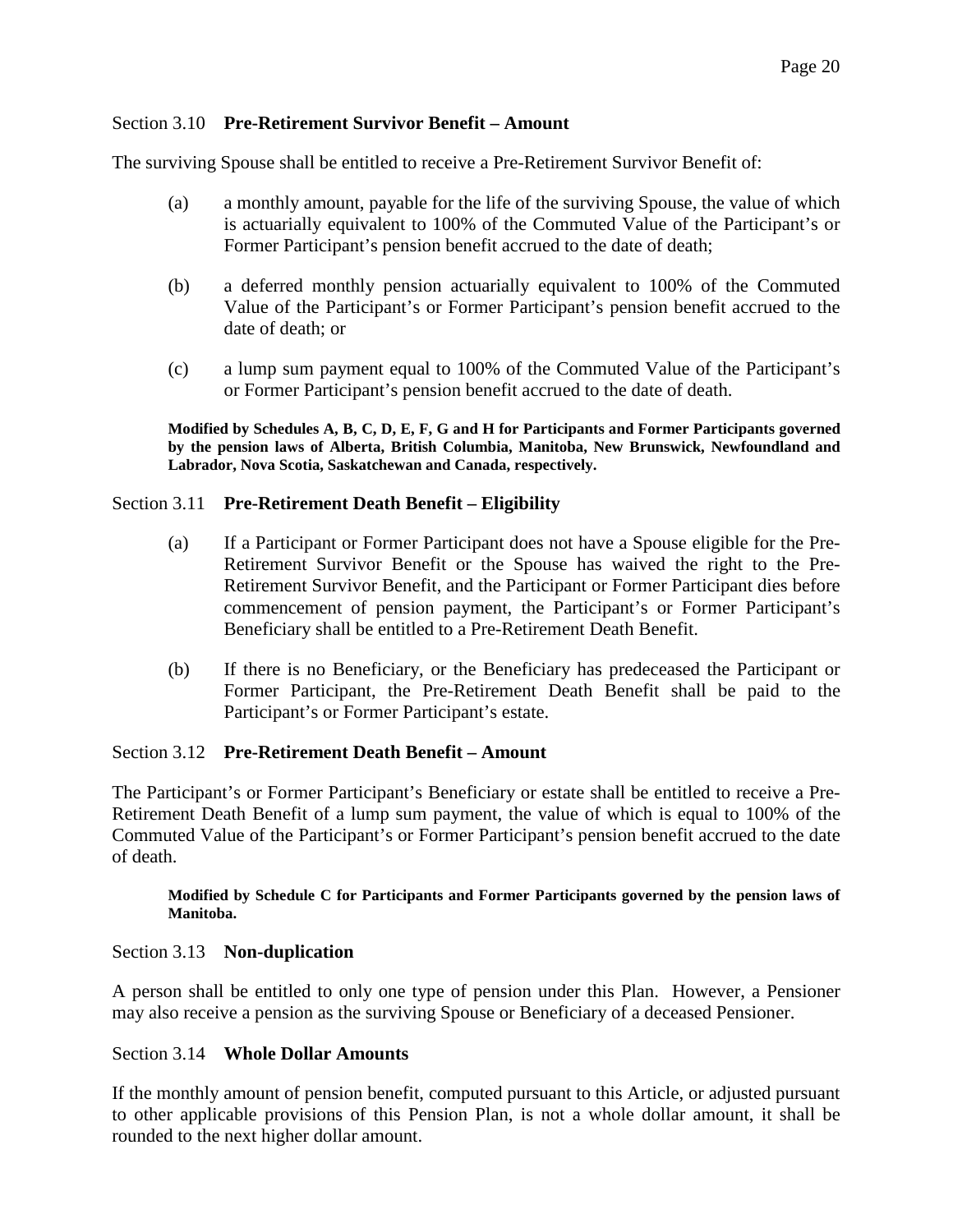### <span id="page-19-0"></span>Section 3.10 **Pre-Retirement Survivor Benefit – Amount**

The surviving Spouse shall be entitled to receive a Pre-Retirement Survivor Benefit of:

- (a) a monthly amount, payable for the life of the surviving Spouse, the value of which is actuarially equivalent to 100% of the Commuted Value of the Participant's or Former Participant's pension benefit accrued to the date of death;
- (b) a deferred monthly pension actuarially equivalent to 100% of the Commuted Value of the Participant's or Former Participant's pension benefit accrued to the date of death; or
- (c) a lump sum payment equal to 100% of the Commuted Value of the Participant's or Former Participant's pension benefit accrued to the date of death.

**Modified by Schedules A, B, C, D, E, F, G and H for Participants and Former Participants governed by the pension laws of Alberta, British Columbia, Manitoba, New Brunswick, Newfoundland and Labrador, Nova Scotia, Saskatchewan and Canada, respectively.** 

### <span id="page-19-1"></span>Section 3.11 **Pre-Retirement Death Benefit – Eligibility**

- (a) If a Participant or Former Participant does not have a Spouse eligible for the Pre-Retirement Survivor Benefit or the Spouse has waived the right to the Pre-Retirement Survivor Benefit, and the Participant or Former Participant dies before commencement of pension payment, the Participant's or Former Participant's Beneficiary shall be entitled to a Pre-Retirement Death Benefit.
- (b) If there is no Beneficiary, or the Beneficiary has predeceased the Participant or Former Participant, the Pre-Retirement Death Benefit shall be paid to the Participant's or Former Participant's estate.

### <span id="page-19-2"></span>Section 3.12 **Pre-Retirement Death Benefit – Amount**

The Participant's or Former Participant's Beneficiary or estate shall be entitled to receive a Pre-Retirement Death Benefit of a lump sum payment, the value of which is equal to 100% of the Commuted Value of the Participant's or Former Participant's pension benefit accrued to the date of death.

#### **Modified by Schedule C for Participants and Former Participants governed by the pension laws of Manitoba.**

### <span id="page-19-3"></span>Section 3.13 **Non-duplication**

A person shall be entitled to only one type of pension under this Plan. However, a Pensioner may also receive a pension as the surviving Spouse or Beneficiary of a deceased Pensioner.

### <span id="page-19-4"></span>Section 3.14 **Whole Dollar Amounts**

If the monthly amount of pension benefit, computed pursuant to this Article, or adjusted pursuant to other applicable provisions of this Pension Plan, is not a whole dollar amount, it shall be rounded to the next higher dollar amount.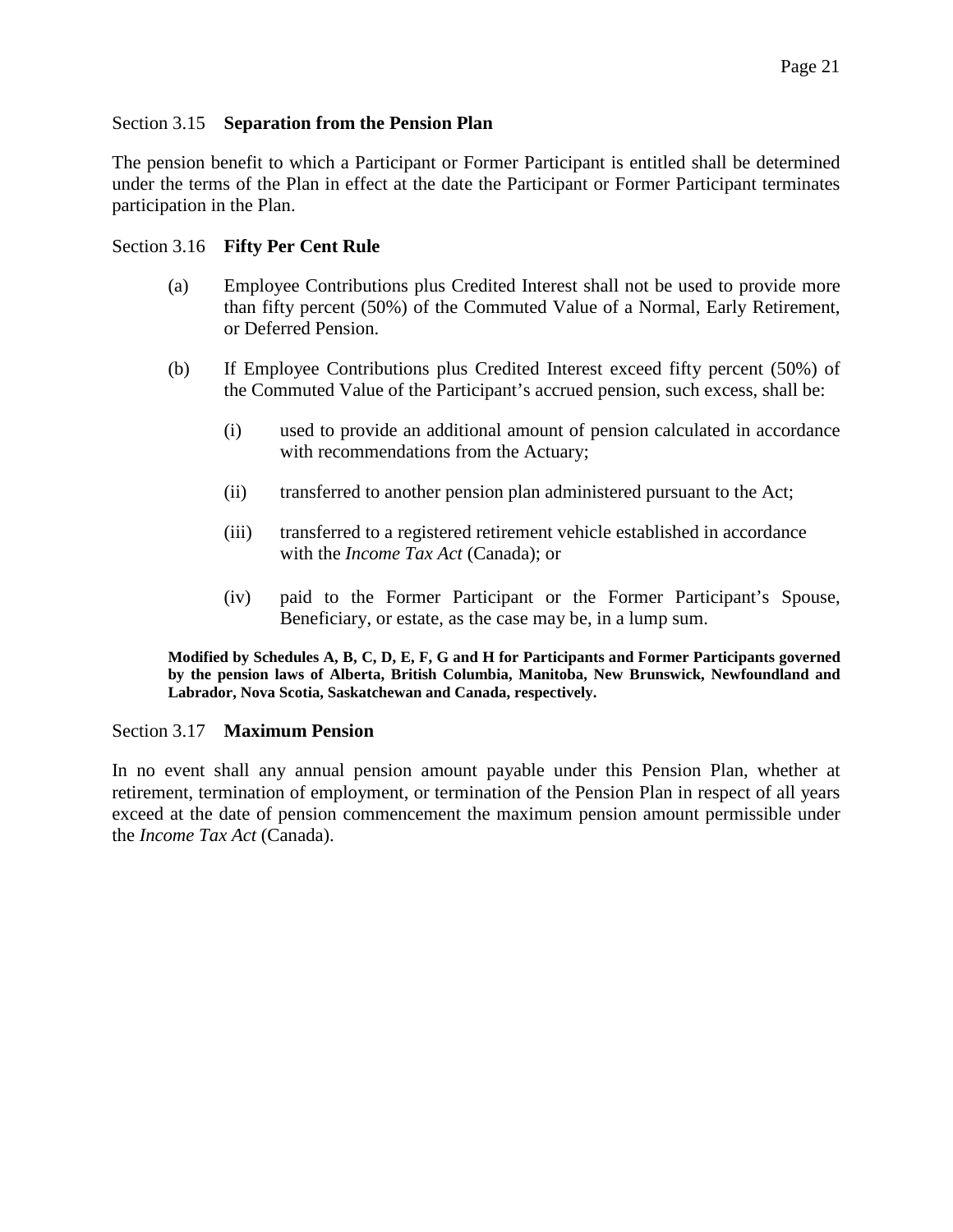### <span id="page-20-0"></span>Section 3.15 **Separation from the Pension Plan**

The pension benefit to which a Participant or Former Participant is entitled shall be determined under the terms of the Plan in effect at the date the Participant or Former Participant terminates participation in the Plan.

### <span id="page-20-1"></span>Section 3.16 **Fifty Per Cent Rule**

- (a) Employee Contributions plus Credited Interest shall not be used to provide more than fifty percent (50%) of the Commuted Value of a Normal, Early Retirement, or Deferred Pension.
- (b) If Employee Contributions plus Credited Interest exceed fifty percent (50%) of the Commuted Value of the Participant's accrued pension, such excess, shall be:
	- (i) used to provide an additional amount of pension calculated in accordance with recommendations from the Actuary;
	- (ii) transferred to another pension plan administered pursuant to the Act;
	- (iii) transferred to a registered retirement vehicle established in accordance with the *Income Tax Act* (Canada); or
	- (iv) paid to the Former Participant or the Former Participant's Spouse, Beneficiary, or estate, as the case may be, in a lump sum.

**Modified by Schedules A, B, C, D, E, F, G and H for Participants and Former Participants governed by the pension laws of Alberta, British Columbia, Manitoba, New Brunswick, Newfoundland and Labrador, Nova Scotia, Saskatchewan and Canada, respectively.** 

### <span id="page-20-2"></span>Section 3.17 **Maximum Pension**

In no event shall any annual pension amount payable under this Pension Plan, whether at retirement, termination of employment, or termination of the Pension Plan in respect of all years exceed at the date of pension commencement the maximum pension amount permissible under the *Income Tax Act* (Canada).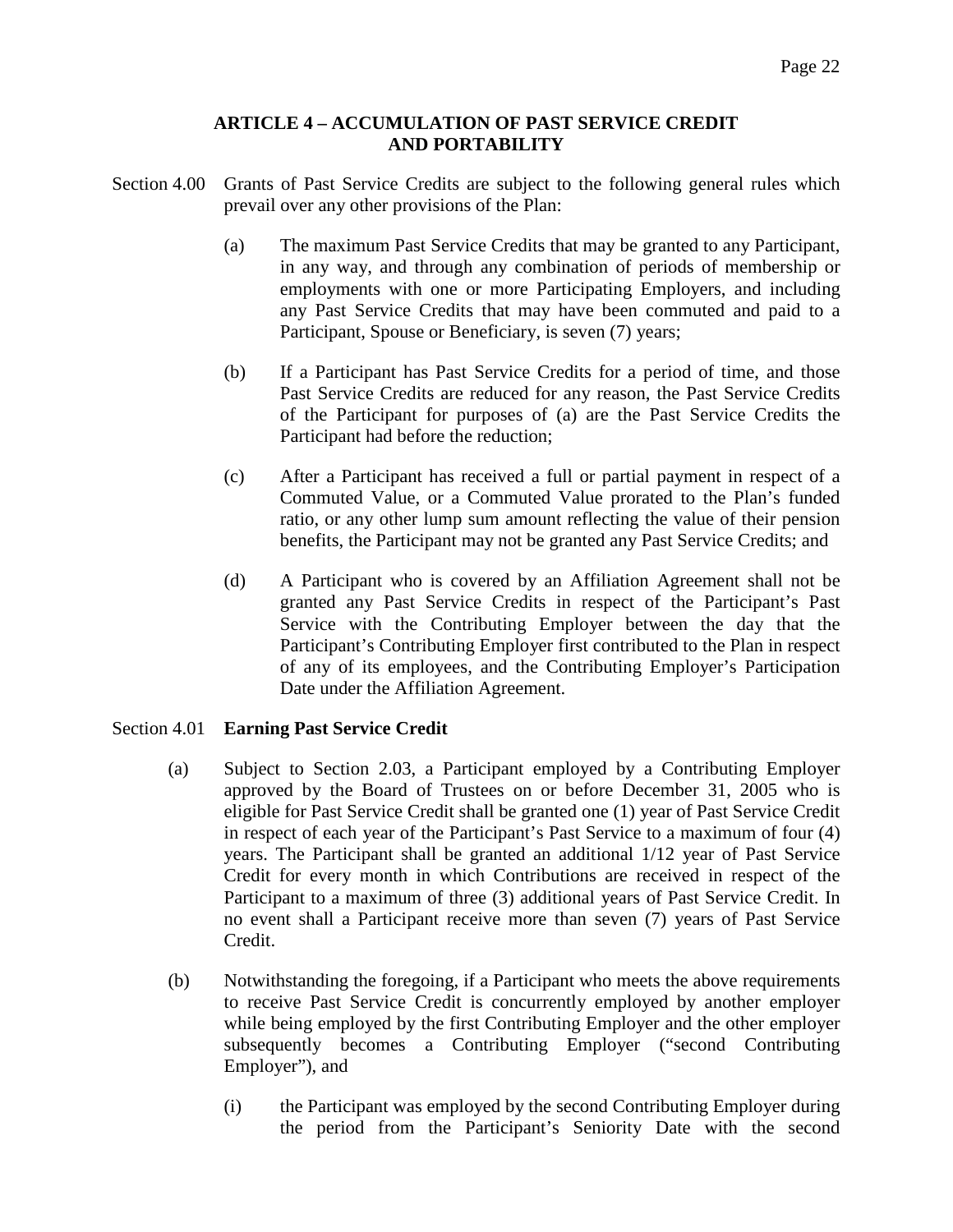### **ARTICLE 4 – ACCUMULATION OF PAST SERVICE CREDIT AND PORTABILITY**

- <span id="page-21-1"></span><span id="page-21-0"></span>Section 4.00 Grants of Past Service Credits are subject to the following general rules which prevail over any other provisions of the Plan:
	- (a) The maximum Past Service Credits that may be granted to any Participant, in any way, and through any combination of periods of membership or employments with one or more Participating Employers, and including any Past Service Credits that may have been commuted and paid to a Participant, Spouse or Beneficiary, is seven (7) years;
	- (b) If a Participant has Past Service Credits for a period of time, and those Past Service Credits are reduced for any reason, the Past Service Credits of the Participant for purposes of (a) are the Past Service Credits the Participant had before the reduction;
	- (c) After a Participant has received a full or partial payment in respect of a Commuted Value, or a Commuted Value prorated to the Plan's funded ratio, or any other lump sum amount reflecting the value of their pension benefits, the Participant may not be granted any Past Service Credits; and
	- (d) A Participant who is covered by an Affiliation Agreement shall not be granted any Past Service Credits in respect of the Participant's Past Service with the Contributing Employer between the day that the Participant's Contributing Employer first contributed to the Plan in respect of any of its employees, and the Contributing Employer's Participation Date under the Affiliation Agreement.

# <span id="page-21-2"></span>Section 4.01 **Earning Past Service Credit**

- (a) Subject to Section 2.03, a Participant employed by a Contributing Employer approved by the Board of Trustees on or before December 31, 2005 who is eligible for Past Service Credit shall be granted one (1) year of Past Service Credit in respect of each year of the Participant's Past Service to a maximum of four (4) years. The Participant shall be granted an additional 1/12 year of Past Service Credit for every month in which Contributions are received in respect of the Participant to a maximum of three (3) additional years of Past Service Credit. In no event shall a Participant receive more than seven (7) years of Past Service Credit.
- (b) Notwithstanding the foregoing, if a Participant who meets the above requirements to receive Past Service Credit is concurrently employed by another employer while being employed by the first Contributing Employer and the other employer subsequently becomes a Contributing Employer ("second Contributing Employer"), and
	- (i) the Participant was employed by the second Contributing Employer during the period from the Participant's Seniority Date with the second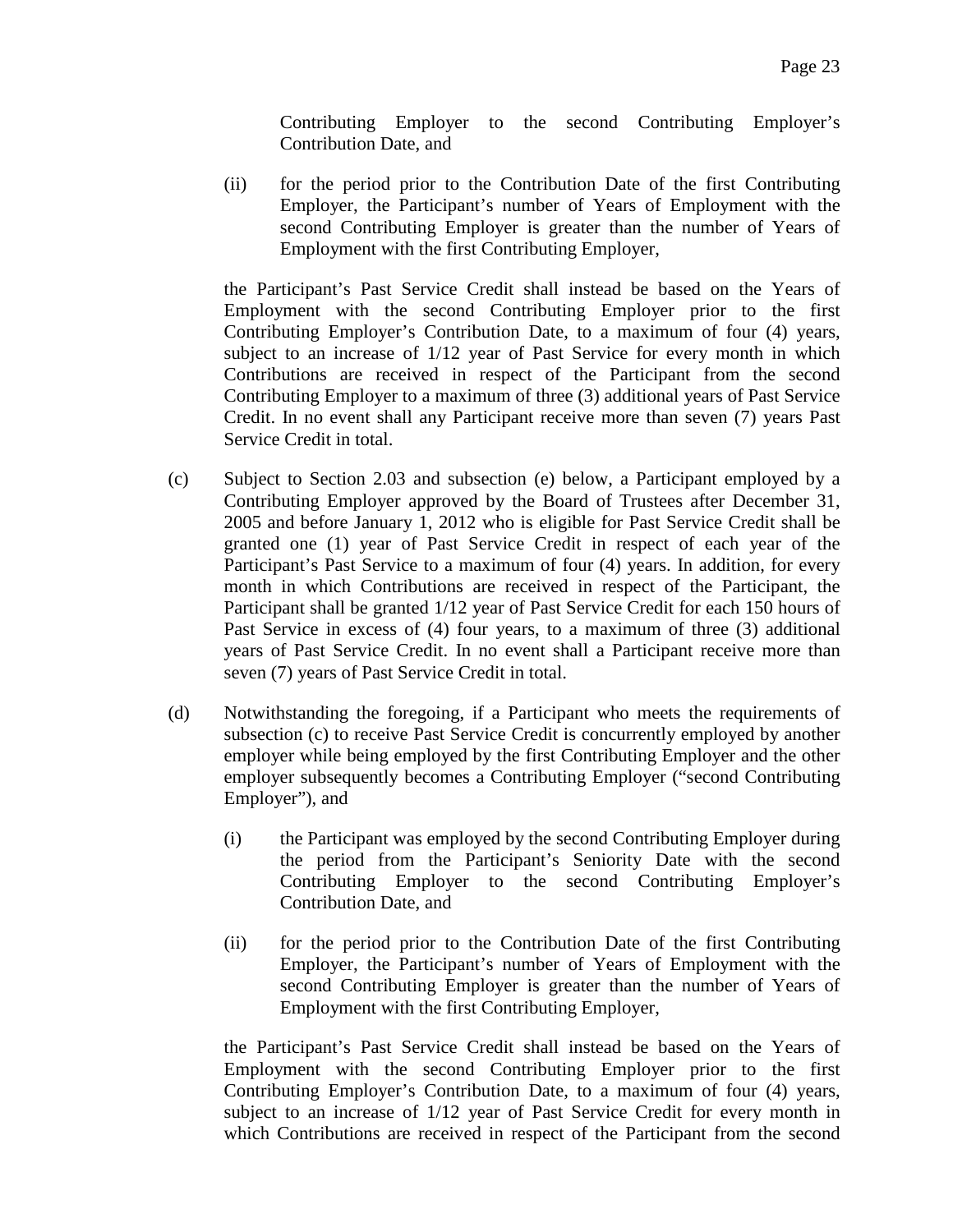Contributing Employer to the second Contributing Employer's Contribution Date, and

(ii) for the period prior to the Contribution Date of the first Contributing Employer, the Participant's number of Years of Employment with the second Contributing Employer is greater than the number of Years of Employment with the first Contributing Employer,

the Participant's Past Service Credit shall instead be based on the Years of Employment with the second Contributing Employer prior to the first Contributing Employer's Contribution Date, to a maximum of four (4) years, subject to an increase of 1/12 year of Past Service for every month in which Contributions are received in respect of the Participant from the second Contributing Employer to a maximum of three (3) additional years of Past Service Credit. In no event shall any Participant receive more than seven (7) years Past Service Credit in total.

- (c) Subject to Section 2.03 and subsection (e) below, a Participant employed by a Contributing Employer approved by the Board of Trustees after December 31, 2005 and before January 1, 2012 who is eligible for Past Service Credit shall be granted one (1) year of Past Service Credit in respect of each year of the Participant's Past Service to a maximum of four (4) years. In addition, for every month in which Contributions are received in respect of the Participant, the Participant shall be granted 1/12 year of Past Service Credit for each 150 hours of Past Service in excess of (4) four years, to a maximum of three (3) additional years of Past Service Credit. In no event shall a Participant receive more than seven (7) years of Past Service Credit in total.
- (d) Notwithstanding the foregoing, if a Participant who meets the requirements of subsection (c) to receive Past Service Credit is concurrently employed by another employer while being employed by the first Contributing Employer and the other employer subsequently becomes a Contributing Employer ("second Contributing Employer"), and
	- (i) the Participant was employed by the second Contributing Employer during the period from the Participant's Seniority Date with the second Contributing Employer to the second Contributing Employer's Contribution Date, and
	- (ii) for the period prior to the Contribution Date of the first Contributing Employer, the Participant's number of Years of Employment with the second Contributing Employer is greater than the number of Years of Employment with the first Contributing Employer,

the Participant's Past Service Credit shall instead be based on the Years of Employment with the second Contributing Employer prior to the first Contributing Employer's Contribution Date, to a maximum of four (4) years, subject to an increase of 1/12 year of Past Service Credit for every month in which Contributions are received in respect of the Participant from the second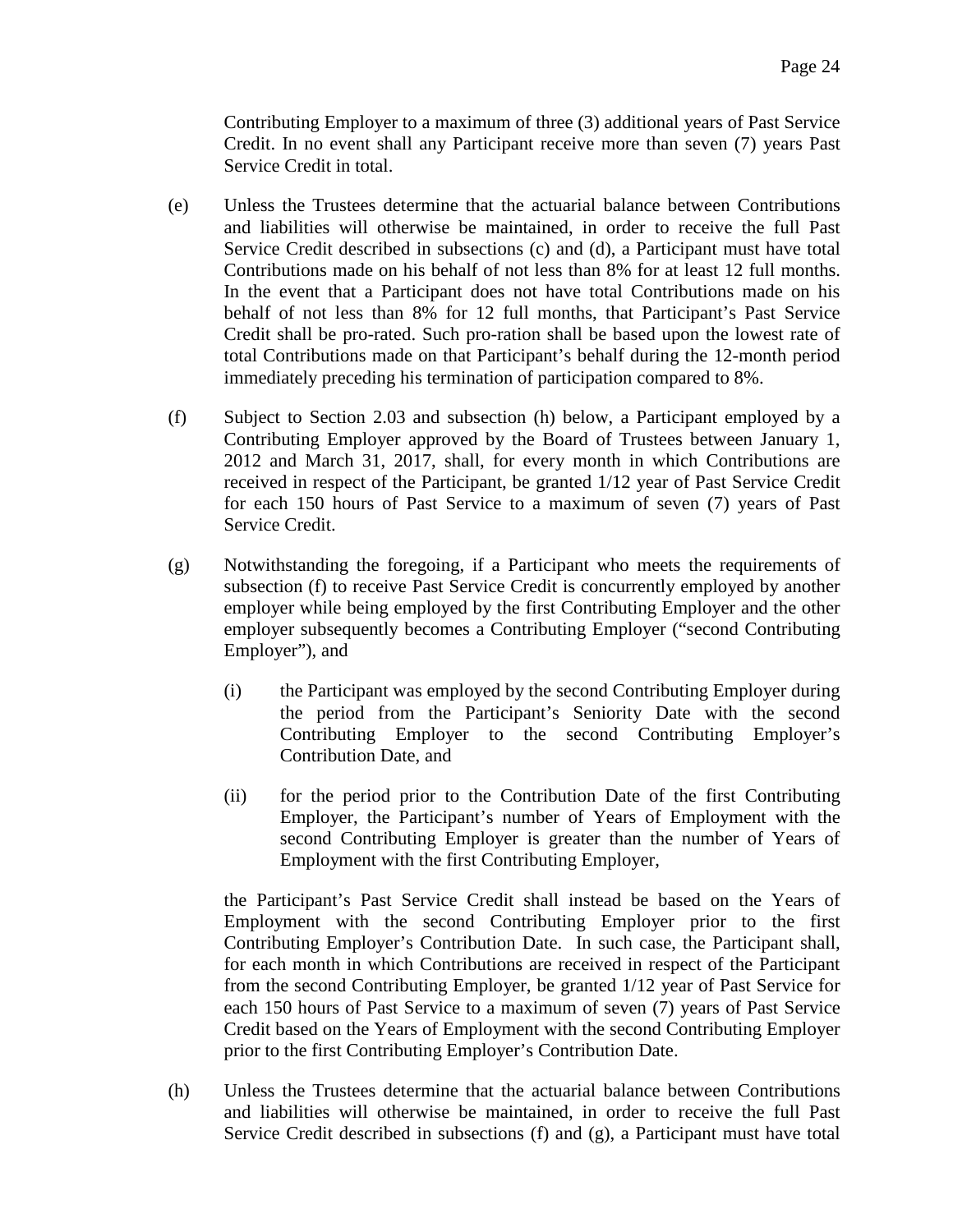Contributing Employer to a maximum of three (3) additional years of Past Service Credit. In no event shall any Participant receive more than seven (7) years Past Service Credit in total.

- (e) Unless the Trustees determine that the actuarial balance between Contributions and liabilities will otherwise be maintained, in order to receive the full Past Service Credit described in subsections (c) and (d), a Participant must have total Contributions made on his behalf of not less than 8% for at least 12 full months. In the event that a Participant does not have total Contributions made on his behalf of not less than 8% for 12 full months, that Participant's Past Service Credit shall be pro-rated. Such pro-ration shall be based upon the lowest rate of total Contributions made on that Participant's behalf during the 12-month period immediately preceding his termination of participation compared to 8%.
- (f) Subject to Section 2.03 and subsection (h) below, a Participant employed by a Contributing Employer approved by the Board of Trustees between January 1, 2012 and March 31, 2017, shall, for every month in which Contributions are received in respect of the Participant, be granted 1/12 year of Past Service Credit for each 150 hours of Past Service to a maximum of seven (7) years of Past Service Credit.
- (g) Notwithstanding the foregoing, if a Participant who meets the requirements of subsection (f) to receive Past Service Credit is concurrently employed by another employer while being employed by the first Contributing Employer and the other employer subsequently becomes a Contributing Employer ("second Contributing Employer"), and
	- (i) the Participant was employed by the second Contributing Employer during the period from the Participant's Seniority Date with the second Contributing Employer to the second Contributing Employer's Contribution Date, and
	- (ii) for the period prior to the Contribution Date of the first Contributing Employer, the Participant's number of Years of Employment with the second Contributing Employer is greater than the number of Years of Employment with the first Contributing Employer,

the Participant's Past Service Credit shall instead be based on the Years of Employment with the second Contributing Employer prior to the first Contributing Employer's Contribution Date. In such case, the Participant shall, for each month in which Contributions are received in respect of the Participant from the second Contributing Employer, be granted 1/12 year of Past Service for each 150 hours of Past Service to a maximum of seven (7) years of Past Service Credit based on the Years of Employment with the second Contributing Employer prior to the first Contributing Employer's Contribution Date.

(h) Unless the Trustees determine that the actuarial balance between Contributions and liabilities will otherwise be maintained, in order to receive the full Past Service Credit described in subsections (f) and (g), a Participant must have total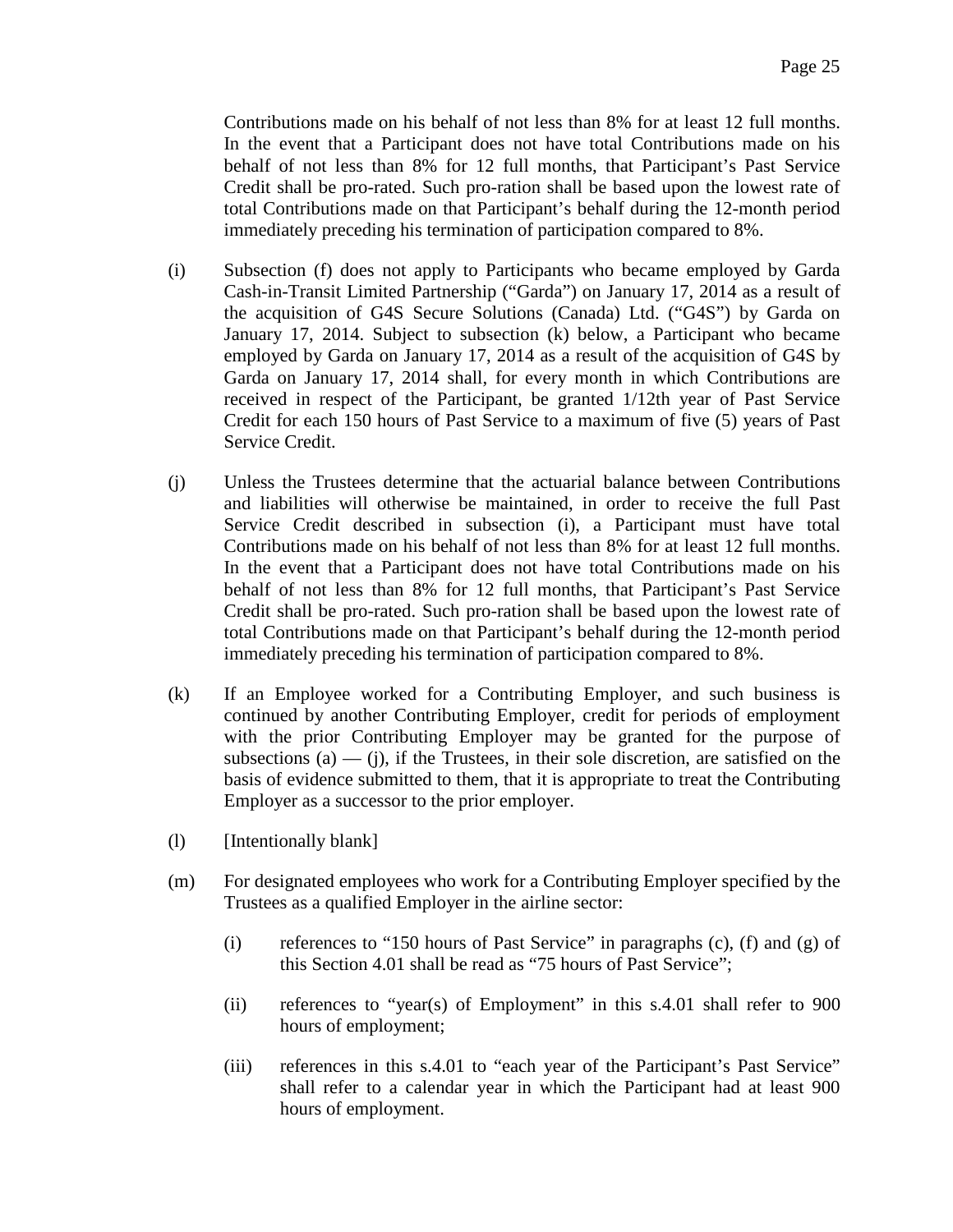Contributions made on his behalf of not less than 8% for at least 12 full months. In the event that a Participant does not have total Contributions made on his behalf of not less than 8% for 12 full months, that Participant's Past Service Credit shall be pro-rated. Such pro-ration shall be based upon the lowest rate of total Contributions made on that Participant's behalf during the 12-month period immediately preceding his termination of participation compared to 8%.

- (i) Subsection (f) does not apply to Participants who became employed by Garda Cash-in-Transit Limited Partnership ("Garda") on January 17, 2014 as a result of the acquisition of G4S Secure Solutions (Canada) Ltd. ("G4S") by Garda on January 17, 2014. Subject to subsection (k) below, a Participant who became employed by Garda on January 17, 2014 as a result of the acquisition of G4S by Garda on January 17, 2014 shall, for every month in which Contributions are received in respect of the Participant, be granted 1/12th year of Past Service Credit for each 150 hours of Past Service to a maximum of five (5) years of Past Service Credit.
- (j) Unless the Trustees determine that the actuarial balance between Contributions and liabilities will otherwise be maintained, in order to receive the full Past Service Credit described in subsection (i), a Participant must have total Contributions made on his behalf of not less than 8% for at least 12 full months. In the event that a Participant does not have total Contributions made on his behalf of not less than 8% for 12 full months, that Participant's Past Service Credit shall be pro-rated. Such pro-ration shall be based upon the lowest rate of total Contributions made on that Participant's behalf during the 12-month period immediately preceding his termination of participation compared to 8%.
- (k) If an Employee worked for a Contributing Employer, and such business is continued by another Contributing Employer, credit for periods of employment with the prior Contributing Employer may be granted for the purpose of subsections (a)  $-$  (j), if the Trustees, in their sole discretion, are satisfied on the basis of evidence submitted to them, that it is appropriate to treat the Contributing Employer as a successor to the prior employer.
- (l) [Intentionally blank]
- (m) For designated employees who work for a Contributing Employer specified by the Trustees as a qualified Employer in the airline sector:
	- (i) references to "150 hours of Past Service" in paragraphs  $(c)$ ,  $(f)$  and  $(g)$  of this Section 4.01 shall be read as "75 hours of Past Service";
	- (ii) references to "year(s) of Employment" in this s.4.01 shall refer to 900 hours of employment;
	- (iii) references in this s.4.01 to "each year of the Participant's Past Service" shall refer to a calendar year in which the Participant had at least 900 hours of employment.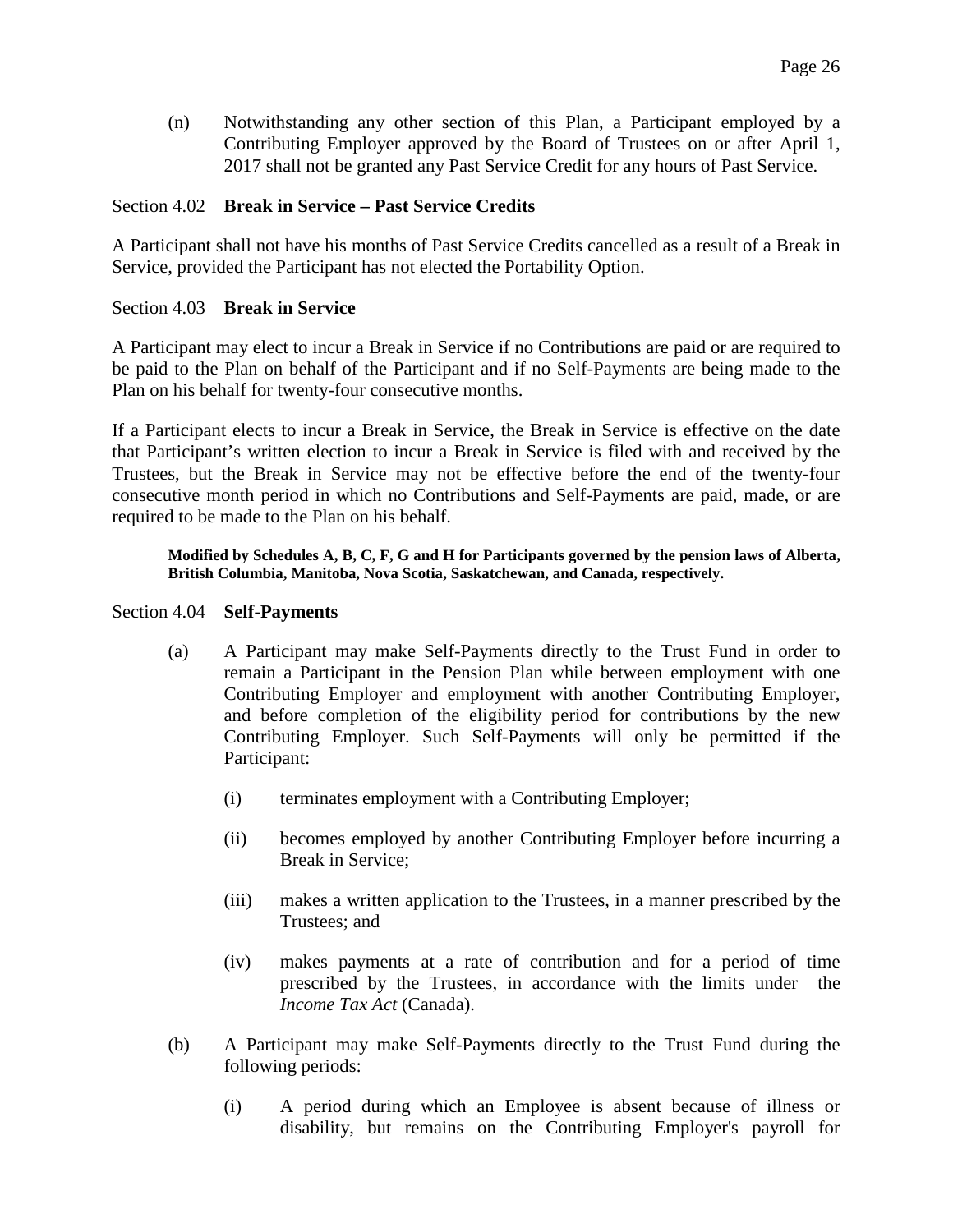(n) Notwithstanding any other section of this Plan, a Participant employed by a Contributing Employer approved by the Board of Trustees on or after April 1, 2017 shall not be granted any Past Service Credit for any hours of Past Service.

### <span id="page-25-0"></span>Section 4.02 **Break in Service – Past Service Credits**

A Participant shall not have his months of Past Service Credits cancelled as a result of a Break in Service, provided the Participant has not elected the Portability Option.

### <span id="page-25-1"></span>Section 4.03 **Break in Service**

A Participant may elect to incur a Break in Service if no Contributions are paid or are required to be paid to the Plan on behalf of the Participant and if no Self-Payments are being made to the Plan on his behalf for twenty-four consecutive months.

If a Participant elects to incur a Break in Service, the Break in Service is effective on the date that Participant's written election to incur a Break in Service is filed with and received by the Trustees, but the Break in Service may not be effective before the end of the twenty-four consecutive month period in which no Contributions and Self-Payments are paid, made, or are required to be made to the Plan on his behalf.

### **Modified by Schedules A, B, C, F, G and H for Participants governed by the pension laws of Alberta, British Columbia, Manitoba, Nova Scotia, Saskatchewan, and Canada, respectively.**

### <span id="page-25-2"></span>Section 4.04 **Self-Payments**

- (a) A Participant may make Self-Payments directly to the Trust Fund in order to remain a Participant in the Pension Plan while between employment with one Contributing Employer and employment with another Contributing Employer, and before completion of the eligibility period for contributions by the new Contributing Employer. Such Self-Payments will only be permitted if the Participant:
	- (i) terminates employment with a Contributing Employer;
	- (ii) becomes employed by another Contributing Employer before incurring a Break in Service;
	- (iii) makes a written application to the Trustees, in a manner prescribed by the Trustees; and
	- (iv) makes payments at a rate of contribution and for a period of time prescribed by the Trustees, in accordance with the limits under the *Income Tax Act* (Canada).
- (b) A Participant may make Self-Payments directly to the Trust Fund during the following periods:
	- (i) A period during which an Employee is absent because of illness or disability, but remains on the Contributing Employer's payroll for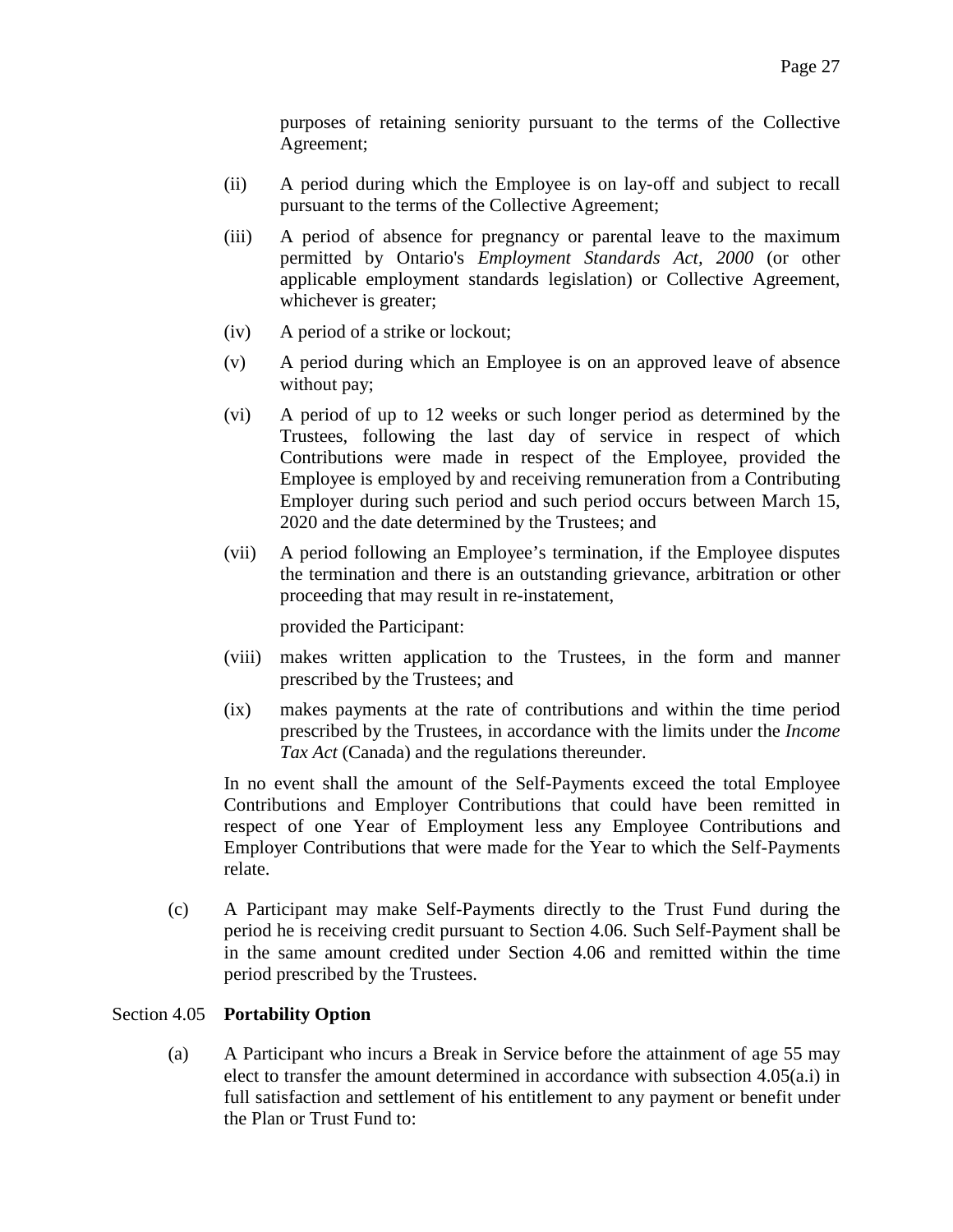purposes of retaining seniority pursuant to the terms of the Collective Agreement;

- (ii) A period during which the Employee is on lay-off and subject to recall pursuant to the terms of the Collective Agreement;
- (iii) A period of absence for pregnancy or parental leave to the maximum permitted by Ontario's *Employment Standards Act, 2000* (or other applicable employment standards legislation) or Collective Agreement, whichever is greater;
- (iv) A period of a strike or lockout;
- (v) A period during which an Employee is on an approved leave of absence without pay;
- (vi) A period of up to 12 weeks or such longer period as determined by the Trustees, following the last day of service in respect of which Contributions were made in respect of the Employee, provided the Employee is employed by and receiving remuneration from a Contributing Employer during such period and such period occurs between March 15, 2020 and the date determined by the Trustees; and
- (vii) A period following an Employee's termination, if the Employee disputes the termination and there is an outstanding grievance, arbitration or other proceeding that may result in re-instatement,

provided the Participant:

- (viii) makes written application to the Trustees, in the form and manner prescribed by the Trustees; and
- (ix) makes payments at the rate of contributions and within the time period prescribed by the Trustees, in accordance with the limits under the *Income Tax Act* (Canada) and the regulations thereunder.

In no event shall the amount of the Self-Payments exceed the total Employee Contributions and Employer Contributions that could have been remitted in respect of one Year of Employment less any Employee Contributions and Employer Contributions that were made for the Year to which the Self-Payments relate.

(c) A Participant may make Self-Payments directly to the Trust Fund during the period he is receiving credit pursuant to Section 4.06. Such Self-Payment shall be in the same amount credited under Section 4.06 and remitted within the time period prescribed by the Trustees.

# <span id="page-26-0"></span>Section 4.05 **Portability Option**

(a) A Participant who incurs a Break in Service before the attainment of age 55 may elect to transfer the amount determined in accordance with subsection 4.05(a.i) in full satisfaction and settlement of his entitlement to any payment or benefit under the Plan or Trust Fund to: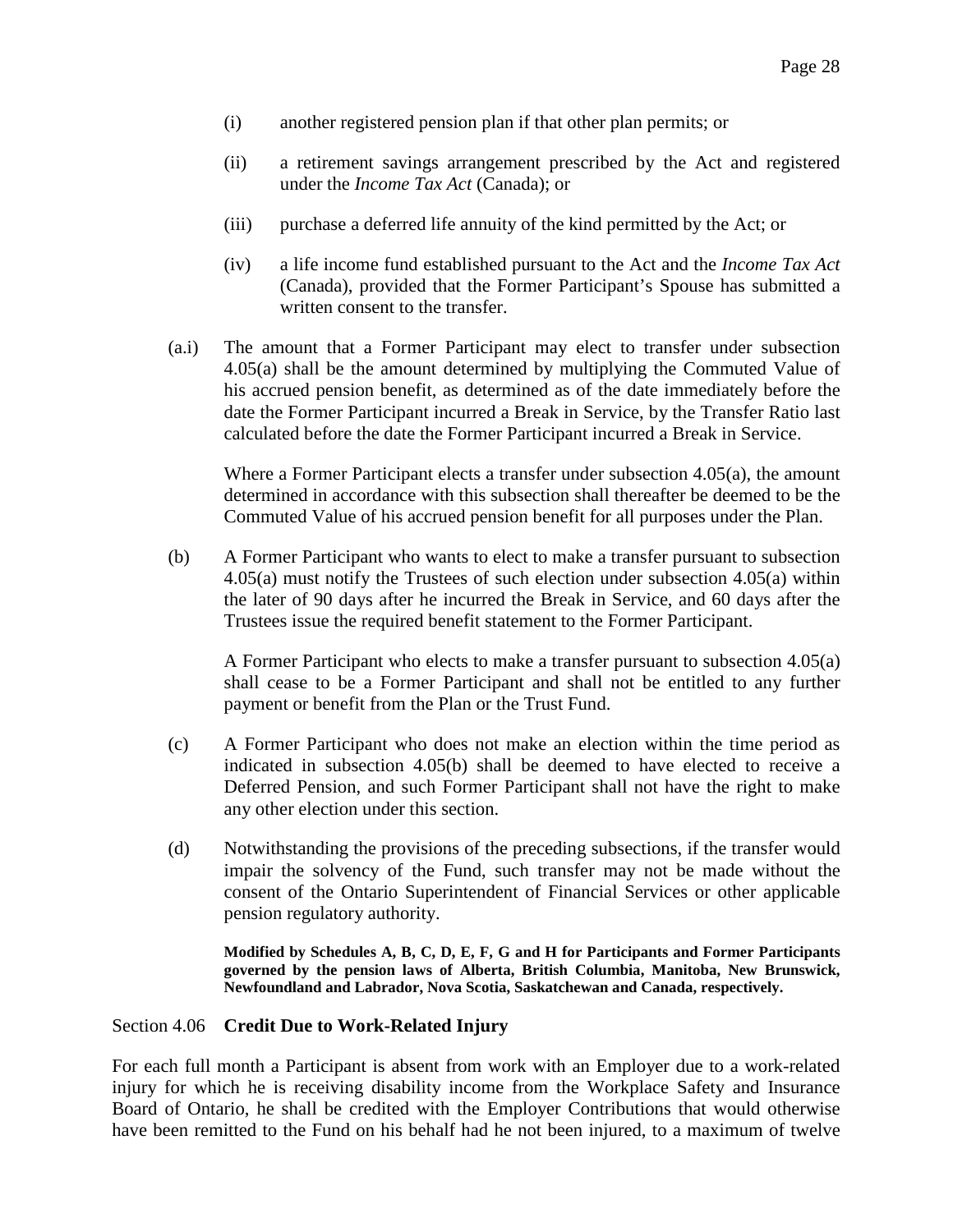- (i) another registered pension plan if that other plan permits; or
- (ii) a retirement savings arrangement prescribed by the Act and registered under the *Income Tax Act* (Canada); or
- (iii) purchase a deferred life annuity of the kind permitted by the Act; or
- (iv) a life income fund established pursuant to the Act and the *Income Tax Act*  (Canada), provided that the Former Participant's Spouse has submitted a written consent to the transfer.
- (a.i) The amount that a Former Participant may elect to transfer under subsection 4.05(a) shall be the amount determined by multiplying the Commuted Value of his accrued pension benefit, as determined as of the date immediately before the date the Former Participant incurred a Break in Service, by the Transfer Ratio last calculated before the date the Former Participant incurred a Break in Service.

Where a Former Participant elects a transfer under subsection 4.05(a), the amount determined in accordance with this subsection shall thereafter be deemed to be the Commuted Value of his accrued pension benefit for all purposes under the Plan.

(b) A Former Participant who wants to elect to make a transfer pursuant to subsection 4.05(a) must notify the Trustees of such election under subsection 4.05(a) within the later of 90 days after he incurred the Break in Service, and 60 days after the Trustees issue the required benefit statement to the Former Participant.

A Former Participant who elects to make a transfer pursuant to subsection 4.05(a) shall cease to be a Former Participant and shall not be entitled to any further payment or benefit from the Plan or the Trust Fund.

- (c) A Former Participant who does not make an election within the time period as indicated in subsection 4.05(b) shall be deemed to have elected to receive a Deferred Pension, and such Former Participant shall not have the right to make any other election under this section.
- (d) Notwithstanding the provisions of the preceding subsections, if the transfer would impair the solvency of the Fund, such transfer may not be made without the consent of the Ontario Superintendent of Financial Services or other applicable pension regulatory authority.

**Modified by Schedules A, B, C, D, E, F, G and H for Participants and Former Participants governed by the pension laws of Alberta, British Columbia, Manitoba, New Brunswick, Newfoundland and Labrador, Nova Scotia, Saskatchewan and Canada, respectively.**

### <span id="page-27-0"></span>Section 4.06 **Credit Due to Work-Related Injury**

For each full month a Participant is absent from work with an Employer due to a work-related injury for which he is receiving disability income from the Workplace Safety and Insurance Board of Ontario, he shall be credited with the Employer Contributions that would otherwise have been remitted to the Fund on his behalf had he not been injured, to a maximum of twelve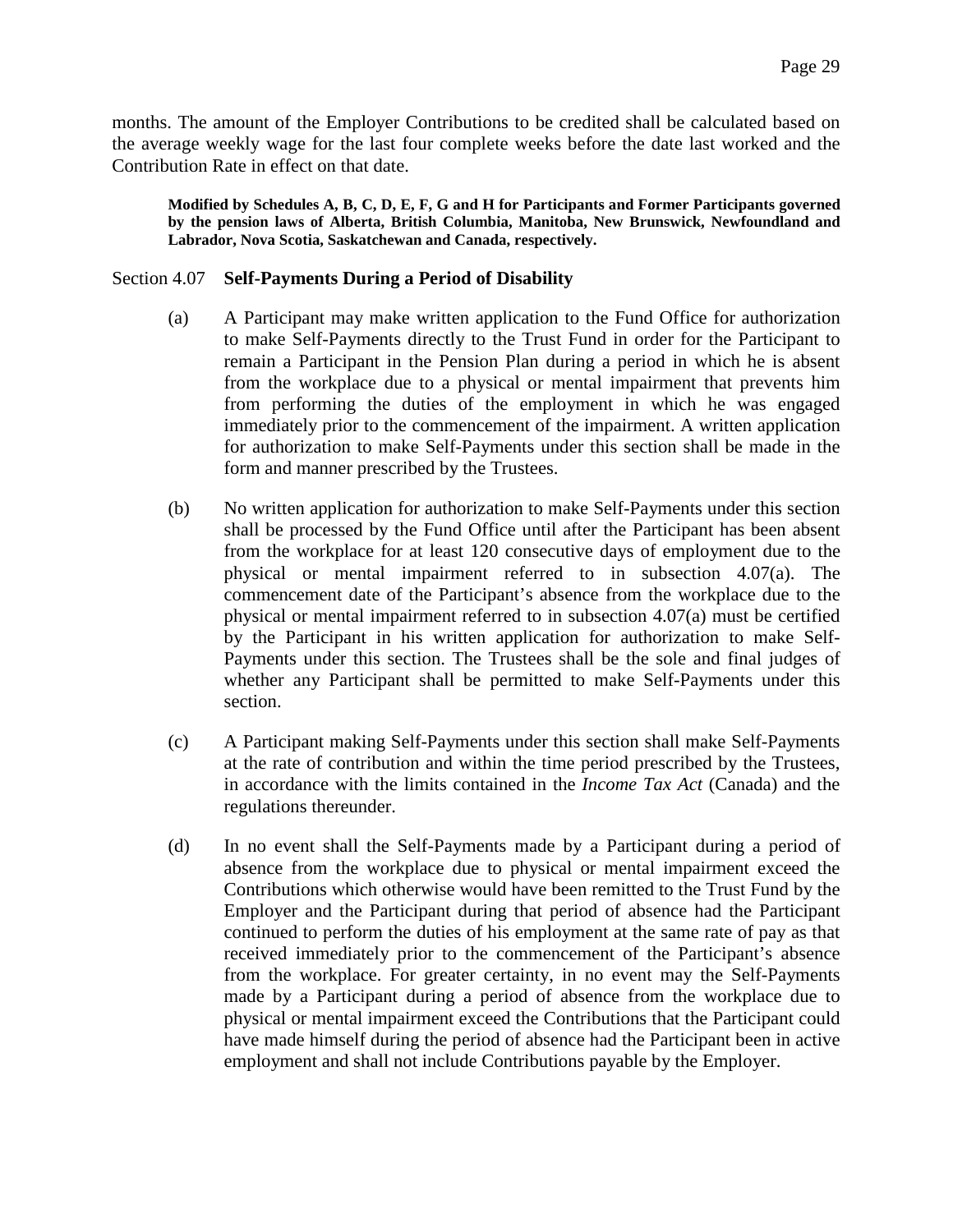months. The amount of the Employer Contributions to be credited shall be calculated based on the average weekly wage for the last four complete weeks before the date last worked and the Contribution Rate in effect on that date.

**Modified by Schedules A, B, C, D, E, F, G and H for Participants and Former Participants governed by the pension laws of Alberta, British Columbia, Manitoba, New Brunswick, Newfoundland and Labrador, Nova Scotia, Saskatchewan and Canada, respectively.** 

#### <span id="page-28-0"></span>Section 4.07 **Self-Payments During a Period of Disability**

- (a) A Participant may make written application to the Fund Office for authorization to make Self-Payments directly to the Trust Fund in order for the Participant to remain a Participant in the Pension Plan during a period in which he is absent from the workplace due to a physical or mental impairment that prevents him from performing the duties of the employment in which he was engaged immediately prior to the commencement of the impairment. A written application for authorization to make Self-Payments under this section shall be made in the form and manner prescribed by the Trustees.
- (b) No written application for authorization to make Self-Payments under this section shall be processed by the Fund Office until after the Participant has been absent from the workplace for at least 120 consecutive days of employment due to the physical or mental impairment referred to in subsection 4.07(a). The commencement date of the Participant's absence from the workplace due to the physical or mental impairment referred to in subsection 4.07(a) must be certified by the Participant in his written application for authorization to make Self-Payments under this section. The Trustees shall be the sole and final judges of whether any Participant shall be permitted to make Self-Payments under this section.
- (c) A Participant making Self-Payments under this section shall make Self-Payments at the rate of contribution and within the time period prescribed by the Trustees, in accordance with the limits contained in the *Income Tax Act* (Canada) and the regulations thereunder.
- (d) In no event shall the Self-Payments made by a Participant during a period of absence from the workplace due to physical or mental impairment exceed the Contributions which otherwise would have been remitted to the Trust Fund by the Employer and the Participant during that period of absence had the Participant continued to perform the duties of his employment at the same rate of pay as that received immediately prior to the commencement of the Participant's absence from the workplace. For greater certainty, in no event may the Self-Payments made by a Participant during a period of absence from the workplace due to physical or mental impairment exceed the Contributions that the Participant could have made himself during the period of absence had the Participant been in active employment and shall not include Contributions payable by the Employer.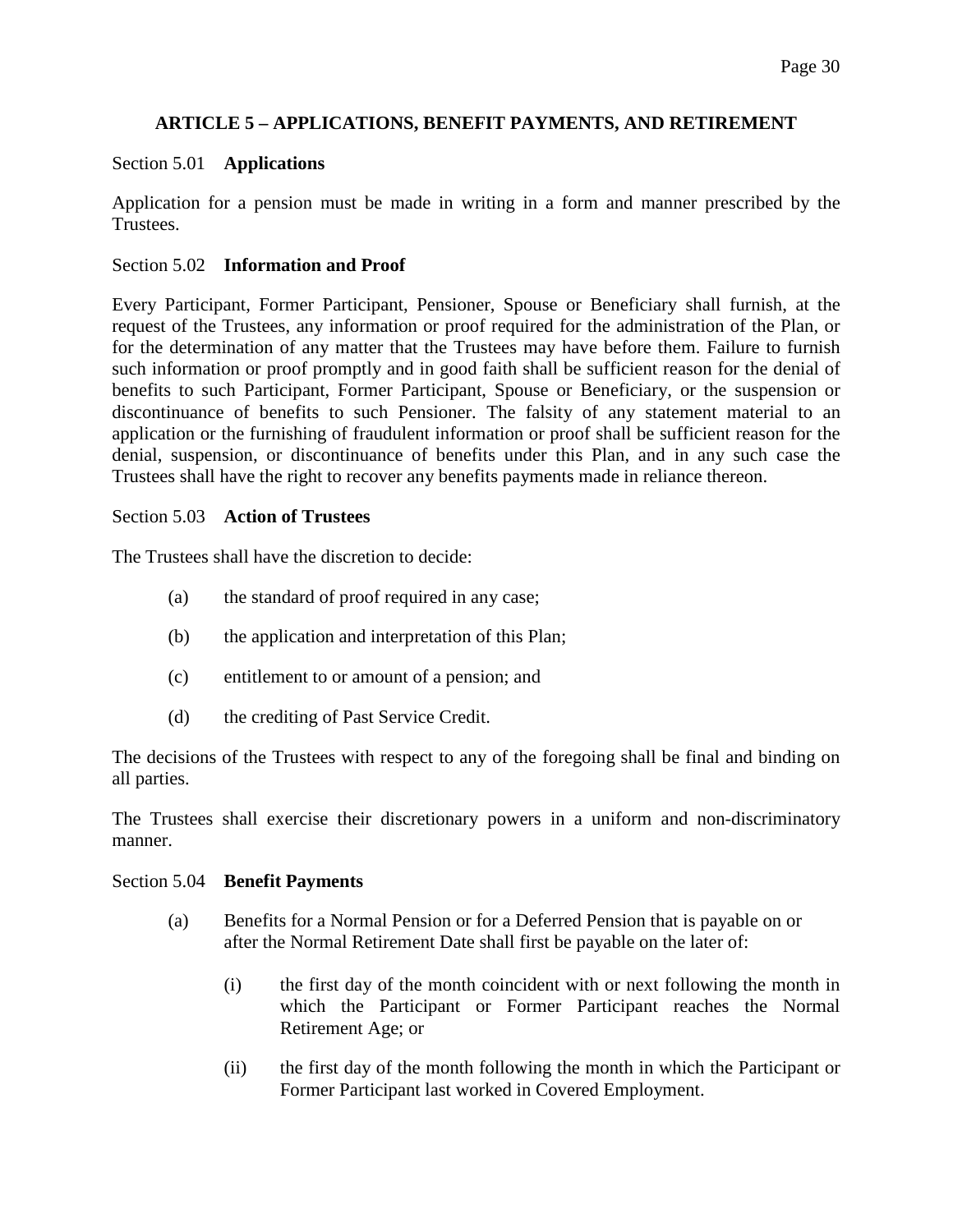# **ARTICLE 5 – APPLICATIONS, BENEFIT PAYMENTS, AND RETIREMENT**

### <span id="page-29-1"></span><span id="page-29-0"></span>Section 5.01 **Applications**

Application for a pension must be made in writing in a form and manner prescribed by the Trustees.

### <span id="page-29-2"></span>Section 5.02 **Information and Proof**

Every Participant, Former Participant, Pensioner, Spouse or Beneficiary shall furnish, at the request of the Trustees, any information or proof required for the administration of the Plan, or for the determination of any matter that the Trustees may have before them. Failure to furnish such information or proof promptly and in good faith shall be sufficient reason for the denial of benefits to such Participant, Former Participant, Spouse or Beneficiary, or the suspension or discontinuance of benefits to such Pensioner. The falsity of any statement material to an application or the furnishing of fraudulent information or proof shall be sufficient reason for the denial, suspension, or discontinuance of benefits under this Plan, and in any such case the Trustees shall have the right to recover any benefits payments made in reliance thereon.

### <span id="page-29-3"></span>Section 5.03 **Action of Trustees**

The Trustees shall have the discretion to decide:

- (a) the standard of proof required in any case;
- (b) the application and interpretation of this Plan;
- (c) entitlement to or amount of a pension; and
- (d) the crediting of Past Service Credit.

The decisions of the Trustees with respect to any of the foregoing shall be final and binding on all parties.

The Trustees shall exercise their discretionary powers in a uniform and non-discriminatory manner.

### <span id="page-29-4"></span>Section 5.04 **Benefit Payments**

- (a) Benefits for a Normal Pension or for a Deferred Pension that is payable on or after the Normal Retirement Date shall first be payable on the later of:
	- (i) the first day of the month coincident with or next following the month in which the Participant or Former Participant reaches the Normal Retirement Age; or
	- (ii) the first day of the month following the month in which the Participant or Former Participant last worked in Covered Employment.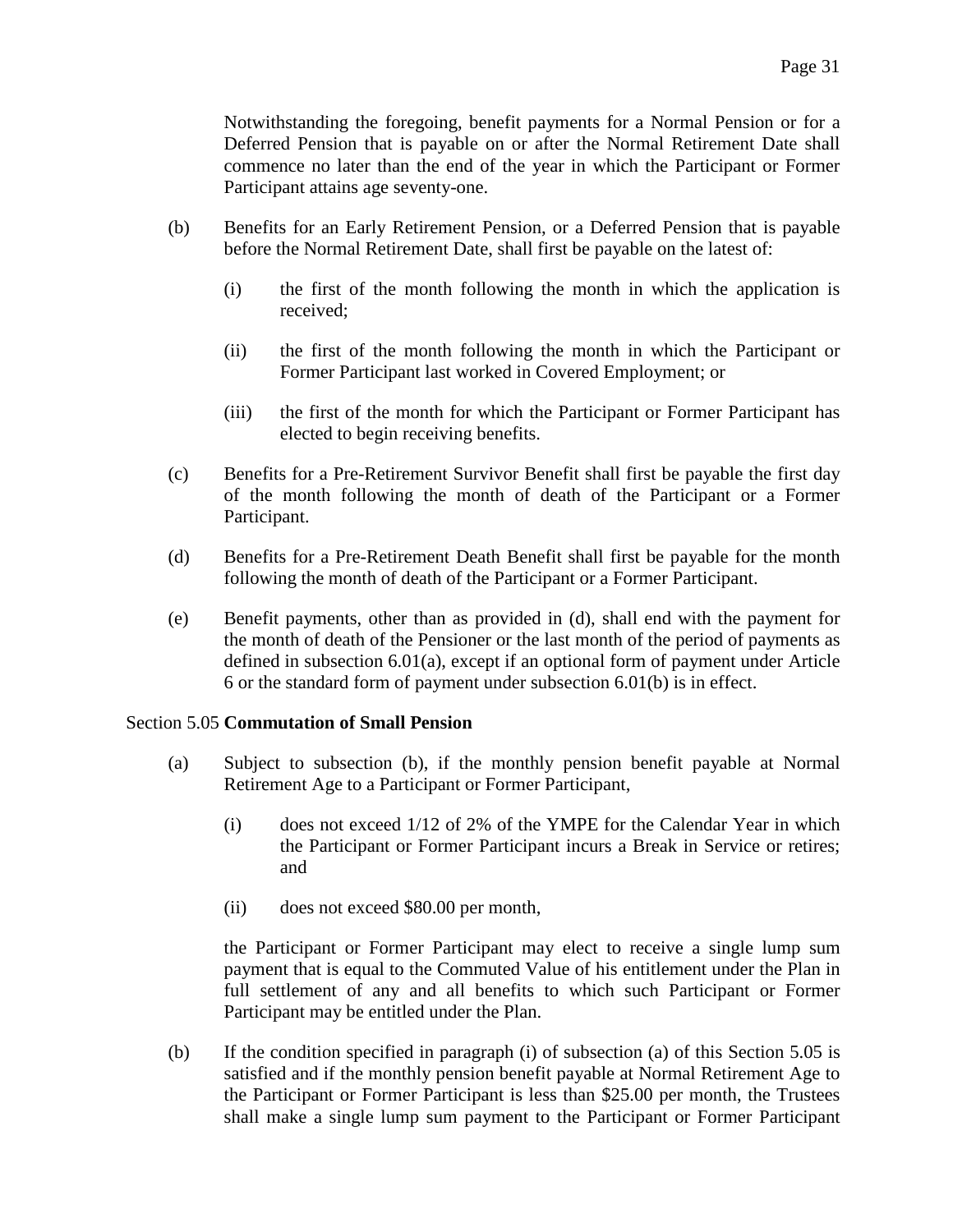Notwithstanding the foregoing, benefit payments for a Normal Pension or for a Deferred Pension that is payable on or after the Normal Retirement Date shall commence no later than the end of the year in which the Participant or Former Participant attains age seventy-one.

- (b) Benefits for an Early Retirement Pension, or a Deferred Pension that is payable before the Normal Retirement Date, shall first be payable on the latest of:
	- (i) the first of the month following the month in which the application is received;
	- (ii) the first of the month following the month in which the Participant or Former Participant last worked in Covered Employment; or
	- (iii) the first of the month for which the Participant or Former Participant has elected to begin receiving benefits.
- (c) Benefits for a Pre-Retirement Survivor Benefit shall first be payable the first day of the month following the month of death of the Participant or a Former Participant.
- (d) Benefits for a Pre-Retirement Death Benefit shall first be payable for the month following the month of death of the Participant or a Former Participant.
- (e) Benefit payments, other than as provided in (d), shall end with the payment for the month of death of the Pensioner or the last month of the period of payments as defined in subsection 6.01(a), except if an optional form of payment under Article 6 or the standard form of payment under subsection 6.01(b) is in effect.

### <span id="page-30-0"></span>Section 5.05 **Commutation of Small Pension**

- (a) Subject to subsection (b), if the monthly pension benefit payable at Normal Retirement Age to a Participant or Former Participant,
	- (i) does not exceed 1/12 of 2% of the YMPE for the Calendar Year in which the Participant or Former Participant incurs a Break in Service or retires; and
	- (ii) does not exceed \$80.00 per month,

the Participant or Former Participant may elect to receive a single lump sum payment that is equal to the Commuted Value of his entitlement under the Plan in full settlement of any and all benefits to which such Participant or Former Participant may be entitled under the Plan.

(b) If the condition specified in paragraph (i) of subsection (a) of this Section 5.05 is satisfied and if the monthly pension benefit payable at Normal Retirement Age to the Participant or Former Participant is less than \$25.00 per month, the Trustees shall make a single lump sum payment to the Participant or Former Participant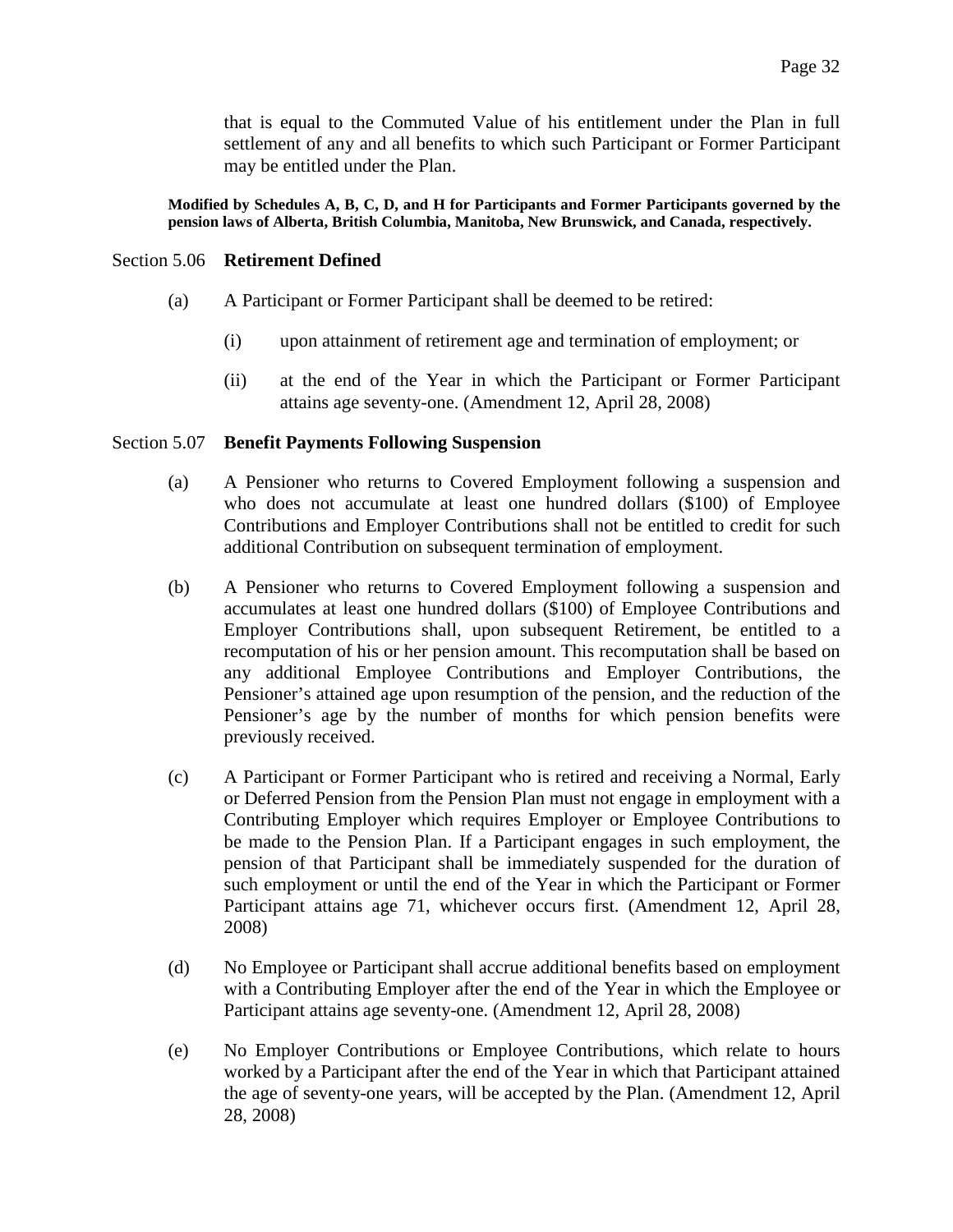that is equal to the Commuted Value of his entitlement under the Plan in full settlement of any and all benefits to which such Participant or Former Participant may be entitled under the Plan.

**Modified by Schedules A, B, C, D, and H for Participants and Former Participants governed by the pension laws of Alberta, British Columbia, Manitoba, New Brunswick, and Canada, respectively.** 

### <span id="page-31-0"></span>Section 5.06 **Retirement Defined**

- (a) A Participant or Former Participant shall be deemed to be retired:
	- (i) upon attainment of retirement age and termination of employment; or
	- (ii) at the end of the Year in which the Participant or Former Participant attains age seventy-one. (Amendment 12, April 28, 2008)

### <span id="page-31-1"></span>Section 5.07 **Benefit Payments Following Suspension**

- (a) A Pensioner who returns to Covered Employment following a suspension and who does not accumulate at least one hundred dollars (\$100) of Employee Contributions and Employer Contributions shall not be entitled to credit for such additional Contribution on subsequent termination of employment.
- (b) A Pensioner who returns to Covered Employment following a suspension and accumulates at least one hundred dollars (\$100) of Employee Contributions and Employer Contributions shall, upon subsequent Retirement, be entitled to a recomputation of his or her pension amount. This recomputation shall be based on any additional Employee Contributions and Employer Contributions, the Pensioner's attained age upon resumption of the pension, and the reduction of the Pensioner's age by the number of months for which pension benefits were previously received.
- (c) A Participant or Former Participant who is retired and receiving a Normal, Early or Deferred Pension from the Pension Plan must not engage in employment with a Contributing Employer which requires Employer or Employee Contributions to be made to the Pension Plan. If a Participant engages in such employment, the pension of that Participant shall be immediately suspended for the duration of such employment or until the end of the Year in which the Participant or Former Participant attains age 71, whichever occurs first. (Amendment 12, April 28, 2008)
- (d) No Employee or Participant shall accrue additional benefits based on employment with a Contributing Employer after the end of the Year in which the Employee or Participant attains age seventy-one. (Amendment 12, April 28, 2008)
- (e) No Employer Contributions or Employee Contributions, which relate to hours worked by a Participant after the end of the Year in which that Participant attained the age of seventy-one years, will be accepted by the Plan. (Amendment 12, April 28, 2008)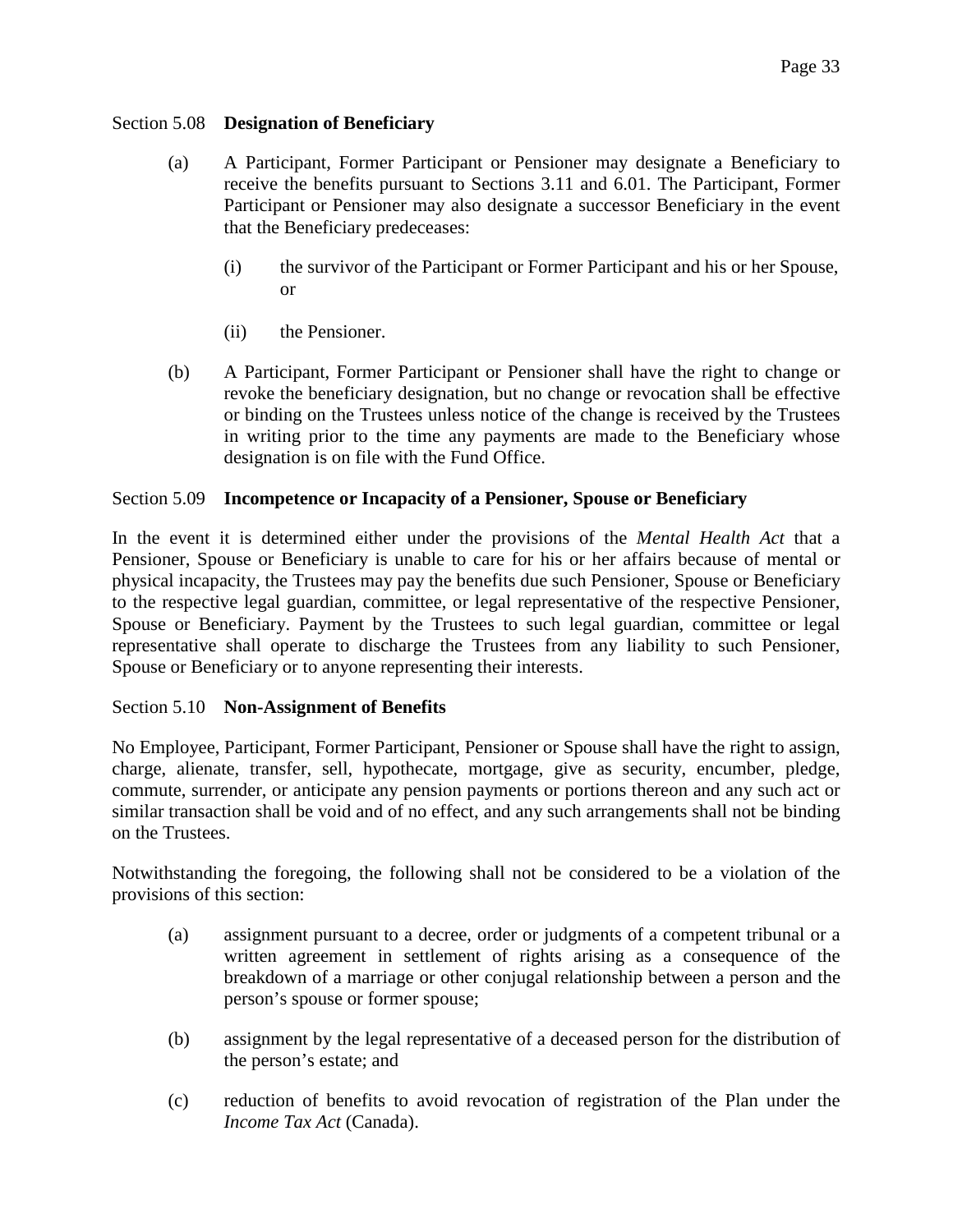# <span id="page-32-0"></span>Section 5.08 **Designation of Beneficiary**

- (a) A Participant, Former Participant or Pensioner may designate a Beneficiary to receive the benefits pursuant to Sections 3.11 and 6.01. The Participant, Former Participant or Pensioner may also designate a successor Beneficiary in the event that the Beneficiary predeceases:
	- (i) the survivor of the Participant or Former Participant and his or her Spouse, or
	- (ii) the Pensioner.
- (b) A Participant, Former Participant or Pensioner shall have the right to change or revoke the beneficiary designation, but no change or revocation shall be effective or binding on the Trustees unless notice of the change is received by the Trustees in writing prior to the time any payments are made to the Beneficiary whose designation is on file with the Fund Office.

# <span id="page-32-1"></span>Section 5.09 **Incompetence or Incapacity of a Pensioner, Spouse or Beneficiary**

In the event it is determined either under the provisions of the *Mental Health Act* that a Pensioner, Spouse or Beneficiary is unable to care for his or her affairs because of mental or physical incapacity, the Trustees may pay the benefits due such Pensioner, Spouse or Beneficiary to the respective legal guardian, committee, or legal representative of the respective Pensioner, Spouse or Beneficiary. Payment by the Trustees to such legal guardian, committee or legal representative shall operate to discharge the Trustees from any liability to such Pensioner, Spouse or Beneficiary or to anyone representing their interests.

### <span id="page-32-2"></span>Section 5.10 **Non-Assignment of Benefits**

No Employee, Participant, Former Participant, Pensioner or Spouse shall have the right to assign, charge, alienate, transfer, sell, hypothecate, mortgage, give as security, encumber, pledge, commute, surrender, or anticipate any pension payments or portions thereon and any such act or similar transaction shall be void and of no effect, and any such arrangements shall not be binding on the Trustees.

Notwithstanding the foregoing, the following shall not be considered to be a violation of the provisions of this section:

- (a) assignment pursuant to a decree, order or judgments of a competent tribunal or a written agreement in settlement of rights arising as a consequence of the breakdown of a marriage or other conjugal relationship between a person and the person's spouse or former spouse;
- (b) assignment by the legal representative of a deceased person for the distribution of the person's estate; and
- (c) reduction of benefits to avoid revocation of registration of the Plan under the *Income Tax Act* (Canada).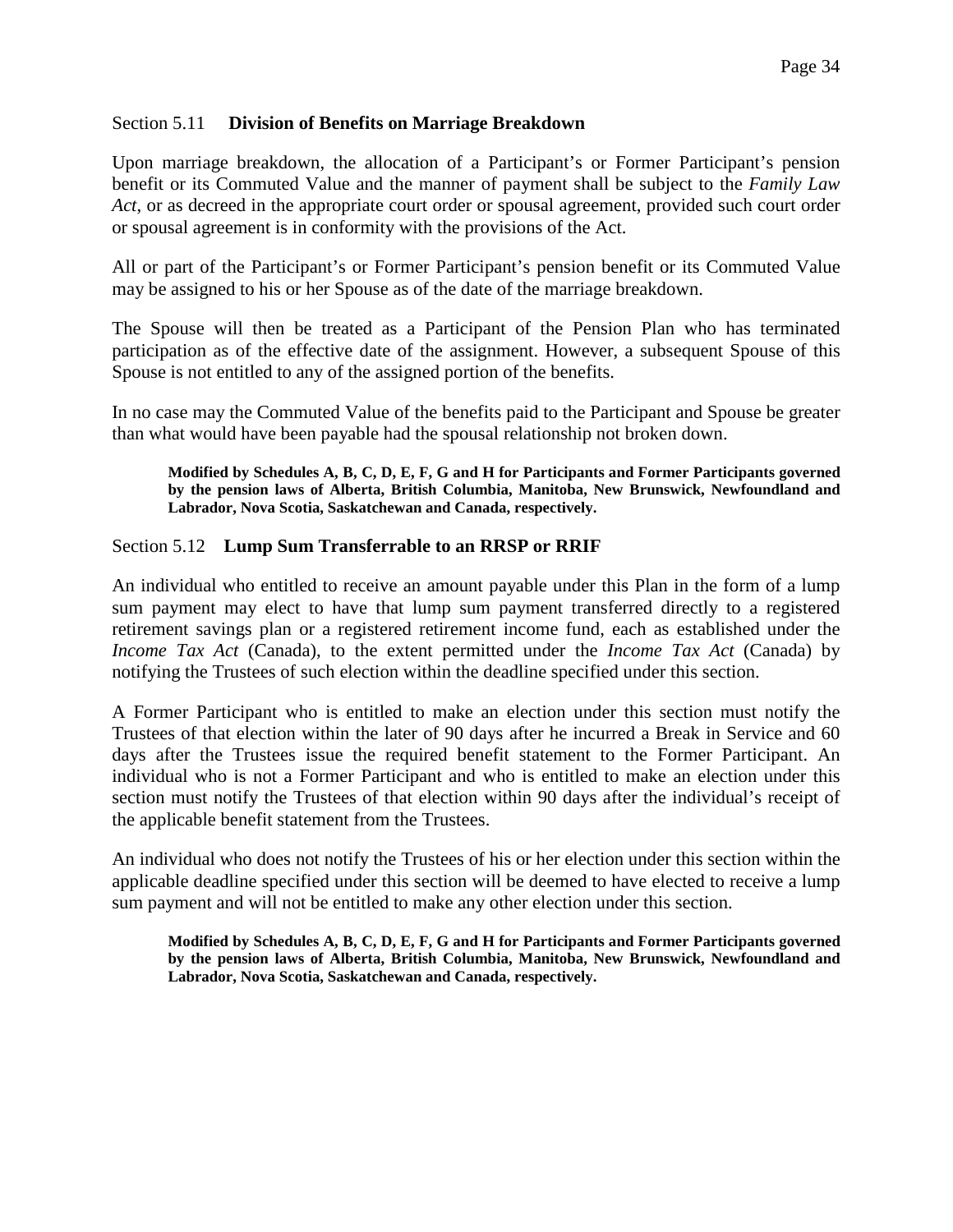# <span id="page-33-0"></span>Section 5.11 **Division of Benefits on Marriage Breakdown**

Upon marriage breakdown, the allocation of a Participant's or Former Participant's pension benefit or its Commuted Value and the manner of payment shall be subject to the *Family Law Act*, or as decreed in the appropriate court order or spousal agreement, provided such court order or spousal agreement is in conformity with the provisions of the Act.

All or part of the Participant's or Former Participant's pension benefit or its Commuted Value may be assigned to his or her Spouse as of the date of the marriage breakdown.

The Spouse will then be treated as a Participant of the Pension Plan who has terminated participation as of the effective date of the assignment. However, a subsequent Spouse of this Spouse is not entitled to any of the assigned portion of the benefits.

In no case may the Commuted Value of the benefits paid to the Participant and Spouse be greater than what would have been payable had the spousal relationship not broken down.

**Modified by Schedules A, B, C, D, E, F, G and H for Participants and Former Participants governed by the pension laws of Alberta, British Columbia, Manitoba, New Brunswick, Newfoundland and Labrador, Nova Scotia, Saskatchewan and Canada, respectively.** 

### <span id="page-33-1"></span>Section 5.12 **Lump Sum Transferrable to an RRSP or RRIF**

An individual who entitled to receive an amount payable under this Plan in the form of a lump sum payment may elect to have that lump sum payment transferred directly to a registered retirement savings plan or a registered retirement income fund, each as established under the *Income Tax Act* (Canada), to the extent permitted under the *Income Tax Act* (Canada) by notifying the Trustees of such election within the deadline specified under this section.

A Former Participant who is entitled to make an election under this section must notify the Trustees of that election within the later of 90 days after he incurred a Break in Service and 60 days after the Trustees issue the required benefit statement to the Former Participant. An individual who is not a Former Participant and who is entitled to make an election under this section must notify the Trustees of that election within 90 days after the individual's receipt of the applicable benefit statement from the Trustees.

An individual who does not notify the Trustees of his or her election under this section within the applicable deadline specified under this section will be deemed to have elected to receive a lump sum payment and will not be entitled to make any other election under this section.

**Modified by Schedules A, B, C, D, E, F, G and H for Participants and Former Participants governed by the pension laws of Alberta, British Columbia, Manitoba, New Brunswick, Newfoundland and Labrador, Nova Scotia, Saskatchewan and Canada, respectively.**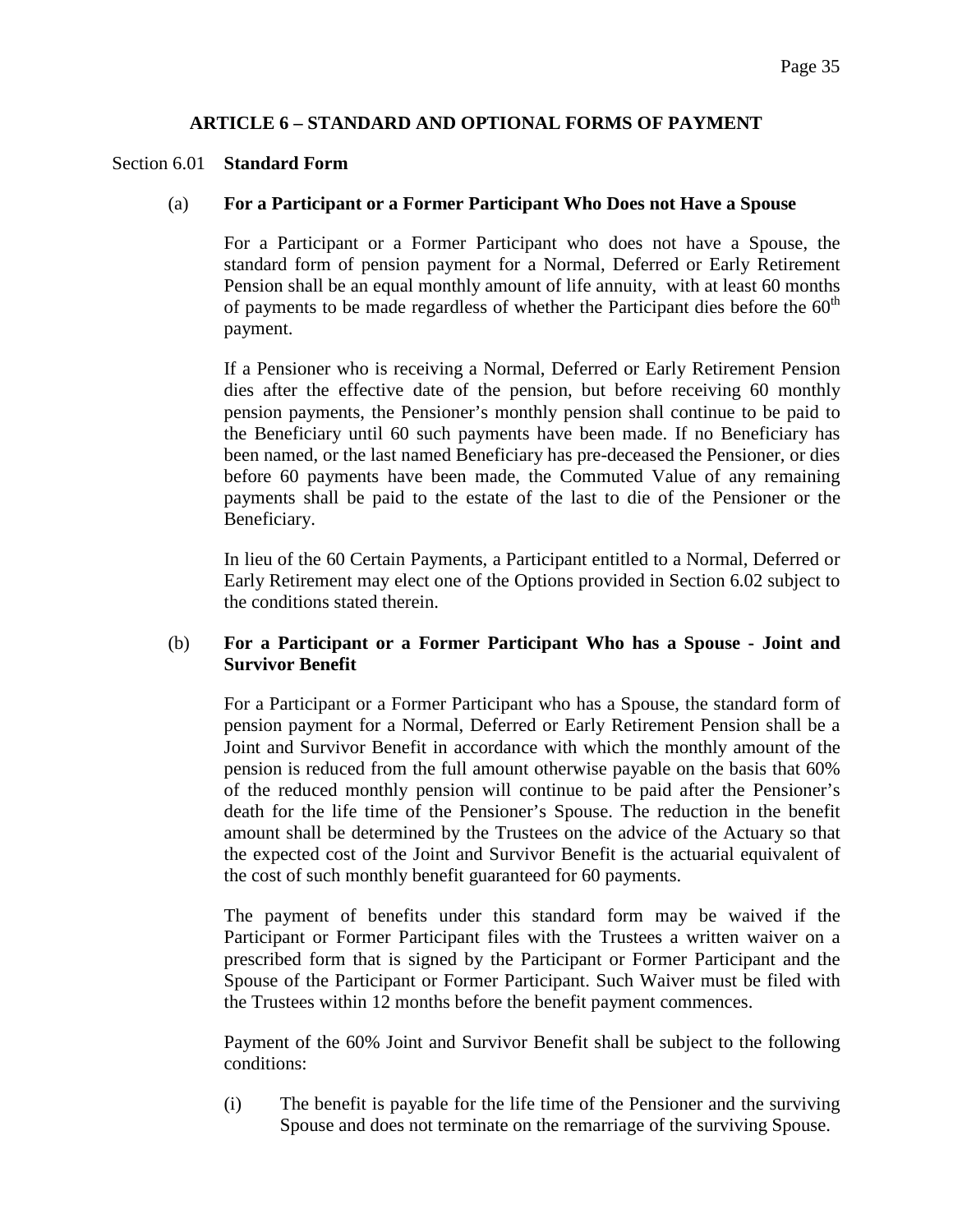# **ARTICLE 6 – STANDARD AND OPTIONAL FORMS OF PAYMENT**

### <span id="page-34-1"></span><span id="page-34-0"></span>Section 6.01 **Standard Form**

### (a) **For a Participant or a Former Participant Who Does not Have a Spouse**

For a Participant or a Former Participant who does not have a Spouse, the standard form of pension payment for a Normal, Deferred or Early Retirement Pension shall be an equal monthly amount of life annuity, with at least 60 months of payments to be made regardless of whether the Participant dies before the  $60<sup>th</sup>$ payment.

If a Pensioner who is receiving a Normal, Deferred or Early Retirement Pension dies after the effective date of the pension, but before receiving 60 monthly pension payments, the Pensioner's monthly pension shall continue to be paid to the Beneficiary until 60 such payments have been made. If no Beneficiary has been named, or the last named Beneficiary has pre-deceased the Pensioner, or dies before 60 payments have been made, the Commuted Value of any remaining payments shall be paid to the estate of the last to die of the Pensioner or the Beneficiary.

In lieu of the 60 Certain Payments, a Participant entitled to a Normal, Deferred or Early Retirement may elect one of the Options provided in Section 6.02 subject to the conditions stated therein.

# (b) **For a Participant or a Former Participant Who has a Spouse - Joint and Survivor Benefit**

For a Participant or a Former Participant who has a Spouse, the standard form of pension payment for a Normal, Deferred or Early Retirement Pension shall be a Joint and Survivor Benefit in accordance with which the monthly amount of the pension is reduced from the full amount otherwise payable on the basis that 60% of the reduced monthly pension will continue to be paid after the Pensioner's death for the life time of the Pensioner's Spouse. The reduction in the benefit amount shall be determined by the Trustees on the advice of the Actuary so that the expected cost of the Joint and Survivor Benefit is the actuarial equivalent of the cost of such monthly benefit guaranteed for 60 payments.

The payment of benefits under this standard form may be waived if the Participant or Former Participant files with the Trustees a written waiver on a prescribed form that is signed by the Participant or Former Participant and the Spouse of the Participant or Former Participant. Such Waiver must be filed with the Trustees within 12 months before the benefit payment commences.

Payment of the 60% Joint and Survivor Benefit shall be subject to the following conditions:

(i) The benefit is payable for the life time of the Pensioner and the surviving Spouse and does not terminate on the remarriage of the surviving Spouse.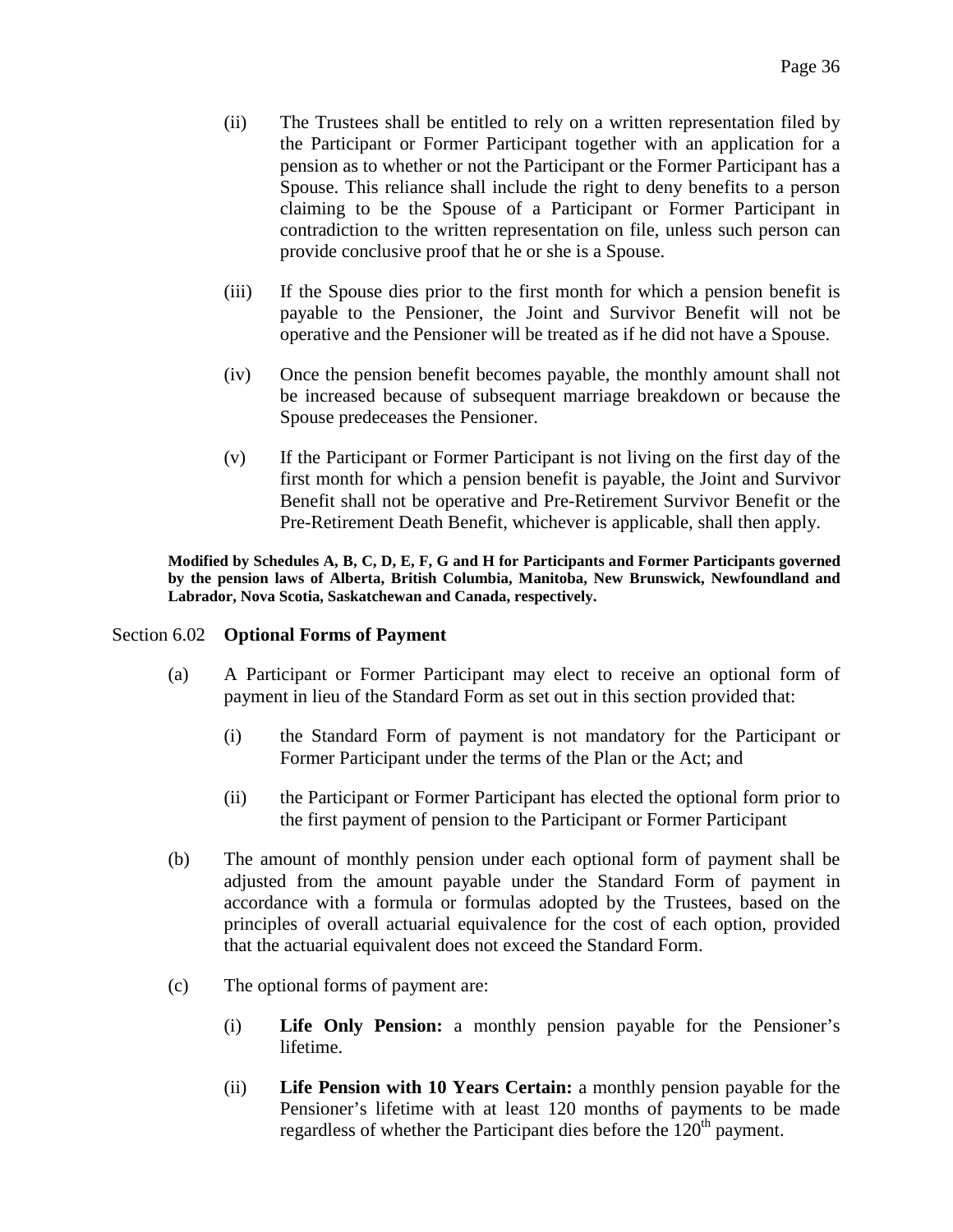- (ii) The Trustees shall be entitled to rely on a written representation filed by the Participant or Former Participant together with an application for a pension as to whether or not the Participant or the Former Participant has a Spouse. This reliance shall include the right to deny benefits to a person claiming to be the Spouse of a Participant or Former Participant in contradiction to the written representation on file, unless such person can provide conclusive proof that he or she is a Spouse.
- (iii) If the Spouse dies prior to the first month for which a pension benefit is payable to the Pensioner, the Joint and Survivor Benefit will not be operative and the Pensioner will be treated as if he did not have a Spouse.
- (iv) Once the pension benefit becomes payable, the monthly amount shall not be increased because of subsequent marriage breakdown or because the Spouse predeceases the Pensioner.
- (v) If the Participant or Former Participant is not living on the first day of the first month for which a pension benefit is payable, the Joint and Survivor Benefit shall not be operative and Pre-Retirement Survivor Benefit or the Pre-Retirement Death Benefit, whichever is applicable, shall then apply.

**Modified by Schedules A, B, C, D, E, F, G and H for Participants and Former Participants governed by the pension laws of Alberta, British Columbia, Manitoba, New Brunswick, Newfoundland and Labrador, Nova Scotia, Saskatchewan and Canada, respectively.** 

### <span id="page-35-0"></span>Section 6.02 **Optional Forms of Payment**

- (a) A Participant or Former Participant may elect to receive an optional form of payment in lieu of the Standard Form as set out in this section provided that:
	- (i) the Standard Form of payment is not mandatory for the Participant or Former Participant under the terms of the Plan or the Act; and
	- (ii) the Participant or Former Participant has elected the optional form prior to the first payment of pension to the Participant or Former Participant
- (b) The amount of monthly pension under each optional form of payment shall be adjusted from the amount payable under the Standard Form of payment in accordance with a formula or formulas adopted by the Trustees, based on the principles of overall actuarial equivalence for the cost of each option, provided that the actuarial equivalent does not exceed the Standard Form.
- (c) The optional forms of payment are:
	- (i) **Life Only Pension:** a monthly pension payable for the Pensioner's lifetime.
	- (ii) **Life Pension with 10 Years Certain:** a monthly pension payable for the Pensioner's lifetime with at least 120 months of payments to be made regardless of whether the Participant dies before the 120<sup>th</sup> payment.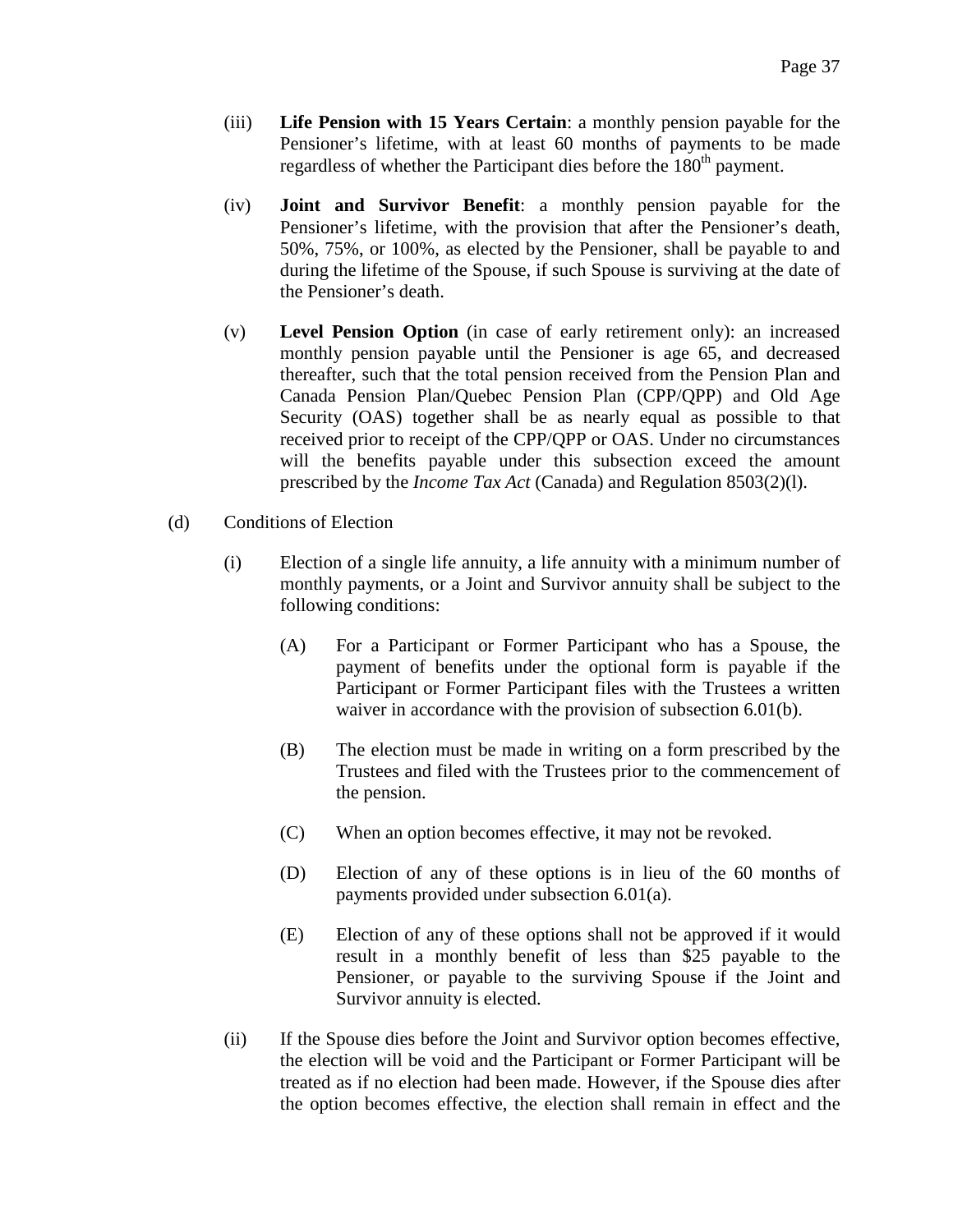- (iii) **Life Pension with 15 Years Certain**: a monthly pension payable for the Pensioner's lifetime, with at least 60 months of payments to be made regardless of whether the Participant dies before the 180<sup>th</sup> payment.
- (iv) **Joint and Survivor Benefit**: a monthly pension payable for the Pensioner's lifetime, with the provision that after the Pensioner's death, 50%, 75%, or 100%, as elected by the Pensioner, shall be payable to and during the lifetime of the Spouse, if such Spouse is surviving at the date of the Pensioner's death.
- (v) **Level Pension Option** (in case of early retirement only): an increased monthly pension payable until the Pensioner is age 65, and decreased thereafter, such that the total pension received from the Pension Plan and Canada Pension Plan/Quebec Pension Plan (CPP/QPP) and Old Age Security (OAS) together shall be as nearly equal as possible to that received prior to receipt of the CPP/QPP or OAS. Under no circumstances will the benefits payable under this subsection exceed the amount prescribed by the *Income Tax Act* (Canada) and Regulation 8503(2)(l).
- (d) Conditions of Election
	- (i) Election of a single life annuity, a life annuity with a minimum number of monthly payments, or a Joint and Survivor annuity shall be subject to the following conditions:
		- (A) For a Participant or Former Participant who has a Spouse, the payment of benefits under the optional form is payable if the Participant or Former Participant files with the Trustees a written waiver in accordance with the provision of subsection 6.01(b).
		- (B) The election must be made in writing on a form prescribed by the Trustees and filed with the Trustees prior to the commencement of the pension.
		- (C) When an option becomes effective, it may not be revoked.
		- (D) Election of any of these options is in lieu of the 60 months of payments provided under subsection 6.01(a).
		- (E) Election of any of these options shall not be approved if it would result in a monthly benefit of less than \$25 payable to the Pensioner, or payable to the surviving Spouse if the Joint and Survivor annuity is elected.
	- (ii) If the Spouse dies before the Joint and Survivor option becomes effective, the election will be void and the Participant or Former Participant will be treated as if no election had been made. However, if the Spouse dies after the option becomes effective, the election shall remain in effect and the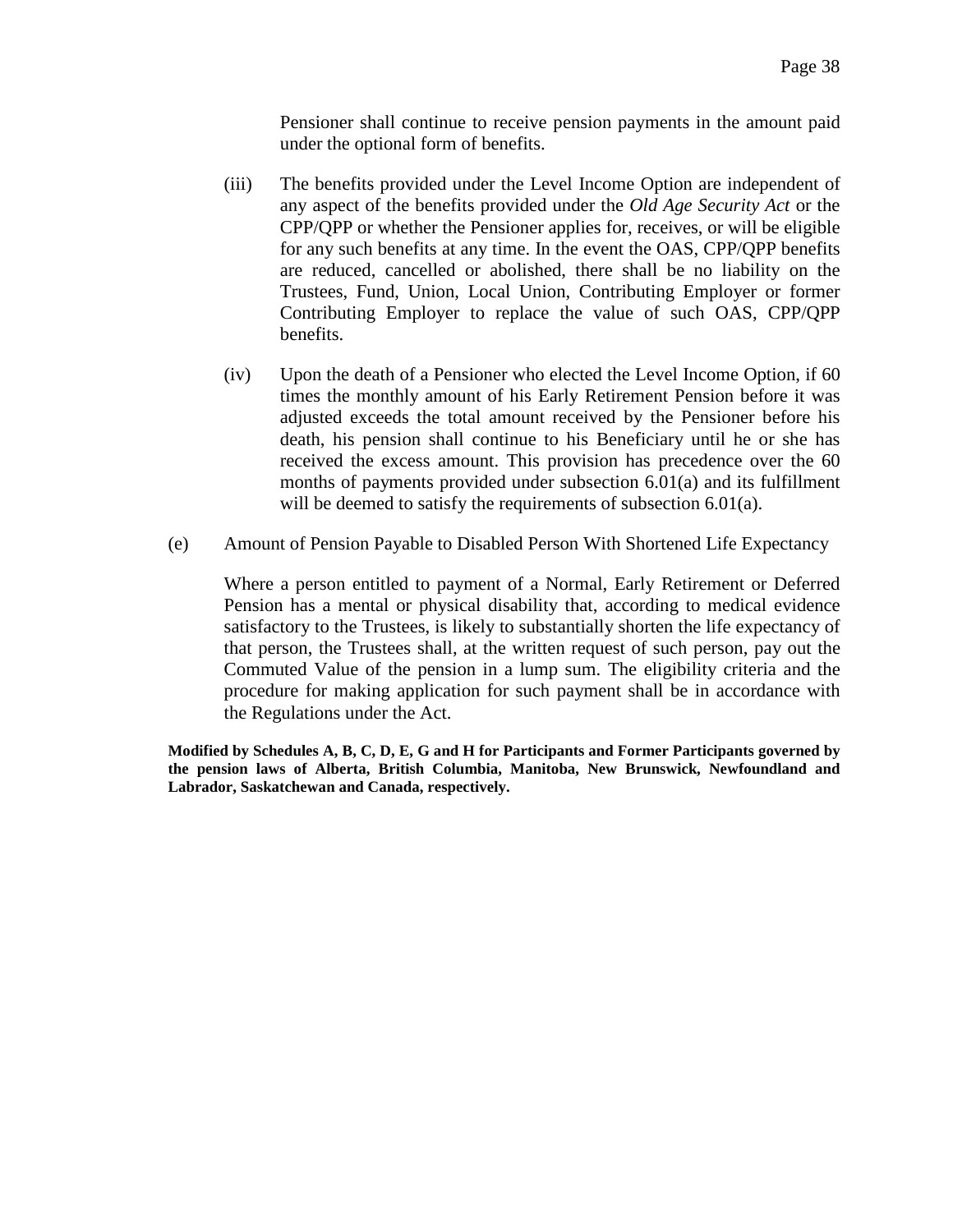Pensioner shall continue to receive pension payments in the amount paid under the optional form of benefits.

- (iii) The benefits provided under the Level Income Option are independent of any aspect of the benefits provided under the *Old Age Security Act* or the CPP/QPP or whether the Pensioner applies for, receives, or will be eligible for any such benefits at any time. In the event the OAS, CPP/QPP benefits are reduced, cancelled or abolished, there shall be no liability on the Trustees, Fund, Union, Local Union, Contributing Employer or former Contributing Employer to replace the value of such OAS, CPP/QPP benefits.
- (iv) Upon the death of a Pensioner who elected the Level Income Option, if 60 times the monthly amount of his Early Retirement Pension before it was adjusted exceeds the total amount received by the Pensioner before his death, his pension shall continue to his Beneficiary until he or she has received the excess amount. This provision has precedence over the 60 months of payments provided under subsection 6.01(a) and its fulfillment will be deemed to satisfy the requirements of subsection 6.01(a).
- (e) Amount of Pension Payable to Disabled Person With Shortened Life Expectancy

Where a person entitled to payment of a Normal, Early Retirement or Deferred Pension has a mental or physical disability that, according to medical evidence satisfactory to the Trustees, is likely to substantially shorten the life expectancy of that person, the Trustees shall, at the written request of such person, pay out the Commuted Value of the pension in a lump sum. The eligibility criteria and the procedure for making application for such payment shall be in accordance with the Regulations under the Act.

**Modified by Schedules A, B, C, D, E, G and H for Participants and Former Participants governed by the pension laws of Alberta, British Columbia, Manitoba, New Brunswick, Newfoundland and Labrador, Saskatchewan and Canada, respectively.**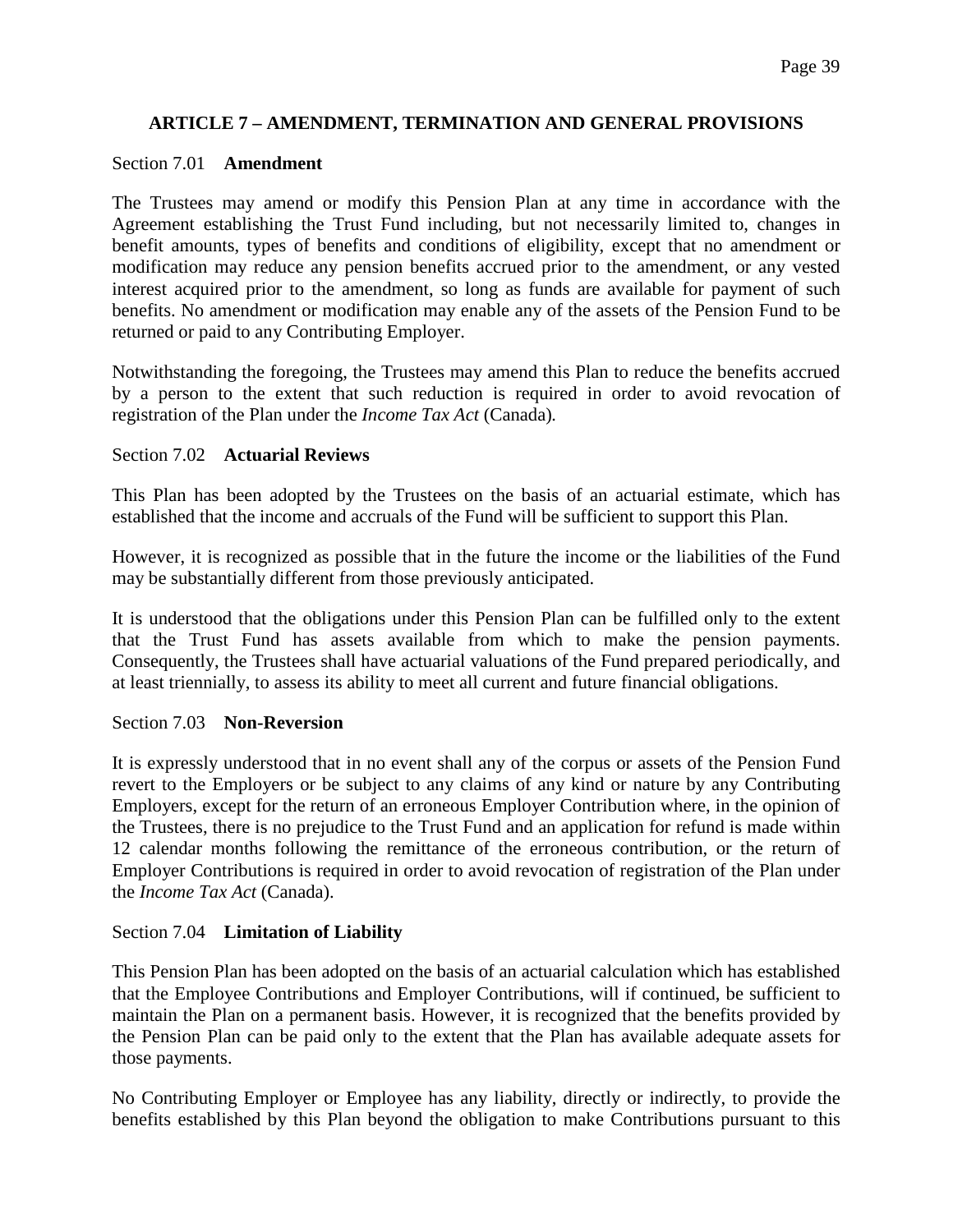## **ARTICLE 7 – AMENDMENT, TERMINATION AND GENERAL PROVISIONS**

#### Section 7.01 **Amendment**

The Trustees may amend or modify this Pension Plan at any time in accordance with the Agreement establishing the Trust Fund including, but not necessarily limited to, changes in benefit amounts, types of benefits and conditions of eligibility, except that no amendment or modification may reduce any pension benefits accrued prior to the amendment, or any vested interest acquired prior to the amendment, so long as funds are available for payment of such benefits. No amendment or modification may enable any of the assets of the Pension Fund to be returned or paid to any Contributing Employer.

Notwithstanding the foregoing, the Trustees may amend this Plan to reduce the benefits accrued by a person to the extent that such reduction is required in order to avoid revocation of registration of the Plan under the *Income Tax Act* (Canada)*.*

#### Section 7.02 **Actuarial Reviews**

This Plan has been adopted by the Trustees on the basis of an actuarial estimate, which has established that the income and accruals of the Fund will be sufficient to support this Plan.

However, it is recognized as possible that in the future the income or the liabilities of the Fund may be substantially different from those previously anticipated.

It is understood that the obligations under this Pension Plan can be fulfilled only to the extent that the Trust Fund has assets available from which to make the pension payments. Consequently, the Trustees shall have actuarial valuations of the Fund prepared periodically, and at least triennially, to assess its ability to meet all current and future financial obligations.

#### Section 7.03 **Non-Reversion**

It is expressly understood that in no event shall any of the corpus or assets of the Pension Fund revert to the Employers or be subject to any claims of any kind or nature by any Contributing Employers, except for the return of an erroneous Employer Contribution where, in the opinion of the Trustees, there is no prejudice to the Trust Fund and an application for refund is made within 12 calendar months following the remittance of the erroneous contribution, or the return of Employer Contributions is required in order to avoid revocation of registration of the Plan under the *Income Tax Act* (Canada).

#### Section 7.04 **Limitation of Liability**

This Pension Plan has been adopted on the basis of an actuarial calculation which has established that the Employee Contributions and Employer Contributions, will if continued, be sufficient to maintain the Plan on a permanent basis. However, it is recognized that the benefits provided by the Pension Plan can be paid only to the extent that the Plan has available adequate assets for those payments.

No Contributing Employer or Employee has any liability, directly or indirectly, to provide the benefits established by this Plan beyond the obligation to make Contributions pursuant to this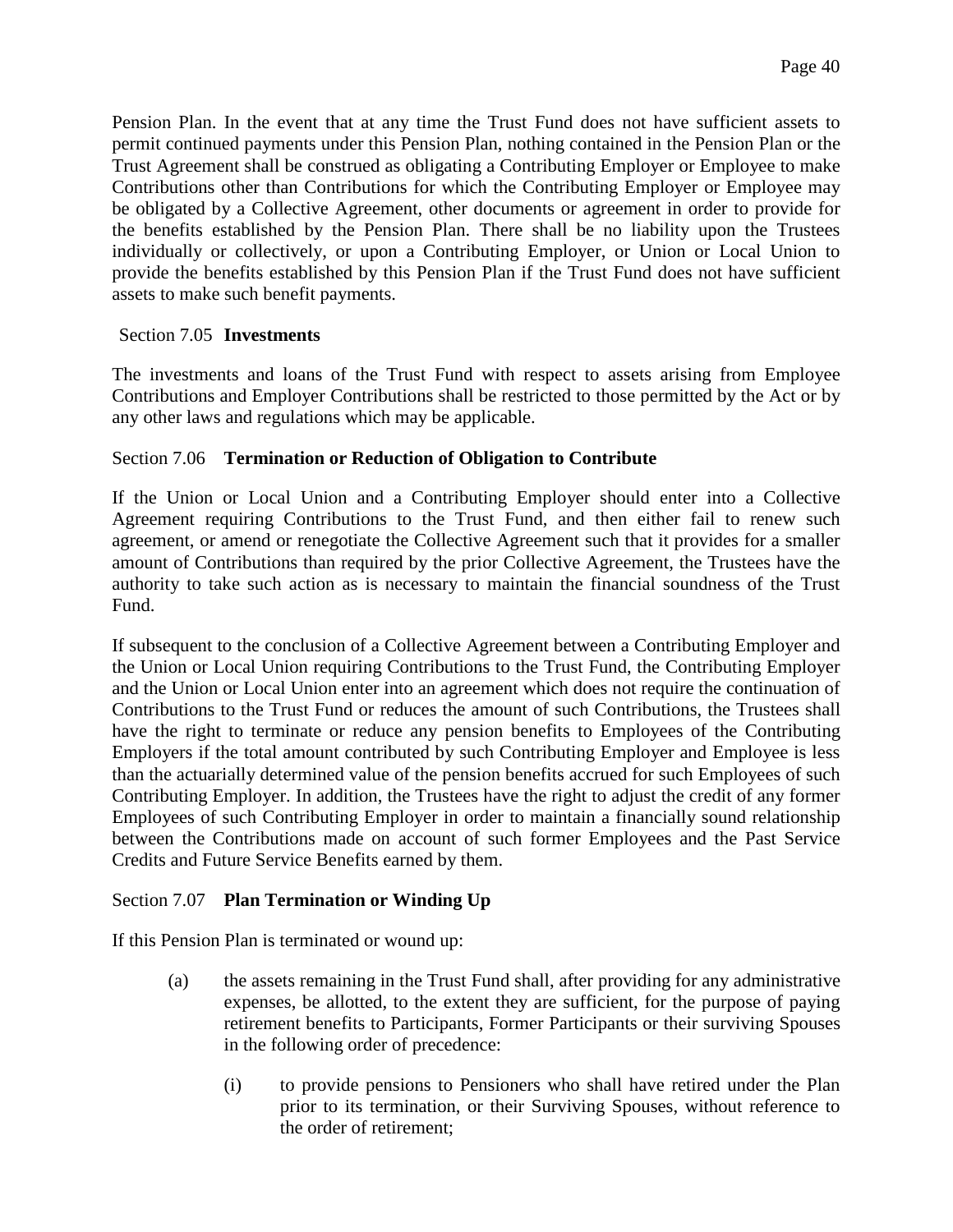Pension Plan. In the event that at any time the Trust Fund does not have sufficient assets to permit continued payments under this Pension Plan, nothing contained in the Pension Plan or the Trust Agreement shall be construed as obligating a Contributing Employer or Employee to make Contributions other than Contributions for which the Contributing Employer or Employee may be obligated by a Collective Agreement, other documents or agreement in order to provide for the benefits established by the Pension Plan. There shall be no liability upon the Trustees individually or collectively, or upon a Contributing Employer, or Union or Local Union to provide the benefits established by this Pension Plan if the Trust Fund does not have sufficient assets to make such benefit payments.

### Section 7.05 **Investments**

The investments and loans of the Trust Fund with respect to assets arising from Employee Contributions and Employer Contributions shall be restricted to those permitted by the Act or by any other laws and regulations which may be applicable.

### Section 7.06 **Termination or Reduction of Obligation to Contribute**

If the Union or Local Union and a Contributing Employer should enter into a Collective Agreement requiring Contributions to the Trust Fund, and then either fail to renew such agreement, or amend or renegotiate the Collective Agreement such that it provides for a smaller amount of Contributions than required by the prior Collective Agreement, the Trustees have the authority to take such action as is necessary to maintain the financial soundness of the Trust Fund.

If subsequent to the conclusion of a Collective Agreement between a Contributing Employer and the Union or Local Union requiring Contributions to the Trust Fund, the Contributing Employer and the Union or Local Union enter into an agreement which does not require the continuation of Contributions to the Trust Fund or reduces the amount of such Contributions, the Trustees shall have the right to terminate or reduce any pension benefits to Employees of the Contributing Employers if the total amount contributed by such Contributing Employer and Employee is less than the actuarially determined value of the pension benefits accrued for such Employees of such Contributing Employer. In addition, the Trustees have the right to adjust the credit of any former Employees of such Contributing Employer in order to maintain a financially sound relationship between the Contributions made on account of such former Employees and the Past Service Credits and Future Service Benefits earned by them.

## Section 7.07 **Plan Termination or Winding Up**

If this Pension Plan is terminated or wound up:

- (a) the assets remaining in the Trust Fund shall, after providing for any administrative expenses, be allotted, to the extent they are sufficient, for the purpose of paying retirement benefits to Participants, Former Participants or their surviving Spouses in the following order of precedence:
	- (i) to provide pensions to Pensioners who shall have retired under the Plan prior to its termination, or their Surviving Spouses, without reference to the order of retirement;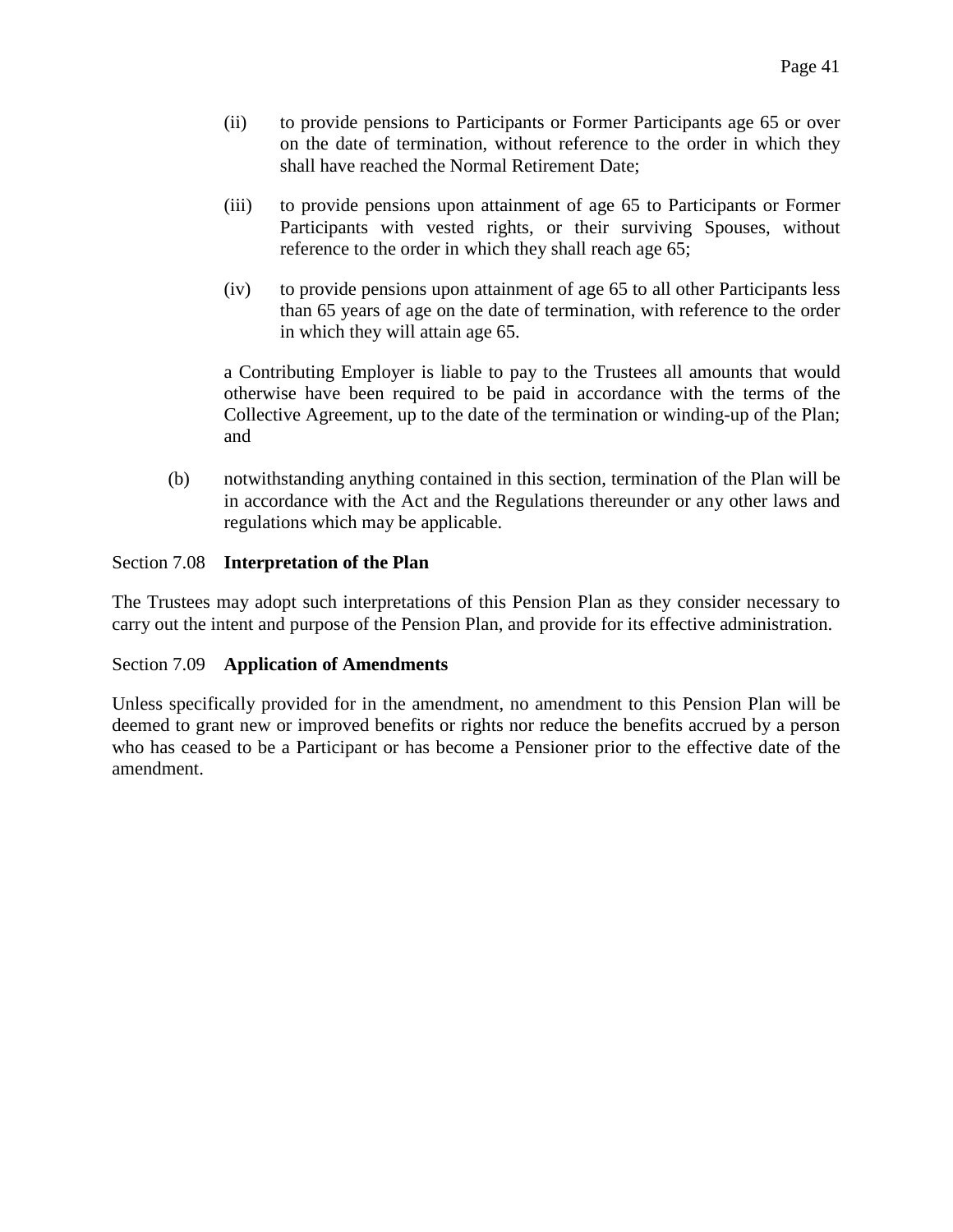- (ii) to provide pensions to Participants or Former Participants age 65 or over on the date of termination, without reference to the order in which they shall have reached the Normal Retirement Date;
- (iii) to provide pensions upon attainment of age 65 to Participants or Former Participants with vested rights, or their surviving Spouses, without reference to the order in which they shall reach age 65;
- (iv) to provide pensions upon attainment of age 65 to all other Participants less than 65 years of age on the date of termination, with reference to the order in which they will attain age 65.

a Contributing Employer is liable to pay to the Trustees all amounts that would otherwise have been required to be paid in accordance with the terms of the Collective Agreement, up to the date of the termination or winding-up of the Plan; and

(b) notwithstanding anything contained in this section, termination of the Plan will be in accordance with the Act and the Regulations thereunder or any other laws and regulations which may be applicable.

## Section 7.08 **Interpretation of the Plan**

The Trustees may adopt such interpretations of this Pension Plan as they consider necessary to carry out the intent and purpose of the Pension Plan, and provide for its effective administration.

#### Section 7.09 **Application of Amendments**

Unless specifically provided for in the amendment, no amendment to this Pension Plan will be deemed to grant new or improved benefits or rights nor reduce the benefits accrued by a person who has ceased to be a Participant or has become a Pensioner prior to the effective date of the amendment.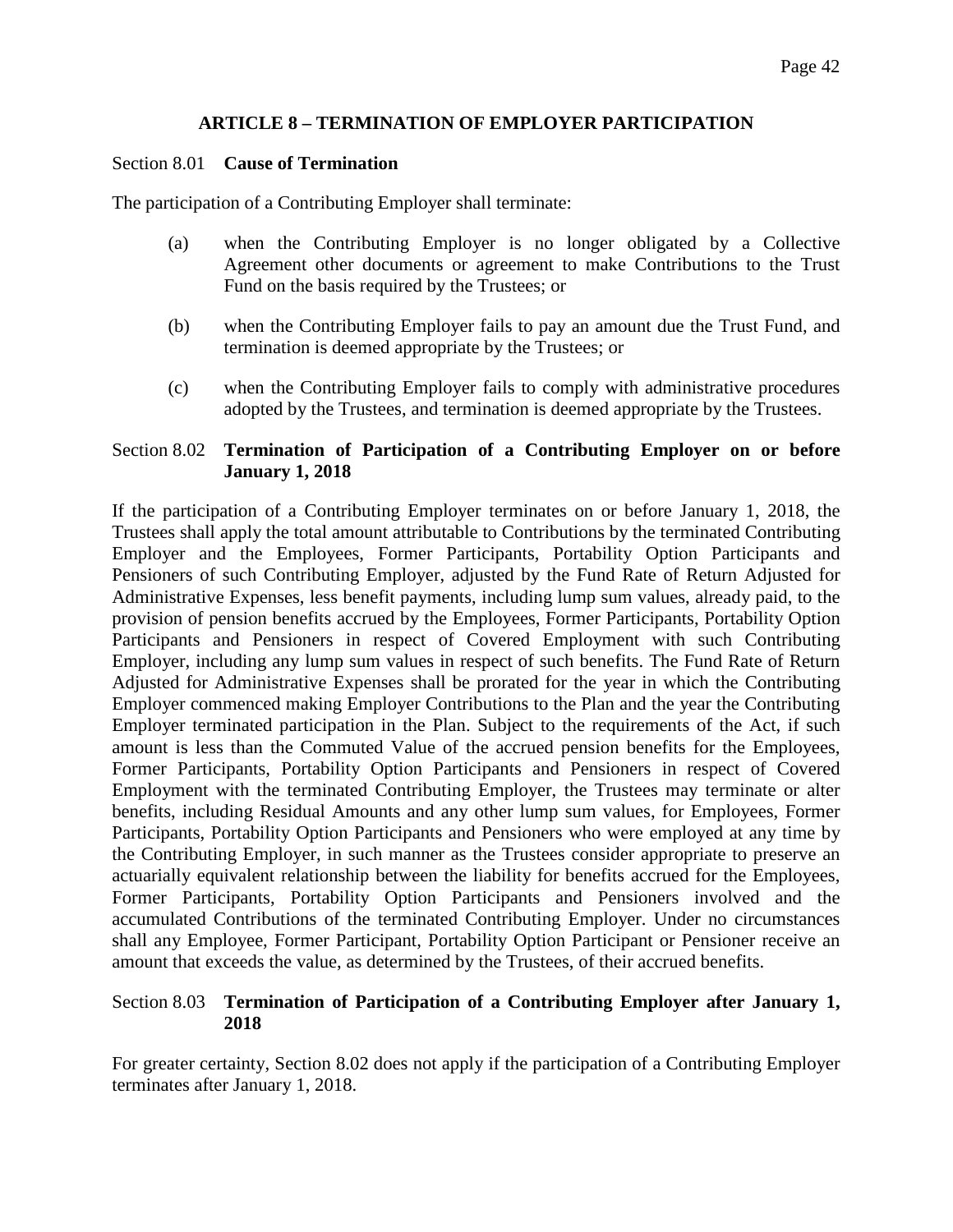### **ARTICLE 8 – TERMINATION OF EMPLOYER PARTICIPATION**

#### Section 8.01 **Cause of Termination**

The participation of a Contributing Employer shall terminate:

- (a) when the Contributing Employer is no longer obligated by a Collective Agreement other documents or agreement to make Contributions to the Trust Fund on the basis required by the Trustees; or
- (b) when the Contributing Employer fails to pay an amount due the Trust Fund, and termination is deemed appropriate by the Trustees; or
- (c) when the Contributing Employer fails to comply with administrative procedures adopted by the Trustees, and termination is deemed appropriate by the Trustees.

### Section 8.02 **Termination of Participation of a Contributing Employer on or before January 1, 2018**

If the participation of a Contributing Employer terminates on or before January 1, 2018, the Trustees shall apply the total amount attributable to Contributions by the terminated Contributing Employer and the Employees, Former Participants, Portability Option Participants and Pensioners of such Contributing Employer, adjusted by the Fund Rate of Return Adjusted for Administrative Expenses, less benefit payments, including lump sum values, already paid, to the provision of pension benefits accrued by the Employees, Former Participants, Portability Option Participants and Pensioners in respect of Covered Employment with such Contributing Employer, including any lump sum values in respect of such benefits. The Fund Rate of Return Adjusted for Administrative Expenses shall be prorated for the year in which the Contributing Employer commenced making Employer Contributions to the Plan and the year the Contributing Employer terminated participation in the Plan. Subject to the requirements of the Act, if such amount is less than the Commuted Value of the accrued pension benefits for the Employees, Former Participants, Portability Option Participants and Pensioners in respect of Covered Employment with the terminated Contributing Employer, the Trustees may terminate or alter benefits, including Residual Amounts and any other lump sum values, for Employees, Former Participants, Portability Option Participants and Pensioners who were employed at any time by the Contributing Employer, in such manner as the Trustees consider appropriate to preserve an actuarially equivalent relationship between the liability for benefits accrued for the Employees, Former Participants, Portability Option Participants and Pensioners involved and the accumulated Contributions of the terminated Contributing Employer. Under no circumstances shall any Employee, Former Participant, Portability Option Participant or Pensioner receive an amount that exceeds the value, as determined by the Trustees, of their accrued benefits.

### Section 8.03 **Termination of Participation of a Contributing Employer after January 1, 2018**

For greater certainty, Section 8.02 does not apply if the participation of a Contributing Employer terminates after January 1, 2018.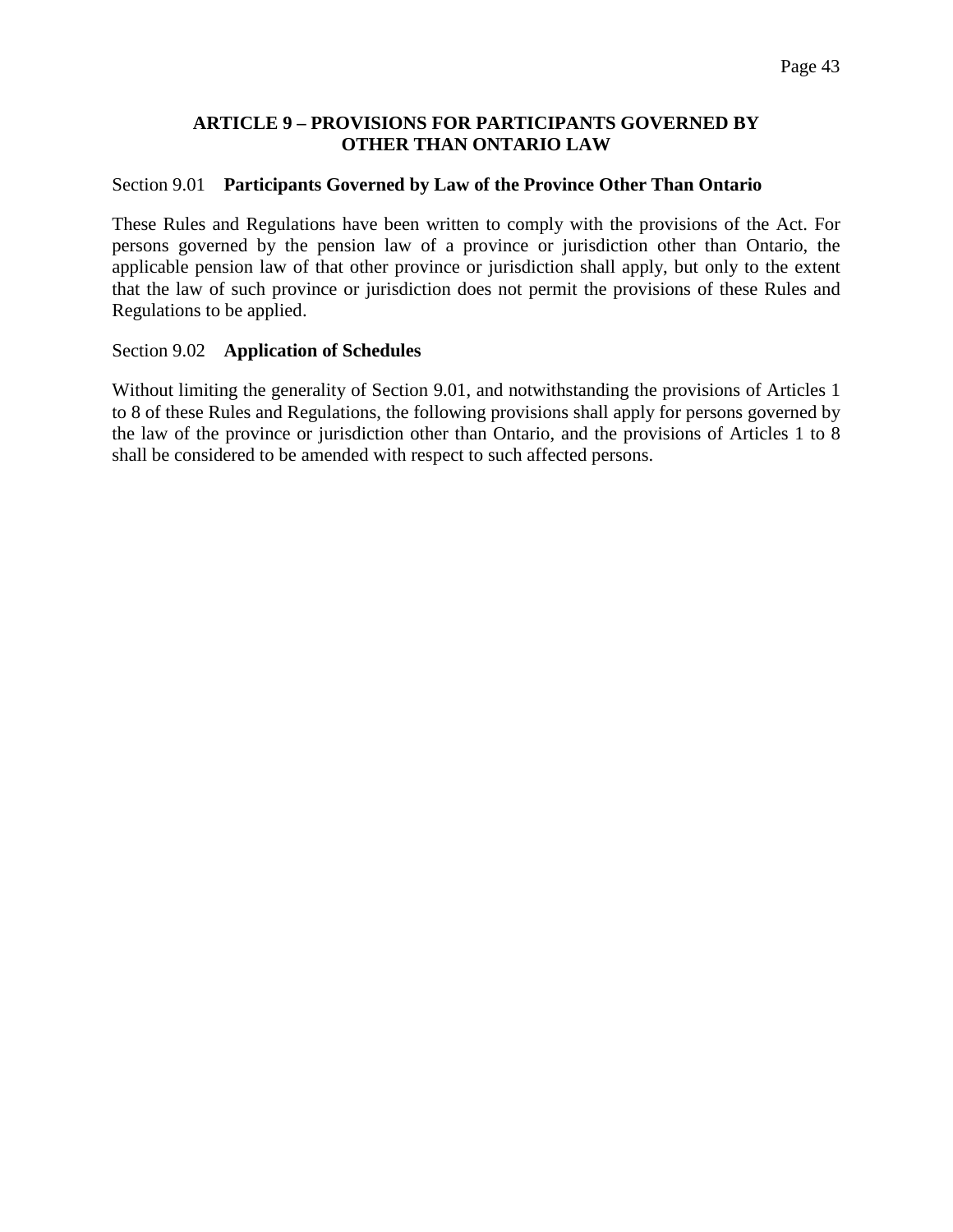### **ARTICLE 9 – PROVISIONS FOR PARTICIPANTS GOVERNED BY OTHER THAN ONTARIO LAW**

### Section 9.01 **Participants Governed by Law of the Province Other Than Ontario**

These Rules and Regulations have been written to comply with the provisions of the Act. For persons governed by the pension law of a province or jurisdiction other than Ontario, the applicable pension law of that other province or jurisdiction shall apply, but only to the extent that the law of such province or jurisdiction does not permit the provisions of these Rules and Regulations to be applied.

### Section 9.02 **Application of Schedules**

Without limiting the generality of Section 9.01, and notwithstanding the provisions of Articles 1 to 8 of these Rules and Regulations, the following provisions shall apply for persons governed by the law of the province or jurisdiction other than Ontario, and the provisions of Articles 1 to 8 shall be considered to be amended with respect to such affected persons.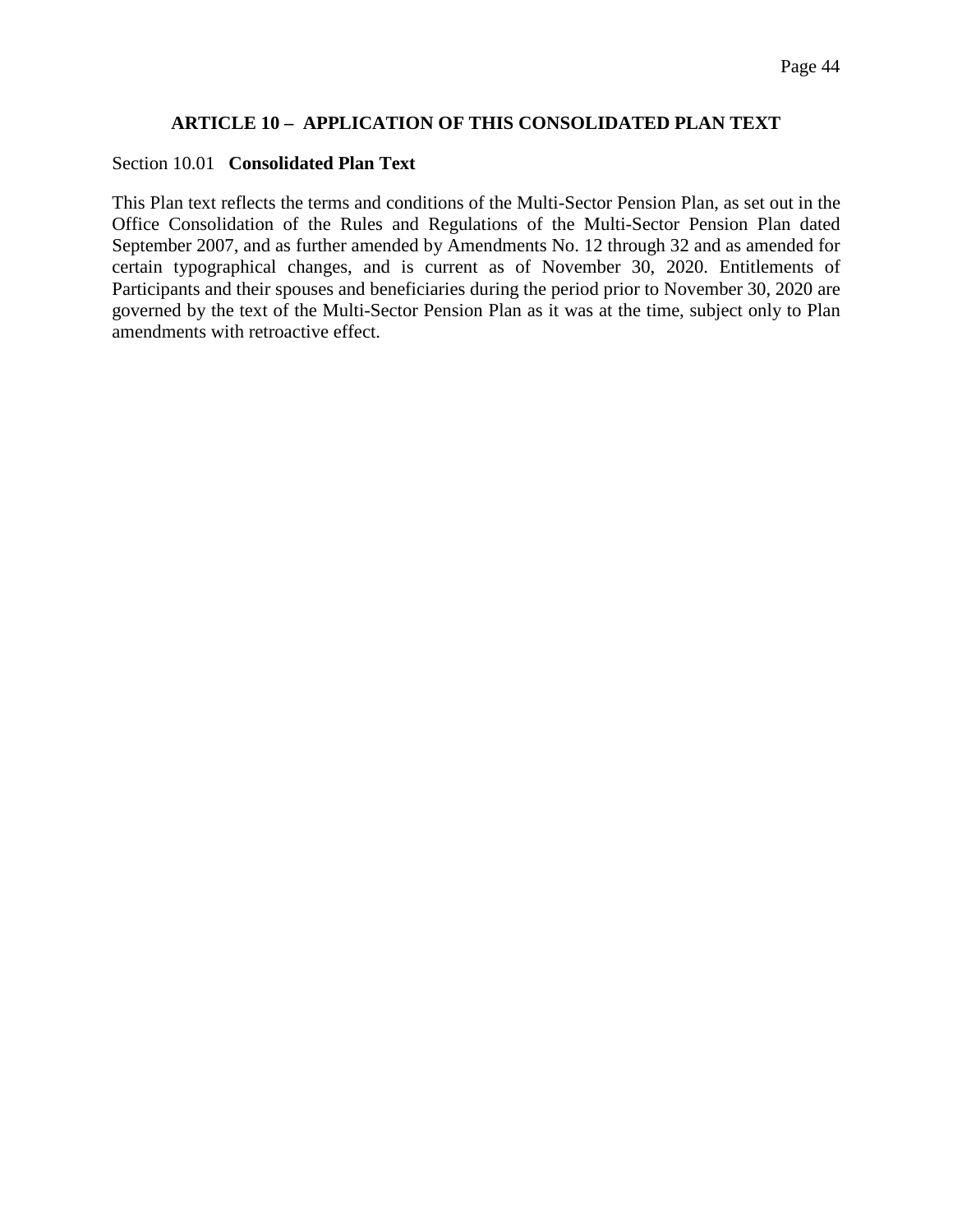## **ARTICLE 10 – APPLICATION OF THIS CONSOLIDATED PLAN TEXT**

#### Section 10.01 **Consolidated Plan Text**

This Plan text reflects the terms and conditions of the Multi-Sector Pension Plan, as set out in the Office Consolidation of the Rules and Regulations of the Multi-Sector Pension Plan dated September 2007, and as further amended by Amendments No. 12 through 32 and as amended for certain typographical changes, and is current as of November 30, 2020. Entitlements of Participants and their spouses and beneficiaries during the period prior to November 30, 2020 are governed by the text of the Multi-Sector Pension Plan as it was at the time, subject only to Plan amendments with retroactive effect.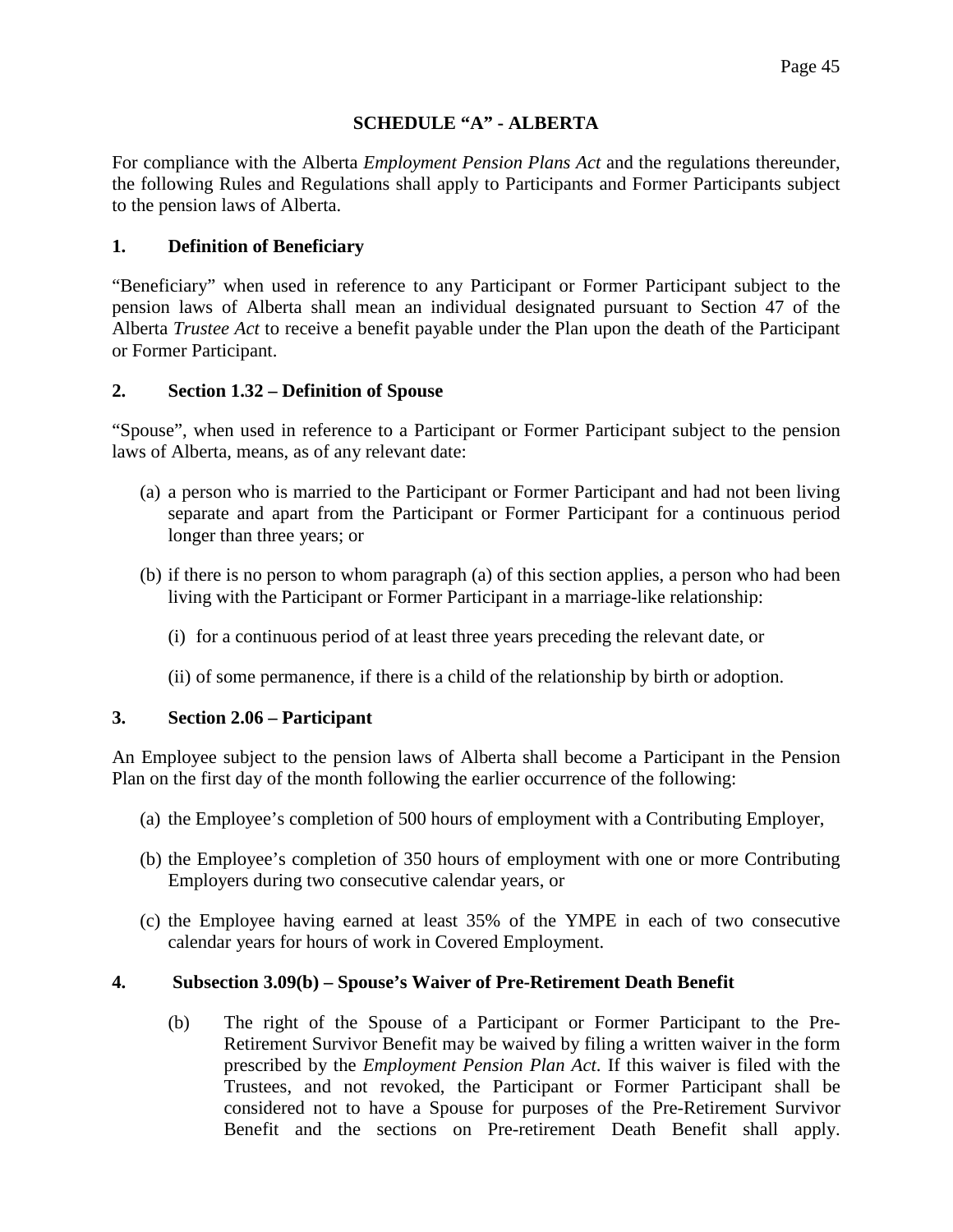## **SCHEDULE "A" - ALBERTA**

For compliance with the Alberta *Employment Pension Plans Act* and the regulations thereunder, the following Rules and Regulations shall apply to Participants and Former Participants subject to the pension laws of Alberta.

### **1. Definition of Beneficiary**

"Beneficiary" when used in reference to any Participant or Former Participant subject to the pension laws of Alberta shall mean an individual designated pursuant to Section 47 of the Alberta *Trustee Act* to receive a benefit payable under the Plan upon the death of the Participant or Former Participant.

### **2. Section 1.32 – Definition of Spouse**

"Spouse", when used in reference to a Participant or Former Participant subject to the pension laws of Alberta, means, as of any relevant date:

- (a) a person who is married to the Participant or Former Participant and had not been living separate and apart from the Participant or Former Participant for a continuous period longer than three years; or
- (b) if there is no person to whom paragraph (a) of this section applies, a person who had been living with the Participant or Former Participant in a marriage-like relationship:
	- (i) for a continuous period of at least three years preceding the relevant date, or
	- (ii) of some permanence, if there is a child of the relationship by birth or adoption.

#### **3. Section 2.06 – Participant**

An Employee subject to the pension laws of Alberta shall become a Participant in the Pension Plan on the first day of the month following the earlier occurrence of the following:

- (a) the Employee's completion of 500 hours of employment with a Contributing Employer,
- (b) the Employee's completion of 350 hours of employment with one or more Contributing Employers during two consecutive calendar years, or
- (c) the Employee having earned at least 35% of the YMPE in each of two consecutive calendar years for hours of work in Covered Employment.

#### **4. Subsection 3.09(b) – Spouse's Waiver of Pre-Retirement Death Benefit**

(b) The right of the Spouse of a Participant or Former Participant to the Pre-Retirement Survivor Benefit may be waived by filing a written waiver in the form prescribed by the *Employment Pension Plan Act*. If this waiver is filed with the Trustees, and not revoked, the Participant or Former Participant shall be considered not to have a Spouse for purposes of the Pre-Retirement Survivor Benefit and the sections on Pre-retirement Death Benefit shall apply.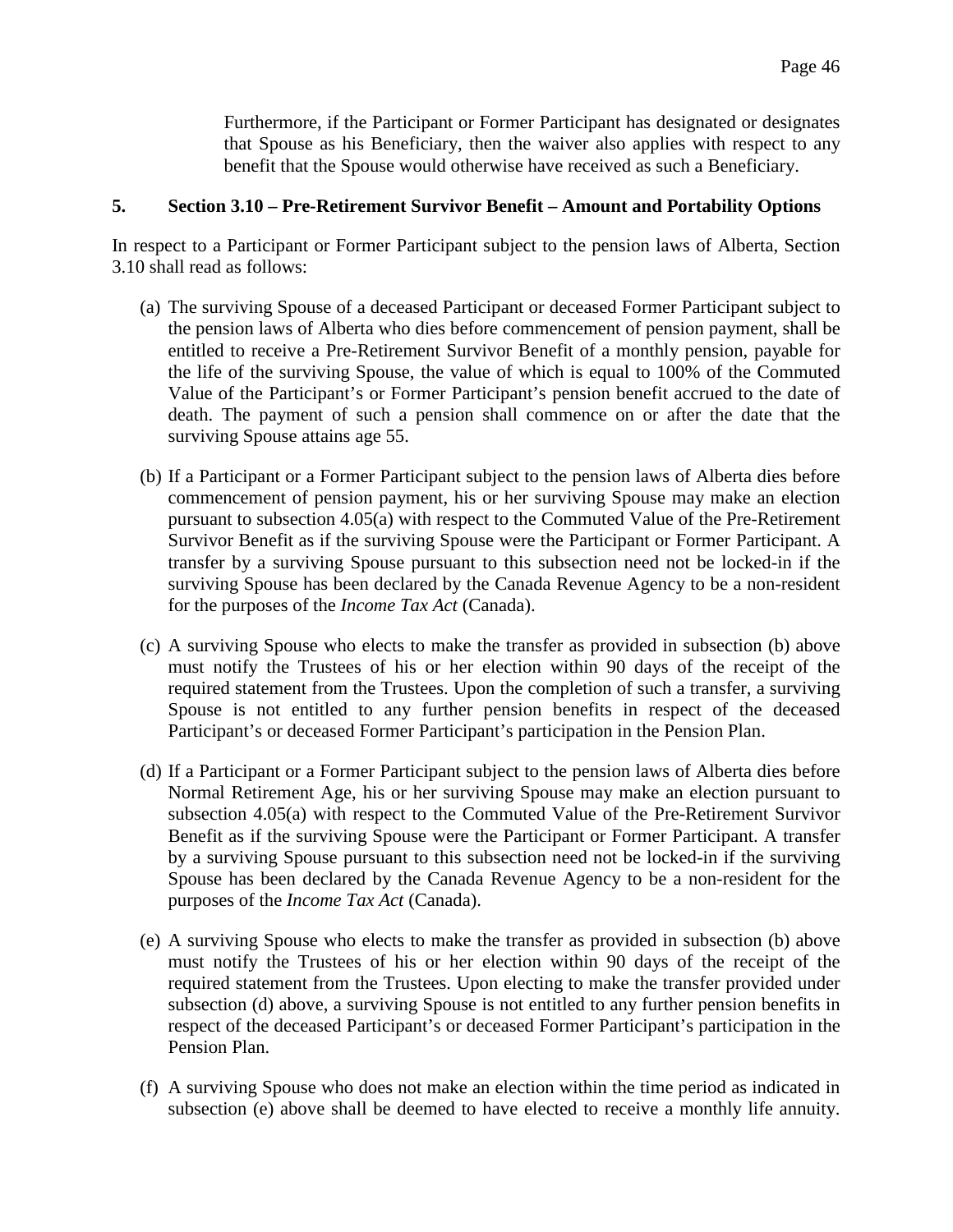Furthermore, if the Participant or Former Participant has designated or designates that Spouse as his Beneficiary, then the waiver also applies with respect to any benefit that the Spouse would otherwise have received as such a Beneficiary.

### **5. Section 3.10 – Pre-Retirement Survivor Benefit – Amount and Portability Options**

In respect to a Participant or Former Participant subject to the pension laws of Alberta, Section 3.10 shall read as follows:

- (a) The surviving Spouse of a deceased Participant or deceased Former Participant subject to the pension laws of Alberta who dies before commencement of pension payment, shall be entitled to receive a Pre-Retirement Survivor Benefit of a monthly pension, payable for the life of the surviving Spouse, the value of which is equal to 100% of the Commuted Value of the Participant's or Former Participant's pension benefit accrued to the date of death. The payment of such a pension shall commence on or after the date that the surviving Spouse attains age 55.
- (b) If a Participant or a Former Participant subject to the pension laws of Alberta dies before commencement of pension payment, his or her surviving Spouse may make an election pursuant to subsection 4.05(a) with respect to the Commuted Value of the Pre-Retirement Survivor Benefit as if the surviving Spouse were the Participant or Former Participant. A transfer by a surviving Spouse pursuant to this subsection need not be locked-in if the surviving Spouse has been declared by the Canada Revenue Agency to be a non-resident for the purposes of the *Income Tax Act* (Canada).
- (c) A surviving Spouse who elects to make the transfer as provided in subsection (b) above must notify the Trustees of his or her election within 90 days of the receipt of the required statement from the Trustees. Upon the completion of such a transfer, a surviving Spouse is not entitled to any further pension benefits in respect of the deceased Participant's or deceased Former Participant's participation in the Pension Plan.
- (d) If a Participant or a Former Participant subject to the pension laws of Alberta dies before Normal Retirement Age, his or her surviving Spouse may make an election pursuant to subsection 4.05(a) with respect to the Commuted Value of the Pre-Retirement Survivor Benefit as if the surviving Spouse were the Participant or Former Participant. A transfer by a surviving Spouse pursuant to this subsection need not be locked-in if the surviving Spouse has been declared by the Canada Revenue Agency to be a non-resident for the purposes of the *Income Tax Act* (Canada).
- (e) A surviving Spouse who elects to make the transfer as provided in subsection (b) above must notify the Trustees of his or her election within 90 days of the receipt of the required statement from the Trustees. Upon electing to make the transfer provided under subsection (d) above, a surviving Spouse is not entitled to any further pension benefits in respect of the deceased Participant's or deceased Former Participant's participation in the Pension Plan.
- (f) A surviving Spouse who does not make an election within the time period as indicated in subsection (e) above shall be deemed to have elected to receive a monthly life annuity.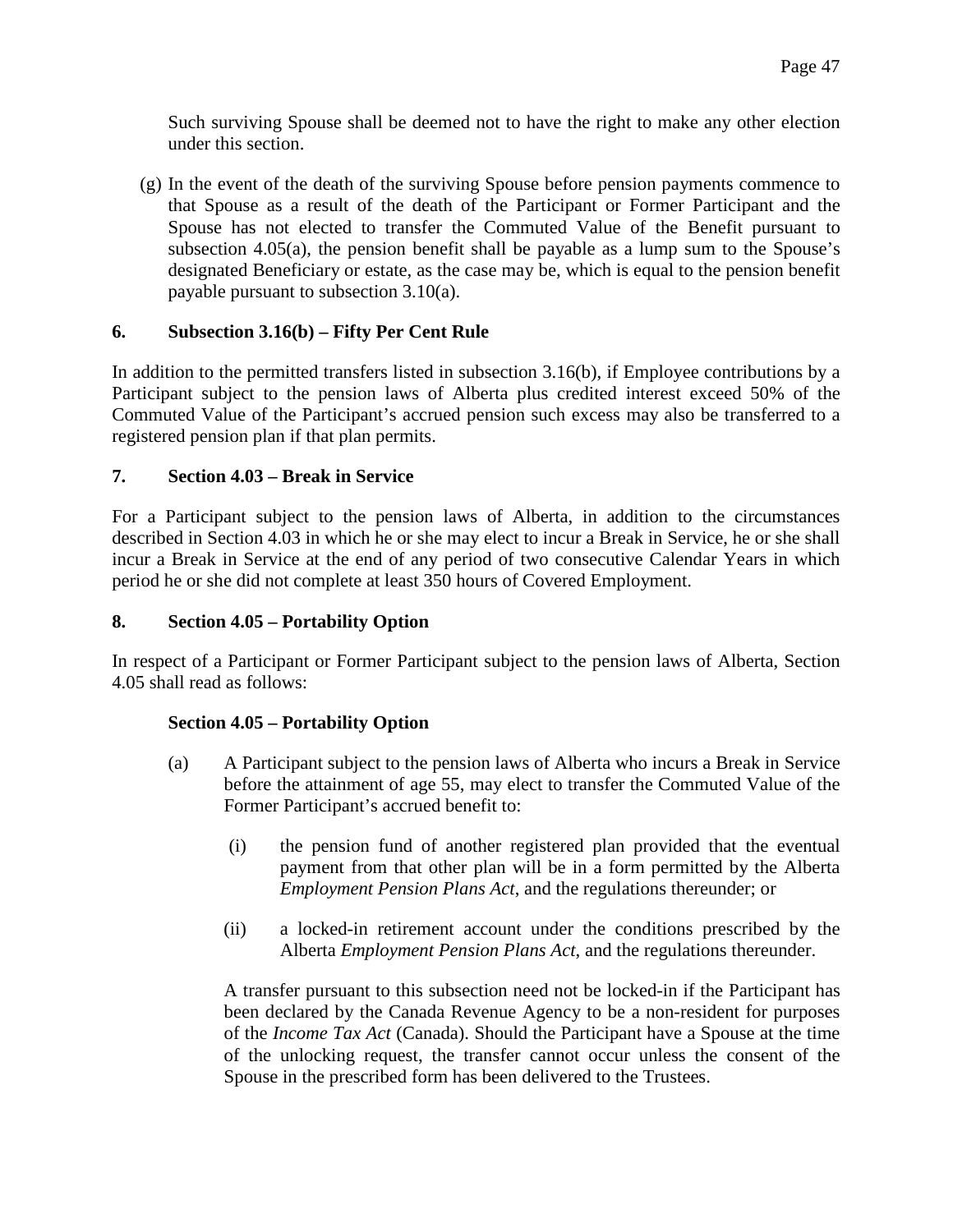Such surviving Spouse shall be deemed not to have the right to make any other election under this section.

(g) In the event of the death of the surviving Spouse before pension payments commence to that Spouse as a result of the death of the Participant or Former Participant and the Spouse has not elected to transfer the Commuted Value of the Benefit pursuant to subsection 4.05(a), the pension benefit shall be payable as a lump sum to the Spouse's designated Beneficiary or estate, as the case may be, which is equal to the pension benefit payable pursuant to subsection 3.10(a).

## **6. Subsection 3.16(b) – Fifty Per Cent Rule**

In addition to the permitted transfers listed in subsection 3.16(b), if Employee contributions by a Participant subject to the pension laws of Alberta plus credited interest exceed 50% of the Commuted Value of the Participant's accrued pension such excess may also be transferred to a registered pension plan if that plan permits.

### **7. Section 4.03 – Break in Service**

For a Participant subject to the pension laws of Alberta, in addition to the circumstances described in Section 4.03 in which he or she may elect to incur a Break in Service, he or she shall incur a Break in Service at the end of any period of two consecutive Calendar Years in which period he or she did not complete at least 350 hours of Covered Employment.

#### **8. Section 4.05 – Portability Option**

In respect of a Participant or Former Participant subject to the pension laws of Alberta, Section 4.05 shall read as follows:

## **Section 4.05 – Portability Option**

- (a) A Participant subject to the pension laws of Alberta who incurs a Break in Service before the attainment of age 55, may elect to transfer the Commuted Value of the Former Participant's accrued benefit to:
	- (i) the pension fund of another registered plan provided that the eventual payment from that other plan will be in a form permitted by the Alberta *Employment Pension Plans Act*, and the regulations thereunder; or
	- (ii) a locked-in retirement account under the conditions prescribed by the Alberta *Employment Pension Plans Act*, and the regulations thereunder.

A transfer pursuant to this subsection need not be locked-in if the Participant has been declared by the Canada Revenue Agency to be a non-resident for purposes of the *Income Tax Act* (Canada). Should the Participant have a Spouse at the time of the unlocking request, the transfer cannot occur unless the consent of the Spouse in the prescribed form has been delivered to the Trustees.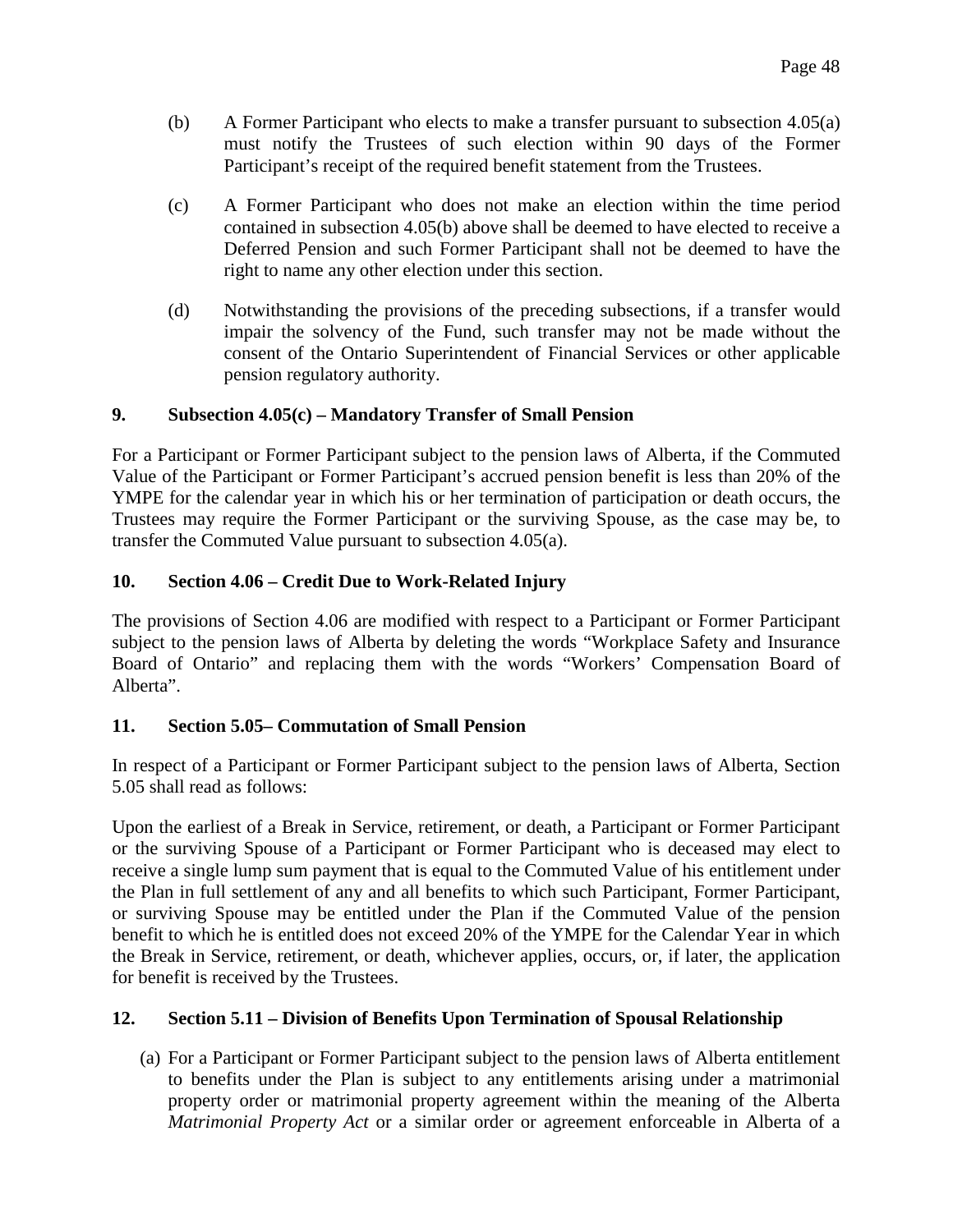- (b) A Former Participant who elects to make a transfer pursuant to subsection 4.05(a) must notify the Trustees of such election within 90 days of the Former Participant's receipt of the required benefit statement from the Trustees.
- (c) A Former Participant who does not make an election within the time period contained in subsection 4.05(b) above shall be deemed to have elected to receive a Deferred Pension and such Former Participant shall not be deemed to have the right to name any other election under this section.
- (d) Notwithstanding the provisions of the preceding subsections, if a transfer would impair the solvency of the Fund, such transfer may not be made without the consent of the Ontario Superintendent of Financial Services or other applicable pension regulatory authority.

### **9. Subsection 4.05(c) – Mandatory Transfer of Small Pension**

For a Participant or Former Participant subject to the pension laws of Alberta, if the Commuted Value of the Participant or Former Participant's accrued pension benefit is less than 20% of the YMPE for the calendar year in which his or her termination of participation or death occurs, the Trustees may require the Former Participant or the surviving Spouse, as the case may be, to transfer the Commuted Value pursuant to subsection 4.05(a).

### **10. Section 4.06 – Credit Due to Work-Related Injury**

The provisions of Section 4.06 are modified with respect to a Participant or Former Participant subject to the pension laws of Alberta by deleting the words "Workplace Safety and Insurance Board of Ontario" and replacing them with the words "Workers' Compensation Board of Alberta".

#### **11. Section 5.05– Commutation of Small Pension**

In respect of a Participant or Former Participant subject to the pension laws of Alberta, Section 5.05 shall read as follows:

Upon the earliest of a Break in Service, retirement, or death, a Participant or Former Participant or the surviving Spouse of a Participant or Former Participant who is deceased may elect to receive a single lump sum payment that is equal to the Commuted Value of his entitlement under the Plan in full settlement of any and all benefits to which such Participant, Former Participant, or surviving Spouse may be entitled under the Plan if the Commuted Value of the pension benefit to which he is entitled does not exceed 20% of the YMPE for the Calendar Year in which the Break in Service, retirement, or death, whichever applies, occurs, or, if later, the application for benefit is received by the Trustees.

#### **12. Section 5.11 – Division of Benefits Upon Termination of Spousal Relationship**

(a) For a Participant or Former Participant subject to the pension laws of Alberta entitlement to benefits under the Plan is subject to any entitlements arising under a matrimonial property order or matrimonial property agreement within the meaning of the Alberta *Matrimonial Property Act* or a similar order or agreement enforceable in Alberta of a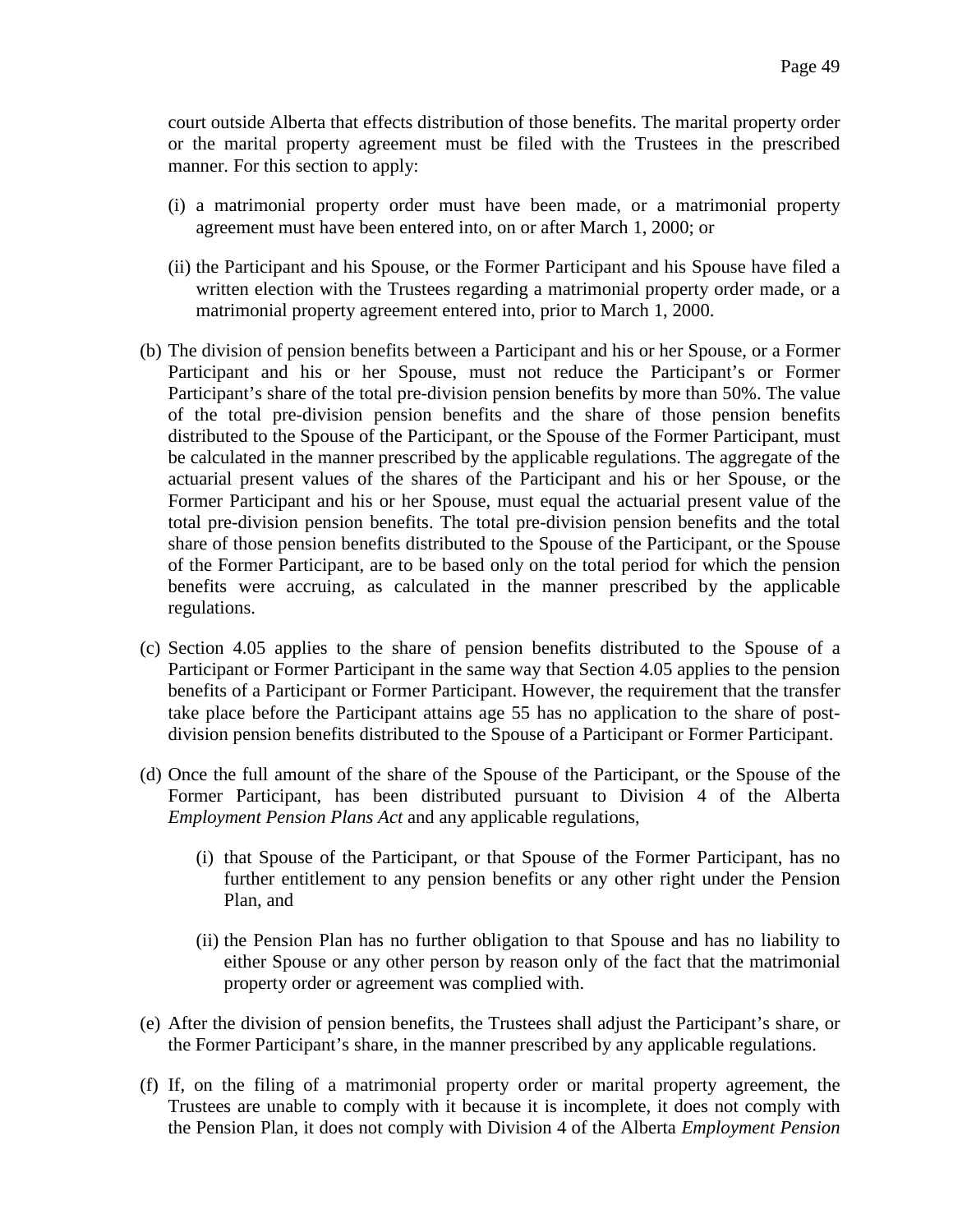court outside Alberta that effects distribution of those benefits. The marital property order or the marital property agreement must be filed with the Trustees in the prescribed manner. For this section to apply:

- (i) a matrimonial property order must have been made, or a matrimonial property agreement must have been entered into, on or after March 1, 2000; or
- (ii) the Participant and his Spouse, or the Former Participant and his Spouse have filed a written election with the Trustees regarding a matrimonial property order made, or a matrimonial property agreement entered into, prior to March 1, 2000.
- (b) The division of pension benefits between a Participant and his or her Spouse, or a Former Participant and his or her Spouse, must not reduce the Participant's or Former Participant's share of the total pre-division pension benefits by more than 50%. The value of the total pre-division pension benefits and the share of those pension benefits distributed to the Spouse of the Participant, or the Spouse of the Former Participant, must be calculated in the manner prescribed by the applicable regulations. The aggregate of the actuarial present values of the shares of the Participant and his or her Spouse, or the Former Participant and his or her Spouse, must equal the actuarial present value of the total pre-division pension benefits. The total pre-division pension benefits and the total share of those pension benefits distributed to the Spouse of the Participant, or the Spouse of the Former Participant, are to be based only on the total period for which the pension benefits were accruing, as calculated in the manner prescribed by the applicable regulations.
- (c) Section 4.05 applies to the share of pension benefits distributed to the Spouse of a Participant or Former Participant in the same way that Section 4.05 applies to the pension benefits of a Participant or Former Participant. However, the requirement that the transfer take place before the Participant attains age 55 has no application to the share of postdivision pension benefits distributed to the Spouse of a Participant or Former Participant.
- (d) Once the full amount of the share of the Spouse of the Participant, or the Spouse of the Former Participant, has been distributed pursuant to Division 4 of the Alberta *Employment Pension Plans Act* and any applicable regulations,
	- (i) that Spouse of the Participant, or that Spouse of the Former Participant, has no further entitlement to any pension benefits or any other right under the Pension Plan, and
	- (ii) the Pension Plan has no further obligation to that Spouse and has no liability to either Spouse or any other person by reason only of the fact that the matrimonial property order or agreement was complied with.
- (e) After the division of pension benefits, the Trustees shall adjust the Participant's share, or the Former Participant's share, in the manner prescribed by any applicable regulations.
- (f) If, on the filing of a matrimonial property order or marital property agreement, the Trustees are unable to comply with it because it is incomplete, it does not comply with the Pension Plan, it does not comply with Division 4 of the Alberta *Employment Pension*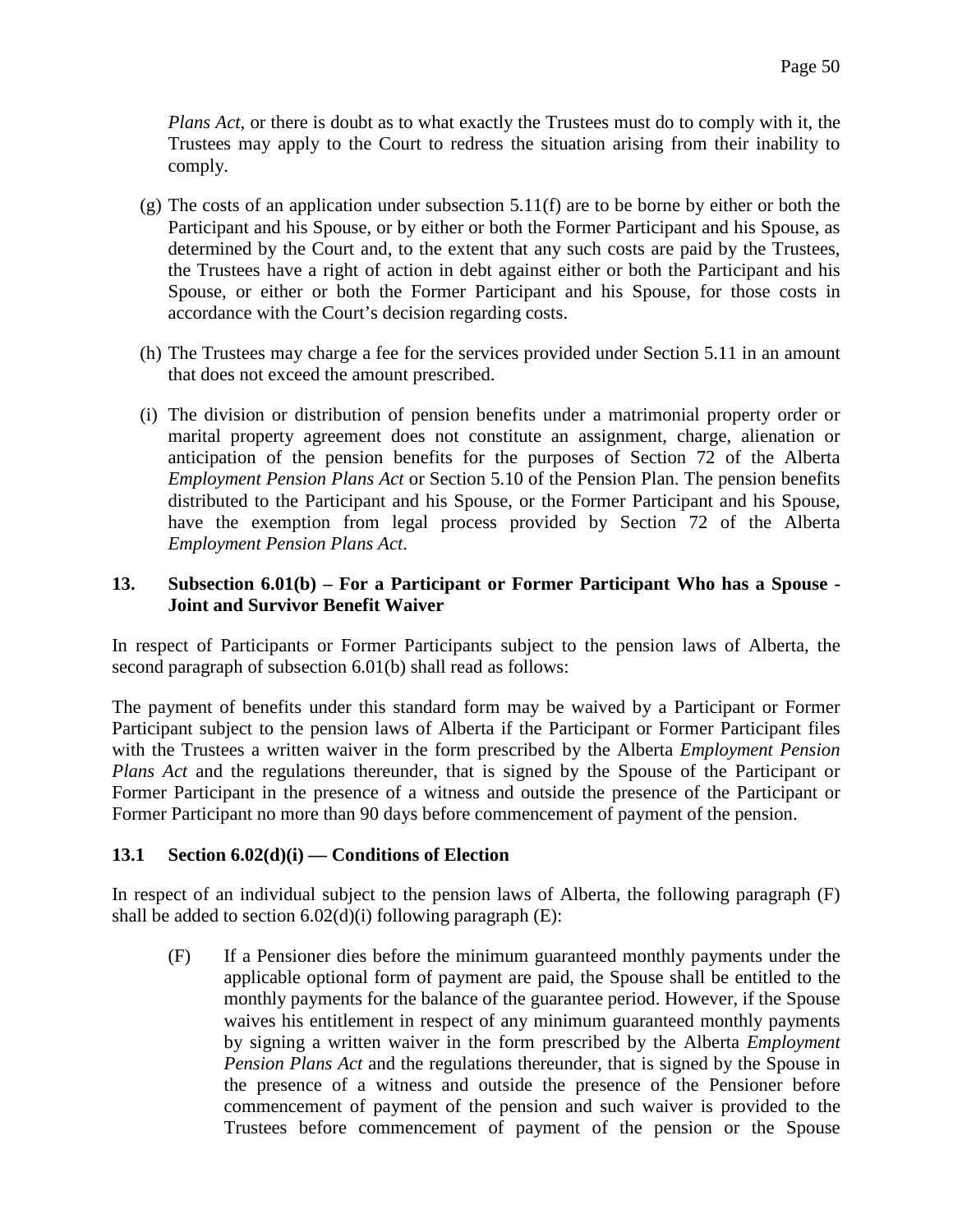*Plans Act*, or there is doubt as to what exactly the Trustees must do to comply with it, the Trustees may apply to the Court to redress the situation arising from their inability to comply.

- $(g)$  The costs of an application under subsection 5.11(f) are to be borne by either or both the Participant and his Spouse, or by either or both the Former Participant and his Spouse, as determined by the Court and, to the extent that any such costs are paid by the Trustees, the Trustees have a right of action in debt against either or both the Participant and his Spouse, or either or both the Former Participant and his Spouse, for those costs in accordance with the Court's decision regarding costs.
- (h) The Trustees may charge a fee for the services provided under Section 5.11 in an amount that does not exceed the amount prescribed.
- (i) The division or distribution of pension benefits under a matrimonial property order or marital property agreement does not constitute an assignment, charge, alienation or anticipation of the pension benefits for the purposes of Section 72 of the Alberta *Employment Pension Plans Act* or Section 5.10 of the Pension Plan. The pension benefits distributed to the Participant and his Spouse, or the Former Participant and his Spouse, have the exemption from legal process provided by Section 72 of the Alberta *Employment Pension Plans Act*.

### **13. Subsection 6.01(b) – For a Participant or Former Participant Who has a Spouse - Joint and Survivor Benefit Waiver**

In respect of Participants or Former Participants subject to the pension laws of Alberta, the second paragraph of subsection 6.01(b) shall read as follows:

The payment of benefits under this standard form may be waived by a Participant or Former Participant subject to the pension laws of Alberta if the Participant or Former Participant files with the Trustees a written waiver in the form prescribed by the Alberta *Employment Pension Plans Act* and the regulations thereunder, that is signed by the Spouse of the Participant or Former Participant in the presence of a witness and outside the presence of the Participant or Former Participant no more than 90 days before commencement of payment of the pension.

## **13.1 Section 6.02(d)(i) — Conditions of Election**

In respect of an individual subject to the pension laws of Alberta, the following paragraph (F) shall be added to section  $6.02(d)(i)$  following paragraph (E):

(F) If a Pensioner dies before the minimum guaranteed monthly payments under the applicable optional form of payment are paid, the Spouse shall be entitled to the monthly payments for the balance of the guarantee period. However, if the Spouse waives his entitlement in respect of any minimum guaranteed monthly payments by signing a written waiver in the form prescribed by the Alberta *Employment Pension Plans Act* and the regulations thereunder, that is signed by the Spouse in the presence of a witness and outside the presence of the Pensioner before commencement of payment of the pension and such waiver is provided to the Trustees before commencement of payment of the pension or the Spouse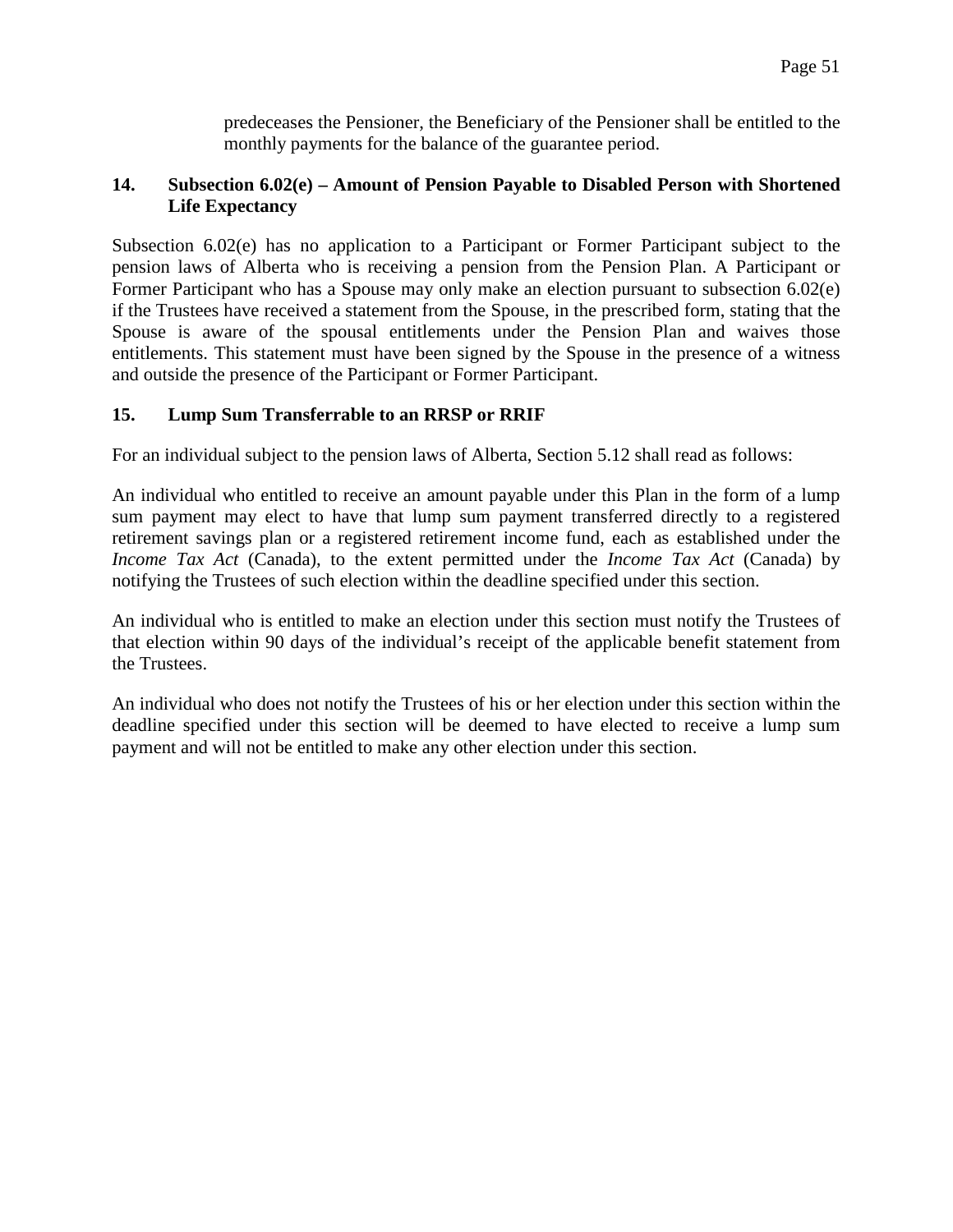predeceases the Pensioner, the Beneficiary of the Pensioner shall be entitled to the monthly payments for the balance of the guarantee period.

## **14. Subsection 6.02(e) – Amount of Pension Payable to Disabled Person with Shortened Life Expectancy**

Subsection 6.02(e) has no application to a Participant or Former Participant subject to the pension laws of Alberta who is receiving a pension from the Pension Plan. A Participant or Former Participant who has a Spouse may only make an election pursuant to subsection 6.02(e) if the Trustees have received a statement from the Spouse, in the prescribed form, stating that the Spouse is aware of the spousal entitlements under the Pension Plan and waives those entitlements. This statement must have been signed by the Spouse in the presence of a witness and outside the presence of the Participant or Former Participant.

## **15. Lump Sum Transferrable to an RRSP or RRIF**

For an individual subject to the pension laws of Alberta, Section 5.12 shall read as follows:

An individual who entitled to receive an amount payable under this Plan in the form of a lump sum payment may elect to have that lump sum payment transferred directly to a registered retirement savings plan or a registered retirement income fund, each as established under the *Income Tax Act* (Canada), to the extent permitted under the *Income Tax Act* (Canada) by notifying the Trustees of such election within the deadline specified under this section.

An individual who is entitled to make an election under this section must notify the Trustees of that election within 90 days of the individual's receipt of the applicable benefit statement from the Trustees.

An individual who does not notify the Trustees of his or her election under this section within the deadline specified under this section will be deemed to have elected to receive a lump sum payment and will not be entitled to make any other election under this section.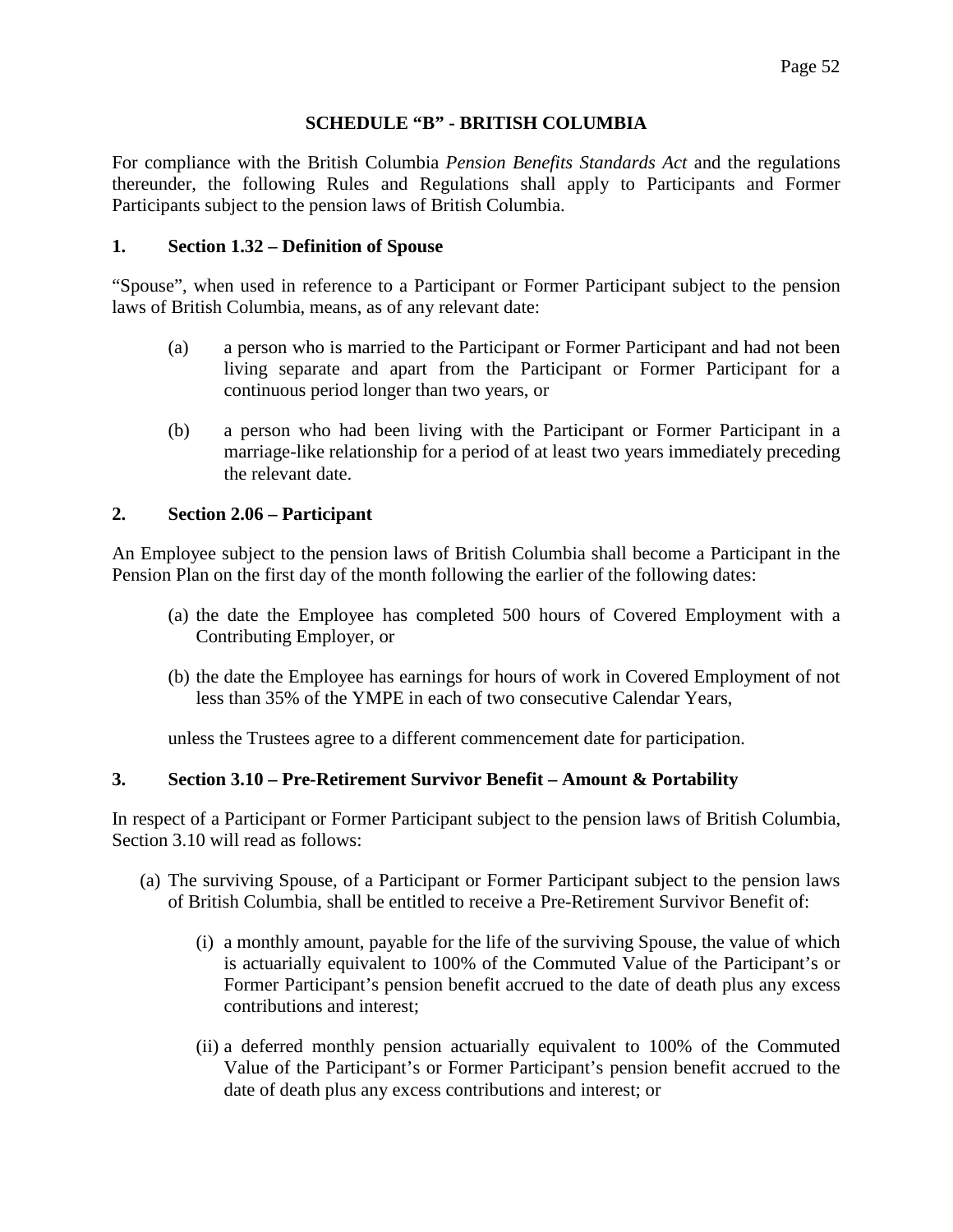#### **SCHEDULE "B" - BRITISH COLUMBIA**

For compliance with the British Columbia *Pension Benefits Standards Act* and the regulations thereunder, the following Rules and Regulations shall apply to Participants and Former Participants subject to the pension laws of British Columbia.

#### **1. Section 1.32 – Definition of Spouse**

"Spouse", when used in reference to a Participant or Former Participant subject to the pension laws of British Columbia, means, as of any relevant date:

- (a) a person who is married to the Participant or Former Participant and had not been living separate and apart from the Participant or Former Participant for a continuous period longer than two years, or
- (b) a person who had been living with the Participant or Former Participant in a marriage-like relationship for a period of at least two years immediately preceding the relevant date.

### **2. Section 2.06 – Participant**

An Employee subject to the pension laws of British Columbia shall become a Participant in the Pension Plan on the first day of the month following the earlier of the following dates:

- (a) the date the Employee has completed 500 hours of Covered Employment with a Contributing Employer, or
- (b) the date the Employee has earnings for hours of work in Covered Employment of not less than 35% of the YMPE in each of two consecutive Calendar Years,

unless the Trustees agree to a different commencement date for participation.

## **3. Section 3.10 – Pre-Retirement Survivor Benefit – Amount & Portability**

In respect of a Participant or Former Participant subject to the pension laws of British Columbia, Section 3.10 will read as follows:

- (a) The surviving Spouse, of a Participant or Former Participant subject to the pension laws of British Columbia, shall be entitled to receive a Pre-Retirement Survivor Benefit of:
	- (i) a monthly amount, payable for the life of the surviving Spouse, the value of which is actuarially equivalent to 100% of the Commuted Value of the Participant's or Former Participant's pension benefit accrued to the date of death plus any excess contributions and interest;
	- (ii) a deferred monthly pension actuarially equivalent to 100% of the Commuted Value of the Participant's or Former Participant's pension benefit accrued to the date of death plus any excess contributions and interest; or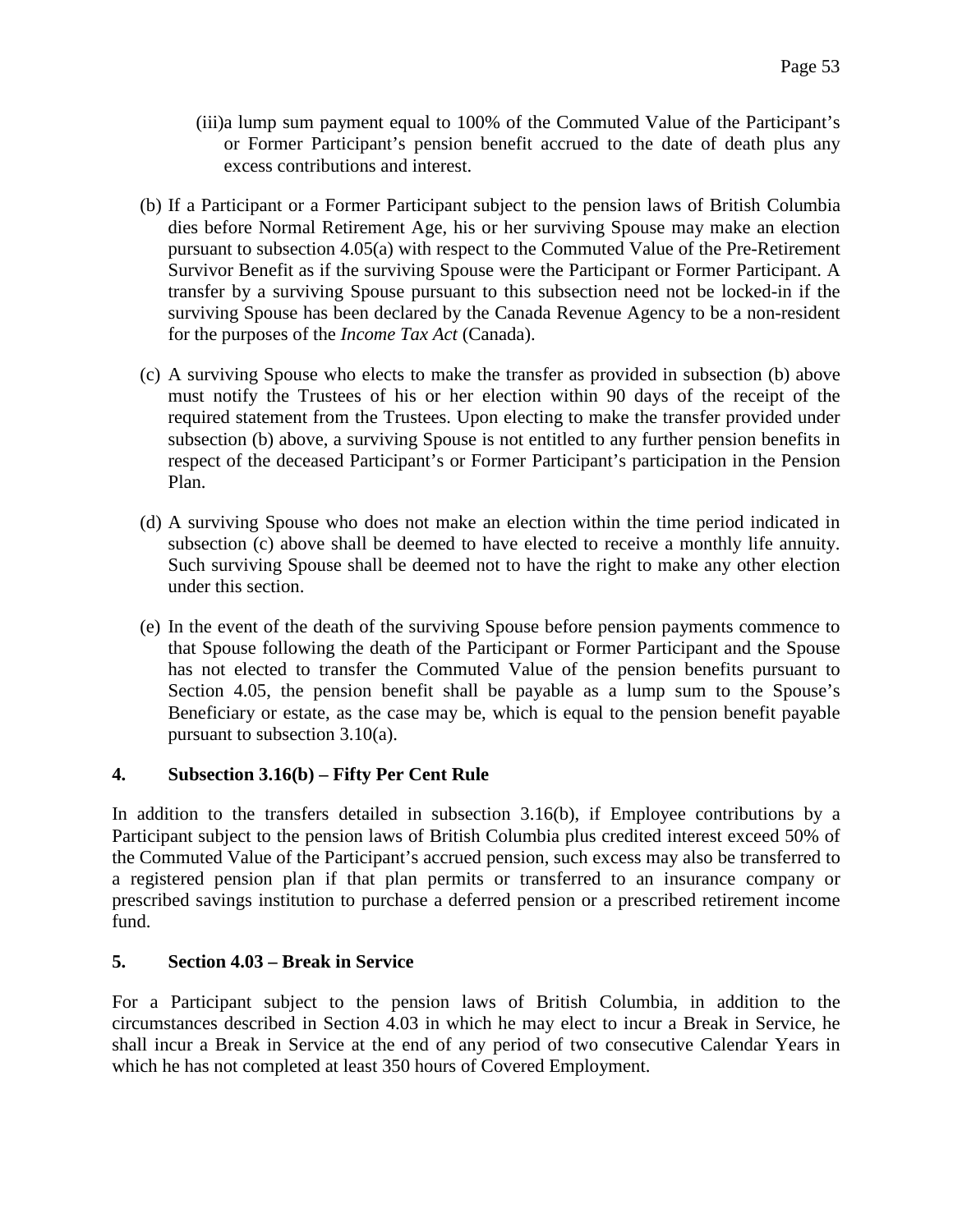(iii)a lump sum payment equal to 100% of the Commuted Value of the Participant's or Former Participant's pension benefit accrued to the date of death plus any excess contributions and interest.

- (b) If a Participant or a Former Participant subject to the pension laws of British Columbia dies before Normal Retirement Age, his or her surviving Spouse may make an election pursuant to subsection 4.05(a) with respect to the Commuted Value of the Pre-Retirement Survivor Benefit as if the surviving Spouse were the Participant or Former Participant. A transfer by a surviving Spouse pursuant to this subsection need not be locked-in if the surviving Spouse has been declared by the Canada Revenue Agency to be a non-resident for the purposes of the *Income Tax Act* (Canada).
- (c) A surviving Spouse who elects to make the transfer as provided in subsection (b) above must notify the Trustees of his or her election within 90 days of the receipt of the required statement from the Trustees. Upon electing to make the transfer provided under subsection (b) above, a surviving Spouse is not entitled to any further pension benefits in respect of the deceased Participant's or Former Participant's participation in the Pension Plan.
- (d) A surviving Spouse who does not make an election within the time period indicated in subsection (c) above shall be deemed to have elected to receive a monthly life annuity. Such surviving Spouse shall be deemed not to have the right to make any other election under this section.
- (e) In the event of the death of the surviving Spouse before pension payments commence to that Spouse following the death of the Participant or Former Participant and the Spouse has not elected to transfer the Commuted Value of the pension benefits pursuant to Section 4.05, the pension benefit shall be payable as a lump sum to the Spouse's Beneficiary or estate, as the case may be, which is equal to the pension benefit payable pursuant to subsection 3.10(a).

# **4. Subsection 3.16(b) – Fifty Per Cent Rule**

In addition to the transfers detailed in subsection 3.16(b), if Employee contributions by a Participant subject to the pension laws of British Columbia plus credited interest exceed 50% of the Commuted Value of the Participant's accrued pension, such excess may also be transferred to a registered pension plan if that plan permits or transferred to an insurance company or prescribed savings institution to purchase a deferred pension or a prescribed retirement income fund.

## **5. Section 4.03 – Break in Service**

For a Participant subject to the pension laws of British Columbia, in addition to the circumstances described in Section 4.03 in which he may elect to incur a Break in Service, he shall incur a Break in Service at the end of any period of two consecutive Calendar Years in which he has not completed at least 350 hours of Covered Employment.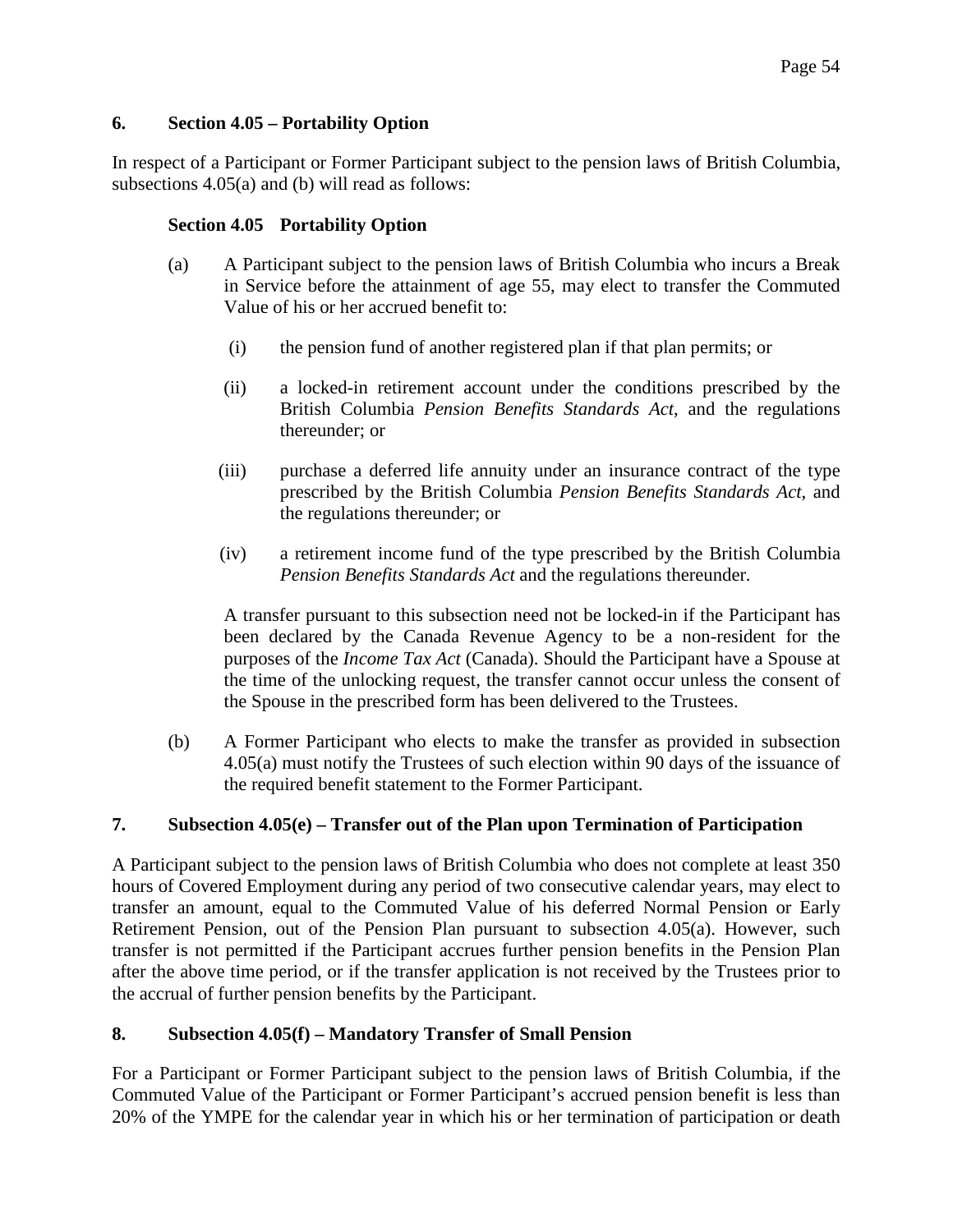## **6. Section 4.05 – Portability Option**

In respect of a Participant or Former Participant subject to the pension laws of British Columbia, subsections 4.05(a) and (b) will read as follows:

#### **Section 4.05 Portability Option**

- (a) A Participant subject to the pension laws of British Columbia who incurs a Break in Service before the attainment of age 55, may elect to transfer the Commuted Value of his or her accrued benefit to:
	- (i) the pension fund of another registered plan if that plan permits; or
	- (ii) a locked-in retirement account under the conditions prescribed by the British Columbia *Pension Benefits Standards Act*, and the regulations thereunder; or
	- (iii) purchase a deferred life annuity under an insurance contract of the type prescribed by the British Columbia *Pension Benefits Standards Act*, and the regulations thereunder; or
	- (iv) a retirement income fund of the type prescribed by the British Columbia *Pension Benefits Standards Act* and the regulations thereunder.

A transfer pursuant to this subsection need not be locked-in if the Participant has been declared by the Canada Revenue Agency to be a non-resident for the purposes of the *Income Tax Act* (Canada). Should the Participant have a Spouse at the time of the unlocking request, the transfer cannot occur unless the consent of the Spouse in the prescribed form has been delivered to the Trustees.

(b) A Former Participant who elects to make the transfer as provided in subsection 4.05(a) must notify the Trustees of such election within 90 days of the issuance of the required benefit statement to the Former Participant.

#### **7. Subsection 4.05(e) – Transfer out of the Plan upon Termination of Participation**

A Participant subject to the pension laws of British Columbia who does not complete at least 350 hours of Covered Employment during any period of two consecutive calendar years, may elect to transfer an amount, equal to the Commuted Value of his deferred Normal Pension or Early Retirement Pension, out of the Pension Plan pursuant to subsection 4.05(a). However, such transfer is not permitted if the Participant accrues further pension benefits in the Pension Plan after the above time period, or if the transfer application is not received by the Trustees prior to the accrual of further pension benefits by the Participant.

#### **8. Subsection 4.05(f) – Mandatory Transfer of Small Pension**

For a Participant or Former Participant subject to the pension laws of British Columbia, if the Commuted Value of the Participant or Former Participant's accrued pension benefit is less than 20% of the YMPE for the calendar year in which his or her termination of participation or death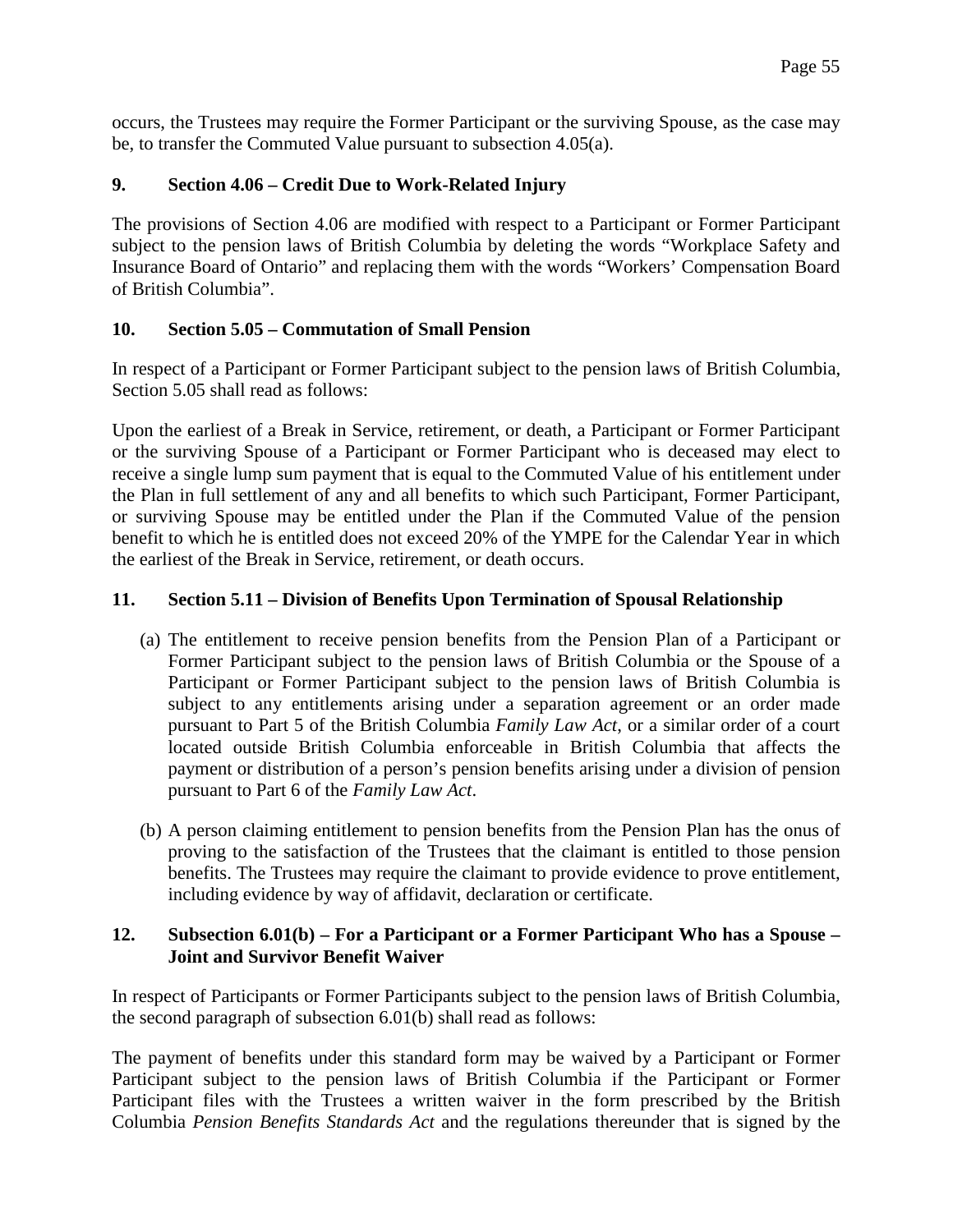occurs, the Trustees may require the Former Participant or the surviving Spouse, as the case may be, to transfer the Commuted Value pursuant to subsection 4.05(a).

## **9. Section 4.06 – Credit Due to Work-Related Injury**

The provisions of Section 4.06 are modified with respect to a Participant or Former Participant subject to the pension laws of British Columbia by deleting the words "Workplace Safety and Insurance Board of Ontario" and replacing them with the words "Workers' Compensation Board of British Columbia".

## **10. Section 5.05 – Commutation of Small Pension**

In respect of a Participant or Former Participant subject to the pension laws of British Columbia, Section 5.05 shall read as follows:

Upon the earliest of a Break in Service, retirement, or death, a Participant or Former Participant or the surviving Spouse of a Participant or Former Participant who is deceased may elect to receive a single lump sum payment that is equal to the Commuted Value of his entitlement under the Plan in full settlement of any and all benefits to which such Participant, Former Participant, or surviving Spouse may be entitled under the Plan if the Commuted Value of the pension benefit to which he is entitled does not exceed 20% of the YMPE for the Calendar Year in which the earliest of the Break in Service, retirement, or death occurs.

## **11. Section 5.11 – Division of Benefits Upon Termination of Spousal Relationship**

- (a) The entitlement to receive pension benefits from the Pension Plan of a Participant or Former Participant subject to the pension laws of British Columbia or the Spouse of a Participant or Former Participant subject to the pension laws of British Columbia is subject to any entitlements arising under a separation agreement or an order made pursuant to Part 5 of the British Columbia *Family Law Act*, or a similar order of a court located outside British Columbia enforceable in British Columbia that affects the payment or distribution of a person's pension benefits arising under a division of pension pursuant to Part 6 of the *Family Law Act*.
- (b) A person claiming entitlement to pension benefits from the Pension Plan has the onus of proving to the satisfaction of the Trustees that the claimant is entitled to those pension benefits. The Trustees may require the claimant to provide evidence to prove entitlement, including evidence by way of affidavit, declaration or certificate.

### **12. Subsection 6.01(b) – For a Participant or a Former Participant Who has a Spouse – Joint and Survivor Benefit Waiver**

In respect of Participants or Former Participants subject to the pension laws of British Columbia, the second paragraph of subsection 6.01(b) shall read as follows:

The payment of benefits under this standard form may be waived by a Participant or Former Participant subject to the pension laws of British Columbia if the Participant or Former Participant files with the Trustees a written waiver in the form prescribed by the British Columbia *Pension Benefits Standards Act* and the regulations thereunder that is signed by the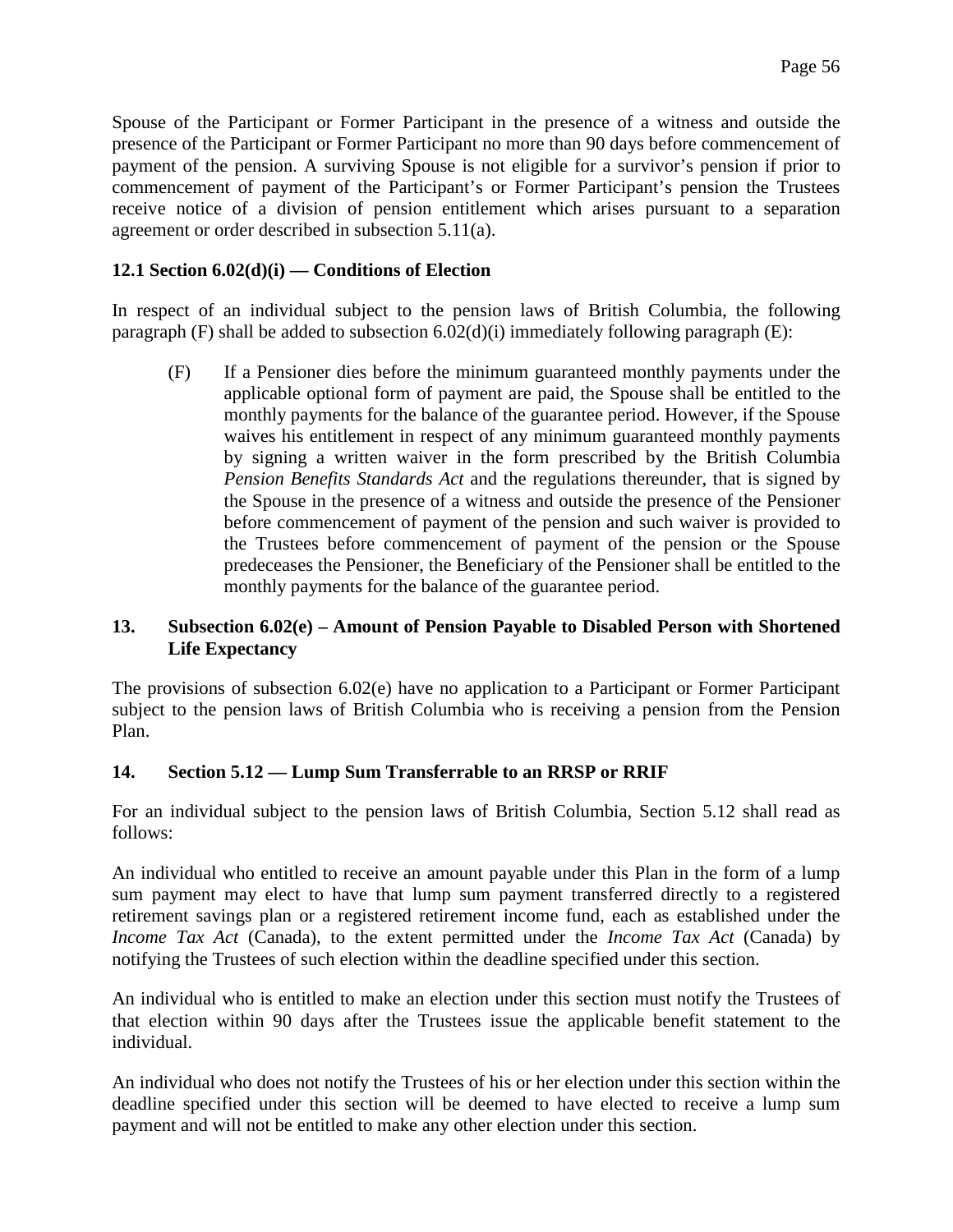Spouse of the Participant or Former Participant in the presence of a witness and outside the presence of the Participant or Former Participant no more than 90 days before commencement of payment of the pension. A surviving Spouse is not eligible for a survivor's pension if prior to commencement of payment of the Participant's or Former Participant's pension the Trustees receive notice of a division of pension entitlement which arises pursuant to a separation agreement or order described in subsection 5.11(a).

## **12.1 Section 6.02(d)(i) — Conditions of Election**

In respect of an individual subject to the pension laws of British Columbia, the following paragraph (F) shall be added to subsection  $6.02(d)(i)$  immediately following paragraph (E):

(F) If a Pensioner dies before the minimum guaranteed monthly payments under the applicable optional form of payment are paid, the Spouse shall be entitled to the monthly payments for the balance of the guarantee period. However, if the Spouse waives his entitlement in respect of any minimum guaranteed monthly payments by signing a written waiver in the form prescribed by the British Columbia *Pension Benefits Standards Act* and the regulations thereunder, that is signed by the Spouse in the presence of a witness and outside the presence of the Pensioner before commencement of payment of the pension and such waiver is provided to the Trustees before commencement of payment of the pension or the Spouse predeceases the Pensioner, the Beneficiary of the Pensioner shall be entitled to the monthly payments for the balance of the guarantee period.

### **13. Subsection 6.02(e) – Amount of Pension Payable to Disabled Person with Shortened Life Expectancy**

The provisions of subsection 6.02(e) have no application to a Participant or Former Participant subject to the pension laws of British Columbia who is receiving a pension from the Pension Plan.

## **14. Section 5.12 — Lump Sum Transferrable to an RRSP or RRIF**

For an individual subject to the pension laws of British Columbia, Section 5.12 shall read as follows:

An individual who entitled to receive an amount payable under this Plan in the form of a lump sum payment may elect to have that lump sum payment transferred directly to a registered retirement savings plan or a registered retirement income fund, each as established under the *Income Tax Act* (Canada), to the extent permitted under the *Income Tax Act* (Canada) by notifying the Trustees of such election within the deadline specified under this section.

An individual who is entitled to make an election under this section must notify the Trustees of that election within 90 days after the Trustees issue the applicable benefit statement to the individual.

An individual who does not notify the Trustees of his or her election under this section within the deadline specified under this section will be deemed to have elected to receive a lump sum payment and will not be entitled to make any other election under this section.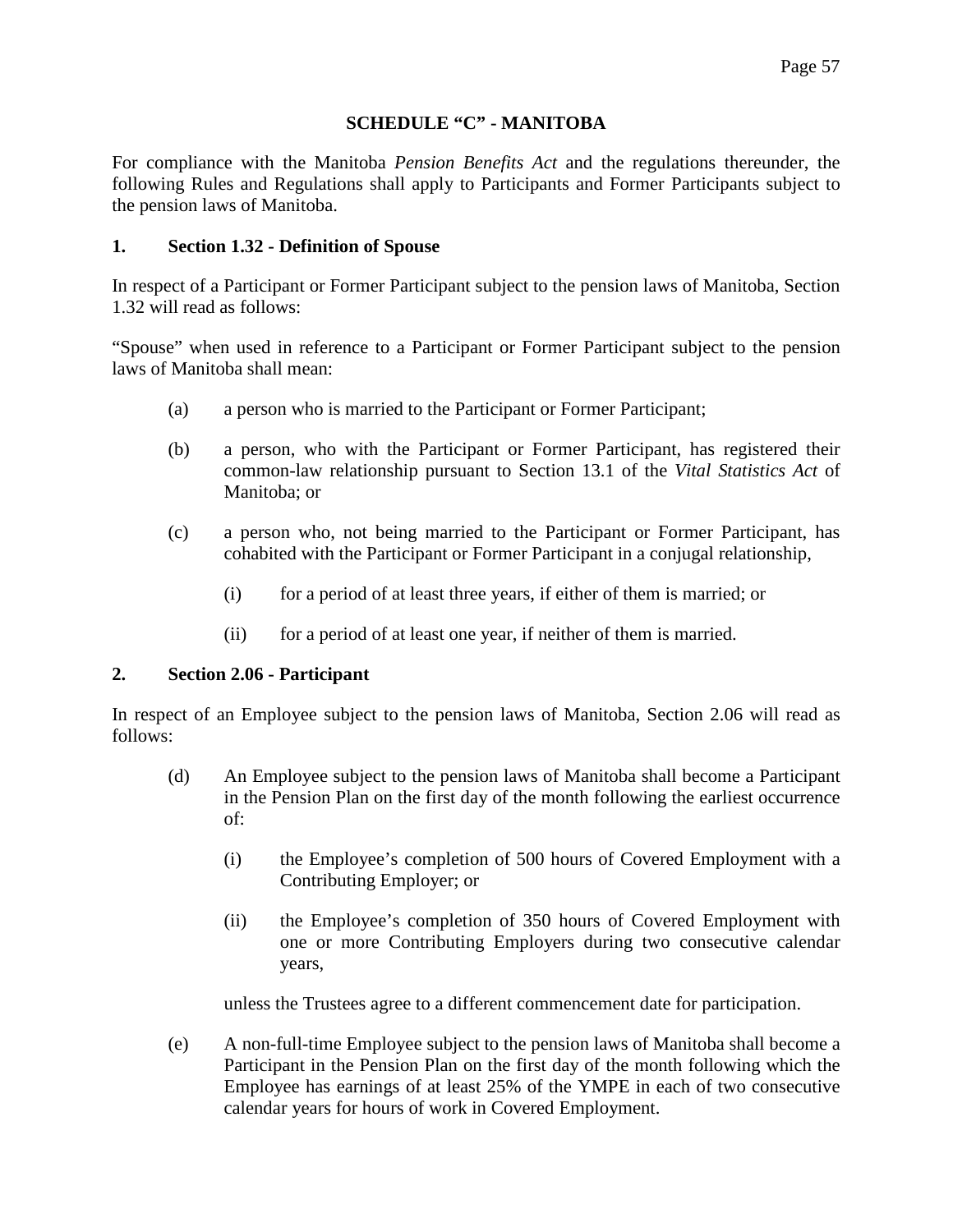### **SCHEDULE "C" - MANITOBA**

For compliance with the Manitoba *Pension Benefits Act* and the regulations thereunder, the following Rules and Regulations shall apply to Participants and Former Participants subject to the pension laws of Manitoba.

#### **1. Section 1.32 - Definition of Spouse**

In respect of a Participant or Former Participant subject to the pension laws of Manitoba, Section 1.32 will read as follows:

"Spouse" when used in reference to a Participant or Former Participant subject to the pension laws of Manitoba shall mean:

- (a) a person who is married to the Participant or Former Participant;
- (b) a person, who with the Participant or Former Participant, has registered their common-law relationship pursuant to Section 13.1 of the *Vital Statistics Act* of Manitoba; or
- (c) a person who, not being married to the Participant or Former Participant, has cohabited with the Participant or Former Participant in a conjugal relationship,
	- (i) for a period of at least three years, if either of them is married; or
	- (ii) for a period of at least one year, if neither of them is married.

#### **2. Section 2.06 - Participant**

In respect of an Employee subject to the pension laws of Manitoba, Section 2.06 will read as follows:

- (d) An Employee subject to the pension laws of Manitoba shall become a Participant in the Pension Plan on the first day of the month following the earliest occurrence of:
	- (i) the Employee's completion of 500 hours of Covered Employment with a Contributing Employer; or
	- (ii) the Employee's completion of 350 hours of Covered Employment with one or more Contributing Employers during two consecutive calendar years,

unless the Trustees agree to a different commencement date for participation.

(e) A non-full-time Employee subject to the pension laws of Manitoba shall become a Participant in the Pension Plan on the first day of the month following which the Employee has earnings of at least 25% of the YMPE in each of two consecutive calendar years for hours of work in Covered Employment.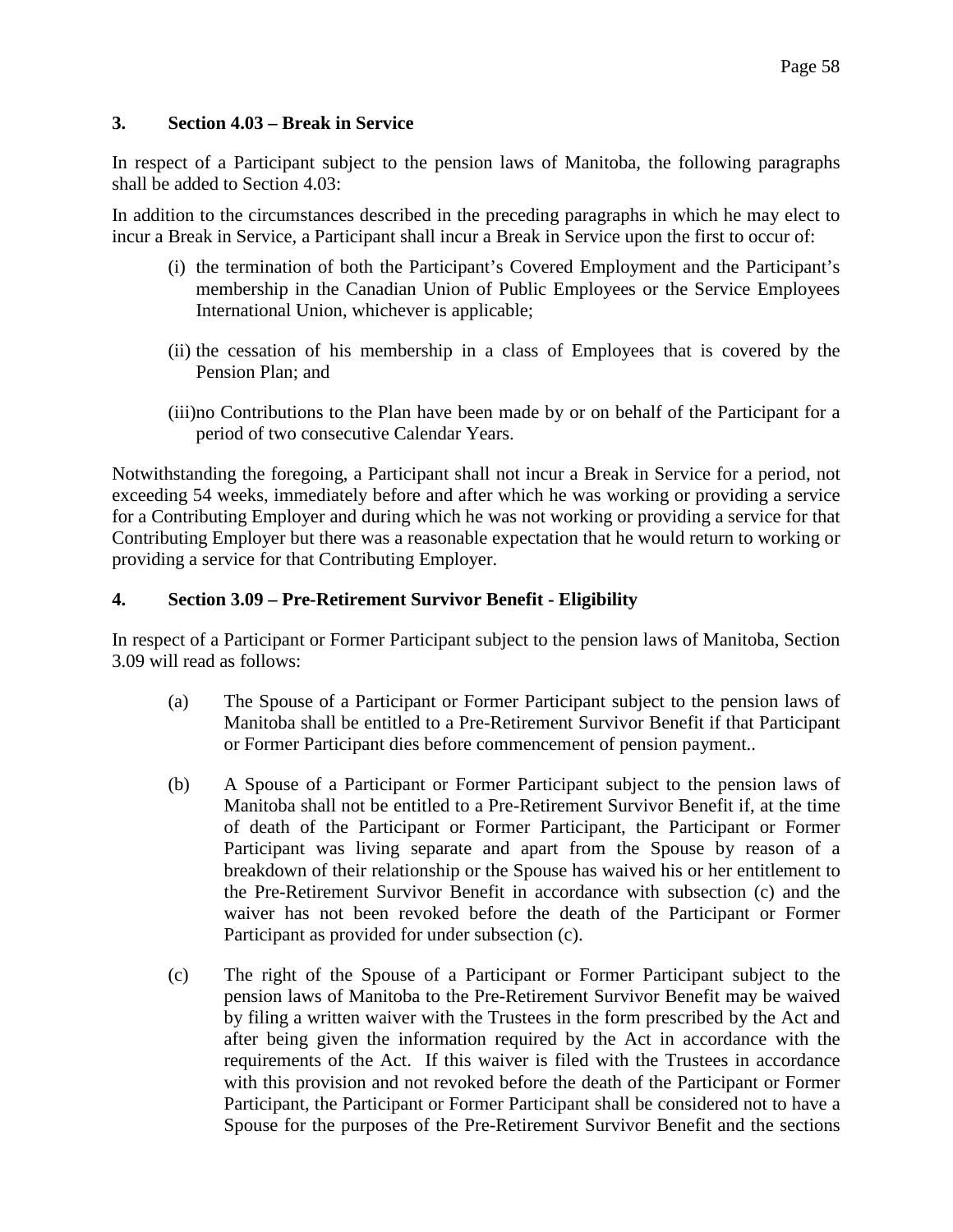## **3. Section 4.03 – Break in Service**

In respect of a Participant subject to the pension laws of Manitoba, the following paragraphs shall be added to Section 4.03:

In addition to the circumstances described in the preceding paragraphs in which he may elect to incur a Break in Service, a Participant shall incur a Break in Service upon the first to occur of:

- (i) the termination of both the Participant's Covered Employment and the Participant's membership in the Canadian Union of Public Employees or the Service Employees International Union, whichever is applicable;
- (ii) the cessation of his membership in a class of Employees that is covered by the Pension Plan; and
- (iii)no Contributions to the Plan have been made by or on behalf of the Participant for a period of two consecutive Calendar Years.

Notwithstanding the foregoing, a Participant shall not incur a Break in Service for a period, not exceeding 54 weeks, immediately before and after which he was working or providing a service for a Contributing Employer and during which he was not working or providing a service for that Contributing Employer but there was a reasonable expectation that he would return to working or providing a service for that Contributing Employer.

### **4. Section 3.09 – Pre-Retirement Survivor Benefit - Eligibility**

In respect of a Participant or Former Participant subject to the pension laws of Manitoba, Section 3.09 will read as follows:

- (a) The Spouse of a Participant or Former Participant subject to the pension laws of Manitoba shall be entitled to a Pre-Retirement Survivor Benefit if that Participant or Former Participant dies before commencement of pension payment..
- (b) A Spouse of a Participant or Former Participant subject to the pension laws of Manitoba shall not be entitled to a Pre-Retirement Survivor Benefit if, at the time of death of the Participant or Former Participant, the Participant or Former Participant was living separate and apart from the Spouse by reason of a breakdown of their relationship or the Spouse has waived his or her entitlement to the Pre-Retirement Survivor Benefit in accordance with subsection (c) and the waiver has not been revoked before the death of the Participant or Former Participant as provided for under subsection (c).
- (c) The right of the Spouse of a Participant or Former Participant subject to the pension laws of Manitoba to the Pre-Retirement Survivor Benefit may be waived by filing a written waiver with the Trustees in the form prescribed by the Act and after being given the information required by the Act in accordance with the requirements of the Act. If this waiver is filed with the Trustees in accordance with this provision and not revoked before the death of the Participant or Former Participant, the Participant or Former Participant shall be considered not to have a Spouse for the purposes of the Pre-Retirement Survivor Benefit and the sections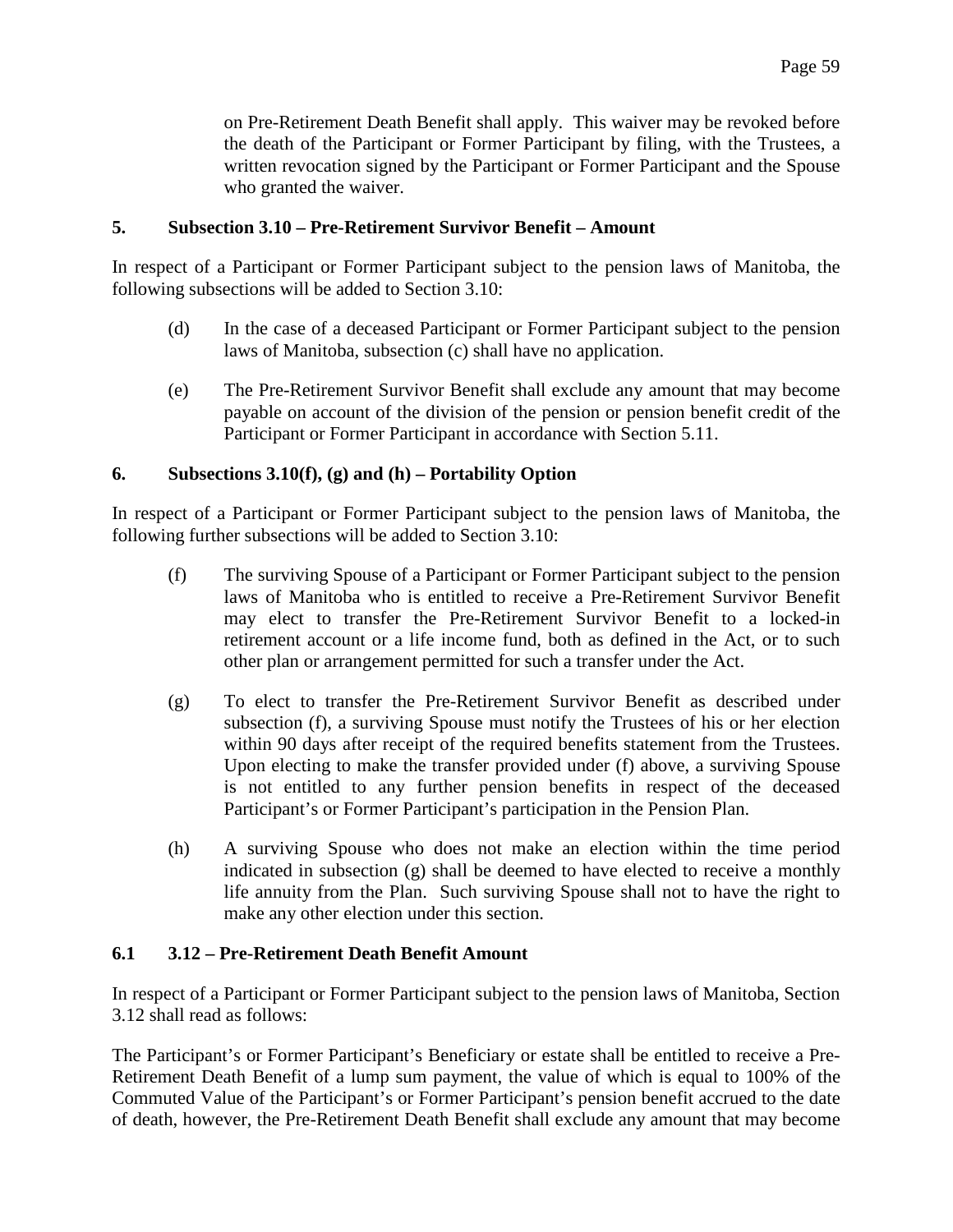on Pre-Retirement Death Benefit shall apply. This waiver may be revoked before the death of the Participant or Former Participant by filing, with the Trustees, a written revocation signed by the Participant or Former Participant and the Spouse who granted the waiver.

### **5. Subsection 3.10 – Pre-Retirement Survivor Benefit – Amount**

In respect of a Participant or Former Participant subject to the pension laws of Manitoba, the following subsections will be added to Section 3.10:

- (d) In the case of a deceased Participant or Former Participant subject to the pension laws of Manitoba, subsection (c) shall have no application.
- (e) The Pre-Retirement Survivor Benefit shall exclude any amount that may become payable on account of the division of the pension or pension benefit credit of the Participant or Former Participant in accordance with Section 5.11.

### **6. Subsections 3.10(f), (g) and (h) – Portability Option**

In respect of a Participant or Former Participant subject to the pension laws of Manitoba, the following further subsections will be added to Section 3.10:

- (f) The surviving Spouse of a Participant or Former Participant subject to the pension laws of Manitoba who is entitled to receive a Pre-Retirement Survivor Benefit may elect to transfer the Pre-Retirement Survivor Benefit to a locked-in retirement account or a life income fund, both as defined in the Act, or to such other plan or arrangement permitted for such a transfer under the Act.
- (g) To elect to transfer the Pre-Retirement Survivor Benefit as described under subsection (f), a surviving Spouse must notify the Trustees of his or her election within 90 days after receipt of the required benefits statement from the Trustees. Upon electing to make the transfer provided under (f) above, a surviving Spouse is not entitled to any further pension benefits in respect of the deceased Participant's or Former Participant's participation in the Pension Plan.
- (h) A surviving Spouse who does not make an election within the time period indicated in subsection (g) shall be deemed to have elected to receive a monthly life annuity from the Plan. Such surviving Spouse shall not to have the right to make any other election under this section.

#### **6.1 3.12 – Pre-Retirement Death Benefit Amount**

In respect of a Participant or Former Participant subject to the pension laws of Manitoba, Section 3.12 shall read as follows:

The Participant's or Former Participant's Beneficiary or estate shall be entitled to receive a Pre-Retirement Death Benefit of a lump sum payment, the value of which is equal to 100% of the Commuted Value of the Participant's or Former Participant's pension benefit accrued to the date of death, however, the Pre-Retirement Death Benefit shall exclude any amount that may become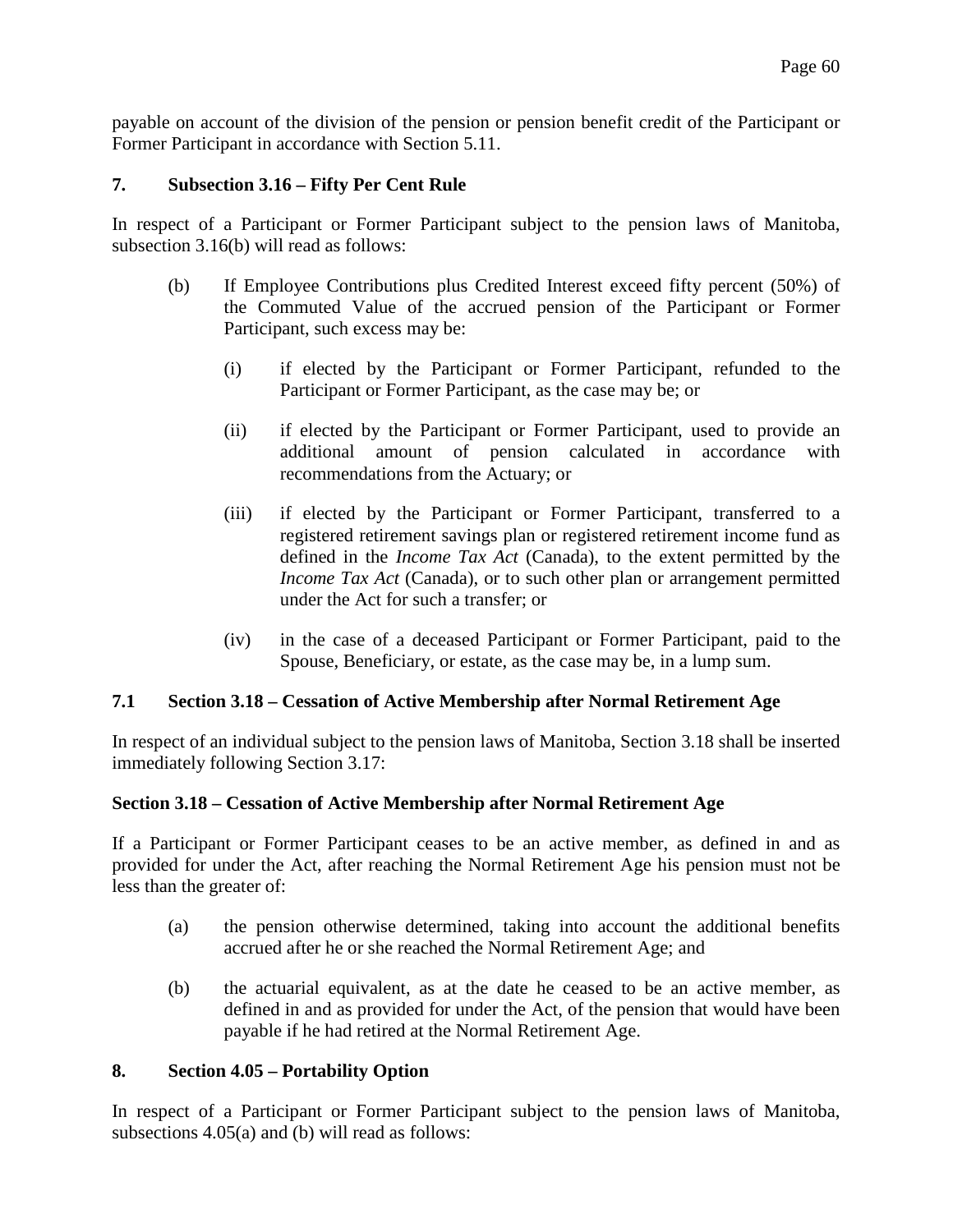payable on account of the division of the pension or pension benefit credit of the Participant or Former Participant in accordance with Section 5.11.

## **7. Subsection 3.16 – Fifty Per Cent Rule**

In respect of a Participant or Former Participant subject to the pension laws of Manitoba, subsection 3.16(b) will read as follows:

- (b) If Employee Contributions plus Credited Interest exceed fifty percent (50%) of the Commuted Value of the accrued pension of the Participant or Former Participant, such excess may be:
	- (i) if elected by the Participant or Former Participant, refunded to the Participant or Former Participant, as the case may be; or
	- (ii) if elected by the Participant or Former Participant, used to provide an additional amount of pension calculated in accordance with recommendations from the Actuary; or
	- (iii) if elected by the Participant or Former Participant, transferred to a registered retirement savings plan or registered retirement income fund as defined in the *Income Tax Act* (Canada), to the extent permitted by the *Income Tax Act* (Canada), or to such other plan or arrangement permitted under the Act for such a transfer; or
	- (iv) in the case of a deceased Participant or Former Participant, paid to the Spouse, Beneficiary, or estate, as the case may be, in a lump sum.

#### **7.1 Section 3.18 – Cessation of Active Membership after Normal Retirement Age**

In respect of an individual subject to the pension laws of Manitoba, Section 3.18 shall be inserted immediately following Section 3.17:

#### **Section 3.18 – Cessation of Active Membership after Normal Retirement Age**

If a Participant or Former Participant ceases to be an active member, as defined in and as provided for under the Act, after reaching the Normal Retirement Age his pension must not be less than the greater of:

- (a) the pension otherwise determined, taking into account the additional benefits accrued after he or she reached the Normal Retirement Age; and
- (b) the actuarial equivalent, as at the date he ceased to be an active member, as defined in and as provided for under the Act, of the pension that would have been payable if he had retired at the Normal Retirement Age.

#### **8. Section 4.05 – Portability Option**

In respect of a Participant or Former Participant subject to the pension laws of Manitoba, subsections 4.05(a) and (b) will read as follows: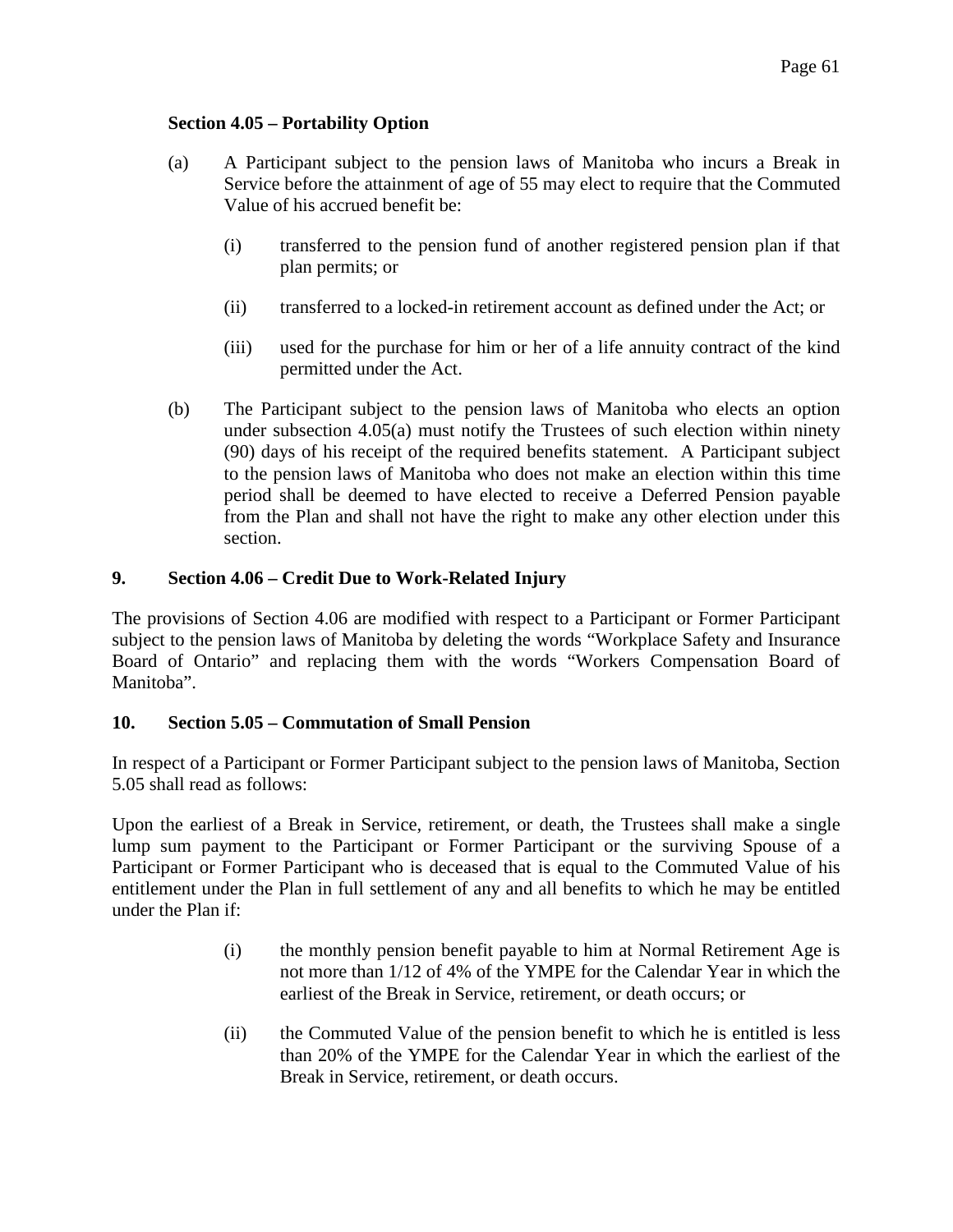## **Section 4.05 – Portability Option**

- (a) A Participant subject to the pension laws of Manitoba who incurs a Break in Service before the attainment of age of 55 may elect to require that the Commuted Value of his accrued benefit be:
	- (i) transferred to the pension fund of another registered pension plan if that plan permits; or
	- (ii) transferred to a locked-in retirement account as defined under the Act; or
	- (iii) used for the purchase for him or her of a life annuity contract of the kind permitted under the Act.
- (b) The Participant subject to the pension laws of Manitoba who elects an option under subsection 4.05(a) must notify the Trustees of such election within ninety (90) days of his receipt of the required benefits statement. A Participant subject to the pension laws of Manitoba who does not make an election within this time period shall be deemed to have elected to receive a Deferred Pension payable from the Plan and shall not have the right to make any other election under this section.

# **9. Section 4.06 – Credit Due to Work-Related Injury**

The provisions of Section 4.06 are modified with respect to a Participant or Former Participant subject to the pension laws of Manitoba by deleting the words "Workplace Safety and Insurance Board of Ontario" and replacing them with the words "Workers Compensation Board of Manitoba".

## **10. Section 5.05 – Commutation of Small Pension**

In respect of a Participant or Former Participant subject to the pension laws of Manitoba, Section 5.05 shall read as follows:

Upon the earliest of a Break in Service, retirement, or death, the Trustees shall make a single lump sum payment to the Participant or Former Participant or the surviving Spouse of a Participant or Former Participant who is deceased that is equal to the Commuted Value of his entitlement under the Plan in full settlement of any and all benefits to which he may be entitled under the Plan if:

- (i) the monthly pension benefit payable to him at Normal Retirement Age is not more than 1/12 of 4% of the YMPE for the Calendar Year in which the earliest of the Break in Service, retirement, or death occurs; or
- (ii) the Commuted Value of the pension benefit to which he is entitled is less than 20% of the YMPE for the Calendar Year in which the earliest of the Break in Service, retirement, or death occurs.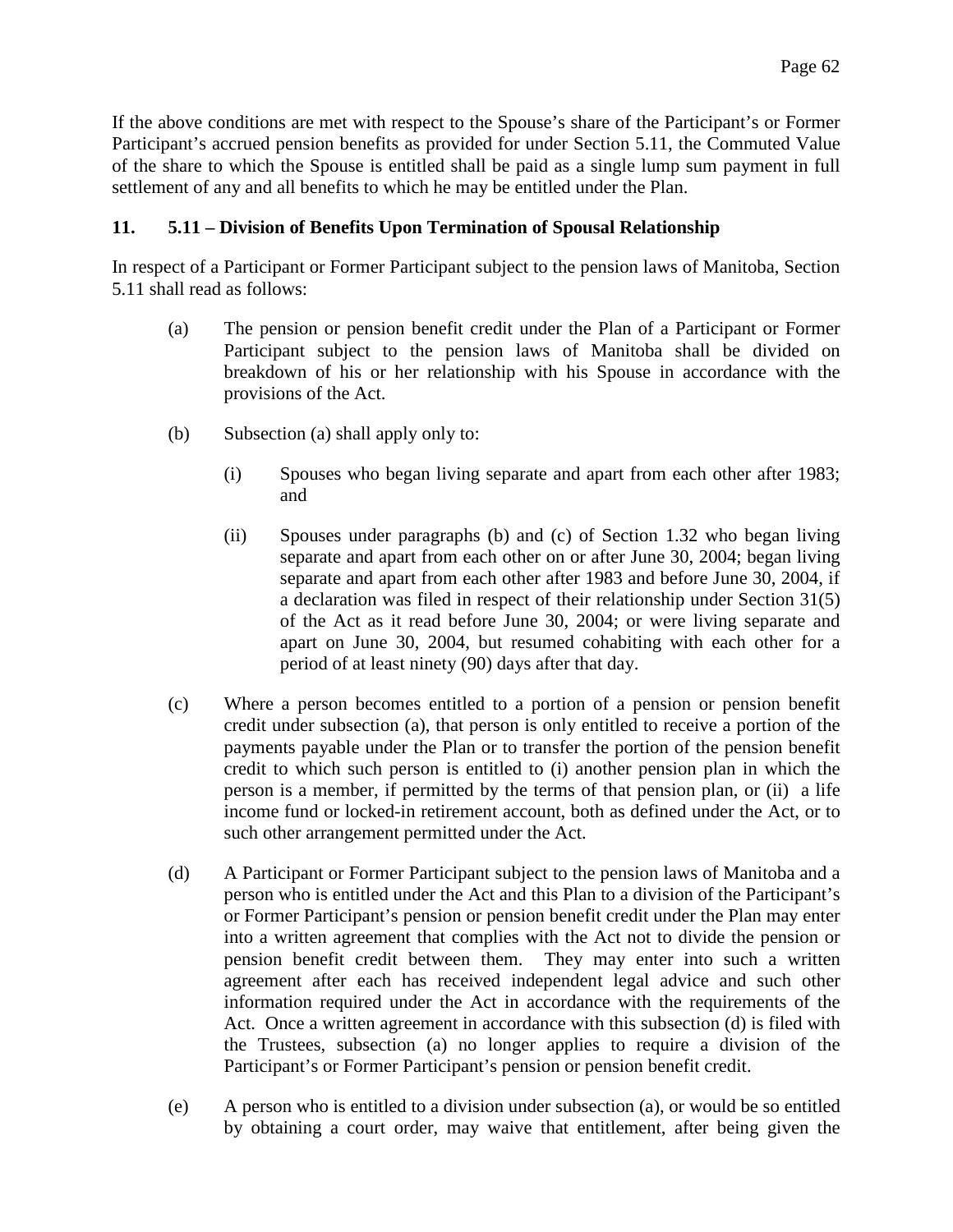If the above conditions are met with respect to the Spouse's share of the Participant's or Former Participant's accrued pension benefits as provided for under Section 5.11, the Commuted Value of the share to which the Spouse is entitled shall be paid as a single lump sum payment in full settlement of any and all benefits to which he may be entitled under the Plan.

## **11. 5.11 – Division of Benefits Upon Termination of Spousal Relationship**

In respect of a Participant or Former Participant subject to the pension laws of Manitoba, Section 5.11 shall read as follows:

- (a) The pension or pension benefit credit under the Plan of a Participant or Former Participant subject to the pension laws of Manitoba shall be divided on breakdown of his or her relationship with his Spouse in accordance with the provisions of the Act.
- (b) Subsection (a) shall apply only to:
	- (i) Spouses who began living separate and apart from each other after 1983; and
	- (ii) Spouses under paragraphs (b) and (c) of Section 1.32 who began living separate and apart from each other on or after June 30, 2004; began living separate and apart from each other after 1983 and before June 30, 2004, if a declaration was filed in respect of their relationship under Section 31(5) of the Act as it read before June 30, 2004; or were living separate and apart on June 30, 2004, but resumed cohabiting with each other for a period of at least ninety (90) days after that day.
- (c) Where a person becomes entitled to a portion of a pension or pension benefit credit under subsection (a), that person is only entitled to receive a portion of the payments payable under the Plan or to transfer the portion of the pension benefit credit to which such person is entitled to (i) another pension plan in which the person is a member, if permitted by the terms of that pension plan, or (ii) a life income fund or locked-in retirement account, both as defined under the Act, or to such other arrangement permitted under the Act.
- (d) A Participant or Former Participant subject to the pension laws of Manitoba and a person who is entitled under the Act and this Plan to a division of the Participant's or Former Participant's pension or pension benefit credit under the Plan may enter into a written agreement that complies with the Act not to divide the pension or pension benefit credit between them. They may enter into such a written agreement after each has received independent legal advice and such other information required under the Act in accordance with the requirements of the Act. Once a written agreement in accordance with this subsection (d) is filed with the Trustees, subsection (a) no longer applies to require a division of the Participant's or Former Participant's pension or pension benefit credit.
- (e) A person who is entitled to a division under subsection (a), or would be so entitled by obtaining a court order, may waive that entitlement, after being given the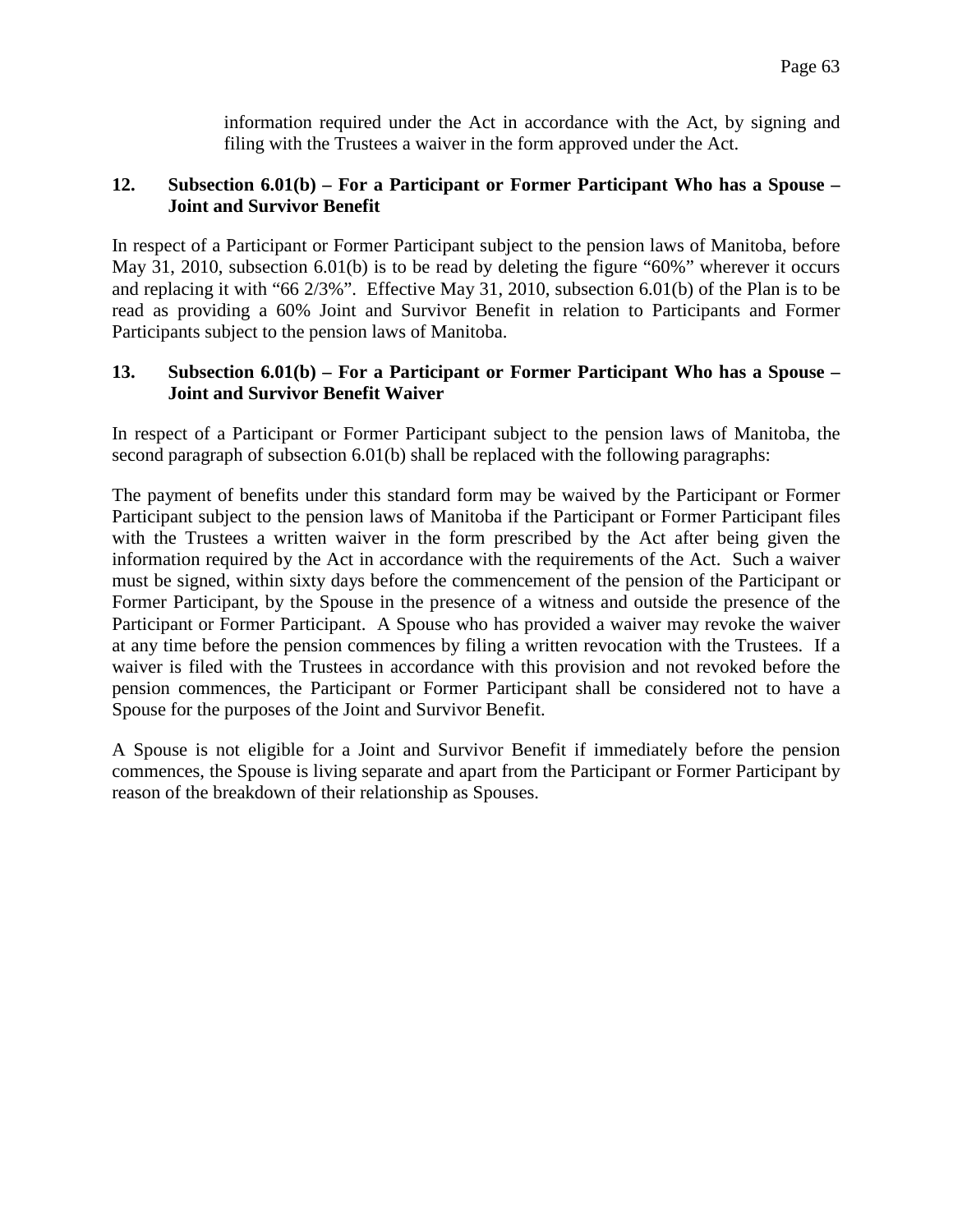information required under the Act in accordance with the Act, by signing and filing with the Trustees a waiver in the form approved under the Act.

## **12. Subsection 6.01(b) – For a Participant or Former Participant Who has a Spouse – Joint and Survivor Benefit**

In respect of a Participant or Former Participant subject to the pension laws of Manitoba, before May 31, 2010, subsection 6.01(b) is to be read by deleting the figure "60%" wherever it occurs and replacing it with "66 2/3%". Effective May 31, 2010, subsection 6.01(b) of the Plan is to be read as providing a 60% Joint and Survivor Benefit in relation to Participants and Former Participants subject to the pension laws of Manitoba.

## **13. Subsection 6.01(b) – For a Participant or Former Participant Who has a Spouse – Joint and Survivor Benefit Waiver**

In respect of a Participant or Former Participant subject to the pension laws of Manitoba, the second paragraph of subsection 6.01(b) shall be replaced with the following paragraphs:

The payment of benefits under this standard form may be waived by the Participant or Former Participant subject to the pension laws of Manitoba if the Participant or Former Participant files with the Trustees a written waiver in the form prescribed by the Act after being given the information required by the Act in accordance with the requirements of the Act. Such a waiver must be signed, within sixty days before the commencement of the pension of the Participant or Former Participant, by the Spouse in the presence of a witness and outside the presence of the Participant or Former Participant. A Spouse who has provided a waiver may revoke the waiver at any time before the pension commences by filing a written revocation with the Trustees. If a waiver is filed with the Trustees in accordance with this provision and not revoked before the pension commences, the Participant or Former Participant shall be considered not to have a Spouse for the purposes of the Joint and Survivor Benefit.

A Spouse is not eligible for a Joint and Survivor Benefit if immediately before the pension commences, the Spouse is living separate and apart from the Participant or Former Participant by reason of the breakdown of their relationship as Spouses.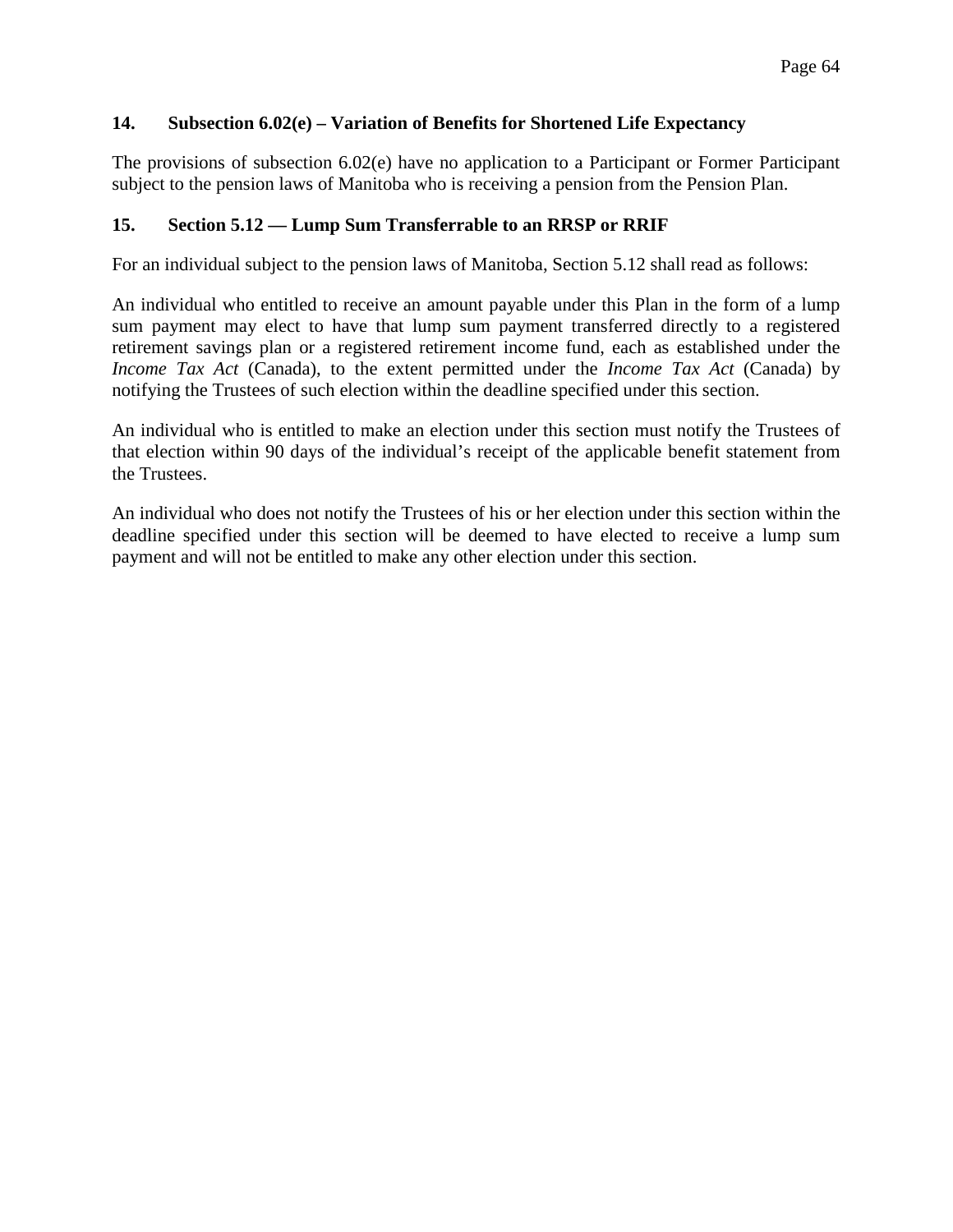## **14. Subsection 6.02(e) – Variation of Benefits for Shortened Life Expectancy**

The provisions of subsection 6.02(e) have no application to a Participant or Former Participant subject to the pension laws of Manitoba who is receiving a pension from the Pension Plan.

#### **15. Section 5.12 — Lump Sum Transferrable to an RRSP or RRIF**

For an individual subject to the pension laws of Manitoba, Section 5.12 shall read as follows:

An individual who entitled to receive an amount payable under this Plan in the form of a lump sum payment may elect to have that lump sum payment transferred directly to a registered retirement savings plan or a registered retirement income fund, each as established under the *Income Tax Act* (Canada), to the extent permitted under the *Income Tax Act* (Canada) by notifying the Trustees of such election within the deadline specified under this section.

An individual who is entitled to make an election under this section must notify the Trustees of that election within 90 days of the individual's receipt of the applicable benefit statement from the Trustees.

An individual who does not notify the Trustees of his or her election under this section within the deadline specified under this section will be deemed to have elected to receive a lump sum payment and will not be entitled to make any other election under this section.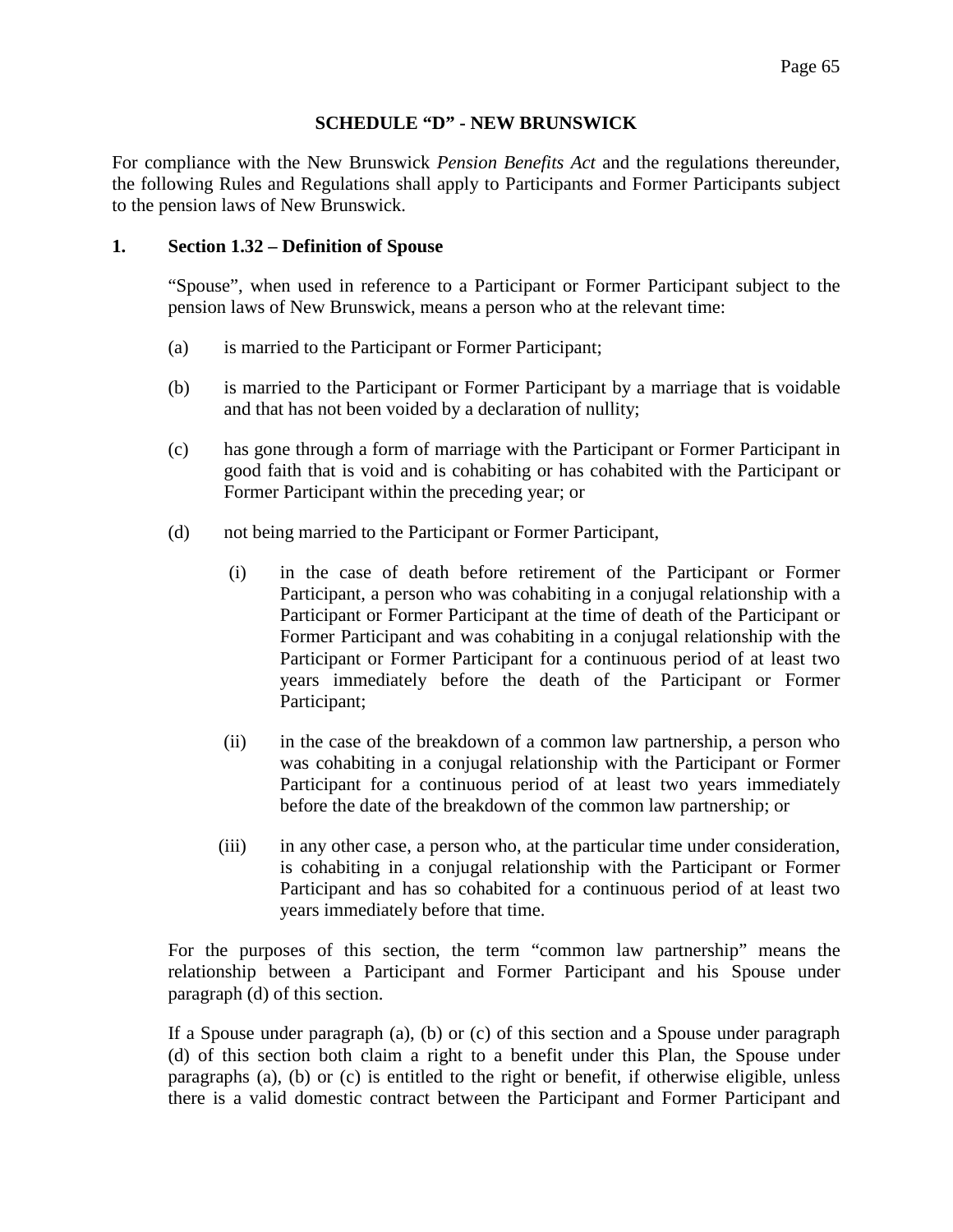### **SCHEDULE "D" - NEW BRUNSWICK**

For compliance with the New Brunswick *Pension Benefits Act* and the regulations thereunder, the following Rules and Regulations shall apply to Participants and Former Participants subject to the pension laws of New Brunswick.

#### **1. Section 1.32 – Definition of Spouse**

"Spouse", when used in reference to a Participant or Former Participant subject to the pension laws of New Brunswick, means a person who at the relevant time:

- (a) is married to the Participant or Former Participant;
- (b) is married to the Participant or Former Participant by a marriage that is voidable and that has not been voided by a declaration of nullity;
- (c) has gone through a form of marriage with the Participant or Former Participant in good faith that is void and is cohabiting or has cohabited with the Participant or Former Participant within the preceding year; or
- (d) not being married to the Participant or Former Participant,
	- (i) in the case of death before retirement of the Participant or Former Participant, a person who was cohabiting in a conjugal relationship with a Participant or Former Participant at the time of death of the Participant or Former Participant and was cohabiting in a conjugal relationship with the Participant or Former Participant for a continuous period of at least two years immediately before the death of the Participant or Former Participant;
	- (ii) in the case of the breakdown of a common law partnership, a person who was cohabiting in a conjugal relationship with the Participant or Former Participant for a continuous period of at least two years immediately before the date of the breakdown of the common law partnership; or
	- (iii) in any other case, a person who, at the particular time under consideration, is cohabiting in a conjugal relationship with the Participant or Former Participant and has so cohabited for a continuous period of at least two years immediately before that time.

For the purposes of this section, the term "common law partnership" means the relationship between a Participant and Former Participant and his Spouse under paragraph (d) of this section.

If a Spouse under paragraph (a), (b) or (c) of this section and a Spouse under paragraph (d) of this section both claim a right to a benefit under this Plan, the Spouse under paragraphs (a), (b) or (c) is entitled to the right or benefit, if otherwise eligible, unless there is a valid domestic contract between the Participant and Former Participant and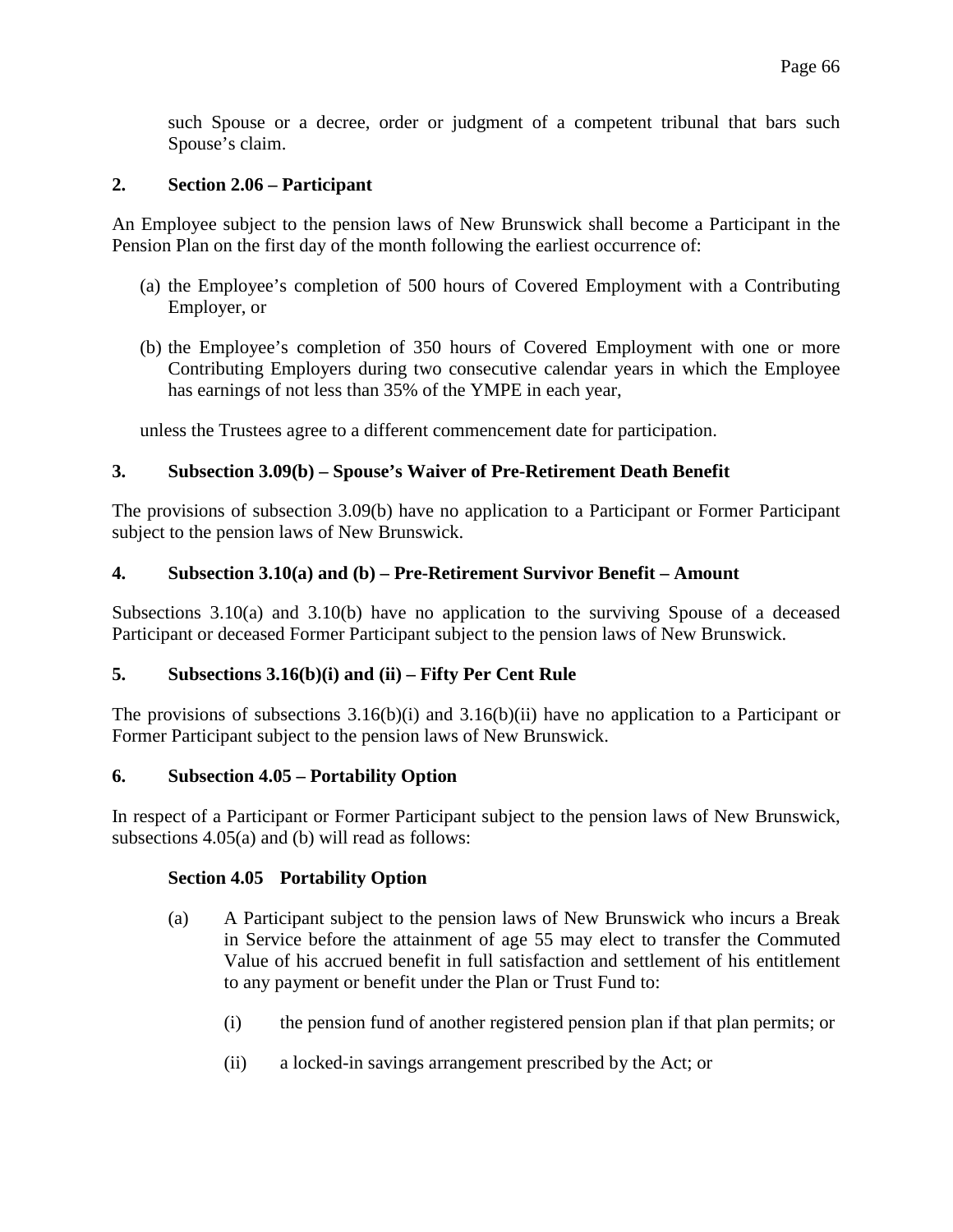such Spouse or a decree, order or judgment of a competent tribunal that bars such Spouse's claim.

## **2. Section 2.06 – Participant**

An Employee subject to the pension laws of New Brunswick shall become a Participant in the Pension Plan on the first day of the month following the earliest occurrence of:

- (a) the Employee's completion of 500 hours of Covered Employment with a Contributing Employer, or
- (b) the Employee's completion of 350 hours of Covered Employment with one or more Contributing Employers during two consecutive calendar years in which the Employee has earnings of not less than 35% of the YMPE in each year,

unless the Trustees agree to a different commencement date for participation.

### **3. Subsection 3.09(b) – Spouse's Waiver of Pre-Retirement Death Benefit**

The provisions of subsection 3.09(b) have no application to a Participant or Former Participant subject to the pension laws of New Brunswick.

#### **4. Subsection 3.10(a) and (b) – Pre-Retirement Survivor Benefit – Amount**

Subsections 3.10(a) and 3.10(b) have no application to the surviving Spouse of a deceased Participant or deceased Former Participant subject to the pension laws of New Brunswick.

#### **5. Subsections 3.16(b)(i) and (ii) – Fifty Per Cent Rule**

The provisions of subsections 3.16(b)(i) and 3.16(b)(ii) have no application to a Participant or Former Participant subject to the pension laws of New Brunswick.

#### **6. Subsection 4.05 – Portability Option**

In respect of a Participant or Former Participant subject to the pension laws of New Brunswick, subsections 4.05(a) and (b) will read as follows:

#### **Section 4.05 Portability Option**

- (a) A Participant subject to the pension laws of New Brunswick who incurs a Break in Service before the attainment of age 55 may elect to transfer the Commuted Value of his accrued benefit in full satisfaction and settlement of his entitlement to any payment or benefit under the Plan or Trust Fund to:
	- (i) the pension fund of another registered pension plan if that plan permits; or
	- (ii) a locked-in savings arrangement prescribed by the Act; or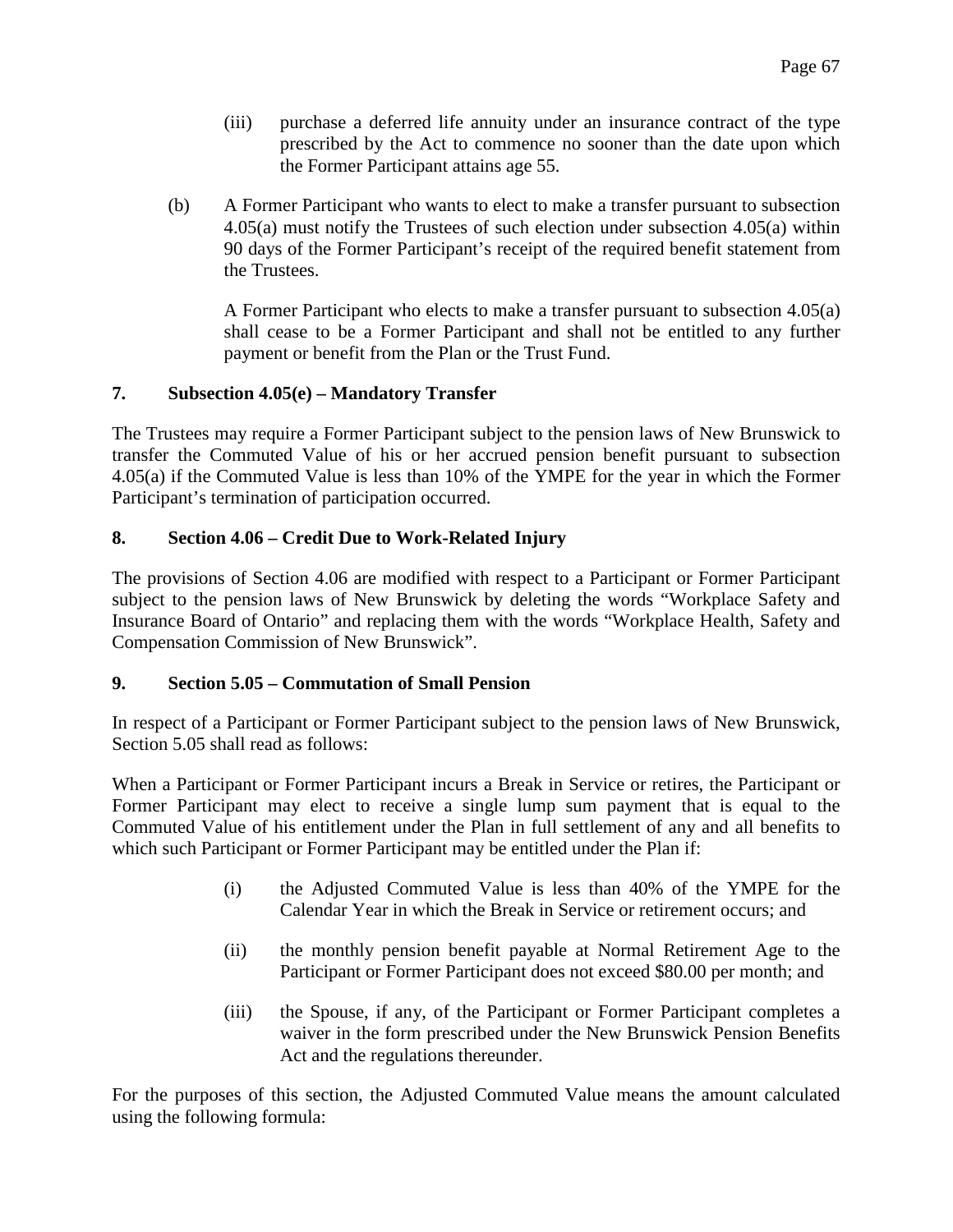- (iii) purchase a deferred life annuity under an insurance contract of the type prescribed by the Act to commence no sooner than the date upon which the Former Participant attains age 55.
- (b) A Former Participant who wants to elect to make a transfer pursuant to subsection 4.05(a) must notify the Trustees of such election under subsection 4.05(a) within 90 days of the Former Participant's receipt of the required benefit statement from the Trustees.

A Former Participant who elects to make a transfer pursuant to subsection 4.05(a) shall cease to be a Former Participant and shall not be entitled to any further payment or benefit from the Plan or the Trust Fund.

### **7. Subsection 4.05(e) – Mandatory Transfer**

The Trustees may require a Former Participant subject to the pension laws of New Brunswick to transfer the Commuted Value of his or her accrued pension benefit pursuant to subsection 4.05(a) if the Commuted Value is less than 10% of the YMPE for the year in which the Former Participant's termination of participation occurred.

### **8. Section 4.06 – Credit Due to Work-Related Injury**

The provisions of Section 4.06 are modified with respect to a Participant or Former Participant subject to the pension laws of New Brunswick by deleting the words "Workplace Safety and Insurance Board of Ontario" and replacing them with the words "Workplace Health, Safety and Compensation Commission of New Brunswick".

#### **9. Section 5.05 – Commutation of Small Pension**

In respect of a Participant or Former Participant subject to the pension laws of New Brunswick, Section 5.05 shall read as follows:

When a Participant or Former Participant incurs a Break in Service or retires, the Participant or Former Participant may elect to receive a single lump sum payment that is equal to the Commuted Value of his entitlement under the Plan in full settlement of any and all benefits to which such Participant or Former Participant may be entitled under the Plan if:

- (i) the Adjusted Commuted Value is less than 40% of the YMPE for the Calendar Year in which the Break in Service or retirement occurs; and
- (ii) the monthly pension benefit payable at Normal Retirement Age to the Participant or Former Participant does not exceed \$80.00 per month; and
- (iii) the Spouse, if any, of the Participant or Former Participant completes a waiver in the form prescribed under the New Brunswick Pension Benefits Act and the regulations thereunder.

For the purposes of this section, the Adjusted Commuted Value means the amount calculated using the following formula: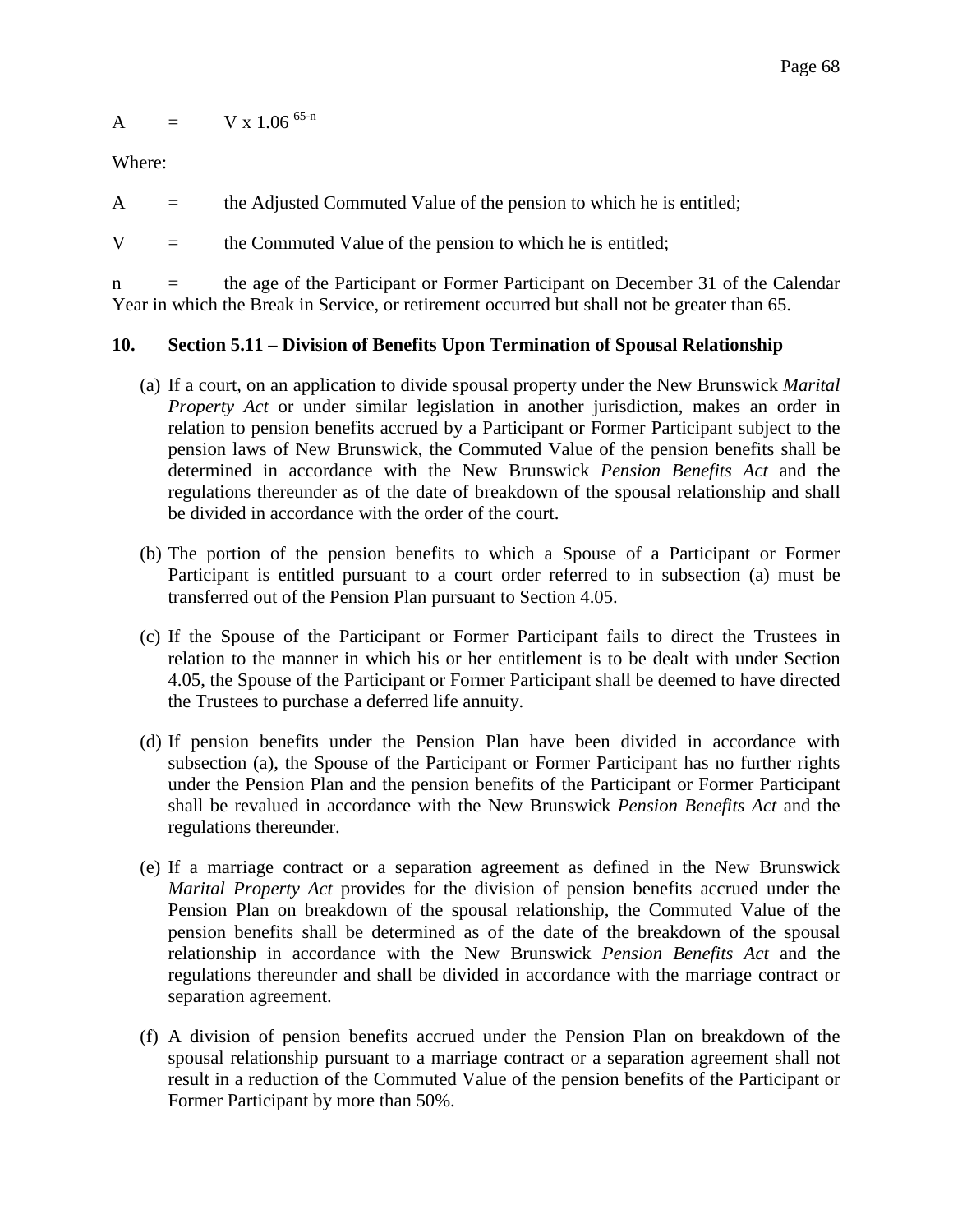$$
A = V x 1.06^{65-n}
$$

Where:

 $A =$  the Adjusted Commuted Value of the pension to which he is entitled;

 $V =$  the Commuted Value of the pension to which he is entitled;

n = the age of the Participant or Former Participant on December 31 of the Calendar Year in which the Break in Service, or retirement occurred but shall not be greater than 65.

## **10. Section 5.11 – Division of Benefits Upon Termination of Spousal Relationship**

- (a) If a court, on an application to divide spousal property under the New Brunswick *Marital Property Act* or under similar legislation in another jurisdiction, makes an order in relation to pension benefits accrued by a Participant or Former Participant subject to the pension laws of New Brunswick, the Commuted Value of the pension benefits shall be determined in accordance with the New Brunswick *Pension Benefits Act* and the regulations thereunder as of the date of breakdown of the spousal relationship and shall be divided in accordance with the order of the court.
- (b) The portion of the pension benefits to which a Spouse of a Participant or Former Participant is entitled pursuant to a court order referred to in subsection (a) must be transferred out of the Pension Plan pursuant to Section 4.05.
- (c) If the Spouse of the Participant or Former Participant fails to direct the Trustees in relation to the manner in which his or her entitlement is to be dealt with under Section 4.05, the Spouse of the Participant or Former Participant shall be deemed to have directed the Trustees to purchase a deferred life annuity.
- (d) If pension benefits under the Pension Plan have been divided in accordance with subsection (a), the Spouse of the Participant or Former Participant has no further rights under the Pension Plan and the pension benefits of the Participant or Former Participant shall be revalued in accordance with the New Brunswick *Pension Benefits Act* and the regulations thereunder.
- (e) If a marriage contract or a separation agreement as defined in the New Brunswick *Marital Property Act* provides for the division of pension benefits accrued under the Pension Plan on breakdown of the spousal relationship, the Commuted Value of the pension benefits shall be determined as of the date of the breakdown of the spousal relationship in accordance with the New Brunswick *Pension Benefits Act* and the regulations thereunder and shall be divided in accordance with the marriage contract or separation agreement.
- (f) A division of pension benefits accrued under the Pension Plan on breakdown of the spousal relationship pursuant to a marriage contract or a separation agreement shall not result in a reduction of the Commuted Value of the pension benefits of the Participant or Former Participant by more than 50%.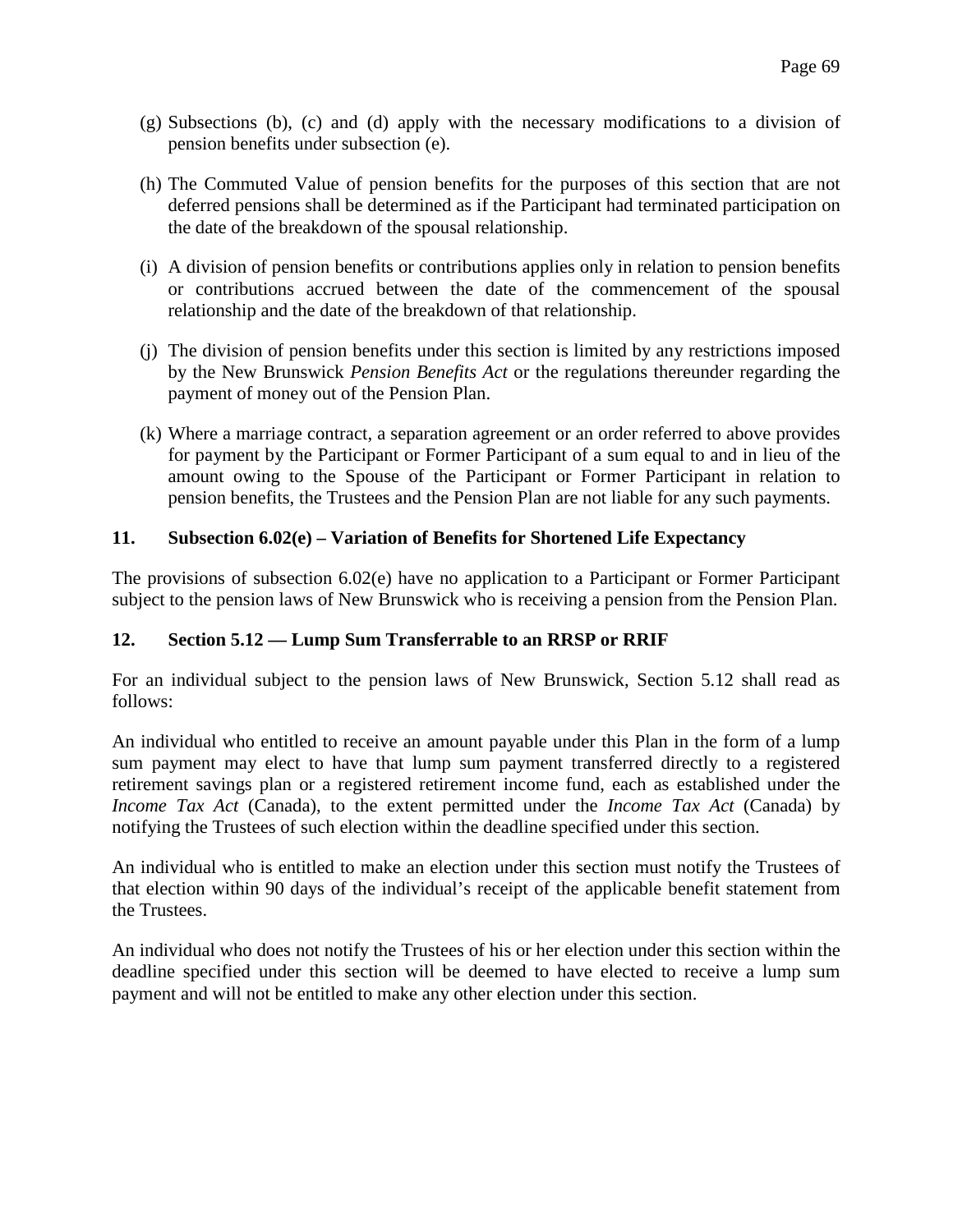- (g) Subsections (b), (c) and (d) apply with the necessary modifications to a division of pension benefits under subsection (e).
- (h) The Commuted Value of pension benefits for the purposes of this section that are not deferred pensions shall be determined as if the Participant had terminated participation on the date of the breakdown of the spousal relationship.
- (i) A division of pension benefits or contributions applies only in relation to pension benefits or contributions accrued between the date of the commencement of the spousal relationship and the date of the breakdown of that relationship.
- (j) The division of pension benefits under this section is limited by any restrictions imposed by the New Brunswick *Pension Benefits Act* or the regulations thereunder regarding the payment of money out of the Pension Plan.
- (k) Where a marriage contract, a separation agreement or an order referred to above provides for payment by the Participant or Former Participant of a sum equal to and in lieu of the amount owing to the Spouse of the Participant or Former Participant in relation to pension benefits, the Trustees and the Pension Plan are not liable for any such payments.

# **11. Subsection 6.02(e) – Variation of Benefits for Shortened Life Expectancy**

The provisions of subsection 6.02(e) have no application to a Participant or Former Participant subject to the pension laws of New Brunswick who is receiving a pension from the Pension Plan.

## **12. Section 5.12 — Lump Sum Transferrable to an RRSP or RRIF**

For an individual subject to the pension laws of New Brunswick, Section 5.12 shall read as follows:

An individual who entitled to receive an amount payable under this Plan in the form of a lump sum payment may elect to have that lump sum payment transferred directly to a registered retirement savings plan or a registered retirement income fund, each as established under the *Income Tax Act* (Canada), to the extent permitted under the *Income Tax Act* (Canada) by notifying the Trustees of such election within the deadline specified under this section.

An individual who is entitled to make an election under this section must notify the Trustees of that election within 90 days of the individual's receipt of the applicable benefit statement from the Trustees.

An individual who does not notify the Trustees of his or her election under this section within the deadline specified under this section will be deemed to have elected to receive a lump sum payment and will not be entitled to make any other election under this section.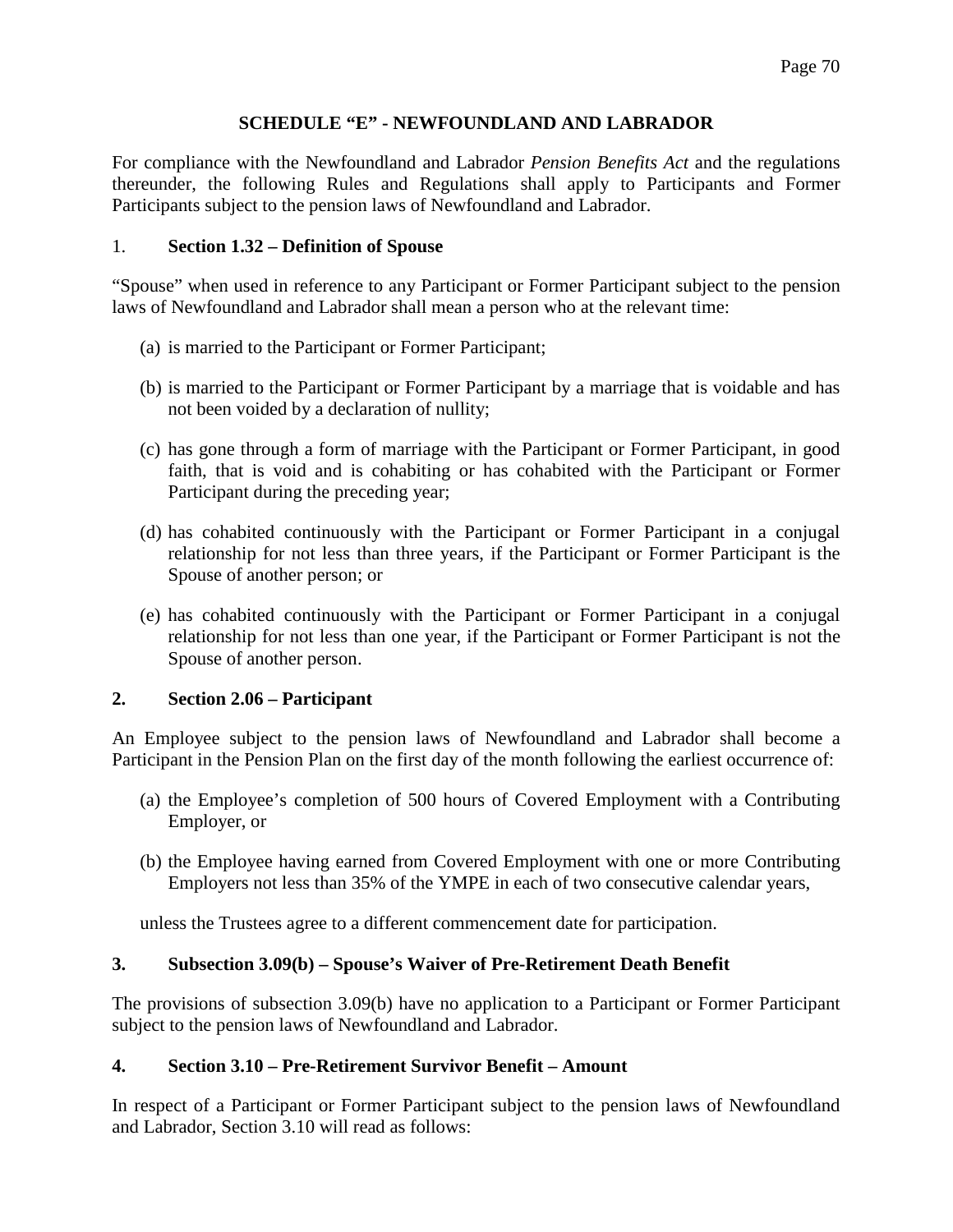### **SCHEDULE "E" - NEWFOUNDLAND AND LABRADOR**

For compliance with the Newfoundland and Labrador *Pension Benefits Act* and the regulations thereunder, the following Rules and Regulations shall apply to Participants and Former Participants subject to the pension laws of Newfoundland and Labrador.

### 1. **Section 1.32 – Definition of Spouse**

"Spouse" when used in reference to any Participant or Former Participant subject to the pension laws of Newfoundland and Labrador shall mean a person who at the relevant time:

- (a) is married to the Participant or Former Participant;
- (b) is married to the Participant or Former Participant by a marriage that is voidable and has not been voided by a declaration of nullity;
- (c) has gone through a form of marriage with the Participant or Former Participant, in good faith, that is void and is cohabiting or has cohabited with the Participant or Former Participant during the preceding year;
- (d) has cohabited continuously with the Participant or Former Participant in a conjugal relationship for not less than three years, if the Participant or Former Participant is the Spouse of another person; or
- (e) has cohabited continuously with the Participant or Former Participant in a conjugal relationship for not less than one year, if the Participant or Former Participant is not the Spouse of another person.

## **2. Section 2.06 – Participant**

An Employee subject to the pension laws of Newfoundland and Labrador shall become a Participant in the Pension Plan on the first day of the month following the earliest occurrence of:

- (a) the Employee's completion of 500 hours of Covered Employment with a Contributing Employer, or
- (b) the Employee having earned from Covered Employment with one or more Contributing Employers not less than 35% of the YMPE in each of two consecutive calendar years,

unless the Trustees agree to a different commencement date for participation.

## **3. Subsection 3.09(b) – Spouse's Waiver of Pre-Retirement Death Benefit**

The provisions of subsection 3.09(b) have no application to a Participant or Former Participant subject to the pension laws of Newfoundland and Labrador.

## **4. Section 3.10 – Pre-Retirement Survivor Benefit – Amount**

In respect of a Participant or Former Participant subject to the pension laws of Newfoundland and Labrador, Section 3.10 will read as follows: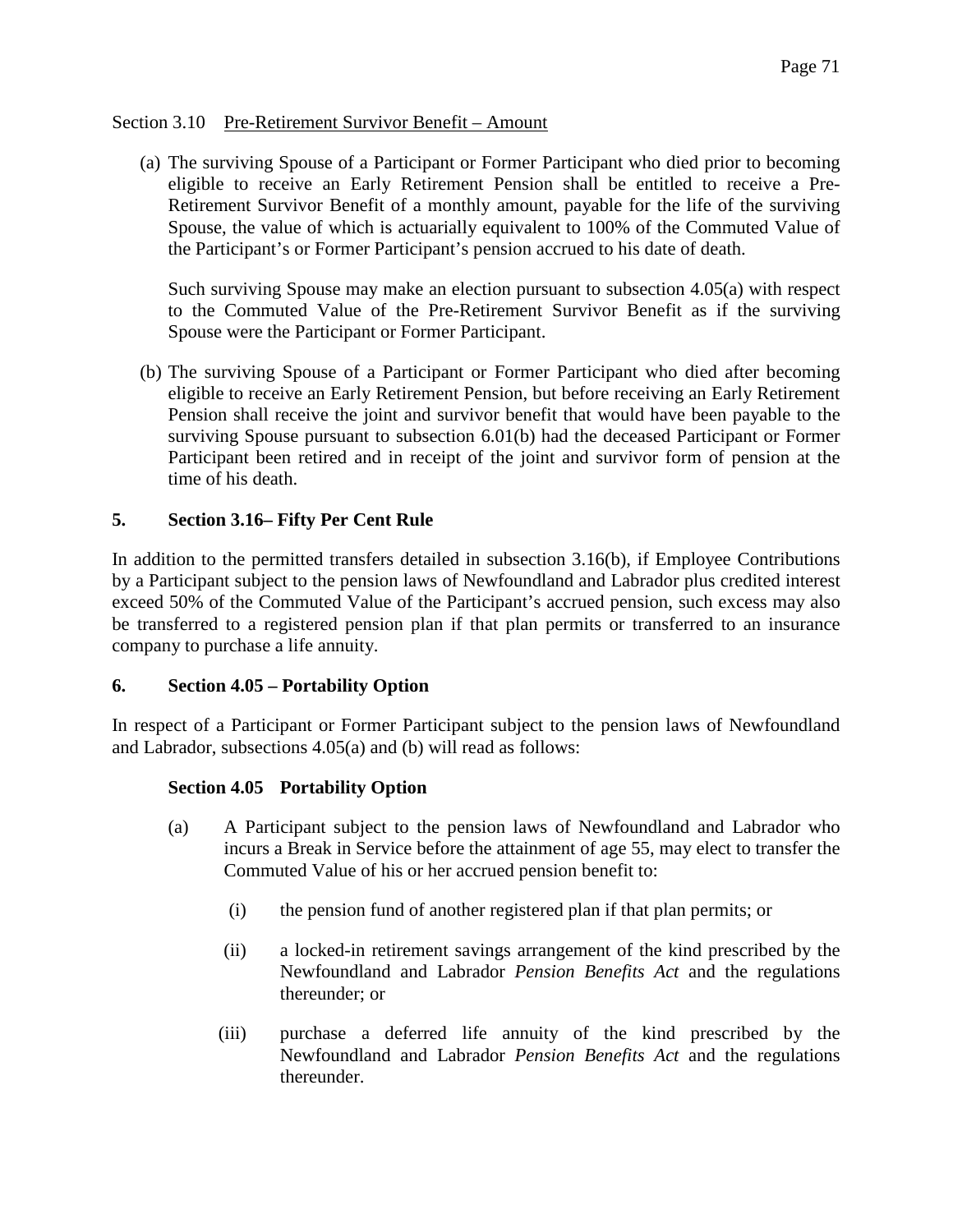## Section 3.10 Pre-Retirement Survivor Benefit – Amount

(a) The surviving Spouse of a Participant or Former Participant who died prior to becoming eligible to receive an Early Retirement Pension shall be entitled to receive a Pre-Retirement Survivor Benefit of a monthly amount, payable for the life of the surviving Spouse, the value of which is actuarially equivalent to 100% of the Commuted Value of the Participant's or Former Participant's pension accrued to his date of death.

Such surviving Spouse may make an election pursuant to subsection 4.05(a) with respect to the Commuted Value of the Pre-Retirement Survivor Benefit as if the surviving Spouse were the Participant or Former Participant.

(b) The surviving Spouse of a Participant or Former Participant who died after becoming eligible to receive an Early Retirement Pension, but before receiving an Early Retirement Pension shall receive the joint and survivor benefit that would have been payable to the surviving Spouse pursuant to subsection 6.01(b) had the deceased Participant or Former Participant been retired and in receipt of the joint and survivor form of pension at the time of his death.

# **5. Section 3.16– Fifty Per Cent Rule**

In addition to the permitted transfers detailed in subsection 3.16(b), if Employee Contributions by a Participant subject to the pension laws of Newfoundland and Labrador plus credited interest exceed 50% of the Commuted Value of the Participant's accrued pension, such excess may also be transferred to a registered pension plan if that plan permits or transferred to an insurance company to purchase a life annuity.

## **6. Section 4.05 – Portability Option**

In respect of a Participant or Former Participant subject to the pension laws of Newfoundland and Labrador, subsections 4.05(a) and (b) will read as follows:

## **Section 4.05 Portability Option**

- (a) A Participant subject to the pension laws of Newfoundland and Labrador who incurs a Break in Service before the attainment of age 55, may elect to transfer the Commuted Value of his or her accrued pension benefit to:
	- (i) the pension fund of another registered plan if that plan permits; or
	- (ii) a locked-in retirement savings arrangement of the kind prescribed by the Newfoundland and Labrador *Pension Benefits Act* and the regulations thereunder; or
	- (iii) purchase a deferred life annuity of the kind prescribed by the Newfoundland and Labrador *Pension Benefits Act* and the regulations thereunder.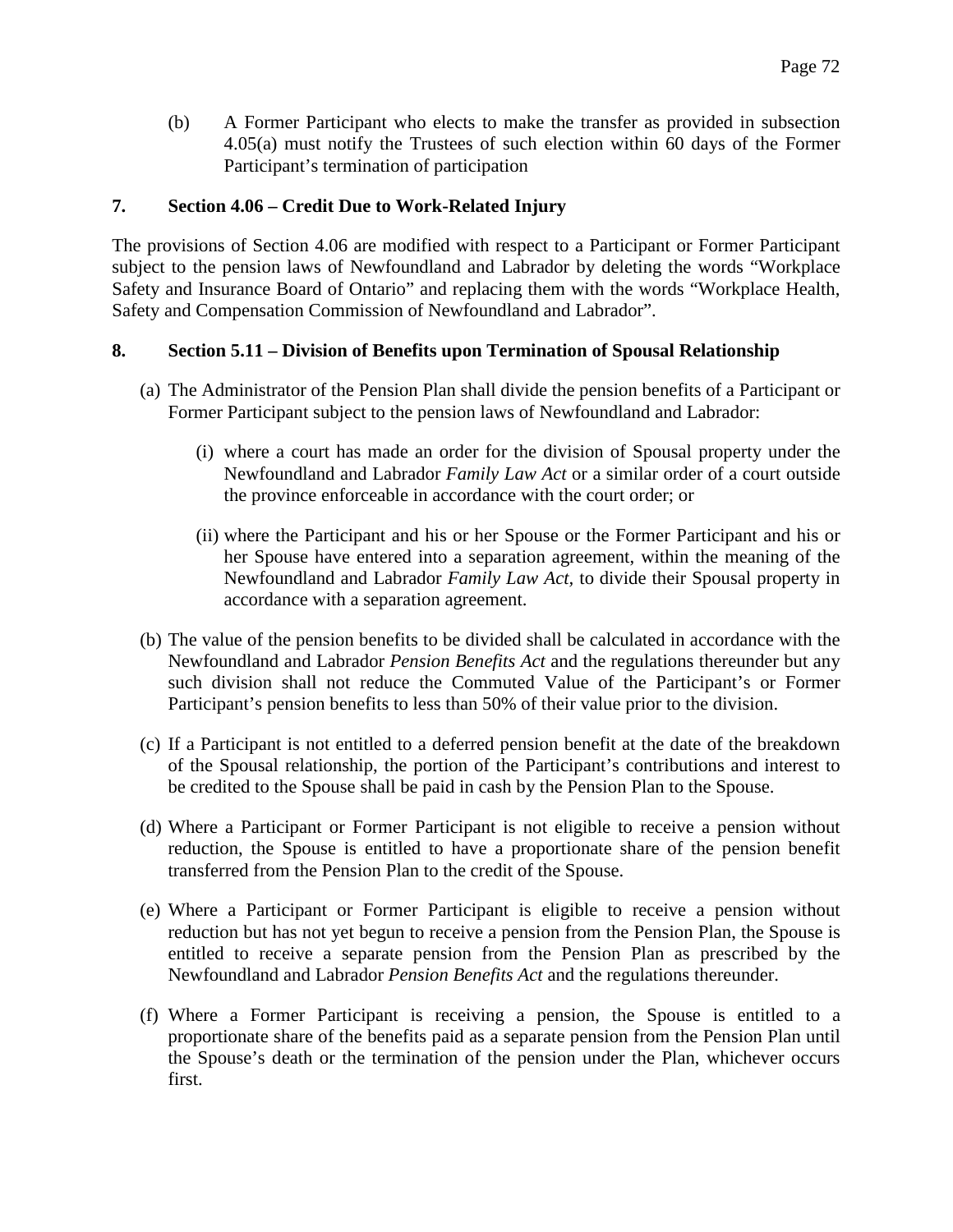(b) A Former Participant who elects to make the transfer as provided in subsection 4.05(a) must notify the Trustees of such election within 60 days of the Former Participant's termination of participation

## **7. Section 4.06 – Credit Due to Work-Related Injury**

The provisions of Section 4.06 are modified with respect to a Participant or Former Participant subject to the pension laws of Newfoundland and Labrador by deleting the words "Workplace Safety and Insurance Board of Ontario" and replacing them with the words "Workplace Health, Safety and Compensation Commission of Newfoundland and Labrador".

### **8. Section 5.11 – Division of Benefits upon Termination of Spousal Relationship**

- (a) The Administrator of the Pension Plan shall divide the pension benefits of a Participant or Former Participant subject to the pension laws of Newfoundland and Labrador:
	- (i) where a court has made an order for the division of Spousal property under the Newfoundland and Labrador *Family Law Act* or a similar order of a court outside the province enforceable in accordance with the court order; or
	- (ii) where the Participant and his or her Spouse or the Former Participant and his or her Spouse have entered into a separation agreement, within the meaning of the Newfoundland and Labrador *Family Law Act,* to divide their Spousal property in accordance with a separation agreement.
- (b) The value of the pension benefits to be divided shall be calculated in accordance with the Newfoundland and Labrador *Pension Benefits Act* and the regulations thereunder but any such division shall not reduce the Commuted Value of the Participant's or Former Participant's pension benefits to less than 50% of their value prior to the division.
- (c) If a Participant is not entitled to a deferred pension benefit at the date of the breakdown of the Spousal relationship, the portion of the Participant's contributions and interest to be credited to the Spouse shall be paid in cash by the Pension Plan to the Spouse.
- (d) Where a Participant or Former Participant is not eligible to receive a pension without reduction, the Spouse is entitled to have a proportionate share of the pension benefit transferred from the Pension Plan to the credit of the Spouse.
- (e) Where a Participant or Former Participant is eligible to receive a pension without reduction but has not yet begun to receive a pension from the Pension Plan, the Spouse is entitled to receive a separate pension from the Pension Plan as prescribed by the Newfoundland and Labrador *Pension Benefits Act* and the regulations thereunder.
- (f) Where a Former Participant is receiving a pension, the Spouse is entitled to a proportionate share of the benefits paid as a separate pension from the Pension Plan until the Spouse's death or the termination of the pension under the Plan, whichever occurs first.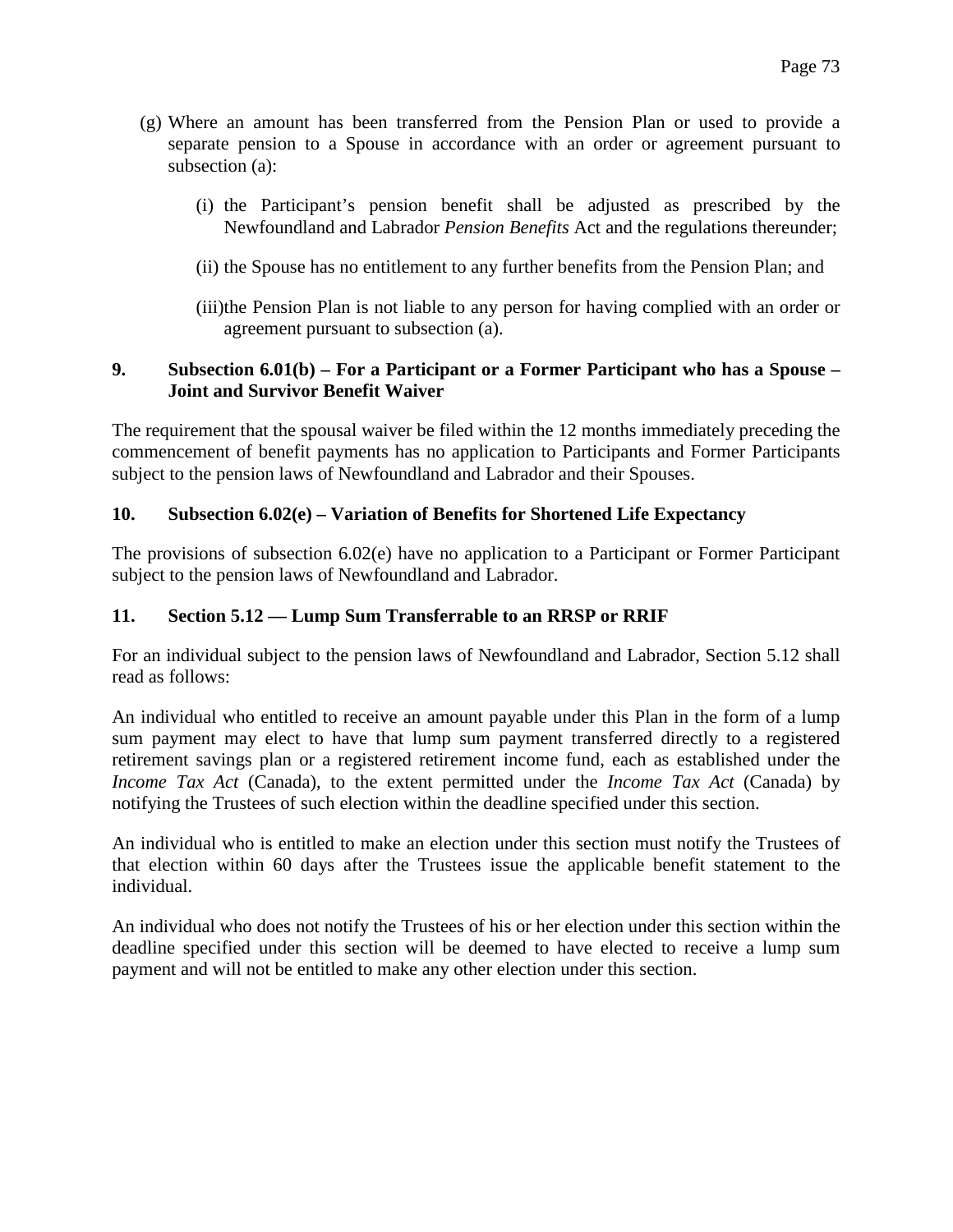- (g) Where an amount has been transferred from the Pension Plan or used to provide a separate pension to a Spouse in accordance with an order or agreement pursuant to subsection (a):
	- (i) the Participant's pension benefit shall be adjusted as prescribed by the Newfoundland and Labrador *Pension Benefits* Act and the regulations thereunder;
	- (ii) the Spouse has no entitlement to any further benefits from the Pension Plan; and
	- (iii)the Pension Plan is not liable to any person for having complied with an order or agreement pursuant to subsection (a).

### **9. Subsection 6.01(b) – For a Participant or a Former Participant who has a Spouse – Joint and Survivor Benefit Waiver**

The requirement that the spousal waiver be filed within the 12 months immediately preceding the commencement of benefit payments has no application to Participants and Former Participants subject to the pension laws of Newfoundland and Labrador and their Spouses.

### **10. Subsection 6.02(e) – Variation of Benefits for Shortened Life Expectancy**

The provisions of subsection 6.02(e) have no application to a Participant or Former Participant subject to the pension laws of Newfoundland and Labrador.

### **11. Section 5.12 — Lump Sum Transferrable to an RRSP or RRIF**

For an individual subject to the pension laws of Newfoundland and Labrador, Section 5.12 shall read as follows:

An individual who entitled to receive an amount payable under this Plan in the form of a lump sum payment may elect to have that lump sum payment transferred directly to a registered retirement savings plan or a registered retirement income fund, each as established under the *Income Tax Act* (Canada), to the extent permitted under the *Income Tax Act* (Canada) by notifying the Trustees of such election within the deadline specified under this section.

An individual who is entitled to make an election under this section must notify the Trustees of that election within 60 days after the Trustees issue the applicable benefit statement to the individual.

An individual who does not notify the Trustees of his or her election under this section within the deadline specified under this section will be deemed to have elected to receive a lump sum payment and will not be entitled to make any other election under this section.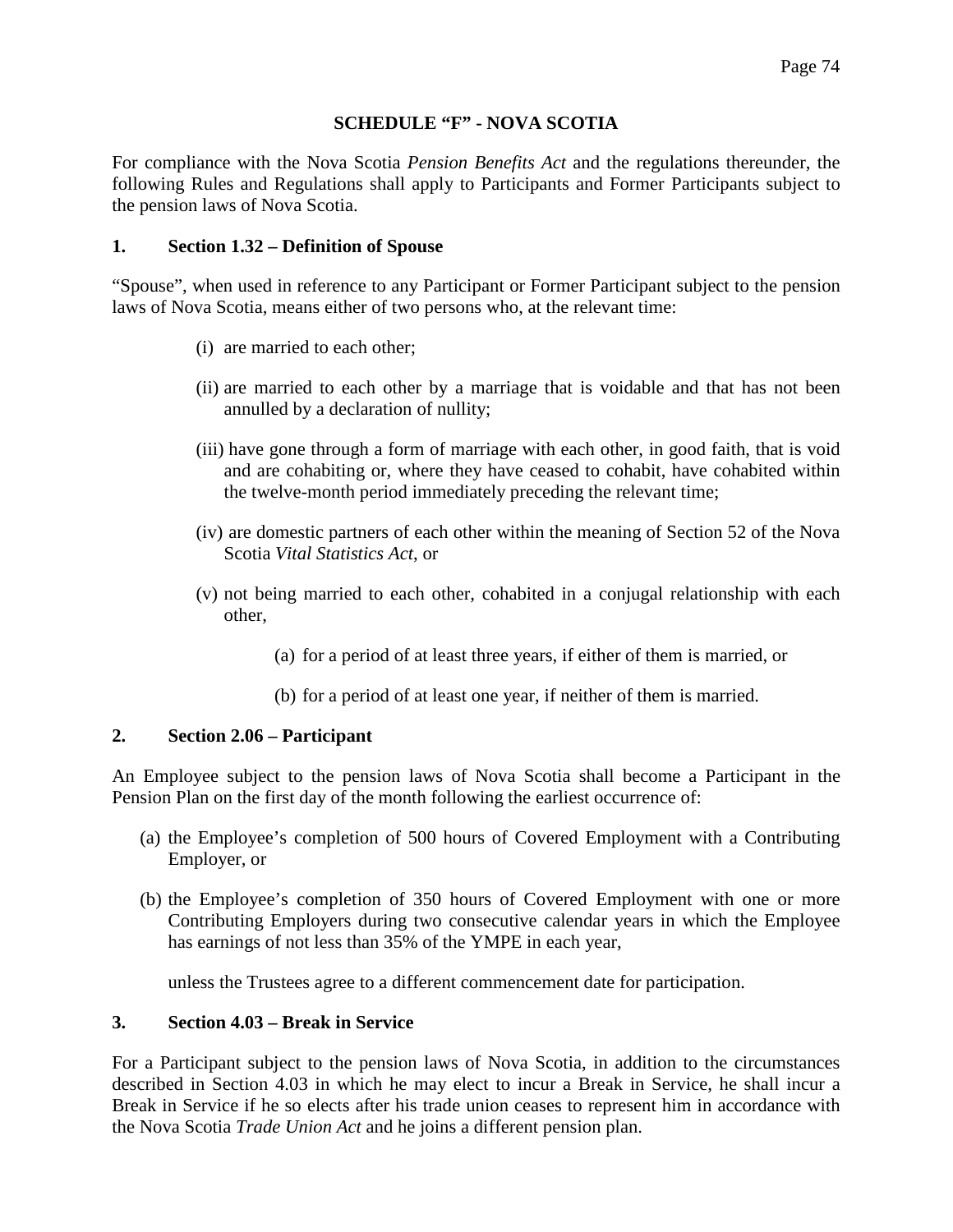### **SCHEDULE "F" - NOVA SCOTIA**

For compliance with the Nova Scotia *Pension Benefits Act* and the regulations thereunder, the following Rules and Regulations shall apply to Participants and Former Participants subject to the pension laws of Nova Scotia.

### **1. Section 1.32 – Definition of Spouse**

"Spouse", when used in reference to any Participant or Former Participant subject to the pension laws of Nova Scotia, means either of two persons who, at the relevant time:

- (i) are married to each other;
- (ii) are married to each other by a marriage that is voidable and that has not been annulled by a declaration of nullity;
- (iii) have gone through a form of marriage with each other, in good faith, that is void and are cohabiting or, where they have ceased to cohabit, have cohabited within the twelve-month period immediately preceding the relevant time;
- (iv) are domestic partners of each other within the meaning of Section 52 of the Nova Scotia *Vital Statistics Act*, or
- (v) not being married to each other, cohabited in a conjugal relationship with each other,
	- (a) for a period of at least three years, if either of them is married, or
	- (b) for a period of at least one year, if neither of them is married.

### **2. Section 2.06 – Participant**

An Employee subject to the pension laws of Nova Scotia shall become a Participant in the Pension Plan on the first day of the month following the earliest occurrence of:

- (a) the Employee's completion of 500 hours of Covered Employment with a Contributing Employer, or
- (b) the Employee's completion of 350 hours of Covered Employment with one or more Contributing Employers during two consecutive calendar years in which the Employee has earnings of not less than 35% of the YMPE in each year,

unless the Trustees agree to a different commencement date for participation.

# **3. Section 4.03 – Break in Service**

For a Participant subject to the pension laws of Nova Scotia, in addition to the circumstances described in Section 4.03 in which he may elect to incur a Break in Service, he shall incur a Break in Service if he so elects after his trade union ceases to represent him in accordance with the Nova Scotia *Trade Union Act* and he joins a different pension plan.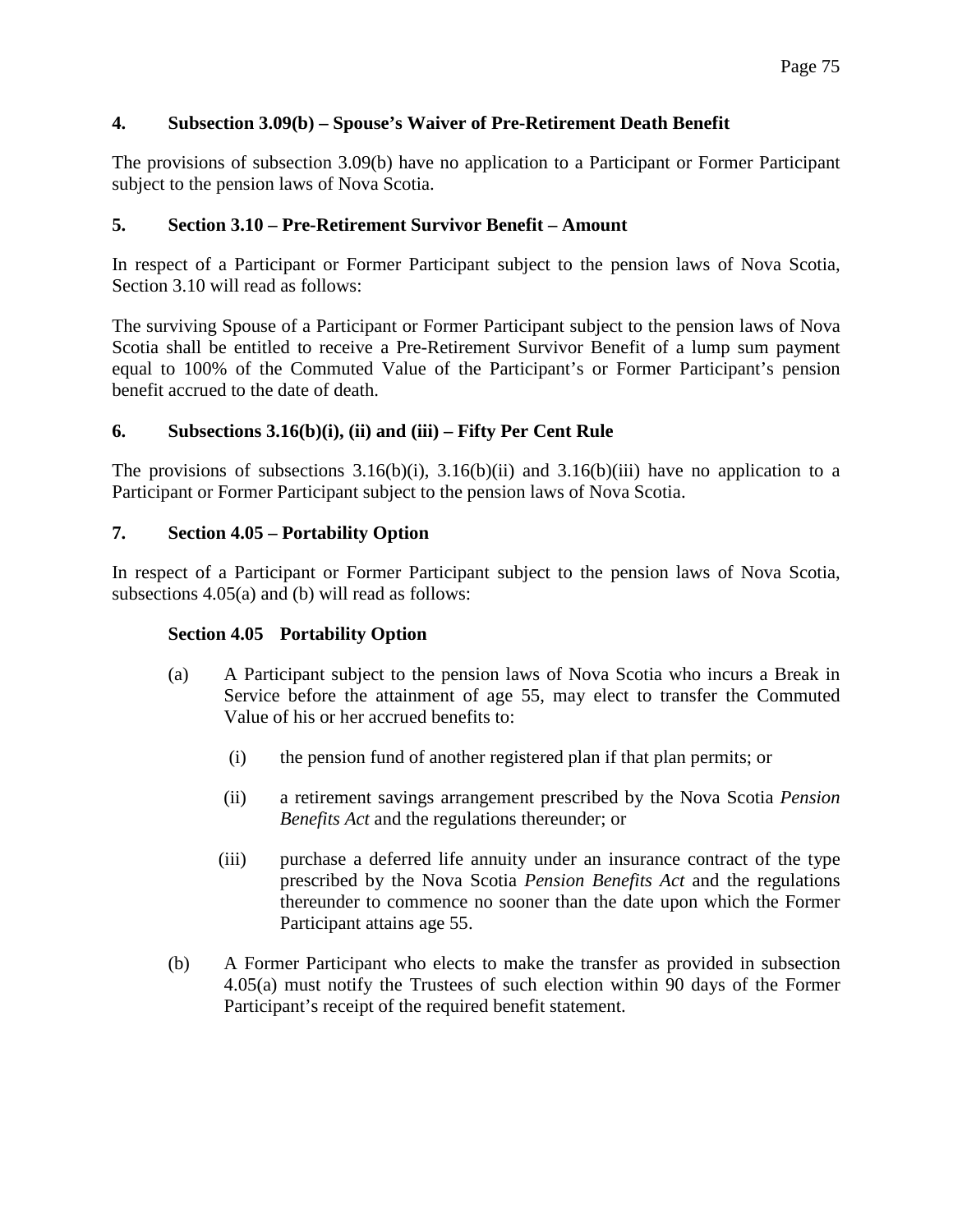# **4. Subsection 3.09(b) – Spouse's Waiver of Pre-Retirement Death Benefit**

The provisions of subsection 3.09(b) have no application to a Participant or Former Participant subject to the pension laws of Nova Scotia.

# **5. Section 3.10 – Pre-Retirement Survivor Benefit – Amount**

In respect of a Participant or Former Participant subject to the pension laws of Nova Scotia, Section 3.10 will read as follows:

The surviving Spouse of a Participant or Former Participant subject to the pension laws of Nova Scotia shall be entitled to receive a Pre-Retirement Survivor Benefit of a lump sum payment equal to 100% of the Commuted Value of the Participant's or Former Participant's pension benefit accrued to the date of death.

# **6. Subsections 3.16(b)(i), (ii) and (iii) – Fifty Per Cent Rule**

The provisions of subsections  $3.16(b)(i)$ ,  $3.16(b)(ii)$  and  $3.16(b)(iii)$  have no application to a Participant or Former Participant subject to the pension laws of Nova Scotia.

# **7. Section 4.05 – Portability Option**

In respect of a Participant or Former Participant subject to the pension laws of Nova Scotia, subsections 4.05(a) and (b) will read as follows:

# **Section 4.05 Portability Option**

- (a) A Participant subject to the pension laws of Nova Scotia who incurs a Break in Service before the attainment of age 55, may elect to transfer the Commuted Value of his or her accrued benefits to:
	- (i) the pension fund of another registered plan if that plan permits; or
	- (ii) a retirement savings arrangement prescribed by the Nova Scotia *Pension Benefits Act* and the regulations thereunder; or
	- (iii) purchase a deferred life annuity under an insurance contract of the type prescribed by the Nova Scotia *Pension Benefits Act* and the regulations thereunder to commence no sooner than the date upon which the Former Participant attains age 55.
- (b) A Former Participant who elects to make the transfer as provided in subsection 4.05(a) must notify the Trustees of such election within 90 days of the Former Participant's receipt of the required benefit statement.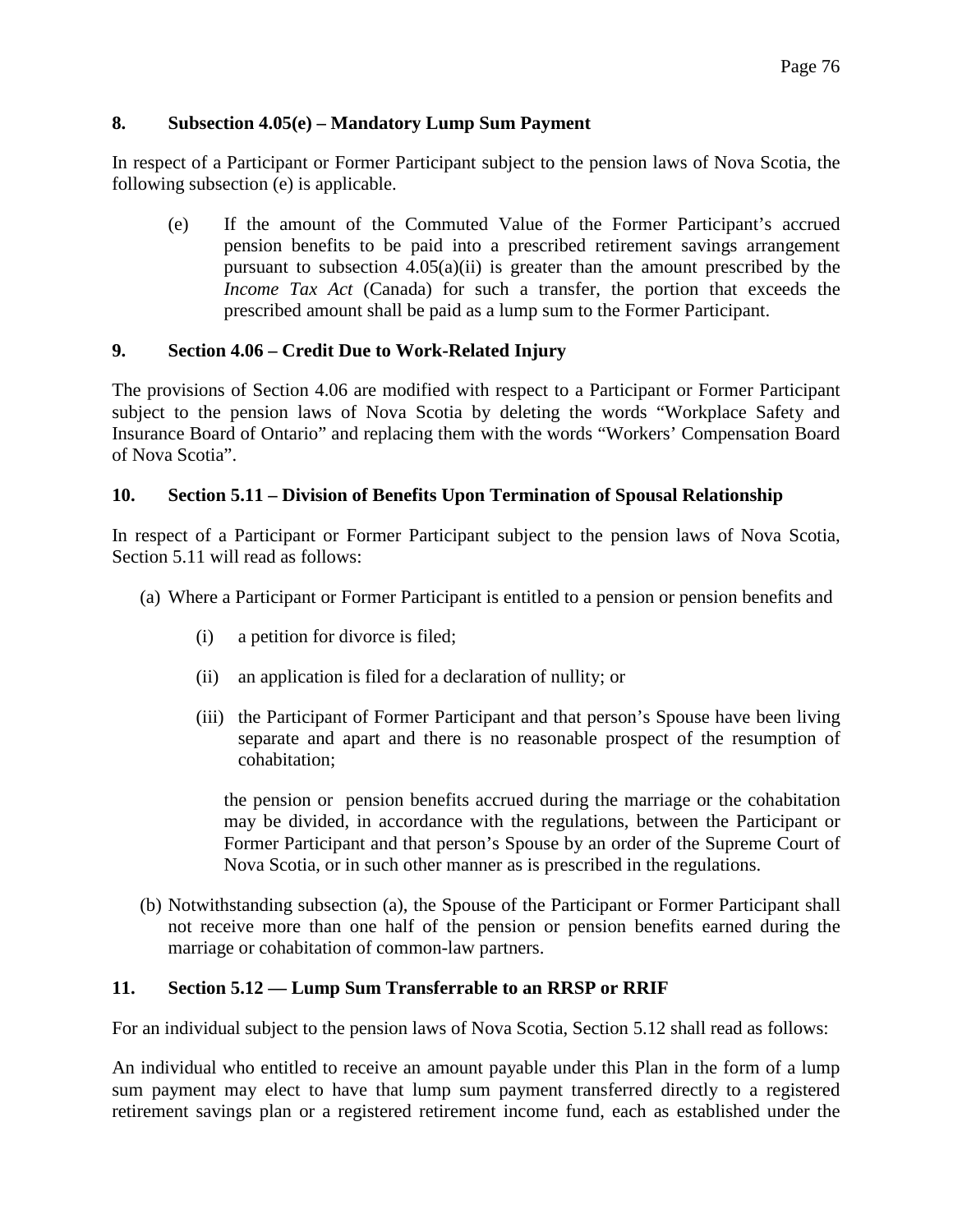# **8. Subsection 4.05(e) – Mandatory Lump Sum Payment**

In respect of a Participant or Former Participant subject to the pension laws of Nova Scotia, the following subsection (e) is applicable.

(e) If the amount of the Commuted Value of the Former Participant's accrued pension benefits to be paid into a prescribed retirement savings arrangement pursuant to subsection  $4.05(a)(ii)$  is greater than the amount prescribed by the *Income Tax Act* (Canada) for such a transfer, the portion that exceeds the prescribed amount shall be paid as a lump sum to the Former Participant.

# **9. Section 4.06 – Credit Due to Work-Related Injury**

The provisions of Section 4.06 are modified with respect to a Participant or Former Participant subject to the pension laws of Nova Scotia by deleting the words "Workplace Safety and Insurance Board of Ontario" and replacing them with the words "Workers' Compensation Board of Nova Scotia".

# **10. Section 5.11 – Division of Benefits Upon Termination of Spousal Relationship**

In respect of a Participant or Former Participant subject to the pension laws of Nova Scotia, Section 5.11 will read as follows:

- (a) Where a Participant or Former Participant is entitled to a pension or pension benefits and
	- (i) a petition for divorce is filed;
	- (ii) an application is filed for a declaration of nullity; or
	- (iii) the Participant of Former Participant and that person's Spouse have been living separate and apart and there is no reasonable prospect of the resumption of cohabitation;

the pension or pension benefits accrued during the marriage or the cohabitation may be divided, in accordance with the regulations, between the Participant or Former Participant and that person's Spouse by an order of the Supreme Court of Nova Scotia, or in such other manner as is prescribed in the regulations.

(b) Notwithstanding subsection (a), the Spouse of the Participant or Former Participant shall not receive more than one half of the pension or pension benefits earned during the marriage or cohabitation of common-law partners.

# **11. Section 5.12 — Lump Sum Transferrable to an RRSP or RRIF**

For an individual subject to the pension laws of Nova Scotia, Section 5.12 shall read as follows:

An individual who entitled to receive an amount payable under this Plan in the form of a lump sum payment may elect to have that lump sum payment transferred directly to a registered retirement savings plan or a registered retirement income fund, each as established under the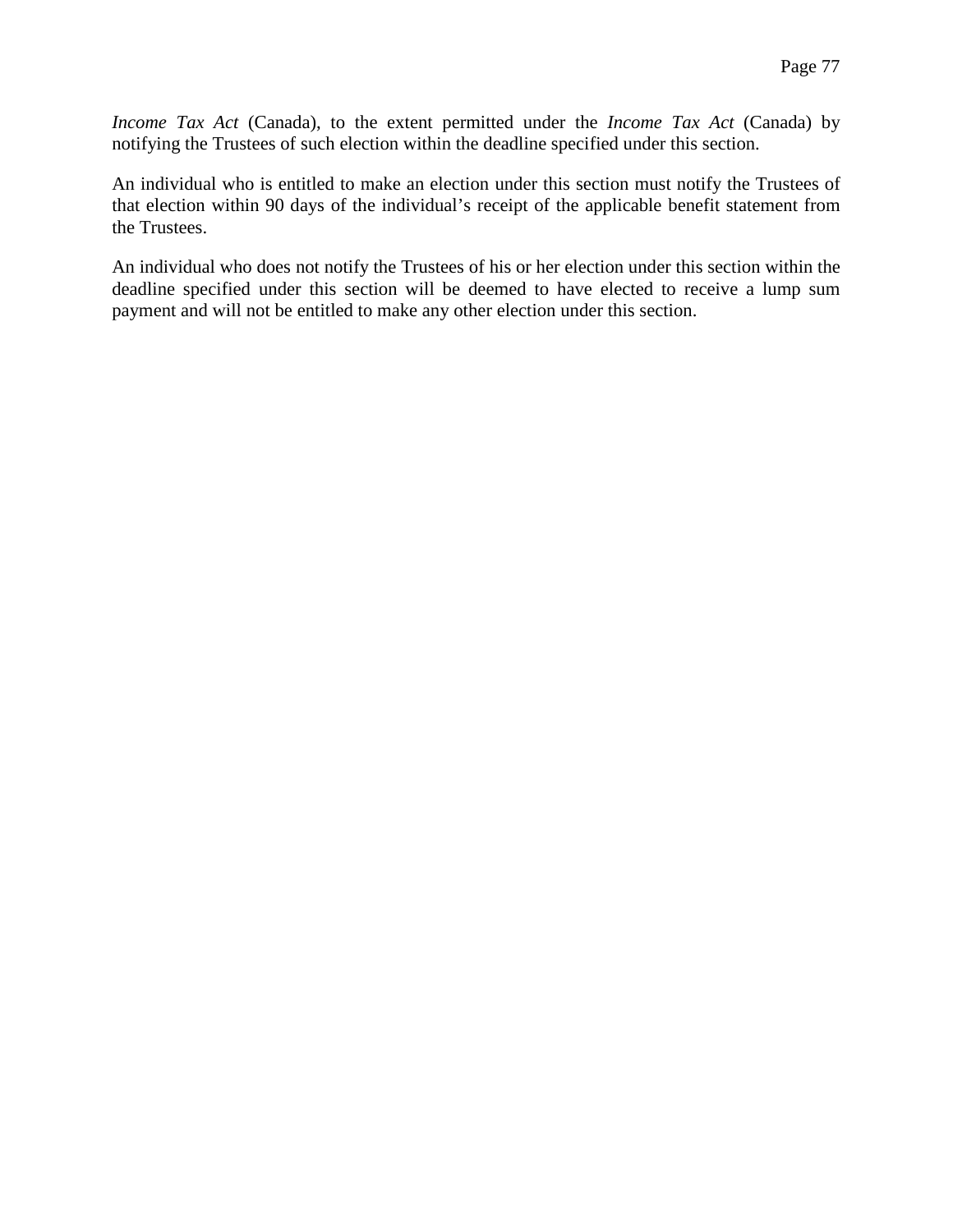*Income Tax Act* (Canada), to the extent permitted under the *Income Tax Act* (Canada) by notifying the Trustees of such election within the deadline specified under this section.

An individual who is entitled to make an election under this section must notify the Trustees of that election within 90 days of the individual's receipt of the applicable benefit statement from the Trustees.

An individual who does not notify the Trustees of his or her election under this section within the deadline specified under this section will be deemed to have elected to receive a lump sum payment and will not be entitled to make any other election under this section.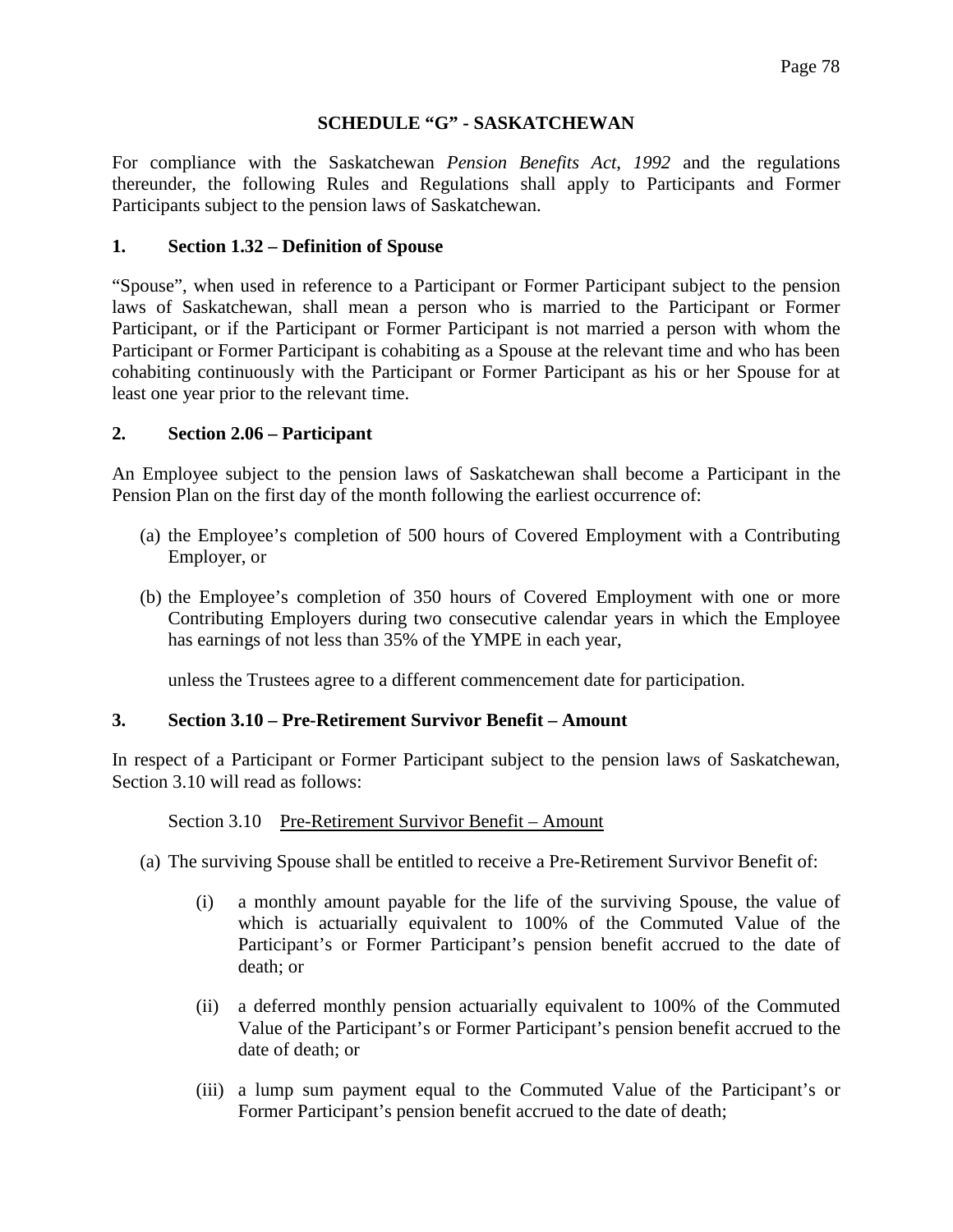### **SCHEDULE "G" - SASKATCHEWAN**

For compliance with the Saskatchewan *Pension Benefits Act*, *1992* and the regulations thereunder, the following Rules and Regulations shall apply to Participants and Former Participants subject to the pension laws of Saskatchewan.

### **1. Section 1.32 – Definition of Spouse**

"Spouse", when used in reference to a Participant or Former Participant subject to the pension laws of Saskatchewan, shall mean a person who is married to the Participant or Former Participant, or if the Participant or Former Participant is not married a person with whom the Participant or Former Participant is cohabiting as a Spouse at the relevant time and who has been cohabiting continuously with the Participant or Former Participant as his or her Spouse for at least one year prior to the relevant time.

### **2. Section 2.06 – Participant**

An Employee subject to the pension laws of Saskatchewan shall become a Participant in the Pension Plan on the first day of the month following the earliest occurrence of:

- (a) the Employee's completion of 500 hours of Covered Employment with a Contributing Employer, or
- (b) the Employee's completion of 350 hours of Covered Employment with one or more Contributing Employers during two consecutive calendar years in which the Employee has earnings of not less than 35% of the YMPE in each year,

unless the Trustees agree to a different commencement date for participation.

#### **3. Section 3.10 – Pre-Retirement Survivor Benefit – Amount**

In respect of a Participant or Former Participant subject to the pension laws of Saskatchewan, Section 3.10 will read as follows:

Section 3.10 Pre-Retirement Survivor Benefit – Amount

- (a) The surviving Spouse shall be entitled to receive a Pre-Retirement Survivor Benefit of:
	- (i) a monthly amount payable for the life of the surviving Spouse, the value of which is actuarially equivalent to 100% of the Commuted Value of the Participant's or Former Participant's pension benefit accrued to the date of death; or
	- (ii) a deferred monthly pension actuarially equivalent to 100% of the Commuted Value of the Participant's or Former Participant's pension benefit accrued to the date of death; or
	- (iii) a lump sum payment equal to the Commuted Value of the Participant's or Former Participant's pension benefit accrued to the date of death;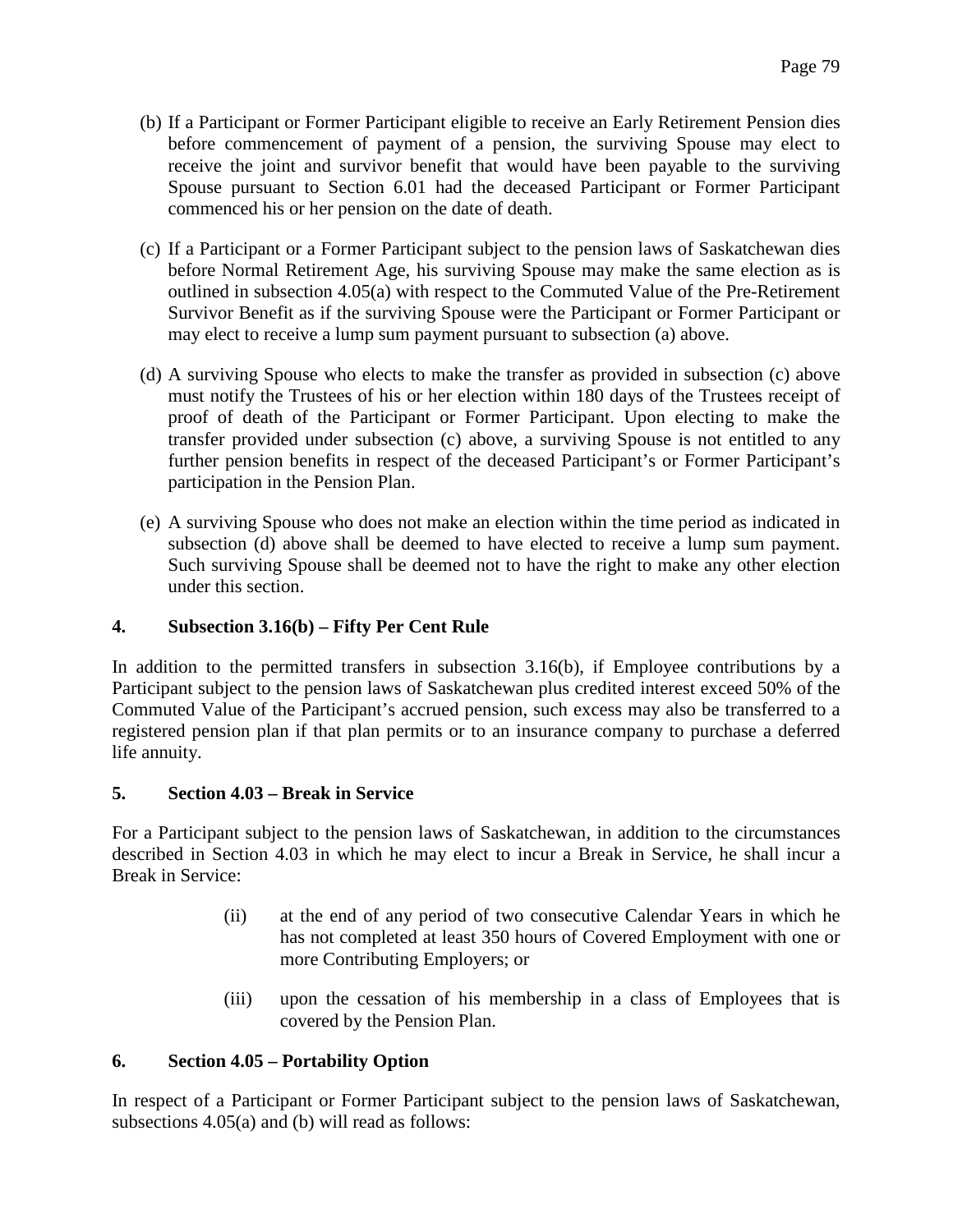- (b) If a Participant or Former Participant eligible to receive an Early Retirement Pension dies before commencement of payment of a pension, the surviving Spouse may elect to receive the joint and survivor benefit that would have been payable to the surviving Spouse pursuant to Section 6.01 had the deceased Participant or Former Participant commenced his or her pension on the date of death.
- (c) If a Participant or a Former Participant subject to the pension laws of Saskatchewan dies before Normal Retirement Age, his surviving Spouse may make the same election as is outlined in subsection 4.05(a) with respect to the Commuted Value of the Pre-Retirement Survivor Benefit as if the surviving Spouse were the Participant or Former Participant or may elect to receive a lump sum payment pursuant to subsection (a) above.
- (d) A surviving Spouse who elects to make the transfer as provided in subsection (c) above must notify the Trustees of his or her election within 180 days of the Trustees receipt of proof of death of the Participant or Former Participant. Upon electing to make the transfer provided under subsection (c) above, a surviving Spouse is not entitled to any further pension benefits in respect of the deceased Participant's or Former Participant's participation in the Pension Plan.
- (e) A surviving Spouse who does not make an election within the time period as indicated in subsection (d) above shall be deemed to have elected to receive a lump sum payment. Such surviving Spouse shall be deemed not to have the right to make any other election under this section.

# **4. Subsection 3.16(b) – Fifty Per Cent Rule**

In addition to the permitted transfers in subsection 3.16(b), if Employee contributions by a Participant subject to the pension laws of Saskatchewan plus credited interest exceed 50% of the Commuted Value of the Participant's accrued pension, such excess may also be transferred to a registered pension plan if that plan permits or to an insurance company to purchase a deferred life annuity.

# **5. Section 4.03 – Break in Service**

For a Participant subject to the pension laws of Saskatchewan, in addition to the circumstances described in Section 4.03 in which he may elect to incur a Break in Service, he shall incur a Break in Service:

- (ii) at the end of any period of two consecutive Calendar Years in which he has not completed at least 350 hours of Covered Employment with one or more Contributing Employers; or
- (iii) upon the cessation of his membership in a class of Employees that is covered by the Pension Plan.

# **6. Section 4.05 – Portability Option**

In respect of a Participant or Former Participant subject to the pension laws of Saskatchewan, subsections 4.05(a) and (b) will read as follows: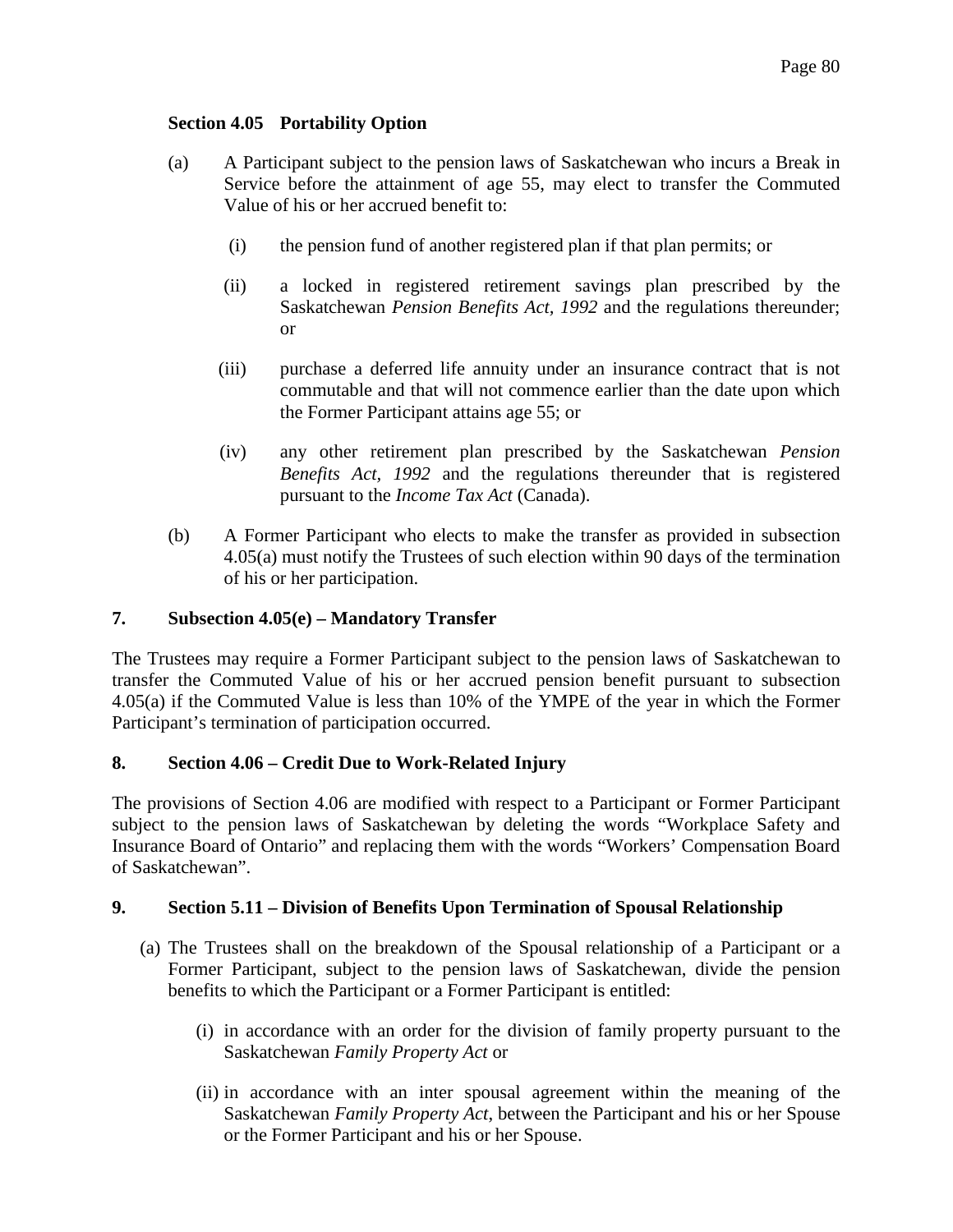### **Section 4.05 Portability Option**

- (a) A Participant subject to the pension laws of Saskatchewan who incurs a Break in Service before the attainment of age 55, may elect to transfer the Commuted Value of his or her accrued benefit to:
	- (i) the pension fund of another registered plan if that plan permits; or
	- (ii) a locked in registered retirement savings plan prescribed by the Saskatchewan *Pension Benefits Act, 1992* and the regulations thereunder; or
	- (iii) purchase a deferred life annuity under an insurance contract that is not commutable and that will not commence earlier than the date upon which the Former Participant attains age 55; or
	- (iv) any other retirement plan prescribed by the Saskatchewan *Pension Benefits Act, 1992* and the regulations thereunder that is registered pursuant to the *Income Tax Act* (Canada).
- (b) A Former Participant who elects to make the transfer as provided in subsection 4.05(a) must notify the Trustees of such election within 90 days of the termination of his or her participation.

#### **7. Subsection 4.05(e) – Mandatory Transfer**

The Trustees may require a Former Participant subject to the pension laws of Saskatchewan to transfer the Commuted Value of his or her accrued pension benefit pursuant to subsection 4.05(a) if the Commuted Value is less than 10% of the YMPE of the year in which the Former Participant's termination of participation occurred.

#### **8. Section 4.06 – Credit Due to Work-Related Injury**

The provisions of Section 4.06 are modified with respect to a Participant or Former Participant subject to the pension laws of Saskatchewan by deleting the words "Workplace Safety and Insurance Board of Ontario" and replacing them with the words "Workers' Compensation Board of Saskatchewan".

#### **9. Section 5.11 – Division of Benefits Upon Termination of Spousal Relationship**

- (a) The Trustees shall on the breakdown of the Spousal relationship of a Participant or a Former Participant, subject to the pension laws of Saskatchewan, divide the pension benefits to which the Participant or a Former Participant is entitled:
	- (i) in accordance with an order for the division of family property pursuant to the Saskatchewan *Family Property Act* or
	- (ii) in accordance with an inter spousal agreement within the meaning of the Saskatchewan *Family Property Act*, between the Participant and his or her Spouse or the Former Participant and his or her Spouse.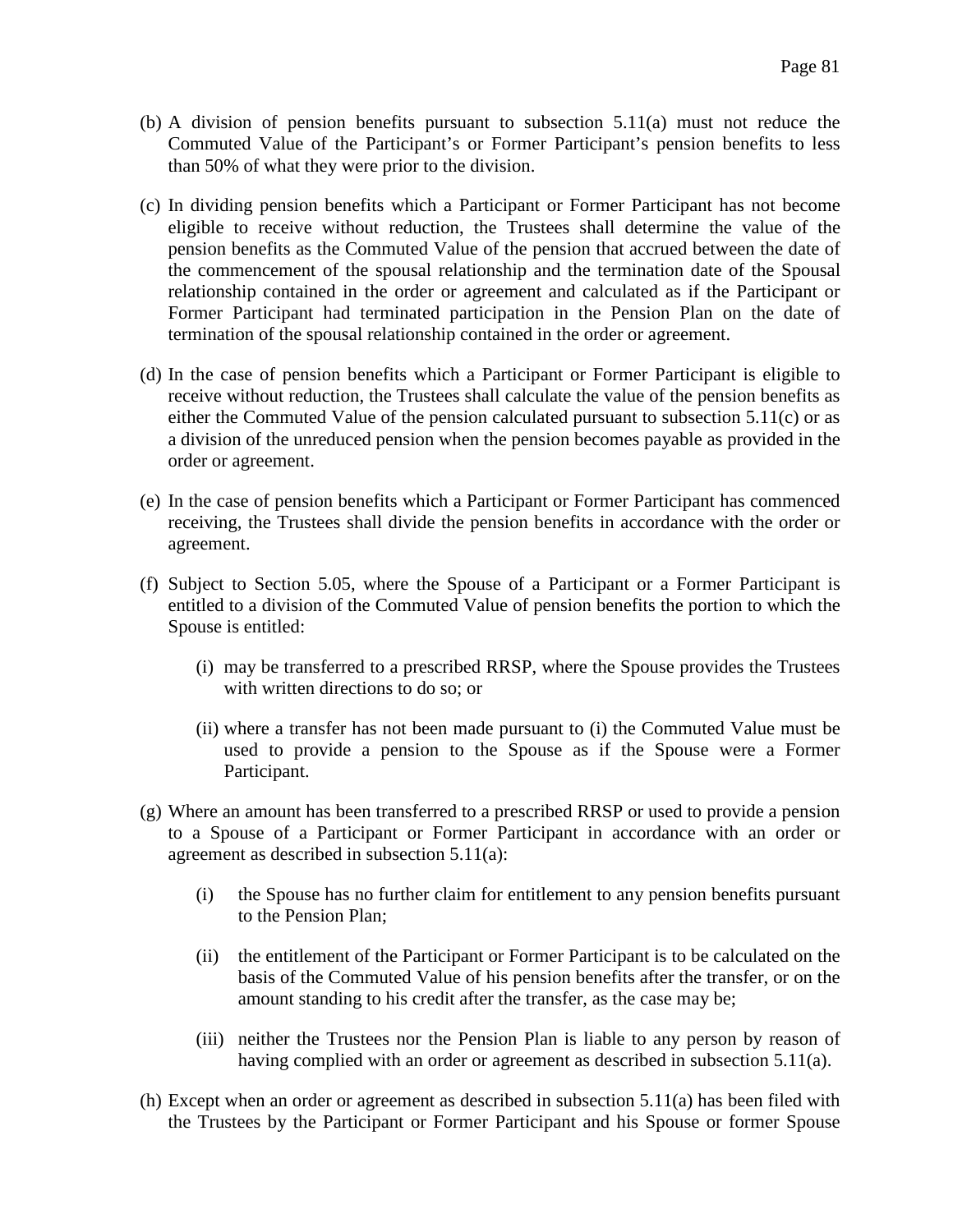- (b) A division of pension benefits pursuant to subsection 5.11(a) must not reduce the Commuted Value of the Participant's or Former Participant's pension benefits to less than 50% of what they were prior to the division.
- (c) In dividing pension benefits which a Participant or Former Participant has not become eligible to receive without reduction, the Trustees shall determine the value of the pension benefits as the Commuted Value of the pension that accrued between the date of the commencement of the spousal relationship and the termination date of the Spousal relationship contained in the order or agreement and calculated as if the Participant or Former Participant had terminated participation in the Pension Plan on the date of termination of the spousal relationship contained in the order or agreement.
- (d) In the case of pension benefits which a Participant or Former Participant is eligible to receive without reduction, the Trustees shall calculate the value of the pension benefits as either the Commuted Value of the pension calculated pursuant to subsection 5.11(c) or as a division of the unreduced pension when the pension becomes payable as provided in the order or agreement.
- (e) In the case of pension benefits which a Participant or Former Participant has commenced receiving, the Trustees shall divide the pension benefits in accordance with the order or agreement.
- (f) Subject to Section 5.05, where the Spouse of a Participant or a Former Participant is entitled to a division of the Commuted Value of pension benefits the portion to which the Spouse is entitled:
	- (i) may be transferred to a prescribed RRSP, where the Spouse provides the Trustees with written directions to do so; or
	- (ii) where a transfer has not been made pursuant to (i) the Commuted Value must be used to provide a pension to the Spouse as if the Spouse were a Former Participant.
- (g) Where an amount has been transferred to a prescribed RRSP or used to provide a pension to a Spouse of a Participant or Former Participant in accordance with an order or agreement as described in subsection 5.11(a):
	- (i) the Spouse has no further claim for entitlement to any pension benefits pursuant to the Pension Plan;
	- (ii) the entitlement of the Participant or Former Participant is to be calculated on the basis of the Commuted Value of his pension benefits after the transfer, or on the amount standing to his credit after the transfer, as the case may be;
	- (iii) neither the Trustees nor the Pension Plan is liable to any person by reason of having complied with an order or agreement as described in subsection 5.11(a).
- (h) Except when an order or agreement as described in subsection 5.11(a) has been filed with the Trustees by the Participant or Former Participant and his Spouse or former Spouse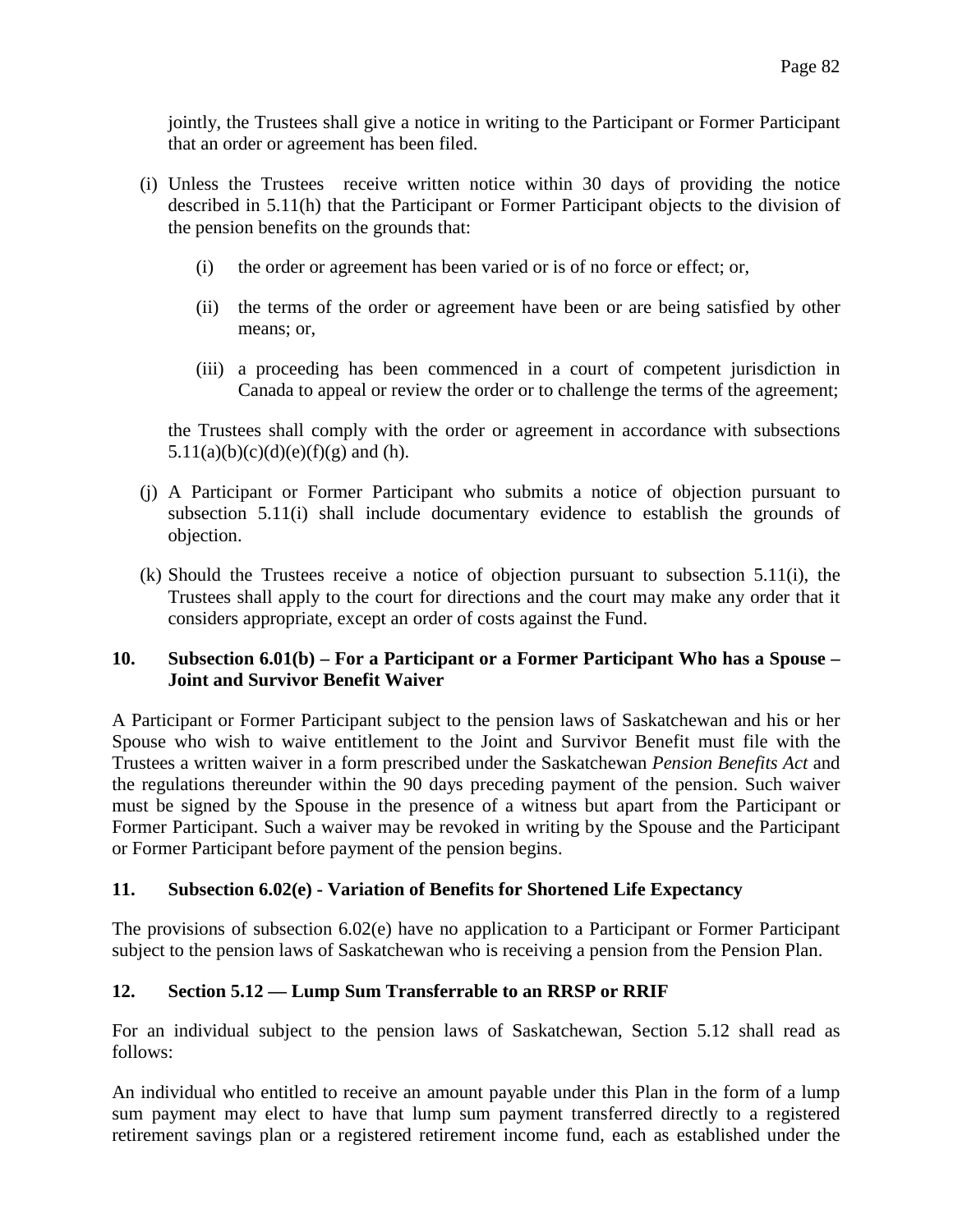jointly, the Trustees shall give a notice in writing to the Participant or Former Participant that an order or agreement has been filed.

- (i) Unless the Trustees receive written notice within 30 days of providing the notice described in 5.11(h) that the Participant or Former Participant objects to the division of the pension benefits on the grounds that:
	- (i) the order or agreement has been varied or is of no force or effect; or,
	- (ii) the terms of the order or agreement have been or are being satisfied by other means; or,
	- (iii) a proceeding has been commenced in a court of competent jurisdiction in Canada to appeal or review the order or to challenge the terms of the agreement;

the Trustees shall comply with the order or agreement in accordance with subsections 5.11(a)(b)(c)(d)(e)(f)(g) and (h).

- (j) A Participant or Former Participant who submits a notice of objection pursuant to subsection 5.11(i) shall include documentary evidence to establish the grounds of objection.
- (k) Should the Trustees receive a notice of objection pursuant to subsection 5.11(i), the Trustees shall apply to the court for directions and the court may make any order that it considers appropriate, except an order of costs against the Fund.

# **10. Subsection 6.01(b) – For a Participant or a Former Participant Who has a Spouse – Joint and Survivor Benefit Waiver**

A Participant or Former Participant subject to the pension laws of Saskatchewan and his or her Spouse who wish to waive entitlement to the Joint and Survivor Benefit must file with the Trustees a written waiver in a form prescribed under the Saskatchewan *Pension Benefits Act* and the regulations thereunder within the 90 days preceding payment of the pension. Such waiver must be signed by the Spouse in the presence of a witness but apart from the Participant or Former Participant. Such a waiver may be revoked in writing by the Spouse and the Participant or Former Participant before payment of the pension begins.

# **11. Subsection 6.02(e) - Variation of Benefits for Shortened Life Expectancy**

The provisions of subsection 6.02(e) have no application to a Participant or Former Participant subject to the pension laws of Saskatchewan who is receiving a pension from the Pension Plan.

# **12. Section 5.12 — Lump Sum Transferrable to an RRSP or RRIF**

For an individual subject to the pension laws of Saskatchewan, Section 5.12 shall read as follows:

An individual who entitled to receive an amount payable under this Plan in the form of a lump sum payment may elect to have that lump sum payment transferred directly to a registered retirement savings plan or a registered retirement income fund, each as established under the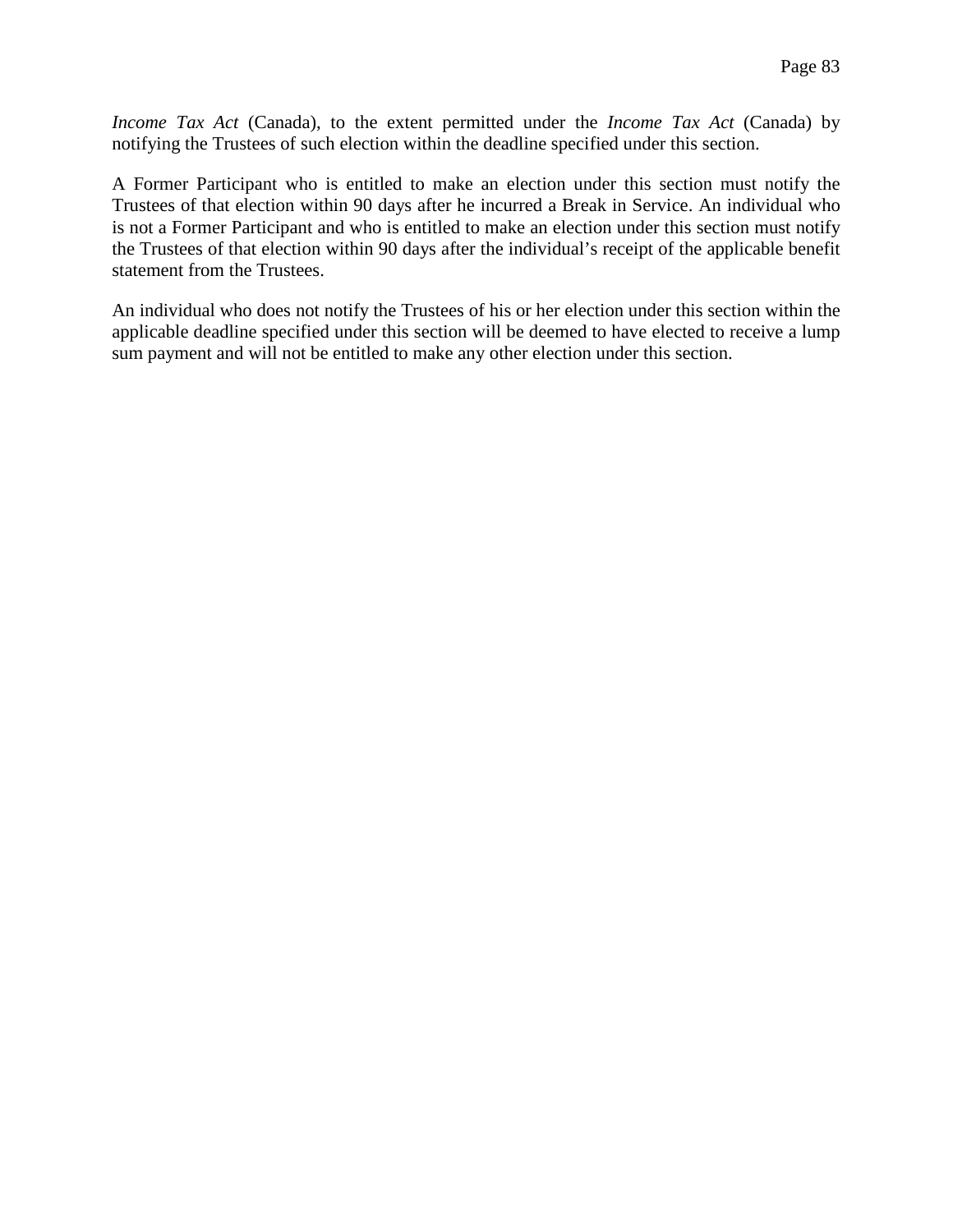*Income Tax Act* (Canada), to the extent permitted under the *Income Tax Act* (Canada) by notifying the Trustees of such election within the deadline specified under this section.

A Former Participant who is entitled to make an election under this section must notify the Trustees of that election within 90 days after he incurred a Break in Service. An individual who is not a Former Participant and who is entitled to make an election under this section must notify the Trustees of that election within 90 days after the individual's receipt of the applicable benefit statement from the Trustees.

An individual who does not notify the Trustees of his or her election under this section within the applicable deadline specified under this section will be deemed to have elected to receive a lump sum payment and will not be entitled to make any other election under this section.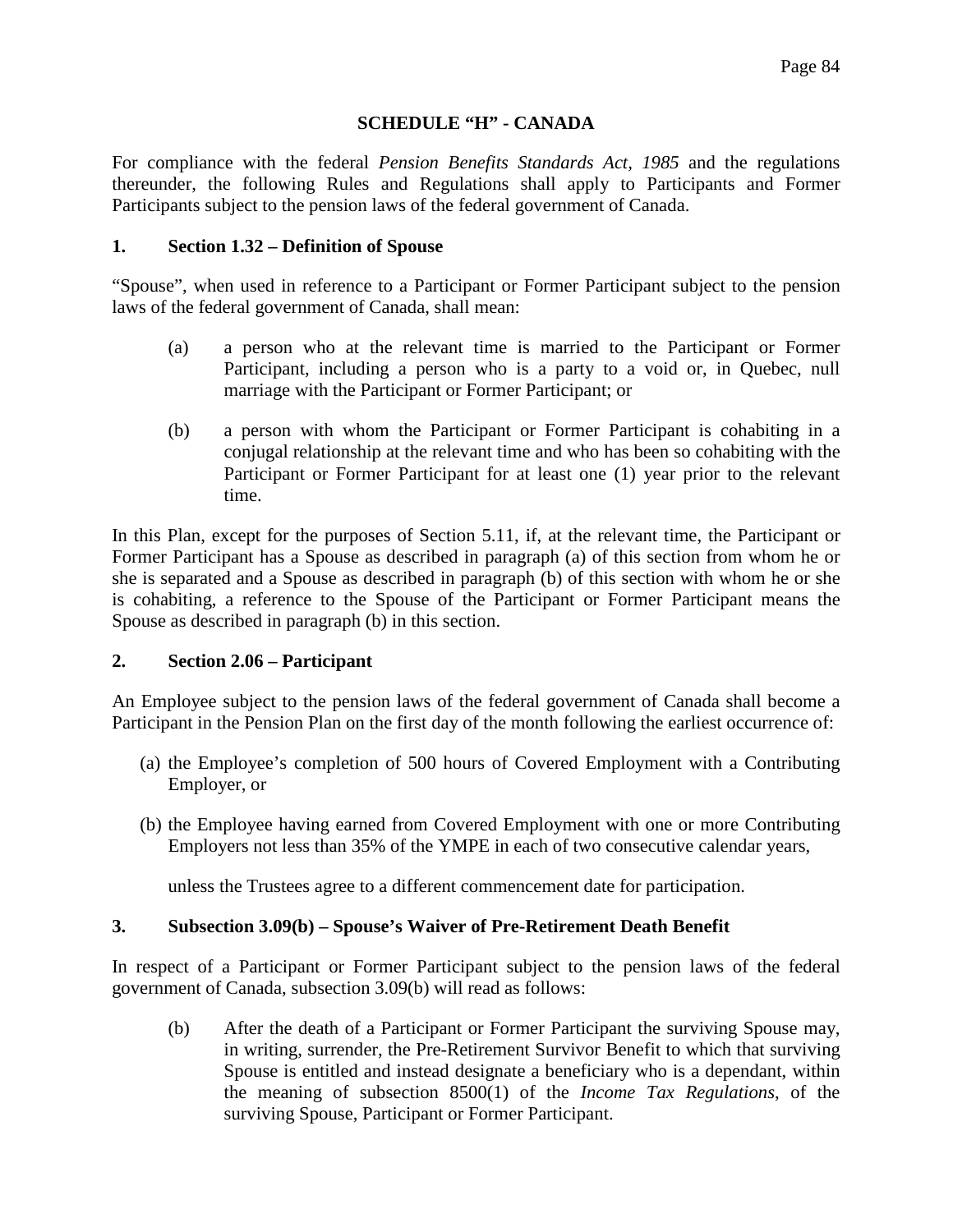### **SCHEDULE "H" - CANADA**

For compliance with the federal *Pension Benefits Standards Act, 1985* and the regulations thereunder, the following Rules and Regulations shall apply to Participants and Former Participants subject to the pension laws of the federal government of Canada.

#### **1. Section 1.32 – Definition of Spouse**

"Spouse", when used in reference to a Participant or Former Participant subject to the pension laws of the federal government of Canada, shall mean:

- (a) a person who at the relevant time is married to the Participant or Former Participant, including a person who is a party to a void or, in Quebec, null marriage with the Participant or Former Participant; or
- (b) a person with whom the Participant or Former Participant is cohabiting in a conjugal relationship at the relevant time and who has been so cohabiting with the Participant or Former Participant for at least one (1) year prior to the relevant time.

In this Plan, except for the purposes of Section 5.11, if, at the relevant time, the Participant or Former Participant has a Spouse as described in paragraph (a) of this section from whom he or she is separated and a Spouse as described in paragraph (b) of this section with whom he or she is cohabiting, a reference to the Spouse of the Participant or Former Participant means the Spouse as described in paragraph (b) in this section.

#### **2. Section 2.06 – Participant**

An Employee subject to the pension laws of the federal government of Canada shall become a Participant in the Pension Plan on the first day of the month following the earliest occurrence of:

- (a) the Employee's completion of 500 hours of Covered Employment with a Contributing Employer, or
- (b) the Employee having earned from Covered Employment with one or more Contributing Employers not less than 35% of the YMPE in each of two consecutive calendar years,

unless the Trustees agree to a different commencement date for participation.

# **3. Subsection 3.09(b) – Spouse's Waiver of Pre-Retirement Death Benefit**

In respect of a Participant or Former Participant subject to the pension laws of the federal government of Canada, subsection 3.09(b) will read as follows:

(b) After the death of a Participant or Former Participant the surviving Spouse may, in writing, surrender, the Pre-Retirement Survivor Benefit to which that surviving Spouse is entitled and instead designate a beneficiary who is a dependant, within the meaning of subsection 8500(1) of the *Income Tax Regulations*, of the surviving Spouse, Participant or Former Participant.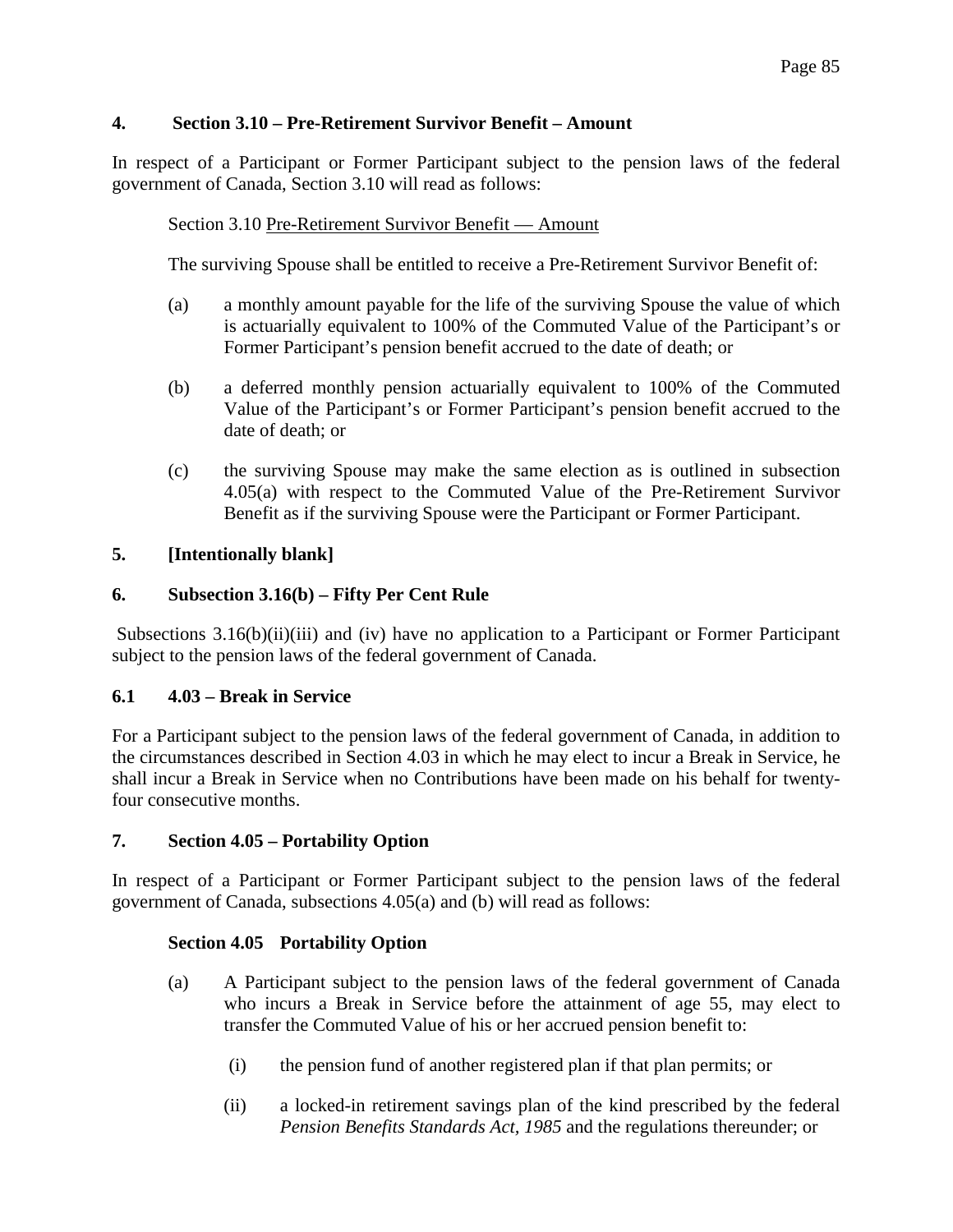# **4. Section 3.10 – Pre-Retirement Survivor Benefit – Amount**

In respect of a Participant or Former Participant subject to the pension laws of the federal government of Canada, Section 3.10 will read as follows:

# Section 3.10 Pre-Retirement Survivor Benefit — Amount

The surviving Spouse shall be entitled to receive a Pre-Retirement Survivor Benefit of:

- (a) a monthly amount payable for the life of the surviving Spouse the value of which is actuarially equivalent to 100% of the Commuted Value of the Participant's or Former Participant's pension benefit accrued to the date of death; or
- (b) a deferred monthly pension actuarially equivalent to 100% of the Commuted Value of the Participant's or Former Participant's pension benefit accrued to the date of death; or
- (c) the surviving Spouse may make the same election as is outlined in subsection 4.05(a) with respect to the Commuted Value of the Pre-Retirement Survivor Benefit as if the surviving Spouse were the Participant or Former Participant.

# **5. [Intentionally blank]**

# **6. Subsection 3.16(b) – Fifty Per Cent Rule**

Subsections 3.16(b)(ii)(iii) and (iv) have no application to a Participant or Former Participant subject to the pension laws of the federal government of Canada.

# **6.1 4.03 – Break in Service**

For a Participant subject to the pension laws of the federal government of Canada, in addition to the circumstances described in Section 4.03 in which he may elect to incur a Break in Service, he shall incur a Break in Service when no Contributions have been made on his behalf for twentyfour consecutive months.

# **7. Section 4.05 – Portability Option**

In respect of a Participant or Former Participant subject to the pension laws of the federal government of Canada, subsections 4.05(a) and (b) will read as follows:

# **Section 4.05 Portability Option**

- (a) A Participant subject to the pension laws of the federal government of Canada who incurs a Break in Service before the attainment of age 55, may elect to transfer the Commuted Value of his or her accrued pension benefit to:
	- (i) the pension fund of another registered plan if that plan permits; or
	- (ii) a locked-in retirement savings plan of the kind prescribed by the federal *Pension Benefits Standards Act, 1985* and the regulations thereunder; or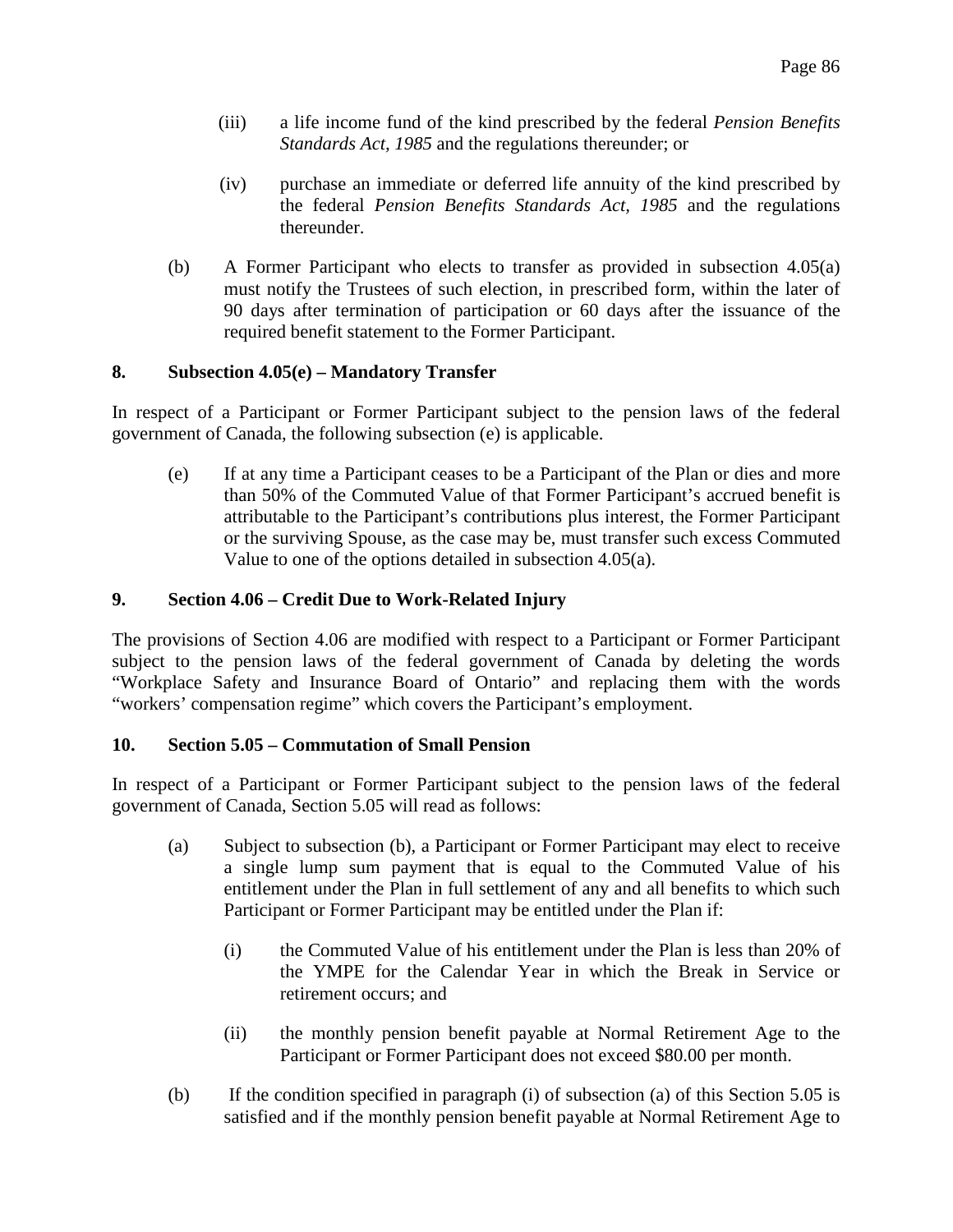- (iii) a life income fund of the kind prescribed by the federal *Pension Benefits Standards Act, 1985* and the regulations thereunder; or
- (iv) purchase an immediate or deferred life annuity of the kind prescribed by the federal *Pension Benefits Standards Act, 1985* and the regulations thereunder.
- (b) A Former Participant who elects to transfer as provided in subsection 4.05(a) must notify the Trustees of such election, in prescribed form, within the later of 90 days after termination of participation or 60 days after the issuance of the required benefit statement to the Former Participant.

### **8. Subsection 4.05(e) – Mandatory Transfer**

In respect of a Participant or Former Participant subject to the pension laws of the federal government of Canada, the following subsection (e) is applicable.

(e) If at any time a Participant ceases to be a Participant of the Plan or dies and more than 50% of the Commuted Value of that Former Participant's accrued benefit is attributable to the Participant's contributions plus interest, the Former Participant or the surviving Spouse, as the case may be, must transfer such excess Commuted Value to one of the options detailed in subsection 4.05(a).

### **9. Section 4.06 – Credit Due to Work-Related Injury**

The provisions of Section 4.06 are modified with respect to a Participant or Former Participant subject to the pension laws of the federal government of Canada by deleting the words "Workplace Safety and Insurance Board of Ontario" and replacing them with the words "workers' compensation regime" which covers the Participant's employment.

#### **10. Section 5.05 – Commutation of Small Pension**

In respect of a Participant or Former Participant subject to the pension laws of the federal government of Canada, Section 5.05 will read as follows:

- (a) Subject to subsection (b), a Participant or Former Participant may elect to receive a single lump sum payment that is equal to the Commuted Value of his entitlement under the Plan in full settlement of any and all benefits to which such Participant or Former Participant may be entitled under the Plan if:
	- (i) the Commuted Value of his entitlement under the Plan is less than 20% of the YMPE for the Calendar Year in which the Break in Service or retirement occurs; and
	- (ii) the monthly pension benefit payable at Normal Retirement Age to the Participant or Former Participant does not exceed \$80.00 per month.
- (b) If the condition specified in paragraph (i) of subsection (a) of this Section 5.05 is satisfied and if the monthly pension benefit payable at Normal Retirement Age to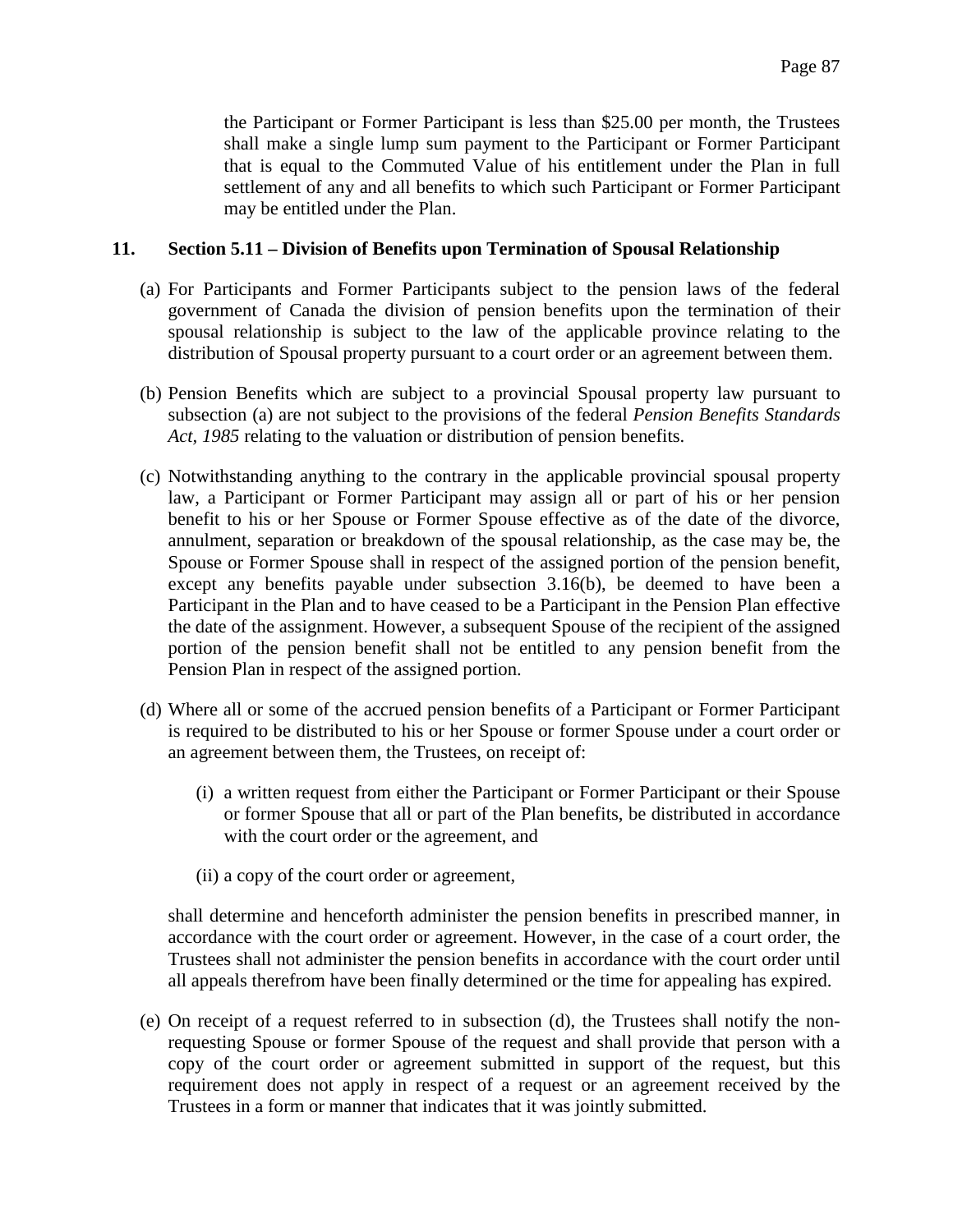the Participant or Former Participant is less than \$25.00 per month, the Trustees shall make a single lump sum payment to the Participant or Former Participant that is equal to the Commuted Value of his entitlement under the Plan in full settlement of any and all benefits to which such Participant or Former Participant may be entitled under the Plan.

### **11. Section 5.11 – Division of Benefits upon Termination of Spousal Relationship**

- (a) For Participants and Former Participants subject to the pension laws of the federal government of Canada the division of pension benefits upon the termination of their spousal relationship is subject to the law of the applicable province relating to the distribution of Spousal property pursuant to a court order or an agreement between them.
- (b) Pension Benefits which are subject to a provincial Spousal property law pursuant to subsection (a) are not subject to the provisions of the federal *Pension Benefits Standards Act, 1985* relating to the valuation or distribution of pension benefits.
- (c) Notwithstanding anything to the contrary in the applicable provincial spousal property law, a Participant or Former Participant may assign all or part of his or her pension benefit to his or her Spouse or Former Spouse effective as of the date of the divorce, annulment, separation or breakdown of the spousal relationship, as the case may be, the Spouse or Former Spouse shall in respect of the assigned portion of the pension benefit, except any benefits payable under subsection 3.16(b), be deemed to have been a Participant in the Plan and to have ceased to be a Participant in the Pension Plan effective the date of the assignment. However, a subsequent Spouse of the recipient of the assigned portion of the pension benefit shall not be entitled to any pension benefit from the Pension Plan in respect of the assigned portion.
- (d) Where all or some of the accrued pension benefits of a Participant or Former Participant is required to be distributed to his or her Spouse or former Spouse under a court order or an agreement between them, the Trustees, on receipt of:
	- (i) a written request from either the Participant or Former Participant or their Spouse or former Spouse that all or part of the Plan benefits, be distributed in accordance with the court order or the agreement, and
	- (ii) a copy of the court order or agreement,

shall determine and henceforth administer the pension benefits in prescribed manner, in accordance with the court order or agreement. However, in the case of a court order, the Trustees shall not administer the pension benefits in accordance with the court order until all appeals therefrom have been finally determined or the time for appealing has expired.

(e) On receipt of a request referred to in subsection (d), the Trustees shall notify the nonrequesting Spouse or former Spouse of the request and shall provide that person with a copy of the court order or agreement submitted in support of the request, but this requirement does not apply in respect of a request or an agreement received by the Trustees in a form or manner that indicates that it was jointly submitted.